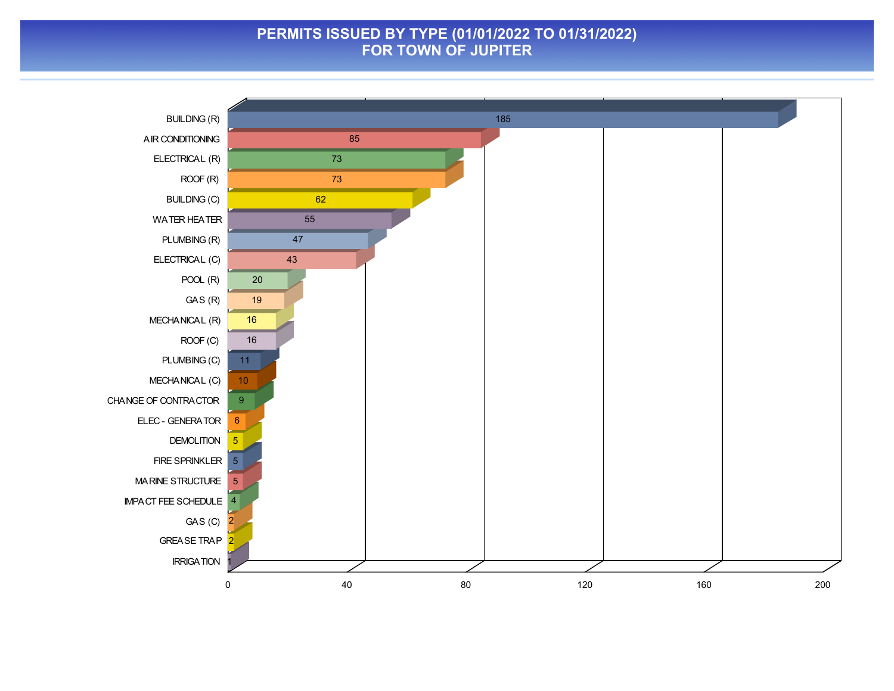### **PERMITS ISSUED BY TYPE (01/01/2022 TO 01/31/2022) FOR TOWN OF JUPITER**

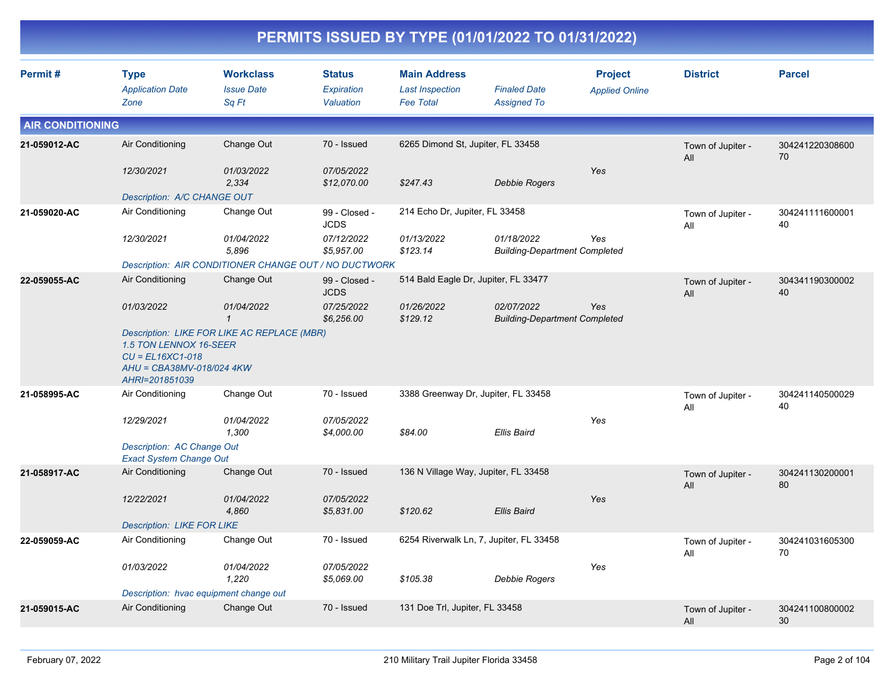|                         |                                                                                             |                                                       |                                          |                                                                   | PERMITS ISSUED BY TYPE (01/01/2022 TO 01/31/2022)  |                                         |                          |                       |
|-------------------------|---------------------------------------------------------------------------------------------|-------------------------------------------------------|------------------------------------------|-------------------------------------------------------------------|----------------------------------------------------|-----------------------------------------|--------------------------|-----------------------|
| Permit#                 | <b>Type</b><br><b>Application Date</b><br>Zone                                              | <b>Workclass</b><br><b>Issue Date</b><br>Sq Ft        | <b>Status</b><br>Expiration<br>Valuation | <b>Main Address</b><br><b>Last Inspection</b><br><b>Fee Total</b> | <b>Finaled Date</b><br><b>Assigned To</b>          | <b>Project</b><br><b>Applied Online</b> | <b>District</b>          | <b>Parcel</b>         |
| <b>AIR CONDITIONING</b> |                                                                                             |                                                       |                                          |                                                                   |                                                    |                                         |                          |                       |
| 21-059012-AC            | Air Conditioning                                                                            | Change Out                                            | 70 - Issued                              | 6265 Dimond St, Jupiter, FL 33458                                 |                                                    |                                         | Town of Jupiter -<br>All | 304241220308600<br>70 |
|                         | 12/30/2021                                                                                  | 01/03/2022<br>2,334                                   | 07/05/2022<br>\$12,070.00                | \$247.43                                                          | Debbie Rogers                                      | Yes                                     |                          |                       |
|                         | Description: A/C CHANGE OUT                                                                 |                                                       |                                          |                                                                   |                                                    |                                         |                          |                       |
| 21-059020-AC            | Air Conditioning                                                                            | Change Out                                            | 99 - Closed -<br><b>JCDS</b>             | 214 Echo Dr, Jupiter, FL 33458                                    |                                                    |                                         | Town of Jupiter -<br>All | 304241111600001<br>40 |
|                         | 12/30/2021                                                                                  | 01/04/2022<br>5,896                                   | 07/12/2022<br>\$5,957.00                 | 01/13/2022<br>\$123.14                                            | 01/18/2022<br><b>Building-Department Completed</b> | Yes                                     |                          |                       |
|                         |                                                                                             | Description: AIR CONDITIONER CHANGE OUT / NO DUCTWORK |                                          |                                                                   |                                                    |                                         |                          |                       |
| 22-059055-AC            | Air Conditioning                                                                            | Change Out                                            | 99 - Closed -<br><b>JCDS</b>             | 514 Bald Eagle Dr, Jupiter, FL 33477                              |                                                    |                                         | Town of Jupiter -<br>All | 304341190300002<br>40 |
|                         | 01/03/2022                                                                                  | 01/04/2022<br>$\mathbf{1}$                            | 07/25/2022<br>\$6,256.00                 | 01/26/2022<br>\$129.12                                            | 02/07/2022<br><b>Building-Department Completed</b> | Yes                                     |                          |                       |
|                         | 1.5 TON LENNOX 16-SEER<br>$CU = EL16XC1-018$<br>AHU = CBA38MV-018/024 4KW<br>AHRI=201851039 | Description: LIKE FOR LIKE AC REPLACE (MBR)           |                                          |                                                                   |                                                    |                                         |                          |                       |
| 21-058995-AC            | Air Conditioning                                                                            | Change Out                                            | 70 - Issued                              | 3388 Greenway Dr, Jupiter, FL 33458                               |                                                    |                                         | Town of Jupiter -<br>All | 304241140500029<br>40 |
|                         | 12/29/2021                                                                                  | 01/04/2022<br>1,300                                   | 07/05/2022<br>\$4,000.00                 | \$84.00                                                           | <b>Ellis Baird</b>                                 | Yes                                     |                          |                       |
|                         | Description: AC Change Out<br><b>Exact System Change Out</b>                                |                                                       |                                          |                                                                   |                                                    |                                         |                          |                       |
| 21-058917-AC            | Air Conditioning                                                                            | Change Out                                            | 70 - Issued                              | 136 N Village Way, Jupiter, FL 33458                              |                                                    |                                         | Town of Jupiter -<br>All | 304241130200001<br>80 |
|                         | 12/22/2021                                                                                  | 01/04/2022<br>4,860                                   | 07/05/2022<br>\$5,831.00                 | \$120.62                                                          | <b>Ellis Baird</b>                                 | Yes                                     |                          |                       |
|                         | <b>Description: LIKE FOR LIKE</b>                                                           |                                                       |                                          |                                                                   |                                                    |                                         |                          |                       |
| 22-059059-AC            | Air Conditioning                                                                            | Change Out                                            | 70 - Issued                              |                                                                   | 6254 Riverwalk Ln, 7, Jupiter, FL 33458            |                                         | Town of Jupiter -<br>All | 304241031605300<br>70 |
|                         | 01/03/2022                                                                                  | 01/04/2022<br>1,220                                   | 07/05/2022<br>\$5,069.00                 | \$105.38                                                          | Debbie Rogers                                      | Yes                                     |                          |                       |
|                         |                                                                                             | Description: hvac equipment change out                |                                          |                                                                   |                                                    |                                         |                          |                       |
| 21-059015-AC            | Air Conditioning                                                                            | Change Out                                            | 70 - Issued                              | 131 Doe Trl, Jupiter, FL 33458                                    |                                                    |                                         | Town of Jupiter -<br>All | 304241100800002<br>30 |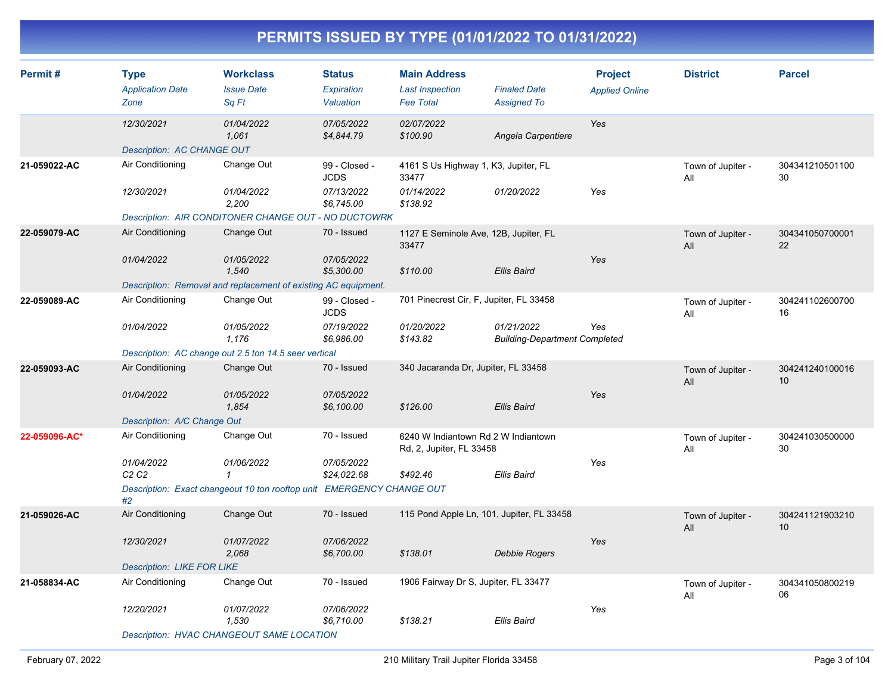| Permit#       | <b>Type</b><br><b>Application Date</b>      | <b>Workclass</b><br><b>Issue Date</b>                                 | <b>Status</b><br>Expiration  | <b>Main Address</b><br><b>Last Inspection</b>                   | <b>Finaled Date</b>                                | <b>Project</b><br><b>Applied Online</b> | <b>District</b>          | <b>Parcel</b>         |
|---------------|---------------------------------------------|-----------------------------------------------------------------------|------------------------------|-----------------------------------------------------------------|----------------------------------------------------|-----------------------------------------|--------------------------|-----------------------|
|               | Zone                                        | Sq Ft                                                                 | Valuation                    | <b>Fee Total</b>                                                | <b>Assigned To</b>                                 |                                         |                          |                       |
|               | 12/30/2021                                  | 01/04/2022<br>1,061                                                   | 07/05/2022<br>\$4,844.79     | 02/07/2022<br>\$100.90                                          | Angela Carpentiere                                 | Yes                                     |                          |                       |
|               | <b>Description: AC CHANGE OUT</b>           |                                                                       |                              |                                                                 |                                                    |                                         |                          |                       |
| 21-059022-AC  | Air Conditioning                            | Change Out                                                            | 99 - Closed -<br><b>JCDS</b> | 4161 S Us Highway 1, K3, Jupiter, FL<br>33477                   |                                                    |                                         | Town of Jupiter -<br>All | 304341210501100<br>30 |
|               | 12/30/2021                                  | 01/04/2022<br>2,200                                                   | 07/13/2022<br>\$6,745.00     | 01/14/2022<br>\$138.92                                          | 01/20/2022                                         | Yes                                     |                          |                       |
|               |                                             | Description: AIR CONDITONER CHANGE OUT - NO DUCTOWRK                  |                              |                                                                 |                                                    |                                         |                          |                       |
| 22-059079-AC  | Air Conditioning                            | Change Out                                                            | 70 - Issued                  | 1127 E Seminole Ave, 12B, Jupiter, FL<br>33477                  |                                                    |                                         | Town of Jupiter -<br>All | 304341050700001<br>22 |
|               | 01/04/2022                                  | 01/05/2022<br>1,540                                                   | 07/05/2022<br>\$5,300.00     | \$110.00                                                        | <b>Ellis Baird</b>                                 | Yes                                     |                          |                       |
|               |                                             | Description: Removal and replacement of existing AC equipment.        |                              |                                                                 |                                                    |                                         |                          |                       |
| 22-059089-AC  | Air Conditioning                            | Change Out                                                            | 99 - Closed -<br><b>JCDS</b> | 701 Pinecrest Cir, F, Jupiter, FL 33458                         |                                                    |                                         | Town of Jupiter -<br>All | 304241102600700<br>16 |
|               | 01/04/2022                                  | 01/05/2022<br>1,176                                                   | 07/19/2022<br>\$6,986.00     | 01/20/2022<br>\$143.82                                          | 01/21/2022<br><b>Building-Department Completed</b> | Yes                                     |                          |                       |
|               |                                             | Description: AC change out 2.5 ton 14.5 seer vertical                 |                              |                                                                 |                                                    |                                         |                          |                       |
| 22-059093-AC  | Air Conditioning                            | Change Out                                                            | 70 - Issued                  | 340 Jacaranda Dr, Jupiter, FL 33458                             |                                                    |                                         | Town of Jupiter -<br>All | 304241240100016<br>10 |
|               | 01/04/2022                                  | 01/05/2022<br>1,854                                                   | 07/05/2022<br>\$6,100.00     | \$126.00                                                        | <b>Ellis Baird</b>                                 | Yes                                     |                          |                       |
|               | Description: A/C Change Out                 |                                                                       |                              |                                                                 |                                                    |                                         |                          |                       |
| 22-059096-AC* | Air Conditioning                            | Change Out                                                            | 70 - Issued                  | 6240 W Indiantown Rd 2 W Indiantown<br>Rd, 2, Jupiter, FL 33458 |                                                    |                                         | Town of Jupiter -<br>All | 304241030500000<br>30 |
|               | 01/04/2022<br>C <sub>2</sub> C <sub>2</sub> | 01/06/2022<br>1                                                       | 07/05/2022<br>\$24,022.68    | \$492.46                                                        | <b>Ellis Baird</b>                                 | Yes                                     |                          |                       |
|               | #2                                          | Description: Exact changeout 10 ton rooftop unit EMERGENCY CHANGE OUT |                              |                                                                 |                                                    |                                         |                          |                       |
| 21-059026-AC  | Air Conditioning                            | Change Out                                                            | 70 - Issued                  | 115 Pond Apple Ln, 101, Jupiter, FL 33458                       |                                                    |                                         | Town of Jupiter -<br>All | 304241121903210<br>10 |
|               | 12/30/2021                                  | 01/07/2022<br>2,068                                                   | 07/06/2022<br>\$6,700.00     | \$138.01                                                        | Debbie Rogers                                      | Yes                                     |                          |                       |
|               | <b>Description: LIKE FOR LIKE</b>           |                                                                       |                              |                                                                 |                                                    |                                         |                          |                       |
| 21-058834-AC  | Air Conditioning                            | Change Out                                                            | 70 - Issued                  | 1906 Fairway Dr S, Jupiter, FL 33477                            |                                                    |                                         | Town of Jupiter -<br>All | 304341050800219<br>06 |
|               | 12/20/2021                                  | 01/07/2022<br>1,530                                                   | 07/06/2022<br>\$6,710.00     | \$138.21                                                        | <b>Ellis Baird</b>                                 | Yes                                     |                          |                       |
|               |                                             | <b>Description: HVAC CHANGEOUT SAME LOCATION</b>                      |                              |                                                                 |                                                    |                                         |                          |                       |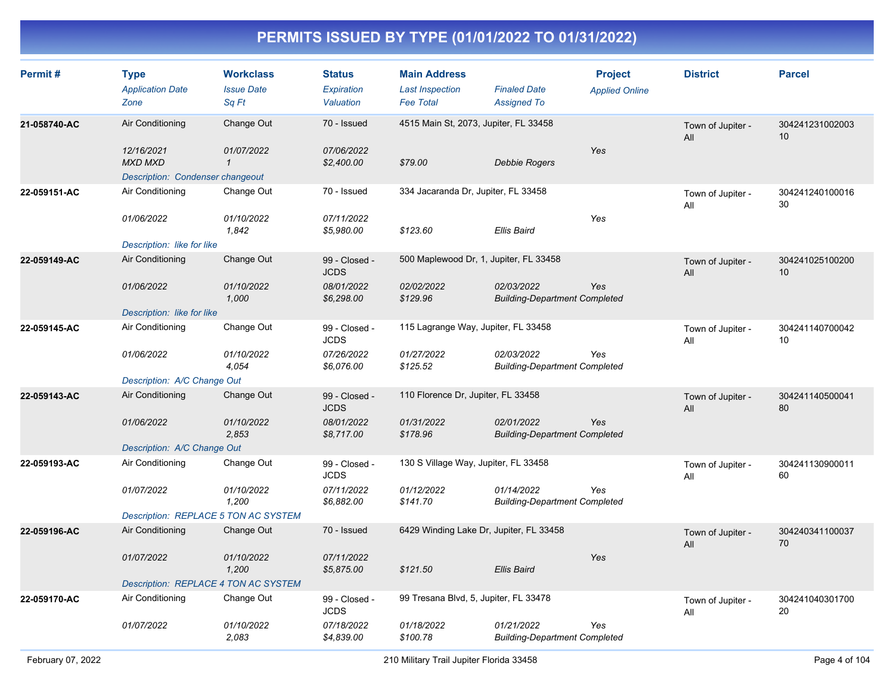| Permit#      | <b>Type</b><br><b>Application Date</b><br>Zone              | <b>Workclass</b><br><b>Issue Date</b><br>Sq Ft | <b>Status</b><br>Expiration<br>Valuation | <b>Main Address</b><br><b>Last Inspection</b><br><b>Fee Total</b> | <b>Finaled Date</b><br><b>Assigned To</b>          | <b>Project</b><br><b>Applied Online</b> | <b>District</b>          | <b>Parcel</b>         |
|--------------|-------------------------------------------------------------|------------------------------------------------|------------------------------------------|-------------------------------------------------------------------|----------------------------------------------------|-----------------------------------------|--------------------------|-----------------------|
| 21-058740-AC | Air Conditioning                                            | Change Out                                     | 70 - Issued                              | 4515 Main St, 2073, Jupiter, FL 33458                             |                                                    |                                         | Town of Jupiter -<br>All | 304241231002003<br>10 |
|              | 12/16/2021<br><b>MXD MXD</b>                                | 01/07/2022<br>$\mathcal I$                     | 07/06/2022<br>\$2,400.00                 | \$79.00                                                           | Debbie Rogers                                      | Yes                                     |                          |                       |
| 22-059151-AC | <b>Description: Condenser changeout</b><br>Air Conditioning | Change Out                                     | 70 - Issued                              | 334 Jacaranda Dr, Jupiter, FL 33458                               |                                                    |                                         | Town of Jupiter -<br>All | 304241240100016<br>30 |
|              | 01/06/2022<br>Description: like for like                    | 01/10/2022<br>1,842                            | 07/11/2022<br>\$5,980.00                 | \$123.60                                                          | Ellis Baird                                        | Yes                                     |                          |                       |
| 22-059149-AC | Air Conditioning                                            | Change Out                                     | 99 - Closed -<br><b>JCDS</b>             | 500 Maplewood Dr, 1, Jupiter, FL 33458                            |                                                    |                                         | Town of Jupiter -<br>All | 304241025100200<br>10 |
|              | 01/06/2022<br>Description: like for like                    | 01/10/2022<br>1,000                            | 08/01/2022<br>\$6,298.00                 | 02/02/2022<br>\$129.96                                            | 02/03/2022<br><b>Building-Department Completed</b> | Yes                                     |                          |                       |
| 22-059145-AC | Air Conditioning                                            | Change Out                                     | 99 - Closed -<br><b>JCDS</b>             | 115 Lagrange Way, Jupiter, FL 33458                               |                                                    |                                         | Town of Jupiter -<br>All | 304241140700042<br>10 |
|              | 01/06/2022                                                  | 01/10/2022<br>4.054                            | 07/26/2022<br>\$6,076.00                 | 01/27/2022<br>\$125.52                                            | 02/03/2022<br><b>Building-Department Completed</b> | Yes                                     |                          |                       |
|              | Description: A/C Change Out                                 |                                                |                                          |                                                                   |                                                    |                                         |                          |                       |
| 22-059143-AC | Air Conditioning                                            | Change Out                                     | 99 - Closed -<br><b>JCDS</b>             | 110 Florence Dr, Jupiter, FL 33458                                |                                                    |                                         | Town of Jupiter -<br>All | 304241140500041<br>80 |
|              | 01/06/2022                                                  | 01/10/2022<br>2,853                            | 08/01/2022<br>\$8,717.00                 | 01/31/2022<br>\$178.96                                            | 02/01/2022<br><b>Building-Department Completed</b> | Yes                                     |                          |                       |
|              | Description: A/C Change Out                                 |                                                |                                          |                                                                   |                                                    |                                         |                          |                       |
| 22-059193-AC | Air Conditioning                                            | Change Out                                     | 99 - Closed -<br><b>JCDS</b>             | 130 S Village Way, Jupiter, FL 33458                              |                                                    |                                         | Town of Jupiter -<br>All | 304241130900011<br>60 |
|              | 01/07/2022                                                  | 01/10/2022<br>1,200                            | 07/11/2022<br>\$6,882.00                 | 01/12/2022<br>\$141.70                                            | 01/14/2022<br><b>Building-Department Completed</b> | Yes                                     |                          |                       |
|              | Description: REPLACE 5 TON AC SYSTEM                        |                                                |                                          |                                                                   |                                                    |                                         |                          |                       |
| 22-059196-AC | Air Conditioning                                            | Change Out                                     | 70 - Issued                              | 6429 Winding Lake Dr, Jupiter, FL 33458                           |                                                    |                                         | Town of Jupiter -<br>All | 304240341100037<br>70 |
|              | 01/07/2022                                                  | 01/10/2022<br>1,200                            | 07/11/2022<br>\$5,875.00                 | \$121.50                                                          | Ellis Baird                                        | Yes                                     |                          |                       |
|              | Description: REPLACE 4 TON AC SYSTEM                        |                                                |                                          |                                                                   |                                                    |                                         |                          |                       |
| 22-059170-AC | Air Conditioning                                            | Change Out                                     | 99 - Closed -<br><b>JCDS</b>             | 99 Tresana Blvd, 5, Jupiter, FL 33478                             |                                                    |                                         | Town of Jupiter -<br>All | 304241040301700<br>20 |
|              | 01/07/2022                                                  | 01/10/2022<br>2,083                            | 07/18/2022<br>\$4,839.00                 | 01/18/2022<br>\$100.78                                            | 01/21/2022<br><b>Building-Department Completed</b> | Yes                                     |                          |                       |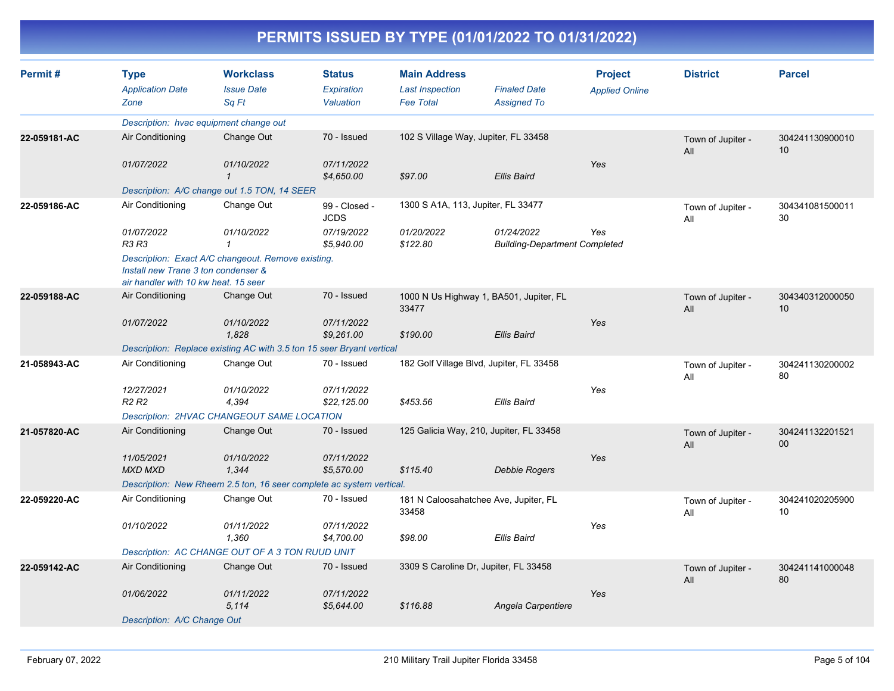| Permit#      | <b>Type</b><br><b>Application Date</b><br>Zone                              | <b>Workclass</b><br><b>Issue Date</b><br>Sq Ft                        | <b>Status</b><br>Expiration<br>Valuation | <b>Main Address</b><br><b>Last Inspection</b><br><b>Fee Total</b> | <b>Finaled Date</b><br><b>Assigned To</b>          | <b>Project</b><br><b>Applied Online</b> | <b>District</b>          | <b>Parcel</b>         |
|--------------|-----------------------------------------------------------------------------|-----------------------------------------------------------------------|------------------------------------------|-------------------------------------------------------------------|----------------------------------------------------|-----------------------------------------|--------------------------|-----------------------|
|              |                                                                             | Description: hvac equipment change out                                |                                          |                                                                   |                                                    |                                         |                          |                       |
| 22-059181-AC | Air Conditioning                                                            | Change Out                                                            | 70 - Issued                              | 102 S Village Way, Jupiter, FL 33458                              |                                                    |                                         | Town of Jupiter -<br>All | 304241130900010<br>10 |
|              | 01/07/2022                                                                  | 01/10/2022                                                            | 07/11/2022<br>\$4,650.00                 | \$97.00                                                           | <b>Ellis Baird</b>                                 | Yes                                     |                          |                       |
|              |                                                                             | Description: A/C change out 1.5 TON, 14 SEER                          |                                          |                                                                   |                                                    |                                         |                          |                       |
| 22-059186-AC | Air Conditioning                                                            | Change Out                                                            | 99 - Closed -<br><b>JCDS</b>             | 1300 S A1A, 113, Jupiter, FL 33477                                |                                                    |                                         | Town of Jupiter -<br>All | 304341081500011<br>30 |
|              | 01/07/2022<br>R3 R3                                                         | 01/10/2022<br>$\mathbf{1}$                                            | 07/19/2022<br>\$5,940.00                 | 01/20/2022<br>\$122.80                                            | 01/24/2022<br><b>Building-Department Completed</b> | Yes                                     |                          |                       |
|              | Install new Trane 3 ton condenser &<br>air handler with 10 kw heat. 15 seer | Description: Exact A/C changeout. Remove existing.                    |                                          |                                                                   |                                                    |                                         |                          |                       |
| 22-059188-AC | Air Conditioning                                                            | Change Out                                                            | 70 - Issued                              | 33477                                                             | 1000 N Us Highway 1, BA501, Jupiter, FL            |                                         | Town of Jupiter -<br>All | 304340312000050<br>10 |
|              | 01/07/2022                                                                  | 01/10/2022<br>1,828                                                   | 07/11/2022<br>\$9,261.00                 | \$190.00                                                          | <b>Ellis Baird</b>                                 | Yes                                     |                          |                       |
|              |                                                                             | Description: Replace existing AC with 3.5 ton 15 seer Bryant vertical |                                          |                                                                   |                                                    |                                         |                          |                       |
| 21-058943-AC | Air Conditioning                                                            | Change Out                                                            | 70 - Issued                              |                                                                   | 182 Golf Village Blvd, Jupiter, FL 33458           |                                         | Town of Jupiter -<br>All | 304241130200002<br>80 |
|              | 12/27/2021<br>R <sub>2</sub> R <sub>2</sub>                                 | 01/10/2022<br>4,394                                                   | 07/11/2022<br>\$22,125.00                | \$453.56                                                          | <b>Ellis Baird</b>                                 | Yes                                     |                          |                       |
|              |                                                                             | Description: 2HVAC CHANGEOUT SAME LOCATION                            |                                          |                                                                   |                                                    |                                         |                          |                       |
| 21-057820-AC | Air Conditioning                                                            | Change Out                                                            | 70 - Issued                              |                                                                   | 125 Galicia Way, 210, Jupiter, FL 33458            |                                         | Town of Jupiter -<br>All | 304241132201521<br>00 |
|              | 11/05/2021<br><b>MXD MXD</b>                                                | 01/10/2022<br>1,344                                                   | 07/11/2022<br>\$5,570.00                 | \$115.40                                                          | Debbie Rogers                                      | Yes                                     |                          |                       |
|              |                                                                             | Description: New Rheem 2.5 ton, 16 seer complete ac system vertical.  |                                          |                                                                   |                                                    |                                         |                          |                       |
| 22-059220-AC | Air Conditioning                                                            | Change Out                                                            | 70 - Issued                              | 33458                                                             | 181 N Caloosahatchee Ave, Jupiter, FL              |                                         | Town of Jupiter -<br>All | 304241020205900<br>10 |
|              | 01/10/2022                                                                  | 01/11/2022<br>1,360                                                   | 07/11/2022<br>\$4,700.00                 | \$98.00                                                           | Ellis Baird                                        | Yes                                     |                          |                       |
|              |                                                                             | Description: AC CHANGE OUT OF A 3 TON RUUD UNIT                       |                                          |                                                                   |                                                    |                                         |                          |                       |
| 22-059142-AC | Air Conditioning                                                            | Change Out                                                            | 70 - Issued                              | 3309 S Caroline Dr, Jupiter, FL 33458                             |                                                    |                                         | Town of Jupiter -<br>All | 304241141000048<br>80 |
|              | 01/06/2022                                                                  | 01/11/2022<br>5,114                                                   | 07/11/2022<br>\$5,644.00                 | \$116.88                                                          | Angela Carpentiere                                 | Yes                                     |                          |                       |
|              | Description: A/C Change Out                                                 |                                                                       |                                          |                                                                   |                                                    |                                         |                          |                       |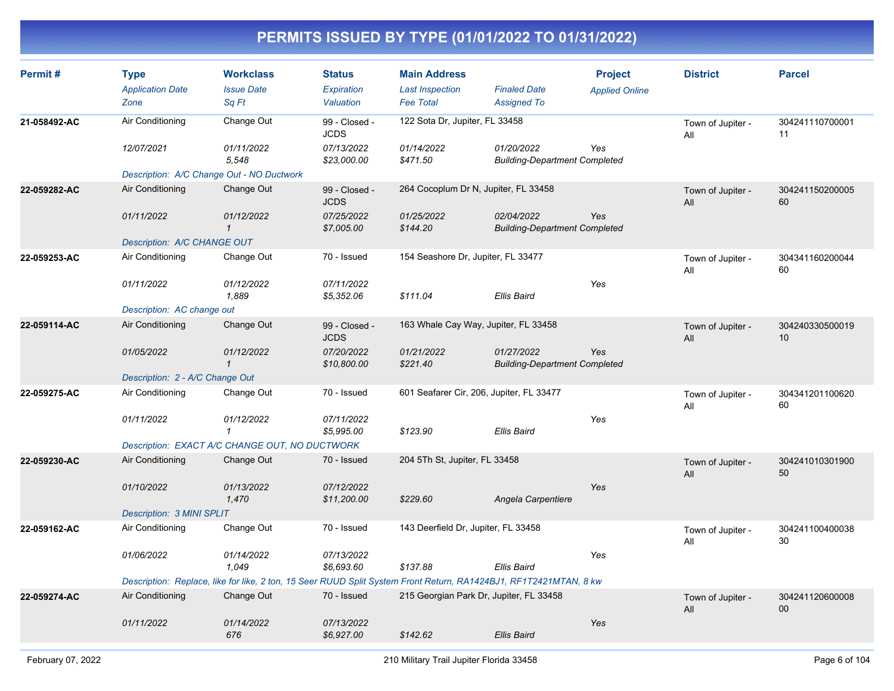| Permit#      | <b>Type</b><br><b>Application Date</b><br>Zone | <b>Workclass</b><br><b>Issue Date</b><br>Sq Ft                                                                    | <b>Status</b><br>Expiration<br>Valuation | <b>Main Address</b><br><b>Last Inspection</b><br><b>Fee Total</b> | <b>Finaled Date</b><br><b>Assigned To</b>          | <b>Project</b><br><b>Applied Online</b> | <b>District</b>          | <b>Parcel</b>             |
|--------------|------------------------------------------------|-------------------------------------------------------------------------------------------------------------------|------------------------------------------|-------------------------------------------------------------------|----------------------------------------------------|-----------------------------------------|--------------------------|---------------------------|
| 21-058492-AC | Air Conditioning                               | Change Out                                                                                                        | 99 - Closed -<br><b>JCDS</b>             | 122 Sota Dr, Jupiter, FL 33458                                    |                                                    |                                         | Town of Jupiter -<br>All | 304241110700001<br>11     |
|              | 12/07/2021                                     | 01/11/2022<br>5,548                                                                                               | 07/13/2022<br>\$23,000.00                | 01/14/2022<br>\$471.50                                            | 01/20/2022<br><b>Building-Department Completed</b> | Yes                                     |                          |                           |
|              | Description: A/C Change Out - NO Ductwork      |                                                                                                                   |                                          |                                                                   |                                                    |                                         |                          |                           |
| 22-059282-AC | Air Conditioning                               | Change Out                                                                                                        | 99 - Closed -<br><b>JCDS</b>             | 264 Cocoplum Dr N, Jupiter, FL 33458                              |                                                    |                                         | Town of Jupiter -<br>All | 304241150200005<br>60     |
|              | 01/11/2022                                     | 01/12/2022<br>$\mathbf 1$                                                                                         | 07/25/2022<br>\$7,005.00                 | 01/25/2022<br>\$144.20                                            | 02/04/2022<br><b>Building-Department Completed</b> | Yes                                     |                          |                           |
|              | Description: A/C CHANGE OUT                    |                                                                                                                   |                                          |                                                                   |                                                    |                                         |                          |                           |
| 22-059253-AC | Air Conditioning                               | Change Out                                                                                                        | 70 - Issued                              | 154 Seashore Dr, Jupiter, FL 33477                                |                                                    |                                         | Town of Jupiter -<br>All | 304341160200044<br>60     |
|              | 01/11/2022                                     | 01/12/2022<br>1,889                                                                                               | 07/11/2022<br>\$5,352.06                 | \$111.04                                                          | Ellis Baird                                        | Yes                                     |                          |                           |
|              | Description: AC change out                     |                                                                                                                   |                                          |                                                                   |                                                    |                                         |                          |                           |
| 22-059114-AC | Air Conditioning                               | Change Out                                                                                                        | 99 - Closed -<br><b>JCDS</b>             | 163 Whale Cay Way, Jupiter, FL 33458                              |                                                    |                                         | Town of Jupiter -<br>All | 304240330500019<br>10     |
|              | 01/05/2022                                     | 01/12/2022<br>$\mathbf{1}$                                                                                        | 07/20/2022<br>\$10,800.00                | 01/21/2022<br>\$221.40                                            | 01/27/2022<br><b>Building-Department Completed</b> | Yes                                     |                          |                           |
|              | Description: 2 - A/C Change Out                |                                                                                                                   |                                          |                                                                   |                                                    |                                         |                          |                           |
| 22-059275-AC | Air Conditioning                               | Change Out                                                                                                        | 70 - Issued                              | 601 Seafarer Cir, 206, Jupiter, FL 33477                          |                                                    |                                         | Town of Jupiter -<br>All | 304341201100620<br>60     |
|              | 01/11/2022                                     | 01/12/2022<br>$\mathbf{1}$                                                                                        | 07/11/2022<br>\$5,995.00                 | \$123.90                                                          | <b>Ellis Baird</b>                                 | Yes                                     |                          |                           |
|              |                                                | Description: EXACT A/C CHANGE OUT, NO DUCTWORK                                                                    |                                          |                                                                   |                                                    |                                         |                          |                           |
| 22-059230-AC | Air Conditioning                               | Change Out                                                                                                        | 70 - Issued                              | 204 5Th St, Jupiter, FL 33458                                     |                                                    |                                         | Town of Jupiter -<br>All | 304241010301900<br>50     |
|              | 01/10/2022                                     | 01/13/2022<br>1,470                                                                                               | 07/12/2022<br>\$11,200.00                | \$229.60                                                          | Angela Carpentiere                                 | Yes                                     |                          |                           |
|              | <b>Description: 3 MINI SPLIT</b>               |                                                                                                                   |                                          |                                                                   |                                                    |                                         |                          |                           |
| 22-059162-AC | Air Conditioning                               | Change Out                                                                                                        | 70 - Issued                              | 143 Deerfield Dr, Jupiter, FL 33458                               |                                                    |                                         | Town of Jupiter -<br>All | 304241100400038<br>30     |
|              | 01/06/2022                                     | 01/14/2022<br>1.049                                                                                               | 07/13/2022<br>\$6,693.60                 | \$137.88                                                          | Ellis Baird                                        | Yes                                     |                          |                           |
|              |                                                | Description: Replace, like for like, 2 ton, 15 Seer RUUD Split System Front Return, RA1424BJ1, RF1T2421MTAN, 8 kw |                                          |                                                                   |                                                    |                                         |                          |                           |
| 22-059274-AC | Air Conditioning                               | Change Out                                                                                                        | 70 - Issued                              | 215 Georgian Park Dr, Jupiter, FL 33458                           |                                                    |                                         | Town of Jupiter -<br>All | 304241120600008<br>$00\,$ |
|              | 01/11/2022                                     | 01/14/2022<br>676                                                                                                 | 07/13/2022<br>\$6,927.00                 | \$142.62                                                          | Ellis Baird                                        | Yes                                     |                          |                           |
|              |                                                |                                                                                                                   |                                          |                                                                   |                                                    |                                         |                          |                           |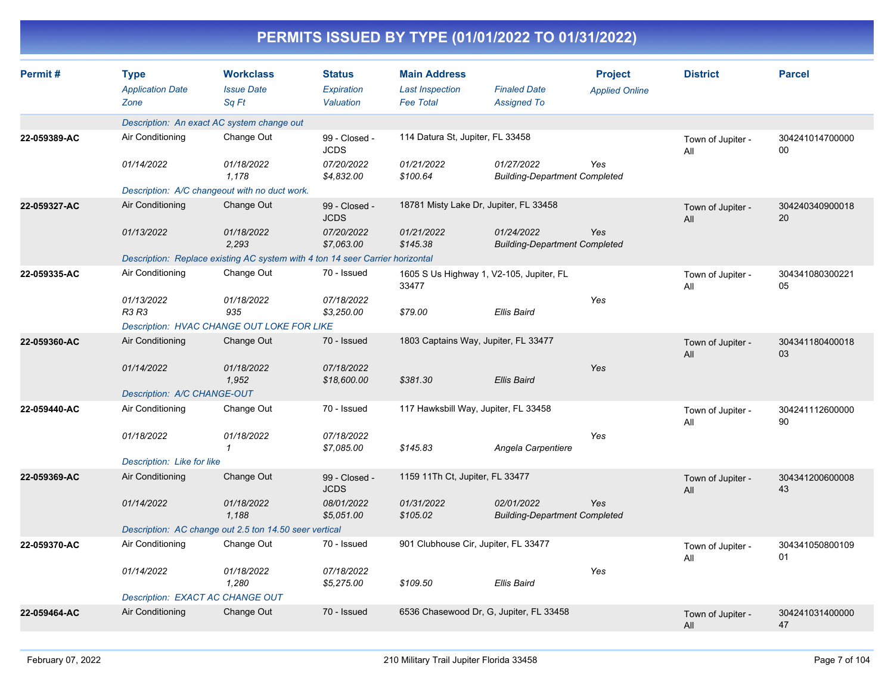|              |                                                |                                                                               |                                          |                                                                   | PERMITS ISSUED BY TYPE (01/01/2022 TO 01/31/2022)  |                                         |                          |                       |
|--------------|------------------------------------------------|-------------------------------------------------------------------------------|------------------------------------------|-------------------------------------------------------------------|----------------------------------------------------|-----------------------------------------|--------------------------|-----------------------|
| Permit#      | <b>Type</b><br><b>Application Date</b><br>Zone | <b>Workclass</b><br><b>Issue Date</b><br>Sq Ft                                | <b>Status</b><br>Expiration<br>Valuation | <b>Main Address</b><br><b>Last Inspection</b><br><b>Fee Total</b> | <b>Finaled Date</b><br><b>Assigned To</b>          | <b>Project</b><br><b>Applied Online</b> | <b>District</b>          | <b>Parcel</b>         |
|              |                                                | Description: An exact AC system change out                                    |                                          |                                                                   |                                                    |                                         |                          |                       |
| 22-059389-AC | Air Conditioning                               | Change Out                                                                    | 99 - Closed -<br><b>JCDS</b>             | 114 Datura St, Jupiter, FL 33458                                  |                                                    |                                         | Town of Jupiter -<br>All | 304241014700000<br>00 |
|              | 01/14/2022                                     | 01/18/2022<br>1.178                                                           | 07/20/2022<br>\$4,832.00                 | 01/21/2022<br>\$100.64                                            | 01/27/2022<br><b>Building-Department Completed</b> | Yes                                     |                          |                       |
|              |                                                | Description: A/C changeout with no duct work.                                 |                                          |                                                                   |                                                    |                                         |                          |                       |
| 22-059327-AC | Air Conditioning                               | Change Out                                                                    | 99 - Closed -<br><b>JCDS</b>             | 18781 Misty Lake Dr, Jupiter, FL 33458                            |                                                    |                                         | Town of Jupiter -<br>All | 304240340900018<br>20 |
|              | 01/13/2022                                     | 01/18/2022<br>2,293                                                           | 07/20/2022<br>\$7,063.00                 | 01/21/2022<br>\$145.38                                            | 01/24/2022<br><b>Building-Department Completed</b> | Yes                                     |                          |                       |
|              |                                                | Description: Replace existing AC system with 4 ton 14 seer Carrier horizontal |                                          |                                                                   |                                                    |                                         |                          |                       |
| 22-059335-AC | Air Conditioning                               | Change Out                                                                    | 70 - Issued                              | 33477                                                             | 1605 S Us Highway 1, V2-105, Jupiter, FL           |                                         | Town of Jupiter -<br>All | 304341080300221<br>05 |
|              | 01/13/2022<br><b>R3 R3</b>                     | 01/18/2022<br>935<br><b>Description: HVAC CHANGE OUT LOKE FOR LIKE</b>        | 07/18/2022<br>\$3,250.00                 | \$79.00                                                           | <b>Ellis Baird</b>                                 | Yes                                     |                          |                       |
| 22-059360-AC | Air Conditioning                               | Change Out                                                                    | 70 - Issued                              | 1803 Captains Way, Jupiter, FL 33477                              |                                                    |                                         |                          |                       |
|              |                                                |                                                                               |                                          |                                                                   |                                                    |                                         | Town of Jupiter -<br>All | 304341180400018<br>03 |
|              | 01/14/2022                                     | 01/18/2022<br>1,952                                                           | 07/18/2022<br>\$18,600.00                | \$381.30                                                          | <b>Ellis Baird</b>                                 | Yes                                     |                          |                       |
|              | Description: A/C CHANGE-OUT                    |                                                                               |                                          |                                                                   |                                                    |                                         |                          |                       |
| 22-059440-AC | Air Conditioning                               | Change Out                                                                    | 70 - Issued                              | 117 Hawksbill Way, Jupiter, FL 33458                              |                                                    |                                         | Town of Jupiter -<br>All | 304241112600000<br>90 |
|              | 01/18/2022                                     | 01/18/2022<br>$\mathbf 1$                                                     | 07/18/2022<br>\$7,085.00                 | \$145.83                                                          | Angela Carpentiere                                 | Yes                                     |                          |                       |
|              | Description: Like for like                     |                                                                               |                                          |                                                                   |                                                    |                                         |                          |                       |
| 22-059369-AC | Air Conditioning                               | Change Out                                                                    | 99 - Closed -<br><b>JCDS</b>             | 1159 11Th Ct, Jupiter, FL 33477                                   |                                                    |                                         | Town of Jupiter -<br>All | 304341200600008<br>43 |
|              | 01/14/2022                                     | 01/18/2022<br>1,188                                                           | 08/01/2022<br>\$5,051.00                 | 01/31/2022<br>\$105.02                                            | 02/01/2022<br><b>Building-Department Completed</b> | Yes                                     |                          |                       |
|              |                                                | Description: AC change out 2.5 ton 14.50 seer vertical                        |                                          |                                                                   |                                                    |                                         |                          |                       |
| 22-059370-AC | Air Conditioning                               | Change Out                                                                    | 70 - Issued                              | 901 Clubhouse Cir, Jupiter, FL 33477                              |                                                    |                                         | Town of Jupiter -<br>All | 304341050800109<br>01 |
|              | 01/14/2022                                     | 01/18/2022<br>1,280                                                           | 07/18/2022<br>\$5,275.00                 | \$109.50                                                          | Ellis Baird                                        | Yes                                     |                          |                       |
|              | Description: EXACT AC CHANGE OUT               |                                                                               |                                          |                                                                   |                                                    |                                         |                          |                       |
| 22-059464-AC | Air Conditioning                               | Change Out                                                                    | 70 - Issued                              |                                                                   | 6536 Chasewood Dr, G, Jupiter, FL 33458            |                                         | Town of Jupiter -<br>All | 304241031400000<br>47 |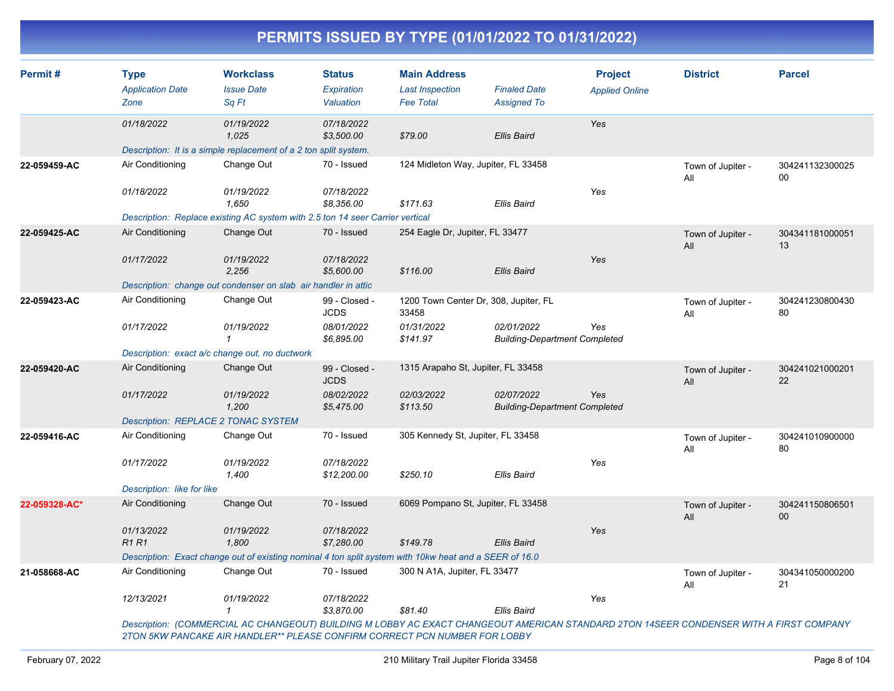| <b>Type</b><br><b>Application Date</b><br>Zone | <b>Workclass</b><br><b>Issue Date</b><br>Sq Ft | <b>Status</b><br>Expiration<br>Valuation                          | <b>Main Address</b><br><b>Last Inspection</b><br><b>Fee Total</b>                                                                                                                    | <b>Finaled Date</b><br><b>Assigned To</b>                                     | <b>Project</b><br><b>Applied Online</b>                                                                                                                                                                                                                                                                                                                                                                                                                          | <b>District</b>                                                              | <b>Parcel</b>                                                    |
|------------------------------------------------|------------------------------------------------|-------------------------------------------------------------------|--------------------------------------------------------------------------------------------------------------------------------------------------------------------------------------|-------------------------------------------------------------------------------|------------------------------------------------------------------------------------------------------------------------------------------------------------------------------------------------------------------------------------------------------------------------------------------------------------------------------------------------------------------------------------------------------------------------------------------------------------------|------------------------------------------------------------------------------|------------------------------------------------------------------|
| 01/18/2022                                     | 01/19/2022<br>1,025                            | 07/18/2022<br>\$3,500.00                                          | \$79.00                                                                                                                                                                              | Ellis Baird                                                                   | Yes                                                                                                                                                                                                                                                                                                                                                                                                                                                              |                                                                              |                                                                  |
|                                                |                                                |                                                                   |                                                                                                                                                                                      |                                                                               |                                                                                                                                                                                                                                                                                                                                                                                                                                                                  |                                                                              |                                                                  |
| Air Conditioning                               | Change Out                                     | 70 - Issued                                                       |                                                                                                                                                                                      |                                                                               |                                                                                                                                                                                                                                                                                                                                                                                                                                                                  | Town of Jupiter -<br>All                                                     | 304241132300025<br>00                                            |
| 01/18/2022                                     | 01/19/2022<br>1,650                            | 07/18/2022<br>\$8,356.00                                          | \$171.63                                                                                                                                                                             | Ellis Baird                                                                   | Yes                                                                                                                                                                                                                                                                                                                                                                                                                                                              |                                                                              |                                                                  |
|                                                |                                                |                                                                   |                                                                                                                                                                                      |                                                                               |                                                                                                                                                                                                                                                                                                                                                                                                                                                                  |                                                                              |                                                                  |
| Air Conditioning                               | Change Out                                     | 70 - Issued                                                       |                                                                                                                                                                                      |                                                                               |                                                                                                                                                                                                                                                                                                                                                                                                                                                                  | Town of Jupiter -<br>All                                                     | 304341181000051<br>13                                            |
| 01/17/2022                                     | 01/19/2022<br>2,256                            | 07/18/2022<br>\$5,600.00                                          | \$116.00                                                                                                                                                                             | Ellis Baird                                                                   | Yes                                                                                                                                                                                                                                                                                                                                                                                                                                                              |                                                                              |                                                                  |
|                                                |                                                |                                                                   |                                                                                                                                                                                      |                                                                               |                                                                                                                                                                                                                                                                                                                                                                                                                                                                  |                                                                              |                                                                  |
| Air Conditioning                               | Change Out                                     | 99 - Closed -<br><b>JCDS</b>                                      | 33458                                                                                                                                                                                |                                                                               |                                                                                                                                                                                                                                                                                                                                                                                                                                                                  | Town of Jupiter -<br>All                                                     | 304241230800430<br>80                                            |
| 01/17/2022                                     | 01/19/2022<br>$\mathbf{1}$                     | 08/01/2022<br>\$6,895.00                                          | 01/31/2022<br>\$141.97                                                                                                                                                               | 02/01/2022                                                                    | Yes                                                                                                                                                                                                                                                                                                                                                                                                                                                              |                                                                              |                                                                  |
|                                                |                                                |                                                                   |                                                                                                                                                                                      |                                                                               |                                                                                                                                                                                                                                                                                                                                                                                                                                                                  |                                                                              |                                                                  |
| Air Conditioning                               | Change Out                                     | 99 - Closed -<br><b>JCDS</b>                                      |                                                                                                                                                                                      |                                                                               |                                                                                                                                                                                                                                                                                                                                                                                                                                                                  | Town of Jupiter -<br>All                                                     | 304241021000201<br>22                                            |
| 01/17/2022                                     | 01/19/2022<br>1,200                            | 08/02/2022<br>\$5,475.00                                          | 02/03/2022<br>\$113.50                                                                                                                                                               | 02/07/2022                                                                    | Yes                                                                                                                                                                                                                                                                                                                                                                                                                                                              |                                                                              |                                                                  |
|                                                |                                                |                                                                   |                                                                                                                                                                                      |                                                                               |                                                                                                                                                                                                                                                                                                                                                                                                                                                                  |                                                                              |                                                                  |
| Air Conditioning                               | Change Out                                     | 70 - Issued                                                       |                                                                                                                                                                                      |                                                                               |                                                                                                                                                                                                                                                                                                                                                                                                                                                                  | Town of Jupiter -<br>All                                                     | 304241010900000<br>80                                            |
| 01/17/2022                                     | 01/19/2022<br>1,400                            | 07/18/2022<br>\$12,200.00                                         | \$250.10                                                                                                                                                                             | <b>Ellis Baird</b>                                                            | Yes                                                                                                                                                                                                                                                                                                                                                                                                                                                              |                                                                              |                                                                  |
|                                                |                                                |                                                                   |                                                                                                                                                                                      |                                                                               |                                                                                                                                                                                                                                                                                                                                                                                                                                                                  |                                                                              |                                                                  |
| Air Conditioning                               | Change Out                                     | 70 - Issued                                                       |                                                                                                                                                                                      |                                                                               |                                                                                                                                                                                                                                                                                                                                                                                                                                                                  | Town of Jupiter -<br>All                                                     | 304241150806501<br>00                                            |
| 01/13/2022<br><b>R1R1</b>                      | 01/19/2022<br>1,800                            | 07/18/2022<br>\$7,280.00                                          | \$149.78                                                                                                                                                                             | Ellis Baird                                                                   | Yes                                                                                                                                                                                                                                                                                                                                                                                                                                                              |                                                                              |                                                                  |
|                                                |                                                |                                                                   |                                                                                                                                                                                      |                                                                               |                                                                                                                                                                                                                                                                                                                                                                                                                                                                  |                                                                              |                                                                  |
| Air Conditioning                               | Change Out                                     | 70 - Issued                                                       |                                                                                                                                                                                      |                                                                               |                                                                                                                                                                                                                                                                                                                                                                                                                                                                  | Town of Jupiter -<br>All                                                     | 304341050000200<br>21                                            |
| 12/13/2021                                     | 01/19/2022<br>$\mathcal I$                     | 07/18/2022<br>\$3,870.00                                          | \$81.40                                                                                                                                                                              | Ellis Baird                                                                   | Yes                                                                                                                                                                                                                                                                                                                                                                                                                                                              |                                                                              |                                                                  |
|                                                |                                                | Description: REPLACE 2 TONAC SYSTEM<br>Description: like for like | Description: It is a simple replacement of a 2 ton split system.<br>Description: change out condenser on slab air handler in attic<br>Description: exact a/c change out, no ductwork | Description: Replace existing AC system with 2.5 ton 14 seer Carrier vertical | 124 Midleton Way, Jupiter, FL 33458<br>254 Eagle Dr, Jupiter, FL 33477<br>1200 Town Center Dr, 308, Jupiter, FL<br>1315 Arapaho St, Jupiter, FL 33458<br>305 Kennedy St, Jupiter, FL 33458<br>6069 Pompano St, Jupiter, FL 33458<br>Description: Exact change out of existing nominal 4 ton split system with 10kw heat and a SEER of 16.0<br>300 N A1A, Jupiter, FL 33477<br><b>Description: (COMMEDOM) AC CUANCEOUT: DUILDING MILODDY AC EVACT CUANCEOUT A</b> | <b>Building-Department Completed</b><br><b>Building-Department Completed</b> | $I$ EDICAN OTANDADD OTONI AAREED CONDENGED 144TH A FIDRE COMPANY |

*Description: (COMMERCIAL AC CHANGEOUT) BUILDING M LOBBY AC EXACT CHANGEOUT AMERICAN STANDARD 2TON 14SEER CONDENSER WITH A FIRST COMPANY 2TON 5KW PANCAKE AIR HANDLER\*\* PLEASE CONFIRM CORRECT PCN NUMBER FOR LOBBY*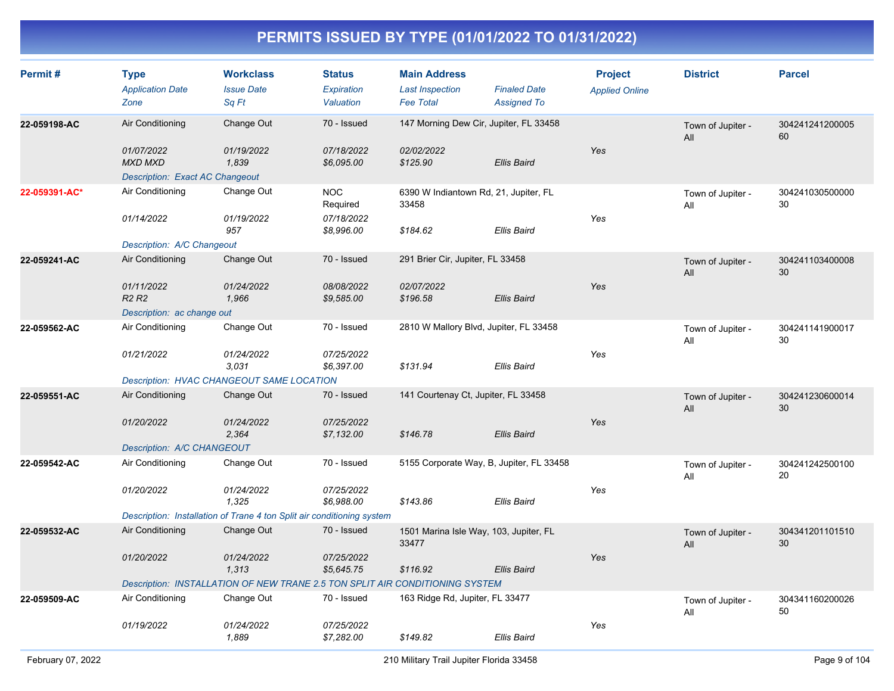| Permit#       | <b>Type</b><br><b>Application Date</b><br>Zone           | <b>Workclass</b><br><b>Issue Date</b><br>Sq Ft                               | <b>Status</b><br>Expiration<br>Valuation | <b>Main Address</b><br><b>Last Inspection</b><br><b>Fee Total</b> | <b>Finaled Date</b><br><b>Assigned To</b> | <b>Project</b><br><b>Applied Online</b> | <b>District</b>          | <b>Parcel</b>         |
|---------------|----------------------------------------------------------|------------------------------------------------------------------------------|------------------------------------------|-------------------------------------------------------------------|-------------------------------------------|-----------------------------------------|--------------------------|-----------------------|
| 22-059198-AC  | Air Conditioning<br>01/07/2022                           | Change Out<br>01/19/2022                                                     | 70 - Issued<br>07/18/2022                | 147 Morning Dew Cir, Jupiter, FL 33458<br>02/02/2022              |                                           | Yes                                     | Town of Jupiter -<br>All | 304241241200005<br>60 |
|               | <b>MXD MXD</b><br><b>Description: Exact AC Changeout</b> | 1,839                                                                        | \$6,095.00                               | \$125.90                                                          | <b>Ellis Baird</b>                        |                                         |                          |                       |
| 22-059391-AC* | Air Conditioning                                         | Change Out                                                                   | <b>NOC</b><br>Required                   | 6390 W Indiantown Rd, 21, Jupiter, FL<br>33458                    |                                           |                                         | Town of Jupiter -<br>All | 304241030500000<br>30 |
|               | 01/14/2022                                               | 01/19/2022<br>957                                                            | 07/18/2022<br>\$8,996.00                 | \$184.62                                                          | Ellis Baird                               | Yes                                     |                          |                       |
|               | Description: A/C Changeout                               | Change Out                                                                   | 70 - Issued                              |                                                                   |                                           |                                         |                          |                       |
| 22-059241-AC  | Air Conditioning                                         |                                                                              |                                          | 291 Brier Cir, Jupiter, FL 33458                                  |                                           |                                         | Town of Jupiter -<br>All | 304241103400008<br>30 |
|               | 01/11/2022<br>R <sub>2</sub> R <sub>2</sub>              | 01/24/2022<br>1,966                                                          | 08/08/2022<br>\$9,585.00                 | 02/07/2022<br>\$196.58                                            | <b>Ellis Baird</b>                        | Yes                                     |                          |                       |
|               | Description: ac change out                               |                                                                              |                                          |                                                                   |                                           |                                         |                          |                       |
| 22-059562-AC  | Air Conditioning                                         | Change Out                                                                   | 70 - Issued                              | 2810 W Mallory Blvd, Jupiter, FL 33458                            |                                           |                                         | Town of Jupiter -<br>All | 304241141900017<br>30 |
|               | 01/21/2022                                               | 01/24/2022<br>3.031                                                          | 07/25/2022<br>\$6,397.00                 | \$131.94                                                          | <b>Ellis Baird</b>                        | Yes                                     |                          |                       |
|               |                                                          | Description: HVAC CHANGEOUT SAME LOCATION                                    |                                          |                                                                   |                                           |                                         |                          |                       |
| 22-059551-AC  | Air Conditioning                                         | Change Out                                                                   | 70 - Issued                              | 141 Courtenay Ct, Jupiter, FL 33458                               |                                           |                                         | Town of Jupiter -<br>All | 304241230600014<br>30 |
|               | 01/20/2022                                               | 01/24/2022<br>2,364                                                          | 07/25/2022<br>\$7,132.00                 | \$146.78                                                          | Ellis Baird                               | Yes                                     |                          |                       |
|               | Description: A/C CHANGEOUT                               |                                                                              | 70 - Issued                              |                                                                   |                                           |                                         |                          |                       |
| 22-059542-AC  | Air Conditioning                                         | Change Out                                                                   |                                          | 5155 Corporate Way, B, Jupiter, FL 33458                          |                                           |                                         | Town of Jupiter -<br>All | 304241242500100<br>20 |
|               | 01/20/2022                                               | 01/24/2022<br>1,325                                                          | 07/25/2022<br>\$6,988.00                 | \$143.86                                                          | <b>Ellis Baird</b>                        | Yes                                     |                          |                       |
|               |                                                          | Description: Installation of Trane 4 ton Split air conditioning system       |                                          |                                                                   |                                           |                                         |                          |                       |
| 22-059532-AC  | Air Conditioning                                         | Change Out                                                                   | 70 - Issued                              | 1501 Marina Isle Way, 103, Jupiter, FL<br>33477                   |                                           |                                         | Town of Jupiter -<br>All | 304341201101510<br>30 |
|               | 01/20/2022                                               | 01/24/2022<br>1,313                                                          | 07/25/2022<br>\$5,645.75                 | \$116.92                                                          | <b>Ellis Baird</b>                        | Yes                                     |                          |                       |
|               |                                                          | Description: INSTALLATION OF NEW TRANE 2.5 TON SPLIT AIR CONDITIONING SYSTEM |                                          |                                                                   |                                           |                                         |                          |                       |
| 22-059509-AC  | Air Conditioning                                         | Change Out                                                                   | 70 - Issued                              | 163 Ridge Rd, Jupiter, FL 33477                                   |                                           |                                         | Town of Jupiter -<br>All | 304341160200026<br>50 |
|               | 01/19/2022                                               | 01/24/2022<br>1,889                                                          | 07/25/2022<br>\$7,282.00                 | \$149.82                                                          | Ellis Baird                               | Yes                                     |                          |                       |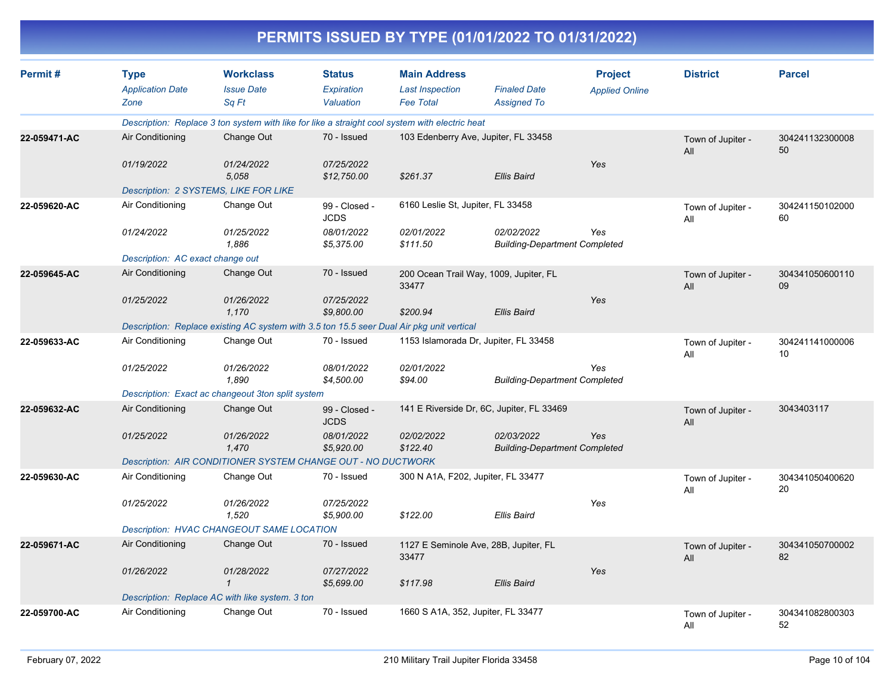|              |                                                |                                                                                                |                                          |                                                                   | PERMITS ISSUED BY TYPE (01/01/2022 TO 01/31/2022)  |                                         |                          |                       |
|--------------|------------------------------------------------|------------------------------------------------------------------------------------------------|------------------------------------------|-------------------------------------------------------------------|----------------------------------------------------|-----------------------------------------|--------------------------|-----------------------|
| Permit#      | <b>Type</b><br><b>Application Date</b><br>Zone | <b>Workclass</b><br><b>Issue Date</b><br>Sq Ft                                                 | <b>Status</b><br>Expiration<br>Valuation | <b>Main Address</b><br><b>Last Inspection</b><br><b>Fee Total</b> | <b>Finaled Date</b><br><b>Assigned To</b>          | <b>Project</b><br><b>Applied Online</b> | <b>District</b>          | <b>Parcel</b>         |
|              |                                                | Description: Replace 3 ton system with like for like a straight cool system with electric heat |                                          |                                                                   |                                                    |                                         |                          |                       |
| 22-059471-AC | Air Conditioning                               | Change Out                                                                                     | 70 - Issued                              | 103 Edenberry Ave, Jupiter, FL 33458                              |                                                    |                                         | Town of Jupiter -<br>All | 304241132300008<br>50 |
|              | 01/19/2022                                     | 01/24/2022<br>5.058                                                                            | 07/25/2022<br>\$12,750.00                | \$261.37                                                          | <b>Ellis Baird</b>                                 | <b>Yes</b>                              |                          |                       |
|              |                                                | Description: 2 SYSTEMS, LIKE FOR LIKE                                                          |                                          |                                                                   |                                                    |                                         |                          |                       |
| 22-059620-AC | Air Conditioning                               | Change Out                                                                                     | 99 - Closed -<br><b>JCDS</b>             | 6160 Leslie St, Jupiter, FL 33458                                 |                                                    |                                         | Town of Jupiter -<br>All | 304241150102000<br>60 |
|              | 01/24/2022                                     | 01/25/2022<br>1,886                                                                            | 08/01/2022<br>\$5,375.00                 | 02/01/2022<br>\$111.50                                            | 02/02/2022<br><b>Building-Department Completed</b> | Yes                                     |                          |                       |
|              | Description: AC exact change out               |                                                                                                |                                          |                                                                   |                                                    |                                         |                          |                       |
| 22-059645-AC | Air Conditioning                               | Change Out                                                                                     | 70 - Issued                              | 33477                                                             | 200 Ocean Trail Way, 1009, Jupiter, FL             |                                         | Town of Jupiter -<br>All | 304341050600110<br>09 |
|              | 01/25/2022                                     | 01/26/2022<br>1.170                                                                            | 07/25/2022<br>\$9,800.00                 | \$200.94                                                          | <b>Ellis Baird</b>                                 | <b>Yes</b>                              |                          |                       |
|              |                                                | Description: Replace existing AC system with 3.5 ton 15.5 seer Dual Air pkg unit vertical      |                                          |                                                                   |                                                    |                                         |                          |                       |
| 22-059633-AC | Air Conditioning                               | Change Out                                                                                     | 70 - Issued                              |                                                                   | 1153 Islamorada Dr, Jupiter, FL 33458              |                                         | Town of Jupiter -<br>All | 304241141000006<br>10 |
|              | 01/25/2022                                     | 01/26/2022<br>1,890                                                                            | 08/01/2022<br>\$4,500.00                 | 02/01/2022<br>\$94.00                                             | <b>Building-Department Completed</b>               | Yes                                     |                          |                       |
|              |                                                | Description: Exact ac changeout 3ton split system                                              |                                          |                                                                   |                                                    |                                         |                          |                       |
| 22-059632-AC | Air Conditioning                               | Change Out                                                                                     | 99 - Closed -<br><b>JCDS</b>             |                                                                   | 141 E Riverside Dr, 6C, Jupiter, FL 33469          |                                         | Town of Jupiter -<br>All | 3043403117            |
|              | 01/25/2022                                     | 01/26/2022<br>1,470                                                                            | 08/01/2022<br>\$5,920.00                 | 02/02/2022<br>\$122.40                                            | 02/03/2022<br><b>Building-Department Completed</b> | Yes                                     |                          |                       |
|              |                                                | Description: AIR CONDITIONER SYSTEM CHANGE OUT - NO DUCTWORK                                   |                                          |                                                                   |                                                    |                                         |                          |                       |
| 22-059630-AC | Air Conditioning                               | Change Out                                                                                     | 70 - Issued                              | 300 N A1A, F202, Jupiter, FL 33477                                |                                                    |                                         | Town of Jupiter -<br>All | 304341050400620<br>20 |
|              | 01/25/2022                                     | 01/26/2022<br>1,520                                                                            | 07/25/2022<br>\$5,900.00                 | \$122.00                                                          | Ellis Baird                                        | Yes                                     |                          |                       |
|              |                                                | <b>Description: HVAC CHANGEOUT SAME LOCATION</b>                                               |                                          |                                                                   |                                                    |                                         |                          |                       |
| 22-059671-AC | Air Conditioning                               | Change Out                                                                                     | 70 - Issued                              | 33477                                                             | 1127 E Seminole Ave, 28B, Jupiter, FL              |                                         | Town of Jupiter -<br>All | 304341050700002<br>82 |
|              | 01/26/2022                                     | 01/28/2022<br>$\mathcal I$                                                                     | 07/27/2022<br>\$5,699.00                 | \$117.98                                                          | Ellis Baird                                        | Yes                                     |                          |                       |
|              |                                                | Description: Replace AC with like system. 3 ton                                                |                                          |                                                                   |                                                    |                                         |                          |                       |
| 22-059700-AC | Air Conditioning                               | Change Out                                                                                     | 70 - Issued                              | 1660 S A1A, 352, Jupiter, FL 33477                                |                                                    |                                         | Town of Jupiter -<br>All | 304341082800303<br>52 |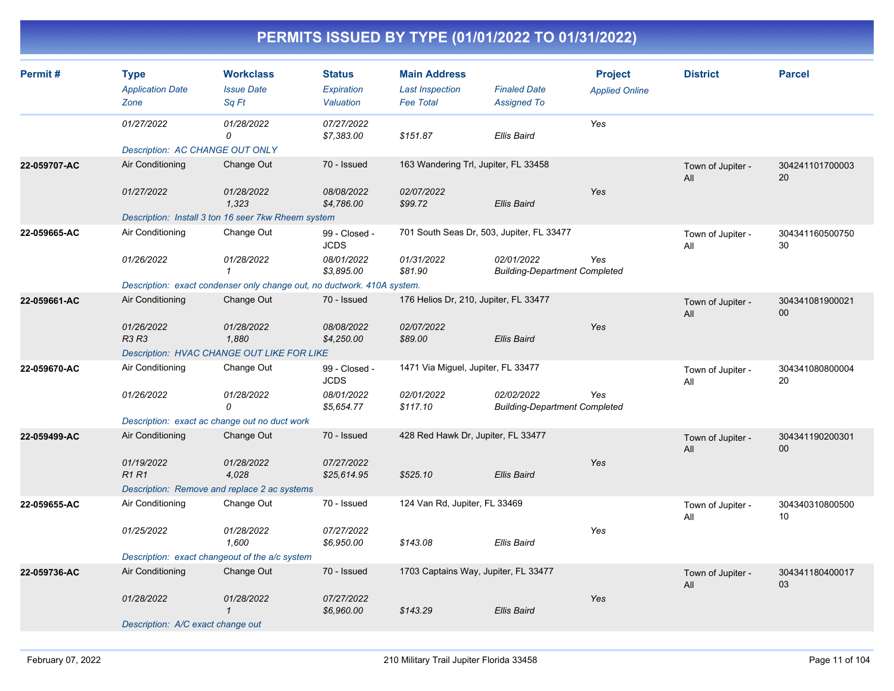| Permit#      | <b>Type</b><br><b>Application Date</b><br>Zone | <b>Workclass</b><br><b>Issue Date</b><br>Sq Ft                          | <b>Status</b><br>Expiration<br>Valuation | <b>Main Address</b><br><b>Last Inspection</b><br><b>Fee Total</b> | <b>Finaled Date</b><br><b>Assigned To</b>          | <b>Project</b><br><b>Applied Online</b> | <b>District</b>          | <b>Parcel</b>             |
|--------------|------------------------------------------------|-------------------------------------------------------------------------|------------------------------------------|-------------------------------------------------------------------|----------------------------------------------------|-----------------------------------------|--------------------------|---------------------------|
|              | 01/27/2022                                     | 01/28/2022<br>0                                                         | 07/27/2022<br>\$7,383.00                 | \$151.87                                                          | <b>Ellis Baird</b>                                 | Yes                                     |                          |                           |
|              | <b>Description: AC CHANGE OUT ONLY</b>         |                                                                         |                                          |                                                                   |                                                    |                                         |                          |                           |
| 22-059707-AC | Air Conditioning                               | Change Out                                                              | 70 - Issued                              | 163 Wandering Trl, Jupiter, FL 33458                              |                                                    |                                         | Town of Jupiter -<br>All | 304241101700003<br>20     |
|              | 01/27/2022                                     | 01/28/2022<br>1,323                                                     | 08/08/2022<br>\$4,786.00                 | 02/07/2022<br>\$99.72                                             | <b>Ellis Baird</b>                                 | Yes                                     |                          |                           |
|              |                                                | Description: Install 3 ton 16 seer 7kw Rheem system                     |                                          |                                                                   |                                                    |                                         |                          |                           |
| 22-059665-AC | Air Conditioning                               | Change Out                                                              | 99 - Closed -<br><b>JCDS</b>             | 701 South Seas Dr, 503, Jupiter, FL 33477                         |                                                    |                                         | Town of Jupiter -<br>All | 304341160500750<br>30     |
|              | 01/26/2022                                     | 01/28/2022                                                              | 08/01/2022<br>\$3,895.00                 | 01/31/2022<br>\$81.90                                             | 02/01/2022<br><b>Building-Department Completed</b> | Yes                                     |                          |                           |
|              |                                                | Description: exact condenser only change out, no ductwork. 410A system. |                                          |                                                                   |                                                    |                                         |                          |                           |
| 22-059661-AC | Air Conditioning                               | Change Out                                                              | 70 - Issued                              | 176 Helios Dr, 210, Jupiter, FL 33477                             |                                                    |                                         | Town of Jupiter -<br>All | 304341081900021<br>$00\,$ |
|              | 01/26/2022<br><b>R3 R3</b>                     | 01/28/2022<br>1,880                                                     | 08/08/2022<br>\$4,250.00                 | 02/07/2022<br>\$89.00                                             | <b>Ellis Baird</b>                                 | Yes                                     |                          |                           |
|              |                                                | <b>Description: HVAC CHANGE OUT LIKE FOR LIKE</b>                       |                                          |                                                                   |                                                    |                                         |                          |                           |
| 22-059670-AC | Air Conditioning                               | Change Out                                                              | 99 - Closed -<br><b>JCDS</b>             | 1471 Via Miguel, Jupiter, FL 33477                                |                                                    |                                         | Town of Jupiter -<br>All | 304341080800004<br>20     |
|              | 01/26/2022                                     | 01/28/2022<br>0                                                         | 08/01/2022<br>\$5,654.77                 | 02/01/2022<br>\$117.10                                            | 02/02/2022<br><b>Building-Department Completed</b> | Yes                                     |                          |                           |
|              | Description: exact ac change out no duct work  |                                                                         |                                          |                                                                   |                                                    |                                         |                          |                           |
| 22-059499-AC | Air Conditioning                               | Change Out                                                              | 70 - Issued                              | 428 Red Hawk Dr, Jupiter, FL 33477                                |                                                    |                                         | Town of Jupiter -<br>All | 304341190200301<br>00     |
|              | 01/19/2022<br><b>R1R1</b>                      | 01/28/2022<br>4,028                                                     | 07/27/2022<br>\$25,614.95                | \$525.10                                                          | <b>Ellis Baird</b>                                 | Yes                                     |                          |                           |
|              | Description: Remove and replace 2 ac systems   |                                                                         |                                          |                                                                   |                                                    |                                         |                          |                           |
| 22-059655-AC | Air Conditioning                               | Change Out                                                              | 70 - Issued                              | 124 Van Rd, Jupiter, FL 33469                                     |                                                    |                                         | Town of Jupiter -<br>All | 304340310800500<br>10     |
|              | 01/25/2022                                     | 01/28/2022<br>1,600                                                     | 07/27/2022<br>\$6,950.00                 | \$143.08                                                          | <b>Ellis Baird</b>                                 | Yes                                     |                          |                           |
|              | Description: exact changeout of the a/c system |                                                                         |                                          |                                                                   |                                                    |                                         |                          |                           |
| 22-059736-AC | Air Conditioning                               | Change Out                                                              | 70 - Issued                              | 1703 Captains Way, Jupiter, FL 33477                              |                                                    |                                         | Town of Jupiter -<br>All | 304341180400017<br>03     |
|              | 01/28/2022                                     | 01/28/2022<br>$\mathcal I$                                              | 07/27/2022<br>\$6,960.00                 | \$143.29                                                          | <b>Ellis Baird</b>                                 | Yes                                     |                          |                           |
|              | Description: A/C exact change out              |                                                                         |                                          |                                                                   |                                                    |                                         |                          |                           |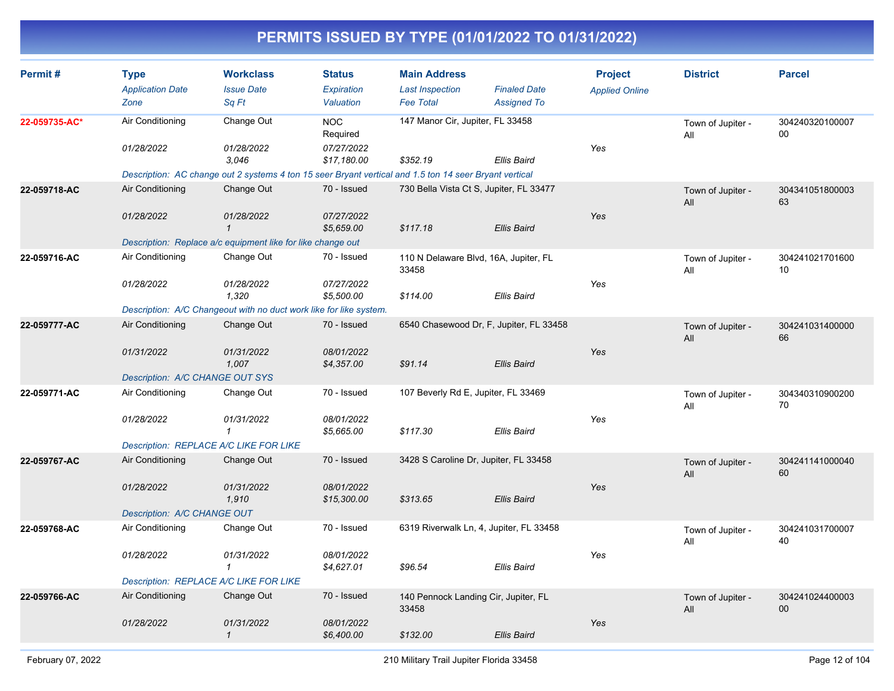| Permit#       | <b>Type</b><br><b>Application Date</b><br>Zone                                                                                                                                                          | <b>Workclass</b><br><b>Issue Date</b><br>Sq Ft | <b>Status</b><br><b>Expiration</b><br>Valuation     | <b>Main Address</b><br><b>Last Inspection</b><br><b>Fee Total</b> | <b>Finaled Date</b><br><b>Assigned To</b> | <b>Project</b><br><b>Applied Online</b> | <b>District</b>          | <b>Parcel</b>             |
|---------------|---------------------------------------------------------------------------------------------------------------------------------------------------------------------------------------------------------|------------------------------------------------|-----------------------------------------------------|-------------------------------------------------------------------|-------------------------------------------|-----------------------------------------|--------------------------|---------------------------|
| 22-059735-AC* | Air Conditioning<br>01/28/2022                                                                                                                                                                          | Change Out<br>01/28/2022<br>3.046              | <b>NOC</b><br>Required<br>07/27/2022<br>\$17,180.00 | 147 Manor Cir, Jupiter, FL 33458<br>\$352.19                      | <b>Ellis Baird</b>                        | Yes                                     | Town of Jupiter -<br>All | 304240320100007<br>$00\,$ |
| 22-059718-AC  | Description: AC change out 2 systems 4 ton 15 seer Bryant vertical and 1.5 ton 14 seer Bryant vertical<br>Air Conditioning<br>01/28/2022<br>Description: Replace a/c equipment like for like change out | Change Out<br>01/28/2022<br>$\mathbf 1$        | 70 - Issued<br>07/27/2022<br>\$5,659.00             | 730 Bella Vista Ct S, Jupiter, FL 33477<br>\$117.18               | <b>Ellis Baird</b>                        | Yes                                     | Town of Jupiter -<br>All | 304341051800003<br>63     |
| 22-059716-AC  | Air Conditioning<br>01/28/2022<br>Description: A/C Changeout with no duct work like for like system.                                                                                                    | Change Out<br>01/28/2022<br>1,320              | 70 - Issued<br>07/27/2022<br>\$5,500.00             | 110 N Delaware Blvd, 16A, Jupiter, FL<br>33458<br>\$114.00        | Ellis Baird                               | Yes                                     | Town of Jupiter -<br>All | 304241021701600<br>10     |
| 22-059777-AC  | Air Conditioning<br>01/31/2022<br><b>Description: A/C CHANGE OUT SYS</b>                                                                                                                                | Change Out<br>01/31/2022<br>1,007              | 70 - Issued<br>08/01/2022<br>\$4,357.00             | 6540 Chasewood Dr, F, Jupiter, FL 33458<br>\$91.14                | <b>Ellis Baird</b>                        | Yes                                     | Town of Jupiter -<br>All | 304241031400000<br>66     |
| 22-059771-AC  | Air Conditioning<br>01/28/2022<br>Description: REPLACE A/C LIKE FOR LIKE                                                                                                                                | Change Out<br>01/31/2022<br>$\mathbf{1}$       | 70 - Issued<br>08/01/2022<br>\$5,665.00             | 107 Beverly Rd E, Jupiter, FL 33469<br>\$117.30                   | <b>Ellis Baird</b>                        | Yes                                     | Town of Jupiter -<br>All | 304340310900200<br>70     |
| 22-059767-AC  | Air Conditioning<br>01/28/2022<br>Description: A/C CHANGE OUT                                                                                                                                           | Change Out<br>01/31/2022<br>1,910              | 70 - Issued<br>08/01/2022<br>\$15,300.00            | 3428 S Caroline Dr, Jupiter, FL 33458<br>\$313.65                 | <b>Ellis Baird</b>                        | Yes                                     | Town of Jupiter -<br>All | 304241141000040<br>60     |
| 22-059768-AC  | Air Conditioning<br>01/28/2022<br>Description: REPLACE A/C LIKE FOR LIKE                                                                                                                                | Change Out<br>01/31/2022<br>$\mathbf{1}$       | 70 - Issued<br>08/01/2022<br>\$4,627.01             | 6319 Riverwalk Ln, 4, Jupiter, FL 33458<br>\$96.54                | <b>Ellis Baird</b>                        | Yes                                     | Town of Jupiter -<br>All | 304241031700007<br>40     |
| 22-059766-AC  | Air Conditioning<br>01/28/2022                                                                                                                                                                          | Change Out<br>01/31/2022<br>$\mathbf{1}$       | 70 - Issued<br>08/01/2022<br>\$6,400.00             | 140 Pennock Landing Cir, Jupiter, FL<br>33458<br>\$132.00         | <b>Ellis Baird</b>                        | Yes                                     | Town of Jupiter -<br>All | 304241024400003<br>00     |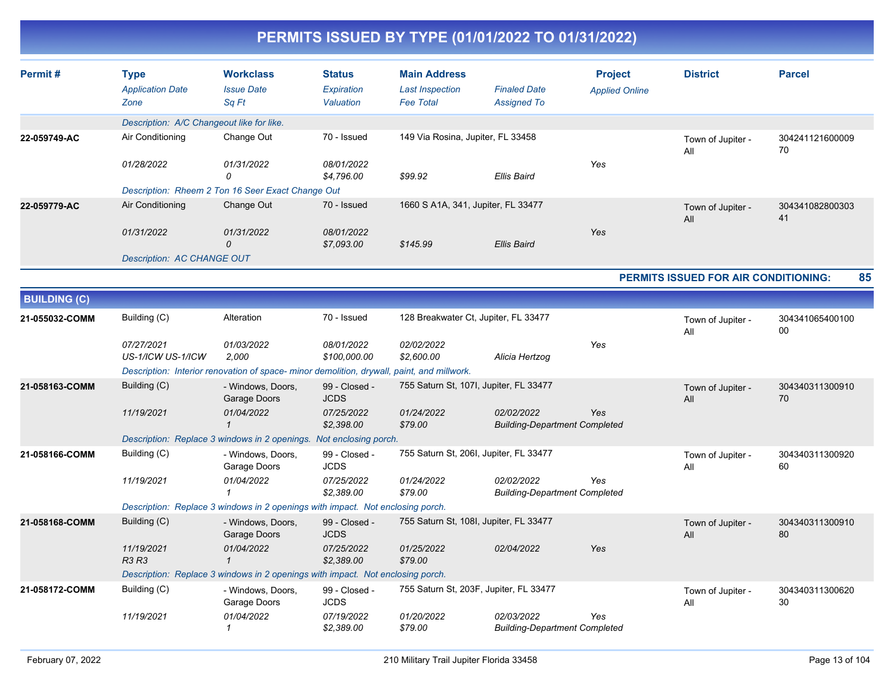| Permit#             | <b>Type</b>                               | <b>Workclass</b>                                                                           | <b>Status</b>                | <b>Main Address</b>                    |                                                    | <b>Project</b>        | <b>District</b>                             | <b>Parcel</b>         |
|---------------------|-------------------------------------------|--------------------------------------------------------------------------------------------|------------------------------|----------------------------------------|----------------------------------------------------|-----------------------|---------------------------------------------|-----------------------|
|                     | <b>Application Date</b>                   | <b>Issue Date</b>                                                                          | <b>Expiration</b>            | <b>Last Inspection</b>                 | <b>Finaled Date</b>                                | <b>Applied Online</b> |                                             |                       |
|                     | Zone                                      | Sq Ft                                                                                      | Valuation                    | <b>Fee Total</b>                       | <b>Assigned To</b>                                 |                       |                                             |                       |
|                     | Description: A/C Changeout like for like. |                                                                                            |                              |                                        |                                                    |                       |                                             |                       |
| 22-059749-AC        | Air Conditioning                          | Change Out                                                                                 | 70 - Issued                  | 149 Via Rosina, Jupiter, FL 33458      |                                                    |                       | Town of Jupiter -<br>All                    | 304241121600009<br>70 |
|                     | 01/28/2022                                | 01/31/2022<br>0                                                                            | 08/01/2022<br>\$4,796.00     | \$99.92                                | Ellis Baird                                        | Yes                   |                                             |                       |
|                     |                                           | Description: Rheem 2 Ton 16 Seer Exact Change Out                                          |                              |                                        |                                                    |                       |                                             |                       |
| 22-059779-AC        | Air Conditioning                          | Change Out                                                                                 | 70 - Issued                  | 1660 S A1A, 341, Jupiter, FL 33477     |                                                    |                       | Town of Jupiter -<br>All                    | 304341082800303<br>41 |
|                     | 01/31/2022                                | 01/31/2022<br>0                                                                            | 08/01/2022<br>\$7,093.00     | \$145.99                               | <b>Ellis Baird</b>                                 | Yes                   |                                             |                       |
|                     | <b>Description: AC CHANGE OUT</b>         |                                                                                            |                              |                                        |                                                    |                       |                                             |                       |
|                     |                                           |                                                                                            |                              |                                        |                                                    |                       | <b>PERMITS ISSUED FOR AIR CONDITIONING:</b> | 85                    |
| <b>BUILDING (C)</b> |                                           |                                                                                            |                              |                                        |                                                    |                       |                                             |                       |
| 21-055032-COMM      | Building (C)                              | Alteration                                                                                 | 70 - Issued                  | 128 Breakwater Ct, Jupiter, FL 33477   |                                                    |                       | Town of Jupiter -<br>All                    | 304341065400100<br>00 |
|                     | 07/27/2021<br>US-1/ICW US-1/ICW           | 01/03/2022<br>2,000                                                                        | 08/01/2022<br>\$100,000.00   | 02/02/2022<br>\$2,600.00               | Alicia Hertzog                                     | Yes                   |                                             |                       |
|                     |                                           | Description: Interior renovation of space- minor demolition, drywall, paint, and millwork. |                              |                                        |                                                    |                       |                                             |                       |
| 21-058163-COMM      | Building (C)                              | - Windows, Doors,<br>Garage Doors                                                          | 99 - Closed -<br><b>JCDS</b> | 755 Saturn St, 107I, Jupiter, FL 33477 |                                                    |                       | Town of Jupiter -<br>All                    | 304340311300910<br>70 |
|                     | 11/19/2021                                | 01/04/2022<br>$\mathbf 1$                                                                  | 07/25/2022<br>\$2,398.00     | 01/24/2022<br>\$79.00                  | 02/02/2022<br><b>Building-Department Completed</b> | Yes                   |                                             |                       |
|                     |                                           | Description: Replace 3 windows in 2 openings. Not enclosing porch.                         |                              |                                        |                                                    |                       |                                             |                       |
| 21-058166-COMM      | Building (C)                              | - Windows, Doors,<br>Garage Doors                                                          | 99 - Closed -<br><b>JCDS</b> | 755 Saturn St, 206I, Jupiter, FL 33477 |                                                    |                       | Town of Jupiter -<br>All                    | 304340311300920<br>60 |
|                     | 11/19/2021                                | 01/04/2022<br>$\mathbf 1$                                                                  | 07/25/2022<br>\$2,389.00     | 01/24/2022<br>\$79.00                  | 02/02/2022<br><b>Building-Department Completed</b> | Yes                   |                                             |                       |
|                     |                                           | Description: Replace 3 windows in 2 openings with impact. Not enclosing porch.             |                              |                                        |                                                    |                       |                                             |                       |
| 21-058168-COMM      | Building (C)                              | - Windows, Doors,<br>Garage Doors                                                          | 99 - Closed -<br><b>JCDS</b> | 755 Saturn St, 108I, Jupiter, FL 33477 |                                                    |                       | Town of Jupiter -<br>All                    | 304340311300910<br>80 |
|                     | 11/19/2021<br>R3 R3                       | 01/04/2022<br>$\mathbf{1}$                                                                 | 07/25/2022<br>\$2,389.00     | 01/25/2022<br>\$79.00                  | 02/04/2022                                         | Yes                   |                                             |                       |
|                     |                                           | Description: Replace 3 windows in 2 openings with impact. Not enclosing porch.             |                              |                                        |                                                    |                       |                                             |                       |
| 21-058172-COMM      | Building (C)                              | - Windows, Doors,<br>Garage Doors                                                          | 99 - Closed -<br><b>JCDS</b> |                                        | 755 Saturn St, 203F, Jupiter, FL 33477             |                       | Town of Jupiter -<br>All                    | 304340311300620<br>30 |
|                     | 11/19/2021                                | 01/04/2022<br>$\mathcal I$                                                                 | 07/19/2022<br>\$2,389.00     | 01/20/2022<br>\$79.00                  | 02/03/2022<br><b>Building-Department Completed</b> | Yes                   |                                             |                       |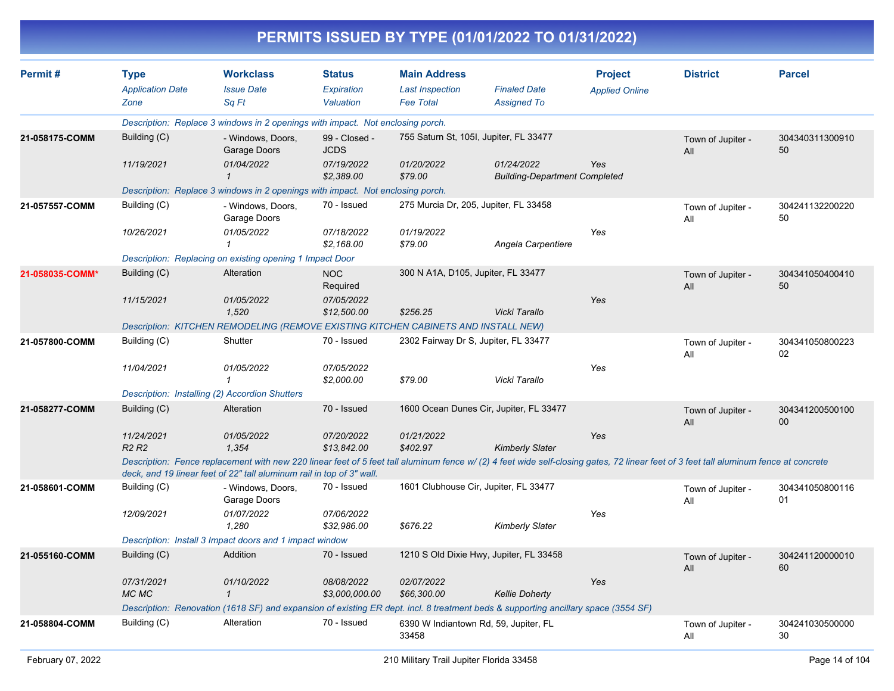|                 |                            |                                                                                                                                                                                                                                                               |                              |                                      | PERMITS ISSUED BY TYPE (01/01/2022 TO 01/31/2022)  |                       |                          |                       |
|-----------------|----------------------------|---------------------------------------------------------------------------------------------------------------------------------------------------------------------------------------------------------------------------------------------------------------|------------------------------|--------------------------------------|----------------------------------------------------|-----------------------|--------------------------|-----------------------|
| Permit#         | <b>Type</b>                | <b>Workclass</b>                                                                                                                                                                                                                                              | <b>Status</b>                | <b>Main Address</b>                  |                                                    | <b>Project</b>        | <b>District</b>          | <b>Parcel</b>         |
|                 | <b>Application Date</b>    | <b>Issue Date</b>                                                                                                                                                                                                                                             | Expiration                   | <b>Last Inspection</b>               | <b>Finaled Date</b>                                | <b>Applied Online</b> |                          |                       |
|                 | Zone                       | Sq Ft                                                                                                                                                                                                                                                         | Valuation                    | <b>Fee Total</b>                     | <b>Assigned To</b>                                 |                       |                          |                       |
|                 |                            | Description: Replace 3 windows in 2 openings with impact. Not enclosing porch.                                                                                                                                                                                |                              |                                      |                                                    |                       |                          |                       |
| 21-058175-COMM  | Building (C)               | - Windows, Doors,<br>Garage Doors                                                                                                                                                                                                                             | 99 - Closed -<br><b>JCDS</b> |                                      | 755 Saturn St, 105I, Jupiter, FL 33477             |                       | Town of Jupiter -<br>All | 304340311300910<br>50 |
|                 | 11/19/2021                 | 01/04/2022                                                                                                                                                                                                                                                    | 07/19/2022<br>\$2,389.00     | 01/20/2022<br>\$79.00                | 01/24/2022<br><b>Building-Department Completed</b> | Yes                   |                          |                       |
|                 |                            | Description: Replace 3 windows in 2 openings with impact. Not enclosing porch.                                                                                                                                                                                |                              |                                      |                                                    |                       |                          |                       |
| 21-057557-COMM  | Building (C)               | - Windows, Doors,<br>Garage Doors                                                                                                                                                                                                                             | 70 - Issued                  |                                      | 275 Murcia Dr, 205, Jupiter, FL 33458              |                       | Town of Jupiter -<br>All | 304241132200220<br>50 |
|                 | 10/26/2021                 | 01/05/2022                                                                                                                                                                                                                                                    | 07/18/2022<br>\$2,168.00     | 01/19/2022<br>\$79.00                | Angela Carpentiere                                 | Yes                   |                          |                       |
|                 |                            | Description: Replacing on existing opening 1 Impact Door                                                                                                                                                                                                      |                              |                                      |                                                    |                       |                          |                       |
| 21-058035-COMM* | Building (C)               | Alteration                                                                                                                                                                                                                                                    | <b>NOC</b><br>Required       | 300 N A1A, D105, Jupiter, FL 33477   |                                                    |                       | Town of Jupiter -<br>All | 304341050400410<br>50 |
|                 | 11/15/2021                 | 01/05/2022<br>1,520                                                                                                                                                                                                                                           | 07/05/2022<br>\$12,500.00    | \$256.25                             | Vicki Tarallo                                      | Yes                   |                          |                       |
|                 |                            | Description: KITCHEN REMODELING (REMOVE EXISTING KITCHEN CABINETS AND INSTALL NEW)                                                                                                                                                                            |                              |                                      |                                                    |                       |                          |                       |
| 21-057800-COMM  | Building (C)               | Shutter                                                                                                                                                                                                                                                       | 70 - Issued                  | 2302 Fairway Dr S, Jupiter, FL 33477 |                                                    |                       | Town of Jupiter -<br>All | 304341050800223<br>02 |
|                 | 11/04/2021                 | 01/05/2022                                                                                                                                                                                                                                                    | 07/05/2022<br>\$2,000.00     | \$79.00                              | Vicki Tarallo                                      | Yes                   |                          |                       |
|                 |                            | Description: Installing (2) Accordion Shutters                                                                                                                                                                                                                |                              |                                      |                                                    |                       |                          |                       |
| 21-058277-COMM  | Building (C)               | Alteration                                                                                                                                                                                                                                                    | 70 - Issued                  |                                      | 1600 Ocean Dunes Cir, Jupiter, FL 33477            |                       | Town of Jupiter -<br>All | 304341200500100<br>00 |
|                 | 11/24/2021<br><b>R2 R2</b> | 01/05/2022<br>1,354                                                                                                                                                                                                                                           | 07/20/2022<br>\$13,842.00    | 01/21/2022<br>\$402.97               | <b>Kimberly Slater</b>                             | Yes                   |                          |                       |
|                 |                            | Description: Fence replacement with new 220 linear feet of 5 feet tall aluminum fence w/(2) 4 feet wide self-closing gates, 72 linear feet of 3 feet tall aluminum fence at concrete<br>deck, and 19 linear feet of 22" tall aluminum rail in top of 3" wall. |                              |                                      |                                                    |                       |                          |                       |
| 21-058601-COMM  | Building (C)               | - Windows, Doors,<br>Garage Doors                                                                                                                                                                                                                             | 70 - Issued                  |                                      | 1601 Clubhouse Cir, Jupiter, FL 33477              |                       | Town of Jupiter -<br>All | 304341050800116<br>01 |
|                 | 12/09/2021                 | 01/07/2022<br>1,280                                                                                                                                                                                                                                           | 07/06/2022<br>\$32,986.00    | \$676.22                             | <b>Kimberly Slater</b>                             | Yes                   |                          |                       |
|                 |                            | Description: Install 3 Impact doors and 1 impact window                                                                                                                                                                                                       |                              |                                      |                                                    |                       |                          |                       |
| 21-055160-COMM  | Building (C)               | Addition                                                                                                                                                                                                                                                      | 70 - Issued                  |                                      | 1210 S Old Dixie Hwy, Jupiter, FL 33458            |                       | Town of Jupiter -<br>All | 304241120000010<br>60 |
|                 | 07/31/2021<br>MC MC        | 01/10/2022<br>$\mathbf{1}$                                                                                                                                                                                                                                    | 08/08/2022<br>\$3,000,000.00 | 02/07/2022<br>\$66,300.00            | <b>Kellie Doherty</b>                              | Yes                   |                          |                       |
|                 |                            | Description: Renovation (1618 SF) and expansion of existing ER dept. incl. 8 treatment beds & supporting ancillary space (3554 SF)                                                                                                                            |                              |                                      |                                                    |                       |                          |                       |
| 21-058804-COMM  | Building (C)               | Alteration                                                                                                                                                                                                                                                    | 70 - Issued                  | 33458                                | 6390 W Indiantown Rd, 59, Jupiter, FL              |                       | Town of Jupiter -<br>All | 304241030500000<br>30 |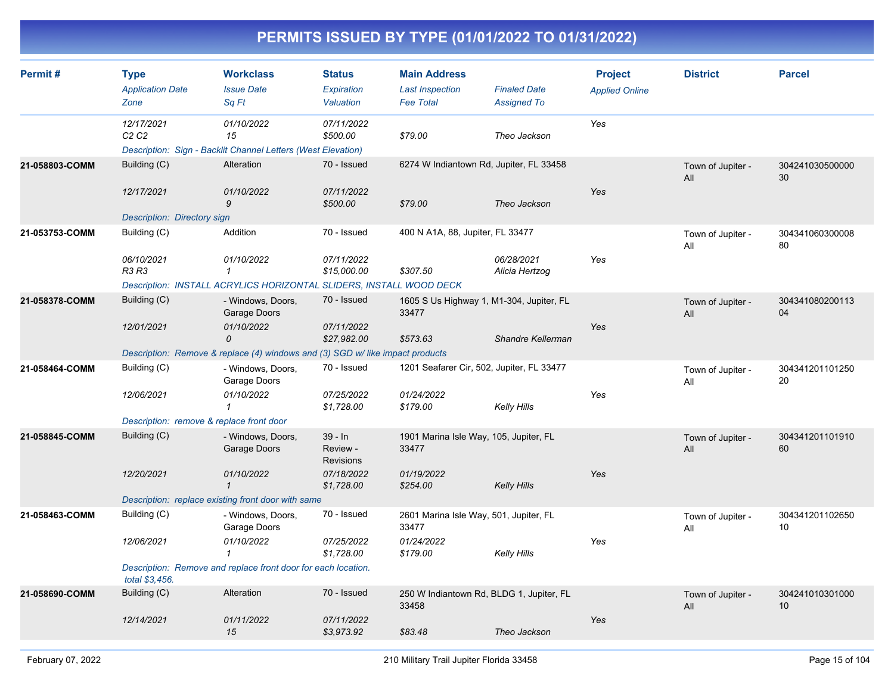| Permit#        | <b>Type</b><br><b>Application Date</b><br>Zone | <b>Workclass</b><br><b>Issue Date</b><br>Sq Ft                                   | <b>Status</b><br>Expiration<br><b>Valuation</b> | <b>Main Address</b><br><b>Last Inspection</b><br><b>Fee Total</b> | <b>Finaled Date</b><br><b>Assigned To</b> | <b>Project</b><br><b>Applied Online</b> | <b>District</b>          | <b>Parcel</b>         |
|----------------|------------------------------------------------|----------------------------------------------------------------------------------|-------------------------------------------------|-------------------------------------------------------------------|-------------------------------------------|-----------------------------------------|--------------------------|-----------------------|
|                | 12/17/2021<br>C <sub>2</sub> C <sub>2</sub>    | 01/10/2022<br>15<br>Description: Sign - Backlit Channel Letters (West Elevation) | 07/11/2022<br>\$500.00                          | \$79.00                                                           | Theo Jackson                              | Yes                                     |                          |                       |
| 21-058803-COMM | Building (C)<br>12/17/2021                     | Alteration<br>01/10/2022                                                         | 70 - Issued<br>07/11/2022                       | 6274 W Indiantown Rd, Jupiter, FL 33458                           |                                           | Yes                                     | Town of Jupiter -<br>All | 304241030500000<br>30 |
|                | <b>Description: Directory sign</b>             | 9                                                                                | \$500.00                                        | \$79.00                                                           | Theo Jackson                              |                                         |                          |                       |
| 21-053753-COMM | Building (C)                                   | Addition                                                                         | 70 - Issued                                     | 400 N A1A, 88, Jupiter, FL 33477                                  |                                           |                                         | Town of Jupiter -<br>All | 304341060300008<br>80 |
|                | 06/10/2021<br>R3 R3                            | 01/10/2022<br>$\mathcal I$                                                       | 07/11/2022<br>\$15,000.00                       | \$307.50                                                          | 06/28/2021<br>Alicia Hertzog              | Yes                                     |                          |                       |
|                |                                                | Description: INSTALL ACRYLICS HORIZONTAL SLIDERS, INSTALL WOOD DECK              |                                                 |                                                                   |                                           |                                         |                          |                       |
| 21-058378-COMM | Building (C)                                   | - Windows, Doors,<br>Garage Doors                                                | 70 - Issued                                     | 1605 S Us Highway 1, M1-304, Jupiter, FL<br>33477                 |                                           |                                         | Town of Jupiter -<br>All | 304341080200113<br>04 |
|                | 12/01/2021                                     | 01/10/2022<br>0                                                                  | 07/11/2022<br>\$27,982.00                       | \$573.63                                                          | Shandre Kellerman                         | Yes                                     |                          |                       |
|                |                                                | Description: Remove & replace (4) windows and (3) SGD w/ like impact products    |                                                 |                                                                   |                                           |                                         |                          |                       |
| 21-058464-COMM | Building (C)                                   | - Windows, Doors,<br>Garage Doors                                                | 70 - Issued                                     | 1201 Seafarer Cir, 502, Jupiter, FL 33477                         |                                           |                                         | Town of Jupiter -<br>All | 304341201101250<br>20 |
|                | 12/06/2021                                     | 01/10/2022<br>$\mathbf{1}$                                                       | 07/25/2022<br>\$1,728.00                        | 01/24/2022<br>\$179.00                                            | Kelly Hills                               | Yes                                     |                          |                       |
|                | Description: remove & replace front door       |                                                                                  |                                                 |                                                                   |                                           |                                         |                          |                       |
| 21-058845-COMM | Building (C)                                   | - Windows, Doors,<br>Garage Doors                                                | $39 - In$<br>Review -<br><b>Revisions</b>       | 1901 Marina Isle Way, 105, Jupiter, FL<br>33477                   |                                           |                                         | Town of Jupiter -<br>All | 304341201101910<br>60 |
|                | 12/20/2021                                     | 01/10/2022<br>$\mathbf{1}$                                                       | 07/18/2022<br>\$1,728.00                        | 01/19/2022<br>\$254.00                                            | Kelly Hills                               | Yes                                     |                          |                       |
|                |                                                | Description: replace existing front door with same                               |                                                 |                                                                   |                                           |                                         |                          |                       |
| 21-058463-COMM | Building (C)                                   | - Windows, Doors,<br>Garage Doors                                                | 70 - Issued                                     | 2601 Marina Isle Way, 501, Jupiter, FL<br>33477                   |                                           |                                         | Town of Jupiter -<br>All | 304341201102650<br>10 |
|                | 12/06/2021                                     | 01/10/2022<br>$\mathcal I$                                                       | 07/25/2022<br>\$1,728.00                        | 01/24/2022<br>\$179.00                                            | <b>Kelly Hills</b>                        | Yes                                     |                          |                       |
|                | total \$3,456.                                 | Description: Remove and replace front door for each location.                    |                                                 |                                                                   |                                           |                                         |                          |                       |
| 21-058690-COMM | Building (C)                                   | Alteration                                                                       | 70 - Issued                                     | 250 W Indiantown Rd, BLDG 1, Jupiter, FL<br>33458                 |                                           |                                         | Town of Jupiter -<br>All | 304241010301000<br>10 |
|                | 12/14/2021                                     | 01/11/2022<br>15                                                                 | 07/11/2022<br>\$3,973.92                        | \$83.48                                                           | Theo Jackson                              | Yes                                     |                          |                       |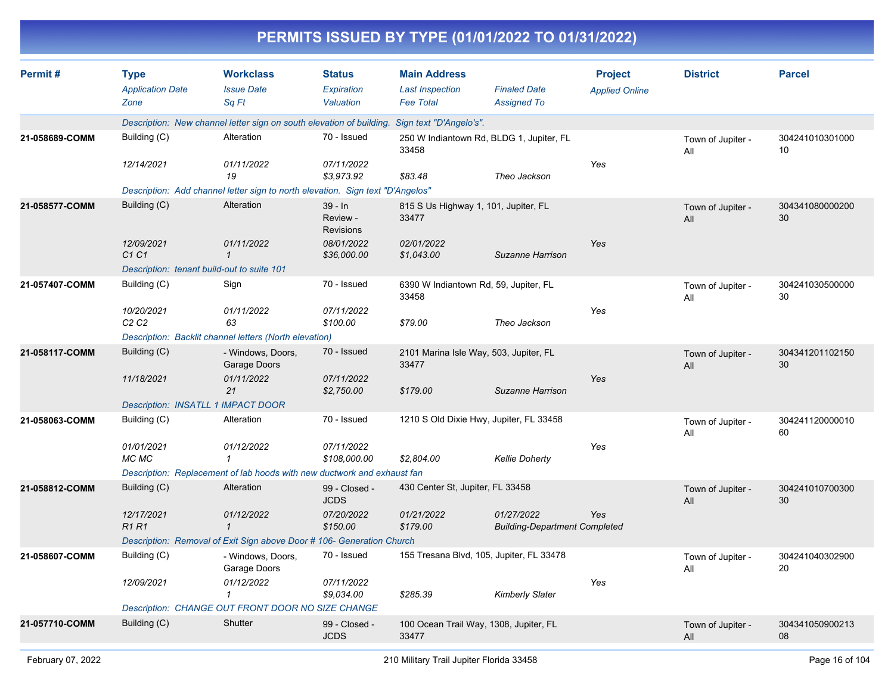|                |                                                |                                                                                |                                           | PERMITS ISSUED BY TYPE (01/01/2022 TO 01/31/2022)                 |                                                    |                                         |                          |                       |
|----------------|------------------------------------------------|--------------------------------------------------------------------------------|-------------------------------------------|-------------------------------------------------------------------|----------------------------------------------------|-----------------------------------------|--------------------------|-----------------------|
| Permit#        | <b>Type</b><br><b>Application Date</b><br>Zone | <b>Workclass</b><br><b>Issue Date</b><br>Sq Ft                                 | Status<br>Expiration<br>Valuation         | <b>Main Address</b><br><b>Last Inspection</b><br><b>Fee Total</b> | <b>Finaled Date</b><br><b>Assigned To</b>          | <b>Project</b><br><b>Applied Online</b> | <b>District</b>          | <b>Parcel</b>         |
|                |                                                | Description: New channel letter sign on south elevation of building.           |                                           | Sign text "D'Angelo's".                                           |                                                    |                                         |                          |                       |
| 21-058689-COMM | Building (C)                                   | Alteration                                                                     | 70 - Issued                               | 250 W Indiantown Rd, BLDG 1, Jupiter, FL<br>33458                 |                                                    |                                         | Town of Jupiter -<br>All | 304241010301000<br>10 |
|                | 12/14/2021                                     | 01/11/2022<br>19                                                               | 07/11/2022<br>\$3,973.92                  | \$83.48                                                           | Theo Jackson                                       | Yes                                     |                          |                       |
|                |                                                | Description: Add channel letter sign to north elevation. Sign text "D'Angelos" |                                           |                                                                   |                                                    |                                         |                          |                       |
| 21-058577-COMM | Building (C)                                   | Alteration                                                                     | $39 - In$<br>Review -<br><b>Revisions</b> | 815 S Us Highway 1, 101, Jupiter, FL<br>33477                     |                                                    |                                         | Town of Jupiter -<br>All | 304341080000200<br>30 |
|                | 12/09/2021<br>C1 C1                            | 01/11/2022<br>$\mathcal I$                                                     | 08/01/2022<br>\$36,000.00                 | 02/01/2022<br>\$1,043.00                                          | Suzanne Harrison                                   | Yes                                     |                          |                       |
|                |                                                | Description: tenant build-out to suite 101                                     |                                           |                                                                   |                                                    |                                         |                          |                       |
| 21-057407-COMM | Building (C)                                   | Sign                                                                           | 70 - Issued                               | 6390 W Indiantown Rd, 59, Jupiter, FL<br>33458                    |                                                    |                                         | Town of Jupiter -<br>All | 304241030500000<br>30 |
|                | 10/20/2021<br>C <sub>2</sub> C <sub>2</sub>    | 01/11/2022<br>63                                                               | 07/11/2022<br>\$100.00                    | \$79.00                                                           | Theo Jackson                                       | Yes                                     |                          |                       |
|                |                                                | Description: Backlit channel letters (North elevation)                         |                                           |                                                                   |                                                    |                                         |                          |                       |
| 21-058117-COMM | Building (C)                                   | - Windows, Doors,<br>Garage Doors                                              | 70 - Issued                               | 2101 Marina Isle Way, 503, Jupiter, FL<br>33477                   |                                                    |                                         | Town of Jupiter -<br>All | 304341201102150<br>30 |
|                | 11/18/2021                                     | 01/11/2022<br>21                                                               | 07/11/2022<br>\$2,750.00                  | \$179.00                                                          | Suzanne Harrison                                   | Yes                                     |                          |                       |
|                |                                                | Description: INSATLL 1 IMPACT DOOR                                             |                                           |                                                                   |                                                    |                                         |                          |                       |
| 21-058063-COMM | Building (C)                                   | Alteration                                                                     | 70 - Issued                               | 1210 S Old Dixie Hwy, Jupiter, FL 33458                           |                                                    |                                         | Town of Jupiter -<br>All | 304241120000010<br>60 |
|                | 01/01/2021<br>MC MC                            | 01/12/2022<br>-1                                                               | 07/11/2022<br>\$108,000.00                | \$2,804.00                                                        | <b>Kellie Doherty</b>                              | Yes                                     |                          |                       |
|                |                                                | Description: Replacement of lab hoods with new ductwork and exhaust fan        |                                           |                                                                   |                                                    |                                         |                          |                       |
| 21-058812-COMM | Building (C)                                   | Alteration                                                                     | 99 - Closed -<br><b>JCDS</b>              | 430 Center St, Jupiter, FL 33458                                  |                                                    |                                         | Town of Jupiter -<br>All | 304241010700300<br>30 |
|                | 12/17/2021<br>R <sub>1</sub> R <sub>1</sub>    | 01/12/2022<br>$\mathbf{1}$                                                     | 07/20/2022<br>\$150.00                    | 01/21/2022<br>\$179.00                                            | 01/27/2022<br><b>Building-Department Completed</b> | Yes                                     |                          |                       |
|                |                                                | Description: Removal of Exit Sign above Door # 106- Generation Church          |                                           |                                                                   |                                                    |                                         |                          |                       |
| 21-058607-COMM | Building (C)                                   | - Windows, Doors,<br>Garage Doors                                              | 70 - Issued                               | 155 Tresana Blvd, 105, Jupiter, FL 33478                          |                                                    |                                         | Town of Jupiter -<br>All | 304241040302900<br>20 |
|                | 12/09/2021                                     | 01/12/2022<br>-1                                                               | 07/11/2022<br>\$9,034.00                  | \$285.39                                                          | <b>Kimberly Slater</b>                             | Yes                                     |                          |                       |
|                |                                                | Description: CHANGE OUT FRONT DOOR NO SIZE CHANGE                              |                                           |                                                                   |                                                    |                                         |                          |                       |
| 21-057710-COMM | Building (C)                                   | Shutter                                                                        | 99 - Closed -<br><b>JCDS</b>              | 100 Ocean Trail Way, 1308, Jupiter, FL<br>33477                   |                                                    |                                         | Town of Jupiter -<br>All | 304341050900213<br>08 |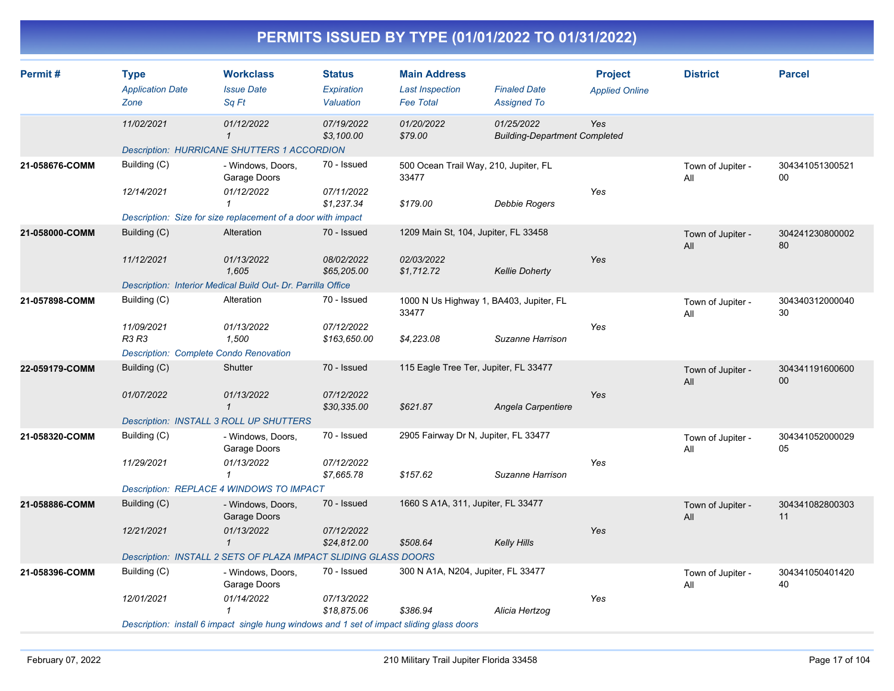| Permit#        | <b>Type</b>                                   | <b>Workclass</b>                                                                          | <b>Status</b>              | <b>Main Address</b>                              |                                                    | <b>Project</b>        | <b>District</b>          | <b>Parcel</b>             |
|----------------|-----------------------------------------------|-------------------------------------------------------------------------------------------|----------------------------|--------------------------------------------------|----------------------------------------------------|-----------------------|--------------------------|---------------------------|
|                | <b>Application Date</b><br>Zone               | <b>Issue Date</b><br>Sq Ft                                                                | Expiration<br>Valuation    | <b>Last Inspection</b><br><b>Fee Total</b>       | <b>Finaled Date</b><br><b>Assigned To</b>          | <b>Applied Online</b> |                          |                           |
|                | 11/02/2021                                    | 01/12/2022<br>$\mathcal{I}$                                                               | 07/19/2022<br>\$3,100.00   | 01/20/2022<br>\$79.00                            | 01/25/2022<br><b>Building-Department Completed</b> | Yes                   |                          |                           |
|                |                                               | <b>Description: HURRICANE SHUTTERS 1 ACCORDION</b>                                        |                            |                                                  |                                                    |                       |                          |                           |
| 21-058676-COMM | Building (C)                                  | - Windows, Doors,<br>Garage Doors                                                         | 70 - Issued                | 500 Ocean Trail Way, 210, Jupiter, FL<br>33477   |                                                    |                       | Town of Jupiter -<br>All | 304341051300521<br>00     |
|                | 12/14/2021                                    | 01/12/2022<br>1                                                                           | 07/11/2022<br>\$1,237.34   | \$179.00                                         | Debbie Rogers                                      | Yes                   |                          |                           |
|                |                                               | Description: Size for size replacement of a door with impact                              |                            |                                                  |                                                    |                       |                          |                           |
| 21-058000-COMM | Building (C)                                  | Alteration                                                                                | 70 - Issued                | 1209 Main St, 104, Jupiter, FL 33458             |                                                    |                       | Town of Jupiter -<br>All | 304241230800002<br>80     |
|                | 11/12/2021                                    | 01/13/2022<br>1,605                                                                       | 08/02/2022<br>\$65,205.00  | 02/03/2022<br>\$1,712.72                         | <b>Kellie Doherty</b>                              | Yes                   |                          |                           |
|                |                                               | Description: Interior Medical Build Out- Dr. Parrilla Office                              |                            |                                                  |                                                    |                       |                          |                           |
| 21-057898-COMM | Building (C)                                  | Alteration                                                                                | 70 - Issued                | 1000 N Us Highway 1, BA403, Jupiter, FL<br>33477 |                                                    |                       | Town of Jupiter -<br>All | 304340312000040<br>30     |
|                | 11/09/2021<br><b>R3 R3</b>                    | 01/13/2022<br>1,500                                                                       | 07/12/2022<br>\$163,650.00 | \$4,223.08                                       | Suzanne Harrison                                   | Yes                   |                          |                           |
|                | <b>Description: Complete Condo Renovation</b> |                                                                                           |                            |                                                  |                                                    |                       |                          |                           |
| 22-059179-COMM | Building (C)                                  | Shutter                                                                                   | 70 - Issued                | 115 Eagle Tree Ter, Jupiter, FL 33477            |                                                    |                       | Town of Jupiter -<br>All | 304341191600600<br>$00\,$ |
|                | 01/07/2022                                    | 01/13/2022<br>$\mathbf{1}$                                                                | 07/12/2022<br>\$30,335.00  | \$621.87                                         | Angela Carpentiere                                 | Yes                   |                          |                           |
|                |                                               | Description: INSTALL 3 ROLL UP SHUTTERS                                                   |                            |                                                  |                                                    |                       |                          |                           |
| 21-058320-COMM | Building (C)                                  | - Windows, Doors,<br>Garage Doors                                                         | 70 - Issued                | 2905 Fairway Dr N, Jupiter, FL 33477             |                                                    |                       | Town of Jupiter -<br>All | 304341052000029<br>05     |
|                | 11/29/2021                                    | 01/13/2022<br>$\mathcal I$                                                                | 07/12/2022<br>\$7,665.78   | \$157.62                                         | Suzanne Harrison                                   | Yes                   |                          |                           |
|                |                                               | Description: REPLACE 4 WINDOWS TO IMPACT                                                  |                            |                                                  |                                                    |                       |                          |                           |
| 21-058886-COMM | Building (C)                                  | - Windows, Doors,<br>Garage Doors                                                         | 70 - Issued                | 1660 S A1A, 311, Jupiter, FL 33477               |                                                    |                       | Town of Jupiter -<br>All | 304341082800303<br>11     |
|                | 12/21/2021                                    | 01/13/2022<br>$\mathcal I$                                                                | 07/12/2022<br>\$24,812.00  | \$508.64                                         | <b>Kelly Hills</b>                                 | Yes                   |                          |                           |
|                |                                               | Description: INSTALL 2 SETS OF PLAZA IMPACT SLIDING GLASS DOORS                           |                            |                                                  |                                                    |                       |                          |                           |
| 21-058396-COMM | Building (C)                                  | - Windows, Doors,<br>Garage Doors                                                         | 70 - Issued                | 300 N A1A, N204, Jupiter, FL 33477               |                                                    |                       | Town of Jupiter -<br>All | 304341050401420<br>40     |
|                | 12/01/2021                                    | 01/14/2022<br>$\mathbf{1}$                                                                | 07/13/2022<br>\$18.875.06  | \$386.94                                         | Alicia Hertzog                                     | Yes                   |                          |                           |
|                |                                               | Description: install 6 impact single hung windows and 1 set of impact sliding glass doors |                            |                                                  |                                                    |                       |                          |                           |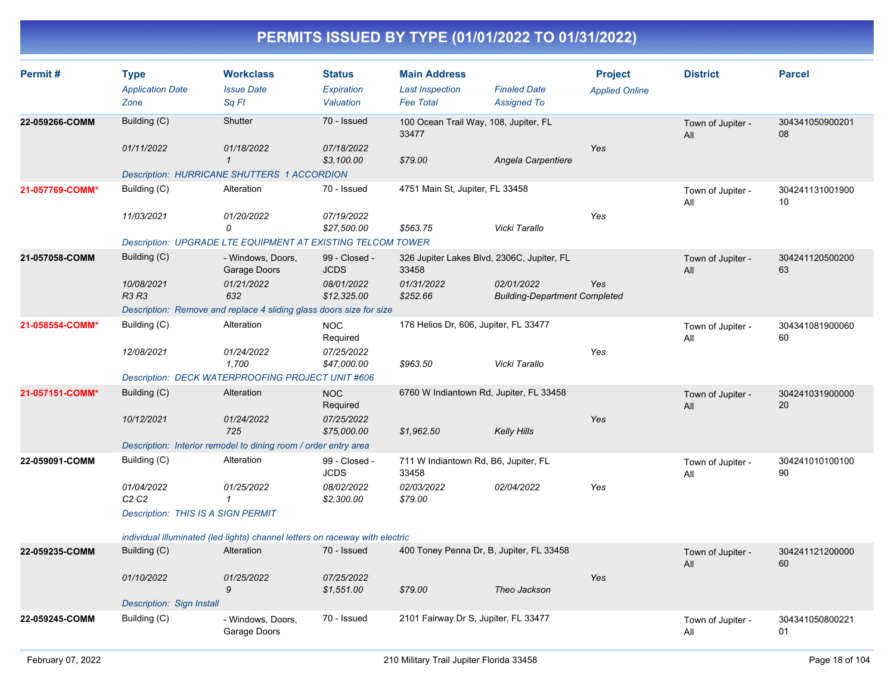| Permit#         | <b>Type</b>                                 | <b>Workclass</b>                                                             | <b>Status</b>                | <b>Main Address</b>                                 |                                      | <b>Project</b>        | <b>District</b>          | <b>Parcel</b>         |
|-----------------|---------------------------------------------|------------------------------------------------------------------------------|------------------------------|-----------------------------------------------------|--------------------------------------|-----------------------|--------------------------|-----------------------|
|                 | <b>Application Date</b>                     | <b>Issue Date</b>                                                            | Expiration                   | <b>Last Inspection</b>                              | <b>Finaled Date</b>                  | <b>Applied Online</b> |                          |                       |
|                 | Zone                                        | Sq Ft                                                                        | Valuation                    | <b>Fee Total</b>                                    | <b>Assigned To</b>                   |                       |                          |                       |
| 22-059266-COMM  | Building (C)                                | Shutter                                                                      | 70 - Issued                  | 100 Ocean Trail Way, 108, Jupiter, FL<br>33477      |                                      |                       | Town of Jupiter -<br>All | 304341050900201<br>08 |
|                 | 01/11/2022                                  | 01/18/2022                                                                   | 07/18/2022                   |                                                     |                                      | Yes                   |                          |                       |
|                 |                                             | $\mathcal I$                                                                 | \$3,100.00                   | \$79.00                                             | Angela Carpentiere                   |                       |                          |                       |
|                 |                                             | Description: HURRICANE SHUTTERS 1 ACCORDION                                  |                              |                                                     |                                      |                       |                          |                       |
| 21-057769-COMM* | Building (C)                                | Alteration                                                                   | 70 - Issued                  | 4751 Main St, Jupiter, FL 33458                     |                                      |                       | Town of Jupiter -<br>All | 304241131001900<br>10 |
|                 | 11/03/2021                                  | 01/20/2022                                                                   | 07/19/2022                   |                                                     |                                      | Yes                   |                          |                       |
|                 |                                             | 0                                                                            | \$27,500.00                  | \$563.75                                            | Vicki Tarallo                        |                       |                          |                       |
|                 |                                             | Description: UPGRADE LTE EQUIPMENT AT EXISTING TELCOM TOWER                  |                              |                                                     |                                      |                       |                          |                       |
| 21-057058-COMM  | Building (C)                                | - Windows, Doors,<br>Garage Doors                                            | 99 - Closed -<br><b>JCDS</b> | 326 Jupiter Lakes Blvd, 2306C, Jupiter, FL<br>33458 |                                      |                       | Town of Jupiter -<br>All | 304241120500200<br>63 |
|                 | 10/08/2021                                  | 01/21/2022                                                                   | 08/01/2022                   | 01/31/2022                                          | 02/01/2022                           | Yes                   |                          |                       |
|                 | <b>R3 R3</b>                                | 632                                                                          | \$12,325.00                  | \$252.66                                            | <b>Building-Department Completed</b> |                       |                          |                       |
|                 |                                             | Description: Remove and replace 4 sliding glass doors size for size          |                              |                                                     |                                      |                       |                          |                       |
| 21-058554-COMM* | Building (C)                                | Alteration                                                                   | <b>NOC</b><br>Required       | 176 Helios Dr, 606, Jupiter, FL 33477               |                                      |                       | Town of Jupiter -<br>All | 304341081900060<br>60 |
|                 | 12/08/2021                                  | 01/24/2022                                                                   | 07/25/2022                   |                                                     |                                      | Yes                   |                          |                       |
|                 |                                             | 1,700                                                                        | \$47,000.00                  | \$963.50                                            | Vicki Tarallo                        |                       |                          |                       |
|                 |                                             | <b>Description: DECK WATERPROOFING PROJECT UNIT #606</b>                     |                              |                                                     |                                      |                       |                          |                       |
| 21-057151-COMM* | Building (C)                                | Alteration                                                                   | <b>NOC</b><br>Required       | 6760 W Indiantown Rd, Jupiter, FL 33458             |                                      |                       | Town of Jupiter -<br>All | 304241031900000<br>20 |
|                 | 10/12/2021                                  | 01/24/2022                                                                   | 07/25/2022                   |                                                     |                                      | Yes                   |                          |                       |
|                 |                                             | 725                                                                          | \$75,000.00                  | \$1,962.50                                          | <b>Kelly Hills</b>                   |                       |                          |                       |
|                 |                                             | Description: Interior remodel to dining room / order entry area              |                              |                                                     |                                      |                       |                          |                       |
| 22-059091-COMM  | Building (C)                                | Alteration                                                                   | 99 - Closed -<br><b>JCDS</b> | 711 W Indiantown Rd, B6, Jupiter, FL<br>33458       |                                      |                       | Town of Jupiter -<br>All | 304241010100100<br>90 |
|                 | 01/04/2022<br>C <sub>2</sub> C <sub>2</sub> | 01/25/2022<br>$\mathbf{1}$                                                   | 08/02/2022<br>\$2,300.00     | 02/03/2022<br>\$79.00                               | 02/04/2022                           | Yes                   |                          |                       |
|                 | <b>Description: THIS IS A SIGN PERMIT</b>   |                                                                              |                              |                                                     |                                      |                       |                          |                       |
|                 |                                             | individual illuminated (led lights) channel letters on raceway with electric |                              |                                                     |                                      |                       |                          |                       |
| 22-059235-COMM  | Building (C)                                | Alteration                                                                   | 70 - Issued                  | 400 Toney Penna Dr, B, Jupiter, FL 33458            |                                      |                       | Town of Jupiter -<br>All | 304241121200000<br>60 |
|                 | 01/10/2022                                  | 01/25/2022                                                                   | 07/25/2022                   |                                                     |                                      | Yes                   |                          |                       |
|                 |                                             | 9                                                                            | \$1,551.00                   | \$79.00                                             | Theo Jackson                         |                       |                          |                       |
|                 | Description: Sign Install                   |                                                                              |                              |                                                     |                                      |                       |                          |                       |
| 22-059245-COMM  | Building (C)                                | - Windows, Doors,<br>Garage Doors                                            | 70 - Issued                  | 2101 Fairway Dr S, Jupiter, FL 33477                |                                      |                       | Town of Jupiter -<br>All | 304341050800221<br>01 |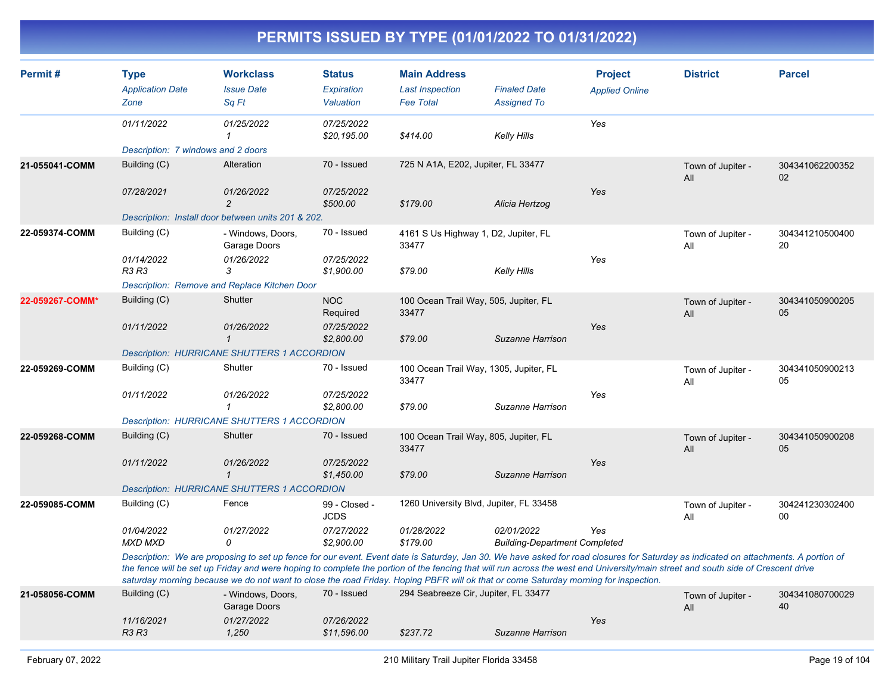| Permit#         | <b>Type</b><br><b>Application Date</b><br>Zone                                                                                                                                                                                                                                                                                                                                                                                                                                                                 | <b>Workclass</b><br><b>Issue Date</b><br>Sq Ft     | <b>Status</b><br>Expiration<br>Valuation | <b>Main Address</b><br><b>Last Inspection</b><br><b>Fee Total</b> | <b>Finaled Date</b><br><b>Assigned To</b>          | <b>Project</b><br><b>Applied Online</b> | <b>District</b>          | <b>Parcel</b>         |
|-----------------|----------------------------------------------------------------------------------------------------------------------------------------------------------------------------------------------------------------------------------------------------------------------------------------------------------------------------------------------------------------------------------------------------------------------------------------------------------------------------------------------------------------|----------------------------------------------------|------------------------------------------|-------------------------------------------------------------------|----------------------------------------------------|-----------------------------------------|--------------------------|-----------------------|
|                 | 01/11/2022                                                                                                                                                                                                                                                                                                                                                                                                                                                                                                     | 01/25/2022<br>1                                    | 07/25/2022<br>\$20,195.00                | \$414.00                                                          | Kelly Hills                                        | Yes                                     |                          |                       |
|                 | Description: 7 windows and 2 doors                                                                                                                                                                                                                                                                                                                                                                                                                                                                             |                                                    |                                          |                                                                   |                                                    |                                         |                          |                       |
| 21-055041-COMM  | Building (C)                                                                                                                                                                                                                                                                                                                                                                                                                                                                                                   | Alteration                                         | 70 - Issued                              | 725 N A1A, E202, Jupiter, FL 33477                                |                                                    |                                         | Town of Jupiter -<br>All | 304341062200352<br>02 |
|                 | 07/28/2021                                                                                                                                                                                                                                                                                                                                                                                                                                                                                                     | 01/26/2022<br>$\overline{c}$                       | 07/25/2022<br>\$500.00                   | \$179.00                                                          | Alicia Hertzog                                     | Yes                                     |                          |                       |
|                 |                                                                                                                                                                                                                                                                                                                                                                                                                                                                                                                | Description: Install door between units 201 & 202. |                                          |                                                                   |                                                    |                                         |                          |                       |
| 22-059374-COMM  | Building (C)                                                                                                                                                                                                                                                                                                                                                                                                                                                                                                   | - Windows, Doors,<br>Garage Doors                  | 70 - Issued                              | 4161 S Us Highway 1, D2, Jupiter, FL<br>33477                     |                                                    |                                         | Town of Jupiter -<br>All | 304341210500400<br>20 |
|                 | 01/14/2022<br><b>R3 R3</b>                                                                                                                                                                                                                                                                                                                                                                                                                                                                                     | 01/26/2022<br>3                                    | 07/25/2022<br>\$1,900.00                 | \$79.00                                                           | Kelly Hills                                        | Yes                                     |                          |                       |
|                 |                                                                                                                                                                                                                                                                                                                                                                                                                                                                                                                | Description: Remove and Replace Kitchen Door       |                                          |                                                                   |                                                    |                                         |                          |                       |
| 22-059267-COMM* | Building (C)                                                                                                                                                                                                                                                                                                                                                                                                                                                                                                   | Shutter                                            | <b>NOC</b><br>Required                   | 100 Ocean Trail Way, 505, Jupiter, FL<br>33477                    |                                                    |                                         | Town of Jupiter -<br>All | 304341050900205<br>05 |
|                 | 01/11/2022                                                                                                                                                                                                                                                                                                                                                                                                                                                                                                     | 01/26/2022<br>$\mathbf{1}$                         | 07/25/2022<br>\$2,800.00                 | \$79.00                                                           | Suzanne Harrison                                   | Yes                                     |                          |                       |
|                 |                                                                                                                                                                                                                                                                                                                                                                                                                                                                                                                | <b>Description: HURRICANE SHUTTERS 1 ACCORDION</b> |                                          |                                                                   |                                                    |                                         |                          |                       |
| 22-059269-COMM  | Building (C)                                                                                                                                                                                                                                                                                                                                                                                                                                                                                                   | Shutter                                            | 70 - Issued                              | 100 Ocean Trail Way, 1305, Jupiter, FL<br>33477                   |                                                    |                                         | Town of Jupiter -<br>All | 304341050900213<br>05 |
|                 | 01/11/2022                                                                                                                                                                                                                                                                                                                                                                                                                                                                                                     | 01/26/2022<br>$\mathbf{1}$                         | 07/25/2022<br>\$2,800.00                 | \$79.00                                                           | Suzanne Harrison                                   | Yes                                     |                          |                       |
|                 |                                                                                                                                                                                                                                                                                                                                                                                                                                                                                                                | <b>Description: HURRICANE SHUTTERS 1 ACCORDION</b> |                                          |                                                                   |                                                    |                                         |                          |                       |
| 22-059268-COMM  | Building (C)                                                                                                                                                                                                                                                                                                                                                                                                                                                                                                   | Shutter                                            | 70 - Issued                              | 100 Ocean Trail Way, 805, Jupiter, FL<br>33477                    |                                                    |                                         | Town of Jupiter -<br>All | 304341050900208<br>05 |
|                 | 01/11/2022                                                                                                                                                                                                                                                                                                                                                                                                                                                                                                     | 01/26/2022<br>$\mathbf{1}$                         | 07/25/2022<br>\$1,450.00                 | \$79.00                                                           | Suzanne Harrison                                   | Yes                                     |                          |                       |
|                 |                                                                                                                                                                                                                                                                                                                                                                                                                                                                                                                | Description: HURRICANE SHUTTERS 1 ACCORDION        |                                          |                                                                   |                                                    |                                         |                          |                       |
| 22-059085-COMM  | Building (C)                                                                                                                                                                                                                                                                                                                                                                                                                                                                                                   | Fence                                              | 99 - Closed -<br><b>JCDS</b>             | 1260 University Blvd, Jupiter, FL 33458                           |                                                    |                                         | Town of Jupiter -<br>All | 304241230302400<br>00 |
|                 | 01/04/2022<br>MXD MXD                                                                                                                                                                                                                                                                                                                                                                                                                                                                                          | 01/27/2022<br>$\Omega$                             | 07/27/2022<br>\$2,900.00                 | 01/28/2022<br>\$179.00                                            | 02/01/2022<br><b>Building-Department Completed</b> | Yes                                     |                          |                       |
|                 | Description: We are proposing to set up fence for our event. Event date is Saturday, Jan 30. We have asked for road closures for Saturday as indicated on attachments. A portion of<br>the fence will be set up Friday and were hoping to complete the portion of the fencing that will run across the west end University/main street and south side of Crescent drive<br>saturday morning because we do not want to close the road Friday. Hoping PBFR will ok that or come Saturday morning for inspection. |                                                    |                                          |                                                                   |                                                    |                                         |                          |                       |
| 21-058056-COMM  | Building (C)                                                                                                                                                                                                                                                                                                                                                                                                                                                                                                   | - Windows, Doors,<br>Garage Doors                  | 70 - Issued                              | 294 Seabreeze Cir, Jupiter, FL 33477                              |                                                    |                                         | Town of Jupiter -<br>All | 304341080700029<br>40 |
|                 | 11/16/2021<br><b>R3 R3</b>                                                                                                                                                                                                                                                                                                                                                                                                                                                                                     | 01/27/2022<br>1,250                                | 07/26/2022<br>\$11,596.00                | \$237.72                                                          | Suzanne Harrison                                   | Yes                                     |                          |                       |
|                 |                                                                                                                                                                                                                                                                                                                                                                                                                                                                                                                |                                                    |                                          |                                                                   |                                                    |                                         |                          |                       |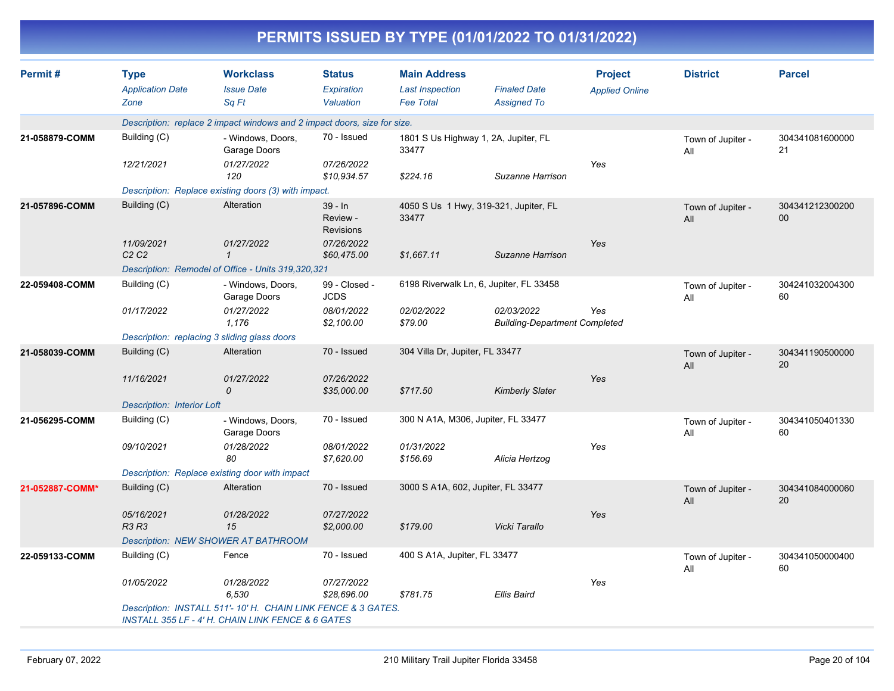|                 |                                                |                                                                                                                              |                                           |                                                                   | PERMITS ISSUED BY TYPE (01/01/2022 TO 01/31/2022)  |                                         |                          |                       |
|-----------------|------------------------------------------------|------------------------------------------------------------------------------------------------------------------------------|-------------------------------------------|-------------------------------------------------------------------|----------------------------------------------------|-----------------------------------------|--------------------------|-----------------------|
| Permit#         | <b>Type</b><br><b>Application Date</b><br>Zone | <b>Workclass</b><br><b>Issue Date</b><br>Sq Ft                                                                               | <b>Status</b><br>Expiration<br>Valuation  | <b>Main Address</b><br><b>Last Inspection</b><br><b>Fee Total</b> | <b>Finaled Date</b><br><b>Assigned To</b>          | <b>Project</b><br><b>Applied Online</b> | <b>District</b>          | <b>Parcel</b>         |
|                 |                                                | Description: replace 2 impact windows and 2 impact doors, size for size.                                                     |                                           |                                                                   |                                                    |                                         |                          |                       |
| 21-058879-COMM  | Building (C)                                   | - Windows, Doors,<br>Garage Doors                                                                                            | 70 - Issued                               | 1801 S Us Highway 1, 2A, Jupiter, FL<br>33477                     |                                                    |                                         | Town of Jupiter -<br>All | 304341081600000<br>21 |
|                 | 12/21/2021                                     | 01/27/2022<br>120                                                                                                            | 07/26/2022<br>\$10,934.57                 | \$224.16                                                          | Suzanne Harrison                                   | Yes                                     |                          |                       |
|                 |                                                | Description: Replace existing doors (3) with impact.                                                                         |                                           |                                                                   |                                                    |                                         |                          |                       |
| 21-057896-COMM  | Building (C)                                   | Alteration                                                                                                                   | $39 - In$<br>Review -<br><b>Revisions</b> | 33477                                                             | 4050 S Us 1 Hwy, 319-321, Jupiter, FL              |                                         | Town of Jupiter -<br>All | 304341212300200<br>00 |
|                 | 11/09/2021<br>C <sub>2</sub> C <sub>2</sub>    | 01/27/2022<br>-1                                                                                                             | 07/26/2022<br>\$60,475.00                 | \$1,667.11                                                        | Suzanne Harrison                                   | Yes                                     |                          |                       |
|                 |                                                | Description: Remodel of Office - Units 319,320,321                                                                           |                                           |                                                                   |                                                    |                                         |                          |                       |
| 22-059408-COMM  | Building (C)                                   | - Windows, Doors,<br>Garage Doors                                                                                            | 99 - Closed -<br><b>JCDS</b>              |                                                                   | 6198 Riverwalk Ln, 6, Jupiter, FL 33458            |                                         | Town of Jupiter -<br>All | 304241032004300<br>60 |
|                 | 01/17/2022                                     | 01/27/2022<br>1,176                                                                                                          | 08/01/2022<br>\$2,100.00                  | 02/02/2022<br>\$79.00                                             | 02/03/2022<br><b>Building-Department Completed</b> | Yes                                     |                          |                       |
|                 |                                                | Description: replacing 3 sliding glass doors                                                                                 |                                           |                                                                   |                                                    |                                         |                          |                       |
| 21-058039-COMM  | Building (C)                                   | Alteration                                                                                                                   | 70 - Issued                               | 304 Villa Dr, Jupiter, FL 33477                                   |                                                    |                                         | Town of Jupiter -<br>All | 304341190500000<br>20 |
|                 | 11/16/2021                                     | 01/27/2022<br>0                                                                                                              | 07/26/2022<br>\$35,000.00                 | \$717.50                                                          | <b>Kimberly Slater</b>                             | Yes                                     |                          |                       |
|                 | <b>Description: Interior Loft</b>              |                                                                                                                              |                                           |                                                                   |                                                    |                                         |                          |                       |
| 21-056295-COMM  | Building (C)                                   | - Windows, Doors,<br>Garage Doors                                                                                            | 70 - Issued                               | 300 N A1A, M306, Jupiter, FL 33477                                |                                                    |                                         | Town of Jupiter -<br>All | 304341050401330<br>60 |
|                 | 09/10/2021                                     | 01/28/2022<br>80                                                                                                             | 08/01/2022<br>\$7,620.00                  | 01/31/2022<br>\$156.69                                            | Alicia Hertzog                                     | Yes                                     |                          |                       |
|                 |                                                | Description: Replace existing door with impact                                                                               |                                           |                                                                   |                                                    |                                         |                          |                       |
| 21-052887-COMM* | Building (C)                                   | Alteration                                                                                                                   | 70 - Issued                               | 3000 S A1A, 602, Jupiter, FL 33477                                |                                                    |                                         | Town of Jupiter -<br>All | 304341084000060<br>20 |
|                 | 05/16/2021<br><b>R3 R3</b>                     | 01/28/2022<br>15                                                                                                             | 07/27/2022<br>\$2,000.00                  | \$179.00                                                          | Vicki Tarallo                                      | Yes                                     |                          |                       |
|                 |                                                | Description: NEW SHOWER AT BATHROOM                                                                                          |                                           |                                                                   |                                                    |                                         |                          |                       |
| 22-059133-COMM  | Building (C)                                   | Fence                                                                                                                        | 70 - Issued                               | 400 S A1A, Jupiter, FL 33477                                      |                                                    |                                         | Town of Jupiter -<br>All | 304341050000400<br>60 |
|                 | 01/05/2022                                     | 01/28/2022<br>6,530                                                                                                          | 07/27/2022<br>\$28,696.00                 | \$781.75                                                          | Ellis Baird                                        | Yes                                     |                          |                       |
|                 |                                                | Description: INSTALL 511'-10' H. CHAIN LINK FENCE & 3 GATES.<br><b>INSTALL 355 LF - 4' H. CHAIN LINK FENCE &amp; 6 GATES</b> |                                           |                                                                   |                                                    |                                         |                          |                       |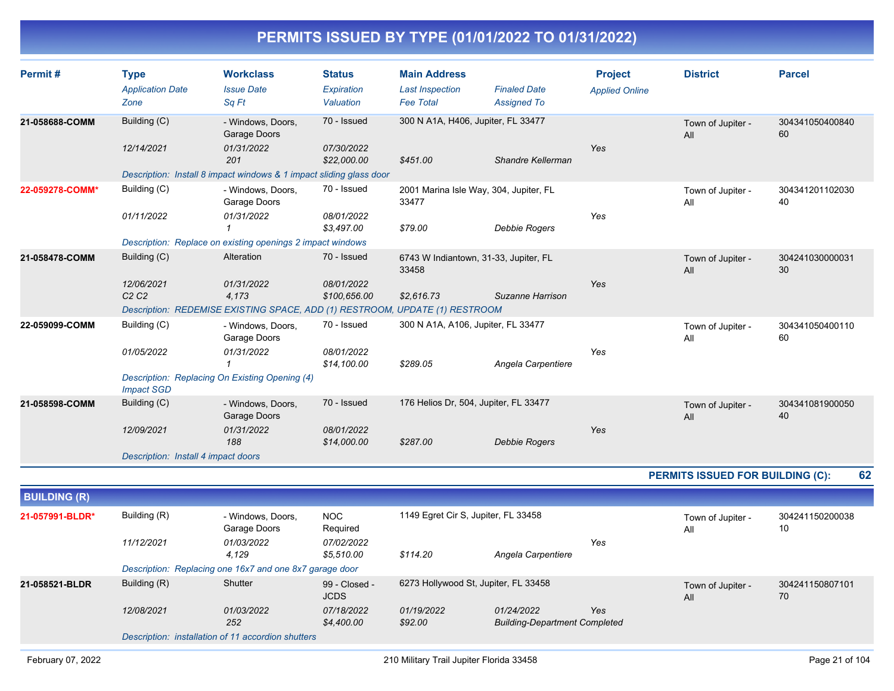| Permit#             | <b>Type</b><br><b>Application Date</b> | <b>Workclass</b><br><b>Issue Date</b>                                       | <b>Status</b><br>Expiration  | <b>Main Address</b><br><b>Last Inspection</b> | <b>Finaled Date</b>                                | <b>Project</b><br><b>Applied Online</b> | <b>District</b>                  | <b>Parcel</b>         |
|---------------------|----------------------------------------|-----------------------------------------------------------------------------|------------------------------|-----------------------------------------------|----------------------------------------------------|-----------------------------------------|----------------------------------|-----------------------|
|                     | Zone                                   | Sq Ft                                                                       | Valuation                    | <b>Fee Total</b>                              | <b>Assigned To</b>                                 |                                         |                                  |                       |
| 21-058688-COMM      | Building (C)                           | - Windows, Doors,<br>Garage Doors                                           | 70 - Issued                  | 300 N A1A, H406, Jupiter, FL 33477            |                                                    |                                         | Town of Jupiter -<br>All         | 304341050400840<br>60 |
|                     | 12/14/2021                             | 01/31/2022<br>201                                                           | 07/30/2022<br>\$22,000.00    | \$451.00                                      | Shandre Kellerman                                  | Yes                                     |                                  |                       |
|                     |                                        | Description: Install 8 impact windows & 1 impact sliding glass door         |                              |                                               |                                                    |                                         |                                  |                       |
| 22-059278-COMM*     | Building (C)                           | - Windows, Doors,<br>Garage Doors                                           | 70 - Issued                  | 33477                                         | 2001 Marina Isle Way, 304, Jupiter, FL             |                                         | Town of Jupiter -<br>All         | 304341201102030<br>40 |
|                     | 01/11/2022                             | 01/31/2022                                                                  | 08/01/2022<br>\$3,497.00     | \$79.00                                       | Debbie Rogers                                      | Yes                                     |                                  |                       |
|                     |                                        | Description: Replace on existing openings 2 impact windows                  |                              |                                               |                                                    |                                         |                                  |                       |
| 21-058478-COMM      | Building (C)                           | Alteration                                                                  | 70 - Issued                  | 33458                                         | 6743 W Indiantown, 31-33, Jupiter, FL              |                                         | Town of Jupiter -<br>All         | 304241030000031<br>30 |
|                     | 12/06/2021<br>C2C2                     | 01/31/2022<br>4,173                                                         | 08/01/2022<br>\$100,656.00   | \$2,616.73                                    | Suzanne Harrison                                   | Yes                                     |                                  |                       |
|                     |                                        | Description: REDEMISE EXISTING SPACE, ADD (1) RESTROOM, UPDATE (1) RESTROOM |                              |                                               |                                                    |                                         |                                  |                       |
| 22-059099-COMM      | Building (C)                           | - Windows, Doors,<br>Garage Doors                                           | 70 - Issued                  | 300 N A1A, A106, Jupiter, FL 33477            |                                                    |                                         | Town of Jupiter -<br>All         | 304341050400110<br>60 |
|                     | 01/05/2022                             | 01/31/2022<br>$\mathbf{1}$                                                  | 08/01/2022<br>\$14,100.00    | \$289.05                                      | Angela Carpentiere                                 | Yes                                     |                                  |                       |
|                     | <b>Impact SGD</b>                      | Description: Replacing On Existing Opening (4)                              |                              |                                               |                                                    |                                         |                                  |                       |
| 21-058598-COMM      | Building (C)                           | - Windows, Doors,<br>Garage Doors                                           | 70 - Issued                  |                                               | 176 Helios Dr, 504, Jupiter, FL 33477              |                                         | Town of Jupiter -<br>All         | 304341081900050<br>40 |
|                     | 12/09/2021                             | 01/31/2022<br>188                                                           | 08/01/2022<br>\$14,000.00    | \$287.00                                      | <b>Debbie Rogers</b>                               | Yes                                     |                                  |                       |
|                     | Description: Install 4 impact doors    |                                                                             |                              |                                               |                                                    |                                         |                                  |                       |
|                     |                                        |                                                                             |                              |                                               |                                                    |                                         | PERMITS ISSUED FOR BUILDING (C): | 62                    |
| <b>BUILDING (R)</b> |                                        |                                                                             |                              |                                               |                                                    |                                         |                                  |                       |
| 21-057991-BLDR*     | Building (R)                           | - Windows, Doors,<br>Garage Doors                                           | <b>NOC</b><br>Required       | 1149 Egret Cir S, Jupiter, FL 33458           |                                                    |                                         | Town of Jupiter -<br>All         | 304241150200038<br>10 |
|                     | 11/12/2021                             | 01/03/2022<br>4,129                                                         | 07/02/2022<br>\$5,510.00     | \$114.20                                      | Angela Carpentiere                                 | Yes                                     |                                  |                       |
|                     |                                        | Description: Replacing one 16x7 and one 8x7 garage door                     |                              |                                               |                                                    |                                         |                                  |                       |
| 21-058521-BLDR      | Building (R)                           | Shutter                                                                     | 99 - Closed -<br><b>JCDS</b> |                                               | 6273 Hollywood St, Jupiter, FL 33458               |                                         | Town of Jupiter -<br>All         | 304241150807101<br>70 |
|                     | 12/08/2021                             | 01/03/2022<br>252                                                           | 07/18/2022<br>\$4,400.00     | 01/19/2022<br>\$92.00                         | 01/24/2022<br><b>Building-Department Completed</b> | Yes                                     |                                  |                       |
|                     |                                        | Description: installation of 11 accordion shutters                          |                              |                                               |                                                    |                                         |                                  |                       |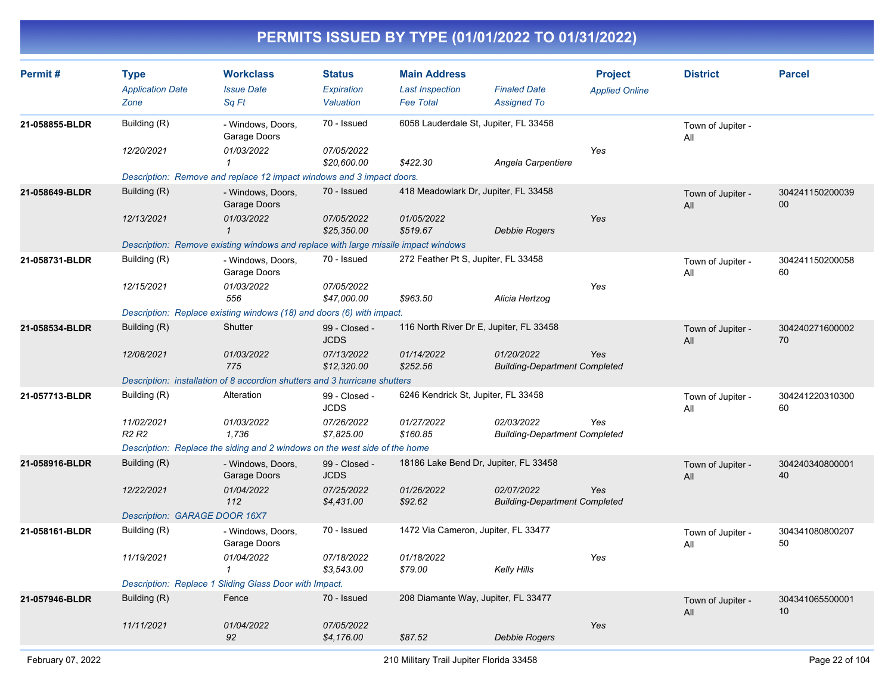| Permit#        | <b>Type</b><br><b>Application Date</b><br>Zone | <b>Workclass</b><br><b>Issue Date</b><br>Sq Ft                                     | <b>Status</b><br>Expiration<br>Valuation | <b>Main Address</b><br><b>Last Inspection</b><br><b>Fee Total</b> | <b>Finaled Date</b><br><b>Assigned To</b>          | <b>Project</b><br><b>Applied Online</b> | <b>District</b>          | <b>Parcel</b>             |
|----------------|------------------------------------------------|------------------------------------------------------------------------------------|------------------------------------------|-------------------------------------------------------------------|----------------------------------------------------|-----------------------------------------|--------------------------|---------------------------|
| 21-058855-BLDR | Building (R)<br>12/20/2021                     | - Windows, Doors,<br>Garage Doors<br>01/03/2022                                    | 70 - Issued<br>07/05/2022                |                                                                   | 6058 Lauderdale St, Jupiter, FL 33458              | Yes                                     | Town of Jupiter -<br>All |                           |
|                |                                                | 1<br>Description: Remove and replace 12 impact windows and 3 impact doors.         | \$20,600.00                              | \$422.30                                                          | Angela Carpentiere                                 |                                         |                          |                           |
| 21-058649-BLDR | Building (R)                                   | - Windows, Doors,<br>Garage Doors                                                  | 70 - Issued                              | 418 Meadowlark Dr, Jupiter, FL 33458                              |                                                    |                                         | Town of Jupiter -<br>All | 304241150200039<br>$00\,$ |
|                | 12/13/2021                                     | 01/03/2022<br>$\mathbf{1}$                                                         | 07/05/2022<br>\$25,350.00                | 01/05/2022<br>\$519.67                                            | Debbie Rogers                                      | Yes                                     |                          |                           |
|                |                                                | Description: Remove existing windows and replace with large missile impact windows |                                          |                                                                   |                                                    |                                         |                          |                           |
| 21-058731-BLDR | Building (R)                                   | - Windows, Doors,<br>Garage Doors                                                  | 70 - Issued                              | 272 Feather Pt S, Jupiter, FL 33458                               |                                                    |                                         | Town of Jupiter -<br>All | 304241150200058<br>60     |
|                | 12/15/2021                                     | 01/03/2022<br>556                                                                  | 07/05/2022<br>\$47,000.00                | \$963.50                                                          | Alicia Hertzog                                     | Yes                                     |                          |                           |
|                |                                                | Description: Replace existing windows (18) and doors (6) with impact.              |                                          |                                                                   |                                                    |                                         |                          |                           |
| 21-058534-BLDR | Building (R)                                   | Shutter                                                                            | 99 - Closed -<br><b>JCDS</b>             |                                                                   | 116 North River Dr E, Jupiter, FL 33458            |                                         | Town of Jupiter -<br>All | 304240271600002<br>70     |
|                | 12/08/2021                                     | 01/03/2022<br>775                                                                  | 07/13/2022<br>\$12,320.00                | 01/14/2022<br>\$252.56                                            | 01/20/2022<br><b>Building-Department Completed</b> | Yes                                     |                          |                           |
|                |                                                | Description: installation of 8 accordion shutters and 3 hurricane shutters         |                                          |                                                                   |                                                    |                                         |                          |                           |
| 21-057713-BLDR | Building (R)                                   | Alteration                                                                         | 99 - Closed -<br><b>JCDS</b>             | 6246 Kendrick St, Jupiter, FL 33458                               |                                                    |                                         | Town of Jupiter -<br>All | 304241220310300<br>60     |
|                | 11/02/2021<br><b>R2 R2</b>                     | 01/03/2022<br>1,736                                                                | 07/26/2022<br>\$7,825.00                 | 01/27/2022<br>\$160.85                                            | 02/03/2022<br><b>Building-Department Completed</b> | Yes                                     |                          |                           |
|                |                                                | Description: Replace the siding and 2 windows on the west side of the home         |                                          |                                                                   |                                                    |                                         |                          |                           |
| 21-058916-BLDR | Building (R)                                   | - Windows, Doors,<br>Garage Doors                                                  | 99 - Closed -<br><b>JCDS</b>             |                                                                   | 18186 Lake Bend Dr, Jupiter, FL 33458              |                                         | Town of Jupiter -<br>All | 304240340800001<br>40     |
|                | 12/22/2021                                     | 01/04/2022<br>112                                                                  | 07/25/2022<br>\$4,431.00                 | 01/26/2022<br>\$92.62                                             | 02/07/2022<br><b>Building-Department Completed</b> | Yes                                     |                          |                           |
|                | Description: GARAGE DOOR 16X7                  |                                                                                    |                                          |                                                                   |                                                    |                                         |                          |                           |
| 21-058161-BLDR | Building (R)                                   | - Windows, Doors,<br>Garage Doors                                                  | 70 - Issued                              | 1472 Via Cameron, Jupiter, FL 33477                               |                                                    |                                         | Town of Jupiter -<br>All | 304341080800207<br>50     |
|                | 11/19/2021                                     | 01/04/2022<br>-1                                                                   | 07/18/2022<br>\$3,543.00                 | 01/18/2022<br>\$79.00                                             | Kelly Hills                                        | Yes                                     |                          |                           |
|                |                                                | Description: Replace 1 Sliding Glass Door with Impact.                             |                                          |                                                                   |                                                    |                                         |                          |                           |
| 21-057946-BLDR | Building (R)                                   | Fence                                                                              | 70 - Issued                              | 208 Diamante Way, Jupiter, FL 33477                               |                                                    |                                         | Town of Jupiter -<br>All | 304341065500001<br>10     |
|                | 11/11/2021                                     | 01/04/2022<br>92                                                                   | 07/05/2022<br>\$4,176.00                 | \$87.52                                                           | Debbie Rogers                                      | Yes                                     |                          |                           |
|                |                                                |                                                                                    |                                          |                                                                   |                                                    |                                         |                          |                           |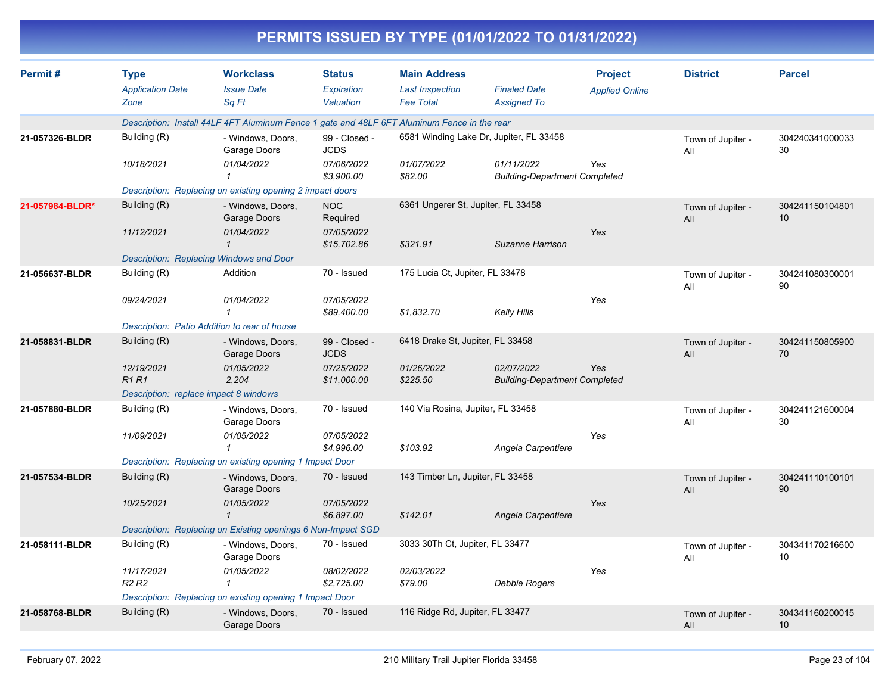|                 |                                                |                                                                                             |                                          |                                                                   | PERMITS ISSUED BY TYPE (01/01/2022 TO 01/31/2022)  |                                         |                          |                       |
|-----------------|------------------------------------------------|---------------------------------------------------------------------------------------------|------------------------------------------|-------------------------------------------------------------------|----------------------------------------------------|-----------------------------------------|--------------------------|-----------------------|
| Permit#         | <b>Type</b><br><b>Application Date</b><br>Zone | <b>Workclass</b><br><b>Issue Date</b><br>Sq Ft                                              | <b>Status</b><br>Expiration<br>Valuation | <b>Main Address</b><br><b>Last Inspection</b><br><b>Fee Total</b> | <b>Finaled Date</b><br><b>Assigned To</b>          | <b>Project</b><br><b>Applied Online</b> | <b>District</b>          | <b>Parcel</b>         |
|                 |                                                | Description: Install 44LF 4FT Aluminum Fence 1 gate and 48LF 6FT Aluminum Fence in the rear |                                          |                                                                   |                                                    |                                         |                          |                       |
| 21-057326-BLDR  | Building (R)                                   | - Windows, Doors,<br>Garage Doors                                                           | 99 - Closed -<br><b>JCDS</b>             |                                                                   | 6581 Winding Lake Dr, Jupiter, FL 33458            |                                         | Town of Jupiter -<br>All | 304240341000033<br>30 |
|                 | 10/18/2021                                     | 01/04/2022                                                                                  | 07/06/2022<br>\$3.900.00                 | 01/07/2022<br>\$82.00                                             | 01/11/2022<br><b>Building-Department Completed</b> | Yes                                     |                          |                       |
|                 |                                                | Description: Replacing on existing opening 2 impact doors                                   |                                          |                                                                   |                                                    |                                         |                          |                       |
| 21-057984-BLDR* | Building (R)                                   | - Windows, Doors,<br>Garage Doors                                                           | <b>NOC</b><br>Required                   | 6361 Ungerer St, Jupiter, FL 33458                                |                                                    |                                         | Town of Jupiter -<br>All | 304241150104801<br>10 |
|                 | 11/12/2021                                     | 01/04/2022<br>1<br>Description: Replacing Windows and Door                                  | 07/05/2022<br>\$15,702.86                | \$321.91                                                          | Suzanne Harrison                                   | Yes                                     |                          |                       |
| 21-056637-BLDR  | Building (R)                                   | Addition                                                                                    | 70 - Issued                              | 175 Lucia Ct, Jupiter, FL 33478                                   |                                                    |                                         | Town of Jupiter -        | 304241080300001       |
|                 |                                                |                                                                                             |                                          |                                                                   |                                                    |                                         | All                      | 90                    |
|                 | 09/24/2021                                     | 01/04/2022<br>1                                                                             | 07/05/2022<br>\$89,400.00                | \$1,832.70                                                        | <b>Kelly Hills</b>                                 | Yes                                     |                          |                       |
|                 |                                                | Description: Patio Addition to rear of house                                                |                                          |                                                                   |                                                    |                                         |                          |                       |
| 21-058831-BLDR  | Building (R)                                   | - Windows, Doors,<br>Garage Doors                                                           | 99 - Closed -<br><b>JCDS</b>             | 6418 Drake St, Jupiter, FL 33458                                  |                                                    |                                         | Town of Jupiter -<br>All | 304241150805900<br>70 |
|                 | 12/19/2021<br>R <sub>1</sub> R <sub>1</sub>    | 01/05/2022<br>2,204                                                                         | 07/25/2022<br>\$11,000.00                | 01/26/2022<br>\$225.50                                            | 02/07/2022<br><b>Building-Department Completed</b> | Yes                                     |                          |                       |
|                 | Description: replace impact 8 windows          |                                                                                             |                                          |                                                                   |                                                    |                                         |                          |                       |
| 21-057880-BLDR  | Building (R)                                   | - Windows, Doors,<br>Garage Doors                                                           | 70 - Issued                              | 140 Via Rosina, Jupiter, FL 33458                                 |                                                    |                                         | Town of Jupiter -<br>All | 304241121600004<br>30 |
|                 | 11/09/2021                                     | 01/05/2022<br>1                                                                             | 07/05/2022<br>\$4,996.00                 | \$103.92                                                          | Angela Carpentiere                                 | Yes                                     |                          |                       |
|                 |                                                | Description: Replacing on existing opening 1 Impact Door                                    |                                          |                                                                   |                                                    |                                         |                          |                       |
| 21-057534-BLDR  | Building (R)                                   | - Windows, Doors,<br>Garage Doors                                                           | 70 - Issued                              | 143 Timber Ln, Jupiter, FL 33458                                  |                                                    |                                         | Town of Jupiter -<br>All | 304241110100101<br>90 |
|                 | 10/25/2021                                     | 01/05/2022<br>1                                                                             | 07/05/2022<br>\$6,897.00                 | \$142.01                                                          | Angela Carpentiere                                 | Yes                                     |                          |                       |
|                 |                                                | Description: Replacing on Existing openings 6 Non-Impact SGD                                |                                          |                                                                   |                                                    |                                         |                          |                       |
| 21-058111-BLDR  | Building (R)                                   | - Windows, Doors,<br>Garage Doors                                                           | 70 - Issued                              | 3033 30Th Ct, Jupiter, FL 33477                                   |                                                    |                                         | Town of Jupiter -<br>All | 304341170216600<br>10 |
|                 | 11/17/2021<br>R <sub>2</sub> R <sub>2</sub>    | 01/05/2022<br>1                                                                             | 08/02/2022<br>\$2,725.00                 | 02/03/2022<br>\$79.00                                             | <b>Debbie Rogers</b>                               | Yes                                     |                          |                       |
|                 |                                                | Description: Replacing on existing opening 1 Impact Door                                    |                                          |                                                                   |                                                    |                                         |                          |                       |
| 21-058768-BLDR  | Building (R)                                   | - Windows, Doors,<br>Garage Doors                                                           | 70 - Issued                              | 116 Ridge Rd, Jupiter, FL 33477                                   |                                                    |                                         | Town of Jupiter -<br>All | 304341160200015<br>10 |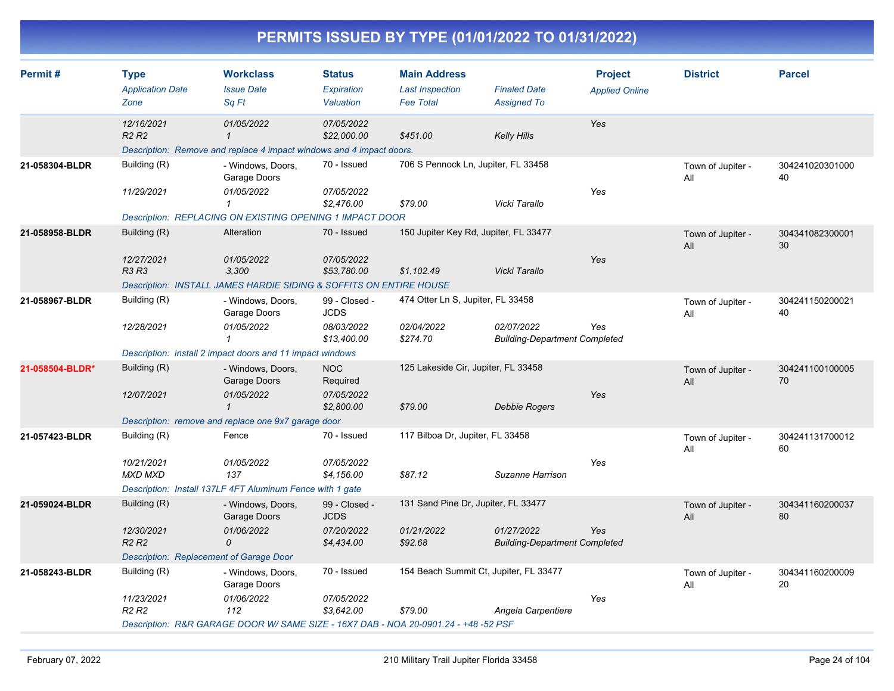| Permit#         | <b>Type</b><br><b>Application Date</b><br>Zone | <b>Workclass</b><br><b>Issue Date</b><br>Sq Ft                                                     | <b>Status</b><br>Expiration<br>Valuation | <b>Main Address</b><br><b>Last Inspection</b><br><b>Fee Total</b> | <b>Finaled Date</b><br><b>Assigned To</b>          | <b>Project</b><br><b>Applied Online</b> | <b>District</b>          | <b>Parcel</b>         |
|-----------------|------------------------------------------------|----------------------------------------------------------------------------------------------------|------------------------------------------|-------------------------------------------------------------------|----------------------------------------------------|-----------------------------------------|--------------------------|-----------------------|
|                 |                                                |                                                                                                    |                                          |                                                                   |                                                    |                                         |                          |                       |
|                 | 12/16/2021<br>R <sub>2</sub> R <sub>2</sub>    | 01/05/2022<br>$\mathbf{1}$<br>Description: Remove and replace 4 impact windows and 4 impact doors. | 07/05/2022<br>\$22,000.00                | \$451.00                                                          | <b>Kelly Hills</b>                                 | Yes                                     |                          |                       |
| 21-058304-BLDR  | Building (R)                                   |                                                                                                    | 70 - Issued                              | 706 S Pennock Ln, Jupiter, FL 33458                               |                                                    |                                         |                          |                       |
|                 |                                                | - Windows, Doors,<br>Garage Doors                                                                  |                                          |                                                                   |                                                    |                                         | Town of Jupiter -<br>All | 304241020301000<br>40 |
|                 | 11/29/2021                                     | 01/05/2022<br>1                                                                                    | 07/05/2022<br>\$2,476.00                 | \$79.00                                                           | Vicki Tarallo                                      | Yes                                     |                          |                       |
|                 |                                                | Description: REPLACING ON EXISTING OPENING 1 IMPACT DOOR                                           |                                          |                                                                   |                                                    |                                         |                          |                       |
| 21-058958-BLDR  | Building (R)                                   | Alteration                                                                                         | 70 - Issued                              | 150 Jupiter Key Rd, Jupiter, FL 33477                             |                                                    |                                         | Town of Jupiter -<br>All | 304341082300001<br>30 |
|                 | 12/27/2021<br><b>R3 R3</b>                     | 01/05/2022<br>3.300                                                                                | 07/05/2022<br>\$53,780.00                | \$1,102.49                                                        | Vicki Tarallo                                      | Yes                                     |                          |                       |
|                 |                                                | Description: INSTALL JAMES HARDIE SIDING & SOFFITS ON ENTIRE HOUSE                                 |                                          |                                                                   |                                                    |                                         |                          |                       |
| 21-058967-BLDR  | Building (R)                                   | - Windows, Doors,<br>Garage Doors                                                                  | 99 - Closed -<br><b>JCDS</b>             | 474 Otter Ln S, Jupiter, FL 33458                                 |                                                    |                                         | Town of Jupiter -<br>All | 304241150200021<br>40 |
|                 | 12/28/2021                                     | 01/05/2022<br>$\mathbf{1}$                                                                         | 08/03/2022<br>\$13,400.00                | 02/04/2022<br>\$274.70                                            | 02/07/2022<br><b>Building-Department Completed</b> | Yes                                     |                          |                       |
|                 |                                                | Description: install 2 impact doors and 11 impact windows                                          |                                          |                                                                   |                                                    |                                         |                          |                       |
| 21-058504-BLDR* | Building (R)                                   | - Windows, Doors,<br>Garage Doors                                                                  | <b>NOC</b><br>Required                   | 125 Lakeside Cir, Jupiter, FL 33458                               |                                                    |                                         | Town of Jupiter -<br>All | 304241100100005<br>70 |
|                 | 12/07/2021                                     | 01/05/2022<br>$\mathbf{1}$                                                                         | 07/05/2022<br>\$2,800.00                 | \$79.00                                                           | <b>Debbie Rogers</b>                               | Yes                                     |                          |                       |
|                 |                                                | Description: remove and replace one 9x7 garage door                                                |                                          |                                                                   |                                                    |                                         |                          |                       |
| 21-057423-BLDR  | Building (R)                                   | Fence                                                                                              | 70 - Issued                              | 117 Bilboa Dr, Jupiter, FL 33458                                  |                                                    |                                         | Town of Jupiter -<br>All | 304241131700012<br>60 |
|                 | 10/21/2021<br><b>MXD MXD</b>                   | 01/05/2022<br>137                                                                                  | 07/05/2022<br>\$4,156.00                 | \$87.12                                                           | Suzanne Harrison                                   | Yes                                     |                          |                       |
|                 |                                                | Description: Install 137LF 4FT Aluminum Fence with 1 gate                                          |                                          |                                                                   |                                                    |                                         |                          |                       |
| 21-059024-BLDR  | Building (R)                                   | - Windows, Doors,<br>Garage Doors                                                                  | 99 - Closed -<br><b>JCDS</b>             | 131 Sand Pine Dr, Jupiter, FL 33477                               |                                                    |                                         | Town of Jupiter -<br>All | 304341160200037<br>80 |
|                 | 12/30/2021<br>R <sub>2</sub> R <sub>2</sub>    | 01/06/2022<br>$\mathcal{O}$                                                                        | 07/20/2022<br>\$4,434.00                 | 01/21/2022<br>\$92.68                                             | 01/27/2022<br><b>Building-Department Completed</b> | Yes                                     |                          |                       |
|                 | <b>Description: Replacement of Garage Door</b> |                                                                                                    |                                          |                                                                   |                                                    |                                         |                          |                       |
| 21-058243-BLDR  | Building (R)                                   | - Windows, Doors,<br>Garage Doors                                                                  | 70 - Issued                              | 154 Beach Summit Ct, Jupiter, FL 33477                            |                                                    |                                         | Town of Jupiter -<br>All | 304341160200009<br>20 |
|                 | 11/23/2021<br>R <sub>2</sub> R <sub>2</sub>    | 01/06/2022<br>112                                                                                  | 07/05/2022<br>\$3,642.00                 | \$79.00                                                           | Angela Carpentiere                                 | Yes                                     |                          |                       |
|                 |                                                | Description: R&R GARAGE DOOR W/ SAME SIZE - 16X7 DAB - NOA 20-0901.24 - +48 -52 PSF                |                                          |                                                                   |                                                    |                                         |                          |                       |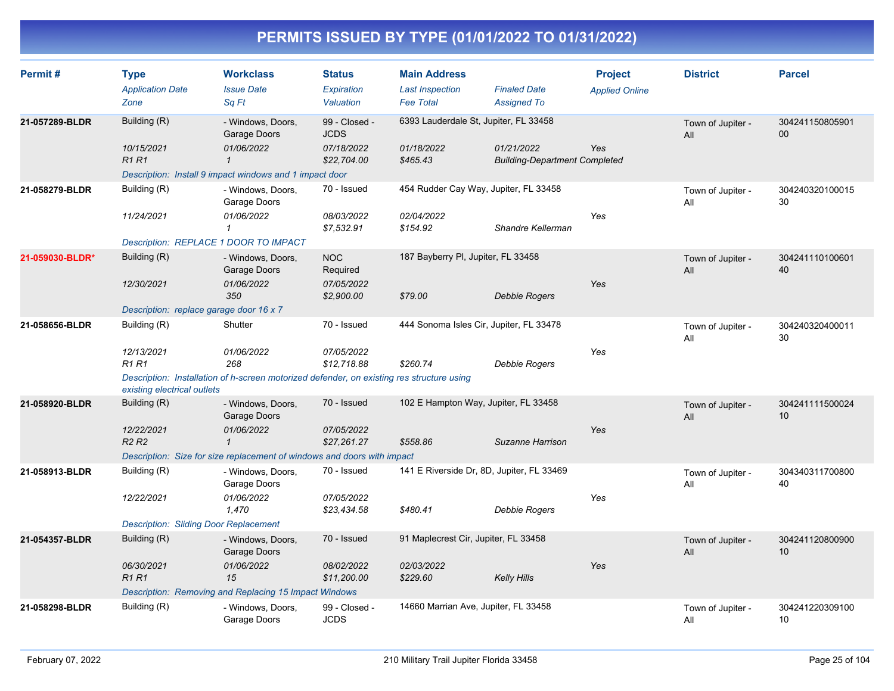| Permit#         | <b>Type</b><br><b>Application Date</b><br>Zone                             | <b>Workclass</b><br><b>Issue Date</b><br>Sq Ft                                                                                             | <b>Status</b><br>Expiration<br>Valuation                  | <b>Main Address</b><br><b>Last Inspection</b><br><b>Fee Total</b> | <b>Finaled Date</b><br><b>Assigned To</b>          | <b>Project</b><br><b>Applied Online</b> | <b>District</b>          | <b>Parcel</b>         |
|-----------------|----------------------------------------------------------------------------|--------------------------------------------------------------------------------------------------------------------------------------------|-----------------------------------------------------------|-------------------------------------------------------------------|----------------------------------------------------|-----------------------------------------|--------------------------|-----------------------|
| 21-057289-BLDR  | Building (R)<br>10/15/2021<br><b>R1R1</b>                                  | - Windows, Doors,<br>Garage Doors<br>01/06/2022<br>$\mathcal I$<br>Description: Install 9 impact windows and 1 impact door                 | 99 - Closed -<br><b>JCDS</b><br>07/18/2022<br>\$22,704.00 | 6393 Lauderdale St, Jupiter, FL 33458<br>01/18/2022<br>\$465.43   | 01/21/2022<br><b>Building-Department Completed</b> | Yes                                     | Town of Jupiter -<br>All | 304241150805901<br>00 |
| 21-058279-BLDR  | Building (R)<br>11/24/2021<br>Description: REPLACE 1 DOOR TO IMPACT        | - Windows, Doors,<br>Garage Doors<br>01/06/2022<br>$\mathcal I$                                                                            | 70 - Issued<br>08/03/2022<br>\$7,532.91                   | 454 Rudder Cay Way, Jupiter, FL 33458<br>02/04/2022<br>\$154.92   | Shandre Kellerman                                  | Yes                                     | Town of Jupiter -<br>All | 304240320100015<br>30 |
| 21-059030-BLDR* | Building (R)<br>12/30/2021<br>Description: replace garage door 16 x 7      | - Windows, Doors,<br>Garage Doors<br>01/06/2022<br>350                                                                                     | <b>NOC</b><br>Required<br>07/05/2022<br>\$2,900.00        | 187 Bayberry PI, Jupiter, FL 33458<br>\$79.00                     | <b>Debbie Rogers</b>                               | Yes                                     | Town of Jupiter -<br>All | 304241110100601<br>40 |
| 21-058656-BLDR  | Building (R)<br>12/13/2021<br><b>R1 R1</b><br>existing electrical outlets  | Shutter<br>01/06/2022<br>268<br>Description: Installation of h-screen motorized defender, on existing res structure using                  | 70 - Issued<br>07/05/2022<br>\$12,718.88                  | 444 Sonoma Isles Cir, Jupiter, FL 33478<br>\$260.74               | Debbie Rogers                                      | Yes                                     | Town of Jupiter -<br>All | 304240320400011<br>30 |
| 21-058920-BLDR  | Building (R)<br>12/22/2021<br>R <sub>2</sub> R <sub>2</sub>                | - Windows, Doors,<br>Garage Doors<br>01/06/2022<br>$\mathbf{1}$<br>Description: Size for size replacement of windows and doors with impact | 70 - Issued<br>07/05/2022<br>\$27,261.27                  | 102 E Hampton Way, Jupiter, FL 33458<br>\$558.86                  | Suzanne Harrison                                   | Yes                                     | Town of Jupiter -<br>All | 304241111500024<br>10 |
| 21-058913-BLDR  | Building (R)<br>12/22/2021<br><b>Description: Sliding Door Replacement</b> | - Windows, Doors,<br>Garage Doors<br>01/06/2022<br>1,470                                                                                   | 70 - Issued<br>07/05/2022<br>\$23,434.58                  | 141 E Riverside Dr, 8D, Jupiter, FL 33469<br>\$480.41             | <b>Debbie Rogers</b>                               | Yes                                     | Town of Jupiter -<br>All | 304340311700800<br>40 |
| 21-054357-BLDR  | Building (R)<br>06/30/2021<br>R <sub>1</sub> R <sub>1</sub>                | - Windows, Doors,<br>Garage Doors<br>01/06/2022<br>15<br>Description: Removing and Replacing 15 Impact Windows                             | 70 - Issued<br>08/02/2022<br>\$11,200.00                  | 91 Maplecrest Cir, Jupiter, FL 33458<br>02/03/2022<br>\$229.60    | <b>Kelly Hills</b>                                 | Yes                                     | Town of Jupiter -<br>All | 304241120800900<br>10 |
| 21-058298-BLDR  | Building (R)                                                               | - Windows, Doors,<br>Garage Doors                                                                                                          | 99 - Closed -<br><b>JCDS</b>                              | 14660 Marrian Ave, Jupiter, FL 33458                              |                                                    |                                         | Town of Jupiter -<br>All | 304241220309100<br>10 |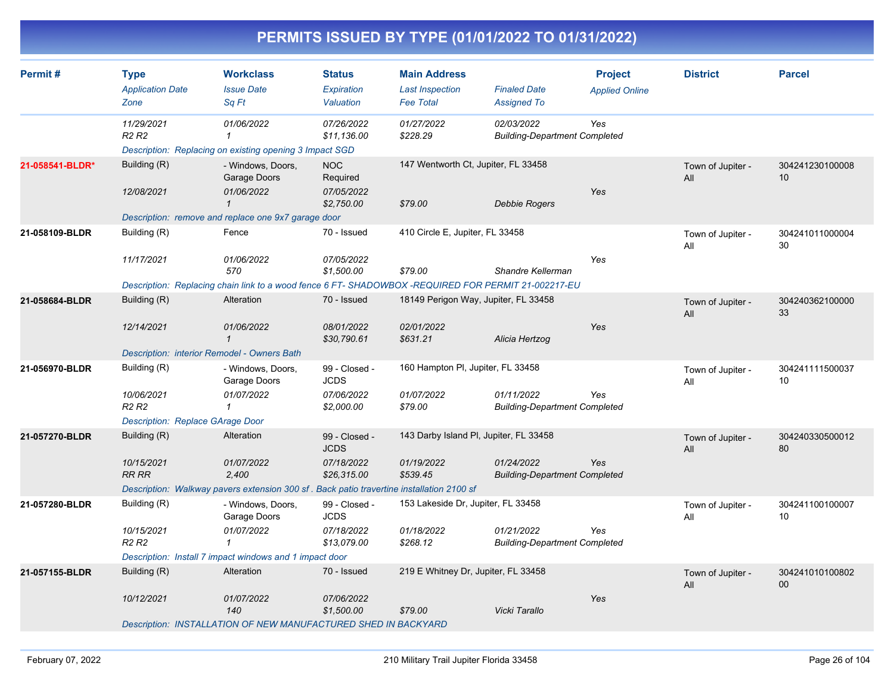| Permit#         | <b>Type</b><br><b>Application Date</b>             | <b>Workclass</b><br><b>Issue Date</b>                                                              | <b>Status</b><br>Expiration  | <b>Main Address</b><br><b>Last Inspection</b> | <b>Finaled Date</b>                                | <b>Project</b><br><b>Applied Online</b> | <b>District</b>          | <b>Parcel</b>         |
|-----------------|----------------------------------------------------|----------------------------------------------------------------------------------------------------|------------------------------|-----------------------------------------------|----------------------------------------------------|-----------------------------------------|--------------------------|-----------------------|
|                 | Zone                                               | Sq Ft                                                                                              | Valuation                    | <b>Fee Total</b>                              | <b>Assigned To</b>                                 |                                         |                          |                       |
|                 | 11/29/2021<br>R <sub>2</sub> R <sub>2</sub>        | 01/06/2022<br>$\mathbf{1}$                                                                         | 07/26/2022<br>\$11,136.00    | 01/27/2022<br>\$228.29                        | 02/03/2022<br><b>Building-Department Completed</b> | Yes                                     |                          |                       |
|                 |                                                    | Description: Replacing on existing opening 3 Impact SGD                                            |                              |                                               |                                                    |                                         |                          |                       |
| 21-058541-BLDR* | Building (R)                                       | - Windows, Doors,<br>Garage Doors                                                                  | <b>NOC</b><br>Required       | 147 Wentworth Ct, Jupiter, FL 33458           |                                                    |                                         | Town of Jupiter -<br>All | 304241230100008<br>10 |
|                 | 12/08/2021                                         | 01/06/2022<br>$\mathbf{1}$                                                                         | 07/05/2022<br>\$2,750.00     | \$79.00                                       | Debbie Rogers                                      | Yes                                     |                          |                       |
|                 |                                                    | Description: remove and replace one 9x7 garage door                                                |                              |                                               |                                                    |                                         |                          |                       |
| 21-058109-BLDR  | Building (R)                                       | Fence                                                                                              | 70 - Issued                  | 410 Circle E, Jupiter, FL 33458               |                                                    |                                         | Town of Jupiter -<br>All | 304241011000004<br>30 |
|                 | 11/17/2021                                         | 01/06/2022<br>570                                                                                  | 07/05/2022<br>\$1,500.00     | \$79.00                                       | Shandre Kellerman                                  | Yes                                     |                          |                       |
|                 |                                                    | Description: Replacing chain link to a wood fence 6 FT-SHADOWBOX -REQUIRED FOR PERMIT 21-002217-EU |                              |                                               |                                                    |                                         |                          |                       |
| 21-058684-BLDR  | Building (R)                                       | Alteration                                                                                         | 70 - Issued                  | 18149 Perigon Way, Jupiter, FL 33458          |                                                    |                                         | Town of Jupiter -<br>All | 304240362100000<br>33 |
|                 | 12/14/2021                                         | 01/06/2022<br>$\mathbf{1}$                                                                         | 08/01/2022<br>\$30,790.61    | 02/01/2022<br>\$631.21                        | Alicia Hertzog                                     | Yes                                     |                          |                       |
|                 | <b>Description: interior Remodel - Owners Bath</b> |                                                                                                    |                              |                                               |                                                    |                                         |                          |                       |
| 21-056970-BLDR  | Building (R)                                       | - Windows, Doors,<br>Garage Doors                                                                  | 99 - Closed -<br><b>JCDS</b> | 160 Hampton PI, Jupiter, FL 33458             |                                                    |                                         | Town of Jupiter -<br>All | 304241111500037<br>10 |
|                 | 10/06/2021<br>R <sub>2</sub> R <sub>2</sub>        | 01/07/2022                                                                                         | 07/06/2022<br>\$2,000.00     | 01/07/2022<br>\$79.00                         | 01/11/2022<br><b>Building-Department Completed</b> | Yes                                     |                          |                       |
|                 | Description: Replace GArage Door                   |                                                                                                    |                              |                                               |                                                    |                                         |                          |                       |
| 21-057270-BLDR  | Building (R)                                       | Alteration                                                                                         | 99 - Closed -<br><b>JCDS</b> | 143 Darby Island PI, Jupiter, FL 33458        |                                                    |                                         | Town of Jupiter -<br>All | 304240330500012<br>80 |
|                 | 10/15/2021<br>RR RR                                | 01/07/2022<br>2,400                                                                                | 07/18/2022<br>\$26,315.00    | 01/19/2022<br>\$539.45                        | 01/24/2022<br><b>Building-Department Completed</b> | Yes                                     |                          |                       |
|                 |                                                    | Description: Walkway pavers extension 300 sf. Back patio travertine installation 2100 sf           |                              |                                               |                                                    |                                         |                          |                       |
| 21-057280-BLDR  | Building (R)                                       | - Windows, Doors,<br>Garage Doors                                                                  | 99 - Closed -<br><b>JCDS</b> | 153 Lakeside Dr, Jupiter, FL 33458            |                                                    |                                         | Town of Jupiter -<br>All | 304241100100007<br>10 |
|                 | 10/15/2021<br>R <sub>2</sub> R <sub>2</sub>        | 01/07/2022<br>1                                                                                    | 07/18/2022<br>\$13,079.00    | 01/18/2022<br>\$268.12                        | 01/21/2022<br><b>Building-Department Completed</b> | Yes                                     |                          |                       |
|                 |                                                    | Description: Install 7 impact windows and 1 impact door                                            |                              |                                               |                                                    |                                         |                          |                       |
| 21-057155-BLDR  | Building (R)                                       | Alteration                                                                                         | 70 - Issued                  | 219 E Whitney Dr, Jupiter, FL 33458           |                                                    |                                         | Town of Jupiter -<br>All | 304241010100802<br>00 |
|                 | 10/12/2021                                         | 01/07/2022<br>140                                                                                  | 07/06/2022<br>\$1,500.00     | \$79.00                                       | Vicki Tarallo                                      | Yes                                     |                          |                       |
|                 |                                                    | Description: INSTALLATION OF NEW MANUFACTURED SHED IN BACKYARD                                     |                              |                                               |                                                    |                                         |                          |                       |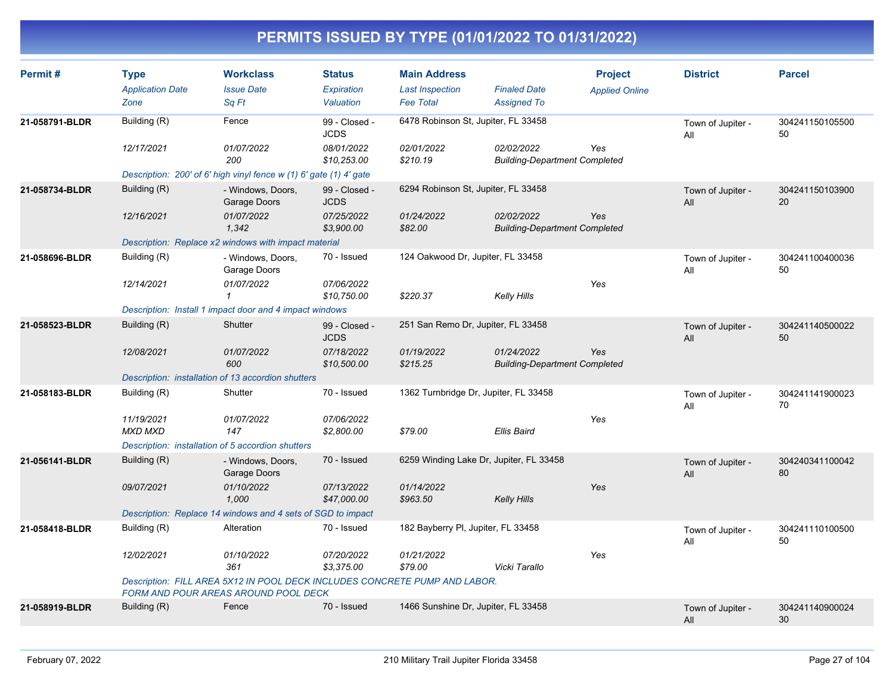| Permit#        | <b>Type</b><br><b>Application Date</b><br>Zone | <b>Workclass</b><br><b>Issue Date</b><br>Sq Ft                                                                     | <b>Status</b><br>Expiration<br>Valuation | <b>Main Address</b><br><b>Last Inspection</b><br><b>Fee Total</b> | <b>Finaled Date</b><br><b>Assigned To</b>          | <b>Project</b><br><b>Applied Online</b> | <b>District</b>          | <b>Parcel</b>         |
|----------------|------------------------------------------------|--------------------------------------------------------------------------------------------------------------------|------------------------------------------|-------------------------------------------------------------------|----------------------------------------------------|-----------------------------------------|--------------------------|-----------------------|
| 21-058791-BLDR | Building (R)                                   | Fence                                                                                                              | 99 - Closed -<br><b>JCDS</b>             | 6478 Robinson St, Jupiter, FL 33458                               |                                                    |                                         | Town of Jupiter -<br>All | 304241150105500<br>50 |
|                | 12/17/2021                                     | 01/07/2022<br>200                                                                                                  | 08/01/2022<br>\$10,253.00                | 02/01/2022<br>\$210.19                                            | 02/02/2022<br><b>Building-Department Completed</b> | Yes                                     |                          |                       |
|                |                                                | Description: 200' of 6' high vinyl fence w (1) 6' gate (1) 4' gate                                                 |                                          |                                                                   |                                                    |                                         |                          |                       |
| 21-058734-BLDR | Building (R)                                   | - Windows, Doors,<br>Garage Doors                                                                                  | 99 - Closed -<br><b>JCDS</b>             | 6294 Robinson St, Jupiter, FL 33458                               |                                                    |                                         | Town of Jupiter -<br>All | 304241150103900<br>20 |
|                | 12/16/2021                                     | 01/07/2022<br>1.342                                                                                                | 07/25/2022<br>\$3,900.00                 | 01/24/2022<br>\$82.00                                             | 02/02/2022<br><b>Building-Department Completed</b> | Yes                                     |                          |                       |
|                |                                                | Description: Replace x2 windows with impact material                                                               |                                          |                                                                   |                                                    |                                         |                          |                       |
| 21-058696-BLDR | Building (R)                                   | - Windows, Doors,<br>Garage Doors                                                                                  | 70 - Issued                              | 124 Oakwood Dr, Jupiter, FL 33458                                 |                                                    |                                         | Town of Jupiter -<br>All | 304241100400036<br>50 |
|                | 12/14/2021                                     | 01/07/2022<br>$\mathbf{1}$                                                                                         | 07/06/2022<br>\$10,750.00                | \$220.37                                                          | <b>Kelly Hills</b>                                 | Yes                                     |                          |                       |
|                |                                                | Description: Install 1 impact door and 4 impact windows                                                            |                                          |                                                                   |                                                    |                                         |                          |                       |
| 21-058523-BLDR | Building (R)                                   | Shutter                                                                                                            | 99 - Closed -<br><b>JCDS</b>             | 251 San Remo Dr, Jupiter, FL 33458                                |                                                    |                                         | Town of Jupiter -<br>All | 304241140500022<br>50 |
|                | 12/08/2021                                     | 01/07/2022<br>600                                                                                                  | 07/18/2022<br>\$10,500.00                | 01/19/2022<br>\$215.25                                            | 01/24/2022<br><b>Building-Department Completed</b> | Yes                                     |                          |                       |
|                |                                                | Description: installation of 13 accordion shutters                                                                 |                                          |                                                                   |                                                    |                                         |                          |                       |
| 21-058183-BLDR | Building (R)                                   | Shutter                                                                                                            | 70 - Issued                              | 1362 Turnbridge Dr, Jupiter, FL 33458                             |                                                    |                                         | Town of Jupiter -<br>All | 304241141900023<br>70 |
|                | 11/19/2021<br><b>MXD MXD</b>                   | 01/07/2022<br>147                                                                                                  | 07/06/2022<br>\$2,800.00                 | \$79.00                                                           | <b>Ellis Baird</b>                                 | Yes                                     |                          |                       |
|                |                                                | Description: installation of 5 accordion shutters                                                                  |                                          |                                                                   |                                                    |                                         |                          |                       |
| 21-056141-BLDR | Building (R)                                   | - Windows, Doors,<br>Garage Doors                                                                                  | 70 - Issued                              |                                                                   | 6259 Winding Lake Dr, Jupiter, FL 33458            |                                         | Town of Jupiter -<br>All | 304240341100042<br>80 |
|                | 09/07/2021                                     | 01/10/2022<br>1.000                                                                                                | 07/13/2022<br>\$47,000.00                | 01/14/2022<br>\$963.50                                            | <b>Kelly Hills</b>                                 | Yes                                     |                          |                       |
|                |                                                | Description: Replace 14 windows and 4 sets of SGD to impact                                                        |                                          |                                                                   |                                                    |                                         |                          |                       |
| 21-058418-BLDR | Building (R)                                   | Alteration                                                                                                         | 70 - Issued                              | 182 Bayberry PI, Jupiter, FL 33458                                |                                                    |                                         | Town of Jupiter -<br>All | 304241110100500<br>50 |
|                | 12/02/2021                                     | 01/10/2022<br>361                                                                                                  | 07/20/2022<br>\$3,375.00                 | 01/21/2022<br>\$79.00                                             | Vicki Tarallo                                      | Yes                                     |                          |                       |
|                |                                                | Description: FILL AREA 5X12 IN POOL DECK INCLUDES CONCRETE PUMP AND LABOR.<br>FORM AND POUR AREAS AROUND POOL DECK |                                          |                                                                   |                                                    |                                         |                          |                       |
| 21-058919-BLDR | Building (R)                                   | Fence                                                                                                              | 70 - Issued                              | 1466 Sunshine Dr, Jupiter, FL 33458                               |                                                    |                                         | Town of Jupiter -<br>All | 304241140900024<br>30 |
|                |                                                |                                                                                                                    |                                          |                                                                   |                                                    |                                         |                          |                       |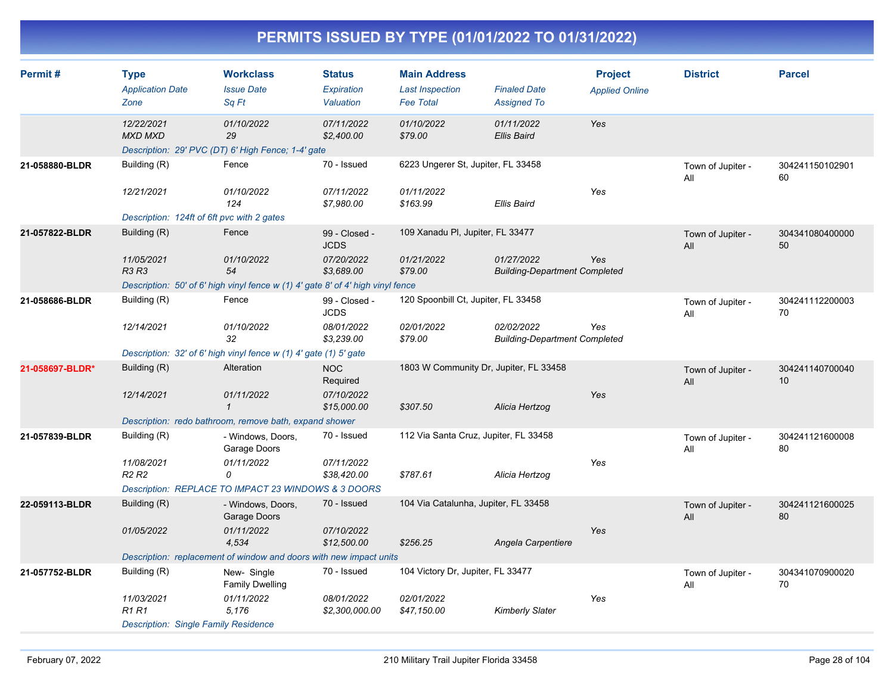| Permit#         | <b>Type</b><br><b>Application Date</b><br>Zone | <b>Workclass</b><br><b>Issue Date</b><br>Sq Ft                                  | <b>Status</b><br><b>Expiration</b><br>Valuation | <b>Main Address</b><br><b>Last Inspection</b><br><b>Fee Total</b> | <b>Finaled Date</b><br><b>Assigned To</b>          | <b>Project</b><br><b>Applied Online</b> | <b>District</b>          | <b>Parcel</b>         |
|-----------------|------------------------------------------------|---------------------------------------------------------------------------------|-------------------------------------------------|-------------------------------------------------------------------|----------------------------------------------------|-----------------------------------------|--------------------------|-----------------------|
|                 | 12/22/2021<br><b>MXD MXD</b>                   | 01/10/2022<br>29<br>Description: 29' PVC (DT) 6' High Fence; 1-4' gate          | 07/11/2022<br>\$2,400.00                        | 01/10/2022<br>\$79.00                                             | 01/11/2022<br><b>Ellis Baird</b>                   | Yes                                     |                          |                       |
| 21-058880-BLDR  | Building (R)                                   | Fence                                                                           | 70 - Issued                                     | 6223 Ungerer St, Jupiter, FL 33458                                |                                                    |                                         | Town of Jupiter -<br>All | 304241150102901<br>60 |
|                 | 12/21/2021                                     | 01/10/2022<br>124                                                               | 07/11/2022<br>\$7,980.00                        | 01/11/2022<br>\$163.99                                            | Ellis Baird                                        | Yes                                     |                          |                       |
|                 | Description: 124ft of 6ft pvc with 2 gates     |                                                                                 |                                                 |                                                                   |                                                    |                                         |                          |                       |
| 21-057822-BLDR  | Building (R)                                   | Fence                                                                           | 99 - Closed -<br><b>JCDS</b>                    | 109 Xanadu PI, Jupiter, FL 33477                                  |                                                    |                                         | Town of Jupiter -<br>All | 304341080400000<br>50 |
|                 | 11/05/2021<br><b>R3 R3</b>                     | 01/10/2022<br>54                                                                | 07/20/2022<br>\$3,689.00                        | 01/21/2022<br>\$79.00                                             | 01/27/2022<br><b>Building-Department Completed</b> | Yes                                     |                          |                       |
|                 |                                                | Description: 50' of 6' high vinyl fence w (1) 4' gate 8' of 4' high vinyl fence |                                                 |                                                                   |                                                    |                                         |                          |                       |
| 21-058686-BLDR  | Building (R)                                   | Fence                                                                           | 99 - Closed -<br><b>JCDS</b>                    | 120 Spoonbill Ct, Jupiter, FL 33458                               |                                                    |                                         | Town of Jupiter -<br>All | 304241112200003<br>70 |
|                 | 12/14/2021                                     | 01/10/2022<br>32                                                                | 08/01/2022<br>\$3,239.00                        | 02/01/2022<br>\$79.00                                             | 02/02/2022<br><b>Building-Department Completed</b> | Yes                                     |                          |                       |
|                 |                                                | Description: 32' of 6' high vinyl fence w (1) 4' gate (1) 5' gate               |                                                 |                                                                   |                                                    |                                         |                          |                       |
| 21-058697-BLDR* | Building (R)                                   | Alteration                                                                      | <b>NOC</b><br>Required                          | 1803 W Community Dr, Jupiter, FL 33458                            |                                                    |                                         | Town of Jupiter -<br>All | 304241140700040<br>10 |
|                 | 12/14/2021                                     | 01/11/2022<br>$\mathbf{1}$                                                      | 07/10/2022<br>\$15,000.00                       | \$307.50                                                          | Alicia Hertzog                                     | Yes                                     |                          |                       |
|                 |                                                | Description: redo bathroom, remove bath, expand shower                          |                                                 |                                                                   |                                                    |                                         |                          |                       |
| 21-057839-BLDR  | Building (R)                                   | - Windows, Doors,<br>Garage Doors                                               | 70 - Issued                                     | 112 Via Santa Cruz, Jupiter, FL 33458                             |                                                    |                                         | Town of Jupiter -<br>All | 304241121600008<br>80 |
|                 | 11/08/2021<br>R <sub>2</sub> R <sub>2</sub>    | 01/11/2022<br>0                                                                 | 07/11/2022<br>\$38,420.00                       | \$787.61                                                          | Alicia Hertzog                                     | Yes                                     |                          |                       |
|                 |                                                | Description: REPLACE TO IMPACT 23 WINDOWS & 3 DOORS                             |                                                 |                                                                   |                                                    |                                         |                          |                       |
| 22-059113-BLDR  | Building (R)                                   | - Windows, Doors,<br>Garage Doors                                               | 70 - Issued                                     | 104 Via Catalunha, Jupiter, FL 33458                              |                                                    |                                         | Town of Jupiter -<br>All | 304241121600025<br>80 |
|                 | 01/05/2022                                     | 01/11/2022<br>4,534                                                             | 07/10/2022<br>\$12,500.00                       | \$256.25                                                          | Angela Carpentiere                                 | Yes                                     |                          |                       |
|                 |                                                | Description: replacement of window and doors with new impact units              |                                                 |                                                                   |                                                    |                                         |                          |                       |
| 21-057752-BLDR  | Building (R)                                   | New-Single<br><b>Family Dwelling</b>                                            | 70 - Issued                                     | 104 Victory Dr, Jupiter, FL 33477                                 |                                                    |                                         | Town of Jupiter -<br>All | 304341070900020<br>70 |
|                 | 11/03/2021<br><b>R1 R1</b>                     | 01/11/2022<br>5,176                                                             | 08/01/2022<br>\$2,300,000.00                    | 02/01/2022<br>\$47,150.00                                         | <b>Kimberly Slater</b>                             | Yes                                     |                          |                       |
|                 | <b>Description: Single Family Residence</b>    |                                                                                 |                                                 |                                                                   |                                                    |                                         |                          |                       |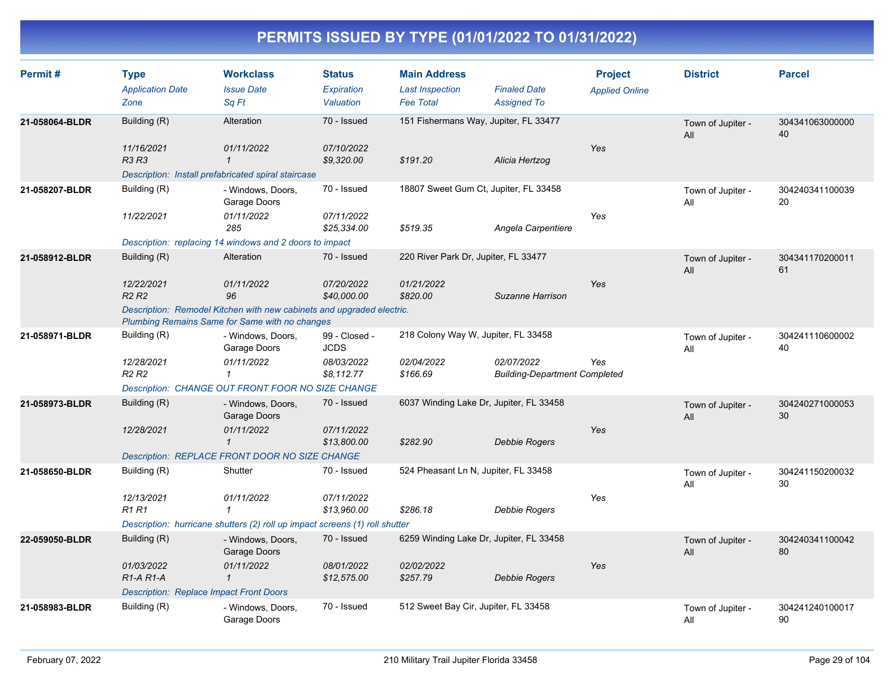| Permit#        | <b>Type</b><br><b>Application Date</b><br>Zone                                                                          | <b>Workclass</b><br><b>Issue Date</b><br>Sq Ft                                    | <b>Status</b><br>Expiration<br>Valuation | <b>Main Address</b><br><b>Last Inspection</b><br><b>Fee Total</b> | <b>Finaled Date</b><br><b>Assigned To</b>          | <b>Project</b><br><b>Applied Online</b> | <b>District</b>          | <b>Parcel</b>         |
|----------------|-------------------------------------------------------------------------------------------------------------------------|-----------------------------------------------------------------------------------|------------------------------------------|-------------------------------------------------------------------|----------------------------------------------------|-----------------------------------------|--------------------------|-----------------------|
| 21-058064-BLDR | Building (R)                                                                                                            | Alteration                                                                        | 70 - Issued                              | 151 Fishermans Way, Jupiter, FL 33477                             |                                                    |                                         | Town of Jupiter -<br>All | 304341063000000<br>40 |
|                | 11/16/2021<br><b>R3 R3</b>                                                                                              | 01/11/2022<br>$\mathbf{1}$<br>Description: Install prefabricated spiral staircase | 07/10/2022<br>\$9,320.00                 | \$191.20                                                          | Alicia Hertzog                                     | Yes                                     |                          |                       |
| 21-058207-BLDR | Building (R)                                                                                                            | - Windows, Doors,<br>Garage Doors                                                 | 70 - Issued                              | 18807 Sweet Gum Ct, Jupiter, FL 33458                             |                                                    |                                         | Town of Jupiter -<br>All | 304240341100039<br>20 |
|                | 11/22/2021                                                                                                              | 01/11/2022<br>285                                                                 | 07/11/2022<br>\$25,334.00                | \$519.35                                                          | Angela Carpentiere                                 | Yes                                     |                          |                       |
|                |                                                                                                                         | Description: replacing 14 windows and 2 doors to impact                           |                                          |                                                                   |                                                    |                                         |                          |                       |
| 21-058912-BLDR | Building (R)                                                                                                            | Alteration                                                                        | 70 - Issued                              | 220 River Park Dr, Jupiter, FL 33477                              |                                                    |                                         | Town of Jupiter -<br>All | 304341170200011<br>61 |
|                | 12/22/2021<br><b>R2 R2</b>                                                                                              | 01/11/2022<br>96                                                                  | 07/20/2022<br>\$40,000.00                | 01/21/2022<br>\$820.00                                            | Suzanne Harrison                                   | Yes                                     |                          |                       |
|                | Description: Remodel Kitchen with new cabinets and upgraded electric.<br>Plumbing Remains Same for Same with no changes |                                                                                   |                                          |                                                                   |                                                    |                                         |                          |                       |
| 21-058971-BLDR | Building (R)                                                                                                            | - Windows, Doors,<br>Garage Doors                                                 | 99 - Closed -<br><b>JCDS</b>             | 218 Colony Way W, Jupiter, FL 33458                               |                                                    |                                         | Town of Jupiter -<br>All | 304241110600002<br>40 |
|                | 12/28/2021<br>R <sub>2</sub> R <sub>2</sub>                                                                             | 01/11/2022<br>$\mathbf{1}$                                                        | 08/03/2022<br>\$8,112.77                 | 02/04/2022<br>\$166.69                                            | 02/07/2022<br><b>Building-Department Completed</b> | Yes                                     |                          |                       |
|                |                                                                                                                         | Description: CHANGE OUT FRONT FOOR NO SIZE CHANGE                                 |                                          |                                                                   |                                                    |                                         |                          |                       |
| 21-058973-BLDR | Building (R)                                                                                                            | - Windows, Doors,<br>Garage Doors                                                 | 70 - Issued                              | 6037 Winding Lake Dr, Jupiter, FL 33458                           |                                                    |                                         | Town of Jupiter -<br>All | 304240271000053<br>30 |
|                | 12/28/2021                                                                                                              | 01/11/2022<br>$\mathcal I$                                                        | 07/11/2022<br>\$13,800.00                | \$282.90                                                          | <b>Debbie Rogers</b>                               | Yes                                     |                          |                       |
|                |                                                                                                                         | Description: REPLACE FRONT DOOR NO SIZE CHANGE                                    |                                          |                                                                   |                                                    |                                         |                          |                       |
| 21-058650-BLDR | Building (R)                                                                                                            | Shutter                                                                           | 70 - Issued                              | 524 Pheasant Ln N, Jupiter, FL 33458                              |                                                    |                                         | Town of Jupiter -<br>All | 304241150200032<br>30 |
|                | 12/13/2021<br><b>R1R1</b>                                                                                               | 01/11/2022<br>$\mathbf{1}$                                                        | 07/11/2022<br>\$13,960.00                | \$286.18                                                          | Debbie Rogers                                      | Yes                                     |                          |                       |
|                |                                                                                                                         | Description: hurricane shutters (2) roll up impact screens (1) roll shutter       |                                          |                                                                   |                                                    |                                         |                          |                       |
| 22-059050-BLDR | Building (R)                                                                                                            | - Windows, Doors,<br>Garage Doors                                                 | 70 - Issued                              | 6259 Winding Lake Dr, Jupiter, FL 33458                           |                                                    |                                         | Town of Jupiter -<br>All | 304240341100042<br>80 |
|                | 01/03/2022<br>$R1-A R1-A$                                                                                               | 01/11/2022<br>$\overline{1}$                                                      | 08/01/2022<br>\$12,575.00                | 02/02/2022<br>\$257.79                                            | <b>Debbie Rogers</b>                               | Yes                                     |                          |                       |
|                | <b>Description: Replace Impact Front Doors</b>                                                                          |                                                                                   |                                          |                                                                   |                                                    |                                         |                          |                       |
| 21-058983-BLDR | Building (R)                                                                                                            | - Windows, Doors,<br>Garage Doors                                                 | 70 - Issued                              | 512 Sweet Bay Cir, Jupiter, FL 33458                              |                                                    |                                         | Town of Jupiter -<br>All | 304241240100017<br>90 |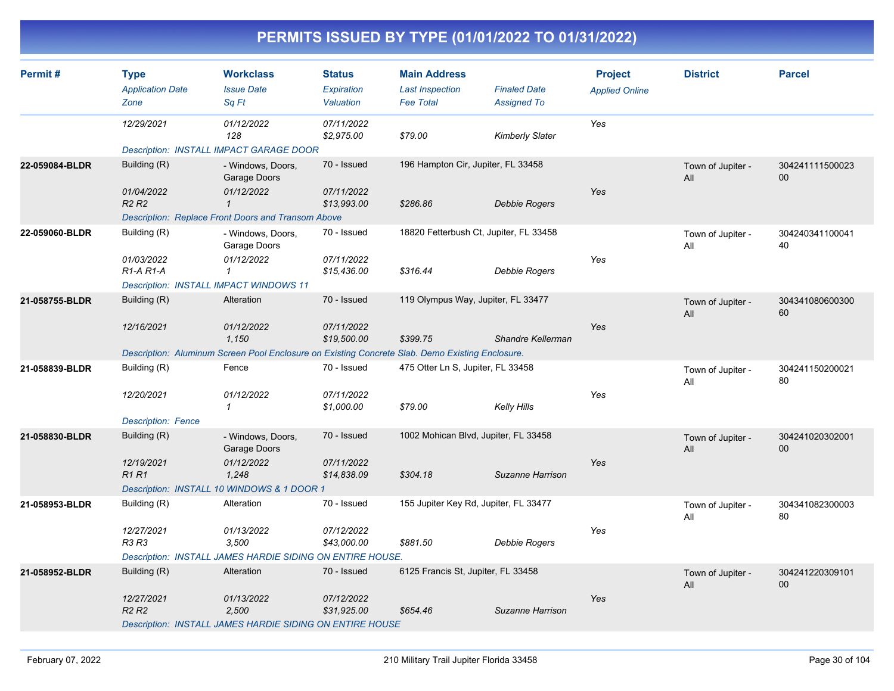| Permit#        | <b>Type</b><br><b>Application Date</b><br>Zone   | <b>Workclass</b><br><b>Issue Date</b><br>Sq Ft                                                  | <b>Status</b><br>Expiration<br>Valuation | <b>Main Address</b><br><b>Last Inspection</b><br><b>Fee Total</b> | <b>Finaled Date</b><br><b>Assigned To</b> | <b>Project</b><br><b>Applied Online</b> | <b>District</b>          | <b>Parcel</b>         |
|----------------|--------------------------------------------------|-------------------------------------------------------------------------------------------------|------------------------------------------|-------------------------------------------------------------------|-------------------------------------------|-----------------------------------------|--------------------------|-----------------------|
|                | 12/29/2021                                       | 01/12/2022<br>128                                                                               | 07/11/2022<br>\$2,975.00                 | \$79.00                                                           | Kimberly Slater                           | Yes                                     |                          |                       |
|                |                                                  | <b>Description: INSTALL IMPACT GARAGE DOOR</b>                                                  |                                          |                                                                   |                                           |                                         |                          |                       |
| 22-059084-BLDR | Building (R)                                     | - Windows, Doors,<br>Garage Doors                                                               | 70 - Issued                              | 196 Hampton Cir, Jupiter, FL 33458                                |                                           |                                         | Town of Jupiter -<br>All | 304241111500023<br>00 |
|                | 01/04/2022<br>R <sub>2</sub> R <sub>2</sub>      | 01/12/2022<br>$\mathbf{1}$                                                                      | 07/11/2022<br>\$13,993.00                | \$286.86                                                          | Debbie Rogers                             | Yes                                     |                          |                       |
|                |                                                  | <b>Description: Replace Front Doors and Transom Above</b>                                       |                                          |                                                                   |                                           |                                         |                          |                       |
| 22-059060-BLDR | Building (R)                                     | - Windows, Doors,<br>Garage Doors                                                               | 70 - Issued                              | 18820 Fetterbush Ct, Jupiter, FL 33458                            |                                           |                                         | Town of Jupiter -<br>All | 304240341100041<br>40 |
|                | 01/03/2022<br>R <sub>1</sub> -A <sub>R1</sub> -A | 01/12/2022<br>$\mathbf{1}$                                                                      | 07/11/2022<br>\$15,436.00                | \$316.44                                                          | Debbie Rogers                             | Yes                                     |                          |                       |
|                | <b>Description: INSTALL IMPACT WINDOWS 11</b>    |                                                                                                 |                                          |                                                                   |                                           |                                         |                          |                       |
| 21-058755-BLDR | Building (R)                                     | Alteration                                                                                      | 70 - Issued                              | 119 Olympus Way, Jupiter, FL 33477                                |                                           |                                         | Town of Jupiter -<br>All | 304341080600300<br>60 |
|                | 12/16/2021                                       | 01/12/2022<br>1,150                                                                             | 07/11/2022<br>\$19,500.00                | \$399.75                                                          | Shandre Kellerman                         | Yes                                     |                          |                       |
|                |                                                  | Description: Aluminum Screen Pool Enclosure on Existing Concrete Slab. Demo Existing Enclosure. |                                          |                                                                   |                                           |                                         |                          |                       |
| 21-058839-BLDR | Building (R)                                     | Fence                                                                                           | 70 - Issued                              | 475 Otter Ln S, Jupiter, FL 33458                                 |                                           |                                         | Town of Jupiter -<br>All | 304241150200021<br>80 |
|                | 12/20/2021                                       | 01/12/2022<br>$\mathbf{1}$                                                                      | 07/11/2022<br>\$1,000.00                 | \$79.00                                                           | <b>Kelly Hills</b>                        | Yes                                     |                          |                       |
|                | <b>Description: Fence</b>                        |                                                                                                 |                                          |                                                                   |                                           |                                         |                          |                       |
| 21-058830-BLDR | Building (R)                                     | - Windows, Doors,<br>Garage Doors                                                               | 70 - Issued                              | 1002 Mohican Blvd, Jupiter, FL 33458                              |                                           |                                         | Town of Jupiter -<br>All | 304241020302001<br>00 |
|                | 12/19/2021<br><b>R1R1</b>                        | 01/12/2022<br>1,248                                                                             | 07/11/2022<br>\$14,838.09                | \$304.18                                                          | Suzanne Harrison                          | Yes                                     |                          |                       |
|                |                                                  | Description: INSTALL 10 WINDOWS & 1 DOOR 1                                                      |                                          |                                                                   |                                           |                                         |                          |                       |
| 21-058953-BLDR | Building (R)                                     | Alteration                                                                                      | 70 - Issued                              | 155 Jupiter Key Rd, Jupiter, FL 33477                             |                                           |                                         | Town of Jupiter -<br>All | 304341082300003<br>80 |
|                | 12/27/2021<br>R3 R3                              | 01/13/2022<br>3,500                                                                             | 07/12/2022<br>\$43,000.00                | \$881.50                                                          | Debbie Rogers                             | Yes                                     |                          |                       |
|                |                                                  | Description: INSTALL JAMES HARDIE SIDING ON ENTIRE HOUSE.                                       |                                          |                                                                   |                                           |                                         |                          |                       |
| 21-058952-BLDR | Building (R)                                     | Alteration                                                                                      | 70 - Issued                              | 6125 Francis St, Jupiter, FL 33458                                |                                           |                                         | Town of Jupiter -<br>All | 304241220309101<br>00 |
|                | 12/27/2021<br>R <sub>2</sub> R <sub>2</sub>      | 01/13/2022<br>2,500                                                                             | 07/12/2022<br>\$31,925.00                | \$654.46                                                          | Suzanne Harrison                          | Yes                                     |                          |                       |
|                |                                                  | <b>Description: INSTALL JAMES HARDIE SIDING ON ENTIRE HOUSE</b>                                 |                                          |                                                                   |                                           |                                         |                          |                       |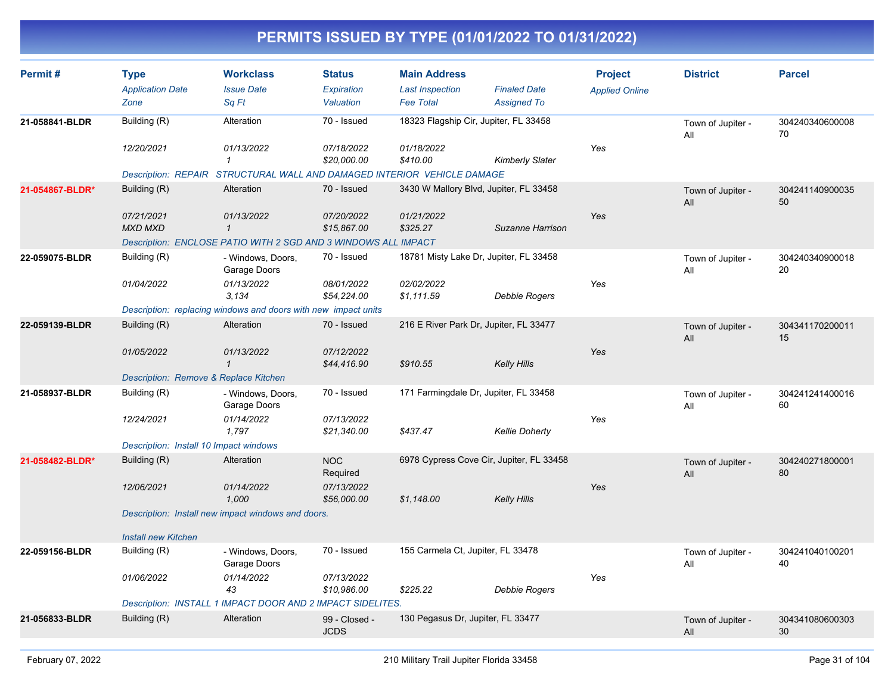| Permit#         | <b>Type</b>                                                | <b>Workclass</b>                                                        | <b>Status</b>                | <b>Main Address</b>                        |                                           | <b>Project</b>        | <b>District</b>          | <b>Parcel</b>         |
|-----------------|------------------------------------------------------------|-------------------------------------------------------------------------|------------------------------|--------------------------------------------|-------------------------------------------|-----------------------|--------------------------|-----------------------|
|                 | <b>Application Date</b><br>Zone                            | <b>Issue Date</b><br>Sq Ft                                              | Expiration<br>Valuation      | <b>Last Inspection</b><br><b>Fee Total</b> | <b>Finaled Date</b><br><b>Assigned To</b> | <b>Applied Online</b> |                          |                       |
| 21-058841-BLDR  | Building (R)                                               | Alteration                                                              | 70 - Issued                  |                                            | 18323 Flagship Cir, Jupiter, FL 33458     |                       | Town of Jupiter -<br>All | 304240340600008<br>70 |
|                 | 12/20/2021                                                 | 01/13/2022<br>$\mathbf{1}$                                              | 07/18/2022<br>\$20,000.00    | 01/18/2022<br>\$410.00                     | <b>Kimberly Slater</b>                    | Yes                   |                          |                       |
|                 |                                                            | Description: REPAIR STRUCTURAL WALL AND DAMAGED INTERIOR VEHICLE DAMAGE |                              |                                            |                                           |                       |                          |                       |
| 21-054867-BLDR* | Building (R)                                               | Alteration                                                              | 70 - Issued                  |                                            | 3430 W Mallory Blvd, Jupiter, FL 33458    |                       | Town of Jupiter -<br>All | 304241140900035<br>50 |
|                 | 07/21/2021<br><b>MXD MXD</b>                               | 01/13/2022<br>$\mathbf{1}$                                              | 07/20/2022<br>\$15,867.00    | 01/21/2022<br>\$325.27                     | Suzanne Harrison                          | Yes                   |                          |                       |
|                 |                                                            | Description: ENCLOSE PATIO WITH 2 SGD AND 3 WINDOWS ALL IMPACT          |                              |                                            |                                           |                       |                          |                       |
| 22-059075-BLDR  | Building (R)                                               | - Windows, Doors,<br>Garage Doors                                       | 70 - Issued                  |                                            | 18781 Misty Lake Dr, Jupiter, FL 33458    |                       | Town of Jupiter -<br>All | 304240340900018<br>20 |
|                 | 01/04/2022                                                 | 01/13/2022<br>3.134                                                     | 08/01/2022<br>\$54,224.00    | 02/02/2022<br>\$1,111.59                   | Debbie Rogers                             | Yes                   |                          |                       |
|                 |                                                            | Description: replacing windows and doors with new impact units          |                              |                                            |                                           |                       |                          |                       |
| 22-059139-BLDR  | Building (R)                                               | Alteration                                                              | 70 - Issued                  |                                            | 216 E River Park Dr, Jupiter, FL 33477    |                       | Town of Jupiter -<br>All | 304341170200011<br>15 |
|                 | 01/05/2022                                                 | 01/13/2022<br>$\mathbf{1}$                                              | 07/12/2022<br>\$44,416.90    | \$910.55                                   | <b>Kelly Hills</b>                        | Yes                   |                          |                       |
|                 | Description: Remove & Replace Kitchen                      |                                                                         |                              |                                            |                                           |                       |                          |                       |
| 21-058937-BLDR  | Building (R)                                               | - Windows, Doors,<br>Garage Doors                                       | 70 - Issued                  |                                            | 171 Farmingdale Dr, Jupiter, FL 33458     |                       | Town of Jupiter -<br>All | 304241241400016<br>60 |
|                 | 12/24/2021                                                 | 01/14/2022<br>1,797                                                     | 07/13/2022<br>\$21,340.00    | \$437.47                                   | <b>Kellie Doherty</b>                     | Yes                   |                          |                       |
|                 | Description: Install 10 Impact windows                     |                                                                         |                              |                                            |                                           |                       |                          |                       |
| 21-058482-BLDR* | Building (R)                                               | Alteration                                                              | <b>NOC</b><br>Required       |                                            | 6978 Cypress Cove Cir, Jupiter, FL 33458  |                       | Town of Jupiter -<br>All | 304240271800001<br>80 |
|                 | 12/06/2021                                                 | 01/14/2022<br>1,000                                                     | 07/13/2022<br>\$56,000.00    | \$1,148.00                                 | <b>Kelly Hills</b>                        | Yes                   |                          |                       |
|                 |                                                            | Description: Install new impact windows and doors.                      |                              |                                            |                                           |                       |                          |                       |
|                 | <b>Install new Kitchen</b>                                 |                                                                         |                              |                                            |                                           |                       |                          |                       |
| 22-059156-BLDR  | Building (R)                                               | - Windows, Doors,<br>Garage Doors                                       | 70 - Issued                  | 155 Carmela Ct, Jupiter, FL 33478          |                                           |                       | Town of Jupiter -<br>All | 304241040100201<br>40 |
|                 | 01/06/2022                                                 | 01/14/2022<br>43                                                        | 07/13/2022<br>\$10,986.00    | \$225.22                                   | Debbie Rogers                             | Yes                   |                          |                       |
|                 | Description: INSTALL 1 IMPACT DOOR AND 2 IMPACT SIDELITES. |                                                                         |                              |                                            |                                           |                       |                          |                       |
| 21-056833-BLDR  | Building (R)                                               | Alteration                                                              | 99 - Closed -<br><b>JCDS</b> | 130 Pegasus Dr, Jupiter, FL 33477          |                                           |                       | Town of Jupiter -<br>All | 304341080600303<br>30 |
|                 |                                                            |                                                                         |                              |                                            |                                           |                       |                          |                       |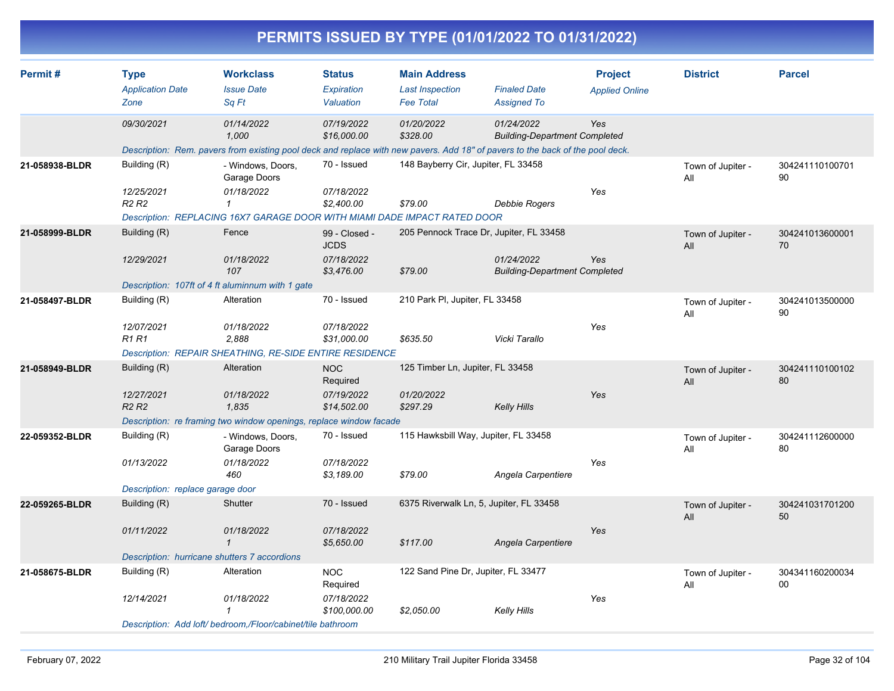|                |                                                                |                                                                                                                                                      |                                                          | PERMITS ISSUED BY TYPE (01/01/2022 TO 01/31/2022)                 |                                                    |                                         |                          |                       |
|----------------|----------------------------------------------------------------|------------------------------------------------------------------------------------------------------------------------------------------------------|----------------------------------------------------------|-------------------------------------------------------------------|----------------------------------------------------|-----------------------------------------|--------------------------|-----------------------|
| Permit#        | <b>Type</b><br><b>Application Date</b><br>Zone                 | <b>Workclass</b><br><b>Issue Date</b><br>Sq Ft                                                                                                       | <b>Status</b><br>Expiration<br>Valuation                 | <b>Main Address</b><br><b>Last Inspection</b><br><b>Fee Total</b> | <b>Finaled Date</b><br><b>Assigned To</b>          | <b>Project</b><br><b>Applied Online</b> | <b>District</b>          | <b>Parcel</b>         |
|                | 09/30/2021                                                     | 01/14/2022<br>1,000<br>Description: Rem. pavers from existing pool deck and replace with new pavers. Add 18" of pavers to the back of the pool deck. | 07/19/2022<br>\$16,000.00                                | 01/20/2022<br>\$328.00                                            | 01/24/2022<br><b>Building-Department Completed</b> | Yes                                     |                          |                       |
| 21-058938-BLDR | Building (R)<br>12/25/2021<br>R <sub>2</sub> R <sub>2</sub>    | - Windows, Doors,<br>Garage Doors<br>01/18/2022<br>Description: REPLACING 16X7 GARAGE DOOR WITH MIAMI DADE IMPACT RATED DOOR                         | 70 - Issued<br>07/18/2022<br>\$2,400.00                  | 148 Bayberry Cir, Jupiter, FL 33458<br>\$79.00                    | <b>Debbie Rogers</b>                               | Yes                                     | Town of Jupiter -<br>All | 304241110100701<br>90 |
| 21-058999-BLDR | Building (R)<br>12/29/2021                                     | Fence<br>01/18/2022<br>107<br>Description: 107ft of 4 ft aluminnum with 1 gate                                                                       | 99 - Closed -<br><b>JCDS</b><br>07/18/2022<br>\$3,476.00 | 205 Pennock Trace Dr, Jupiter, FL 33458<br>\$79.00                | 01/24/2022<br><b>Building-Department Completed</b> | Yes                                     | Town of Jupiter -<br>All | 304241013600001<br>70 |
| 21-058497-BLDR | Building (R)<br>12/07/2021<br><b>R1 R1</b>                     | Alteration<br>01/18/2022<br>2,888<br>Description: REPAIR SHEATHING, RE-SIDE ENTIRE RESIDENCE                                                         | 70 - Issued<br>07/18/2022<br>\$31,000.00                 | 210 Park PI, Jupiter, FL 33458<br>\$635.50                        | Vicki Tarallo                                      | Yes                                     | Town of Jupiter -<br>All | 304241013500000<br>90 |
| 21-058949-BLDR | Building (R)<br>12/27/2021<br><b>R2 R2</b>                     | Alteration<br>01/18/2022<br>1,835<br>Description: re framing two window openings, replace window facade                                              | <b>NOC</b><br>Required<br>07/19/2022<br>\$14,502.00      | 125 Timber Ln, Jupiter, FL 33458<br>01/20/2022<br>\$297.29        | <b>Kelly Hills</b>                                 | Yes                                     | Town of Jupiter -<br>All | 304241110100102<br>80 |
| 22-059352-BLDR | Building (R)<br>01/13/2022<br>Description: replace garage door | - Windows, Doors,<br>Garage Doors<br>01/18/2022<br>460                                                                                               | 70 - Issued<br>07/18/2022<br>\$3,189.00                  | 115 Hawksbill Way, Jupiter, FL 33458<br>\$79.00                   | Angela Carpentiere                                 | Yes                                     | Town of Jupiter -<br>All | 304241112600000<br>80 |
| 22-059265-BLDR | Building (R)<br>01/11/2022                                     | Shutter<br>01/18/2022<br>$\mathbf{1}$<br>Description: hurricane shutters 7 accordions                                                                | 70 - Issued<br>07/18/2022<br>\$5,650.00                  | 6375 Riverwalk Ln, 5, Jupiter, FL 33458<br>\$117.00               | Angela Carpentiere                                 | Yes                                     | Town of Jupiter -<br>All | 304241031701200<br>50 |
| 21-058675-BLDR | Building (R)<br>12/14/2021                                     | Alteration<br>01/18/2022<br>1<br>Description: Add loft/bedroom./Floor/cabinet/tile bathroom                                                          | <b>NOC</b><br>Required<br>07/18/2022<br>\$100,000.00     | 122 Sand Pine Dr, Jupiter, FL 33477<br>\$2,050.00                 | <b>Kelly Hills</b>                                 | Yes                                     | Town of Jupiter -<br>All | 304341160200034<br>00 |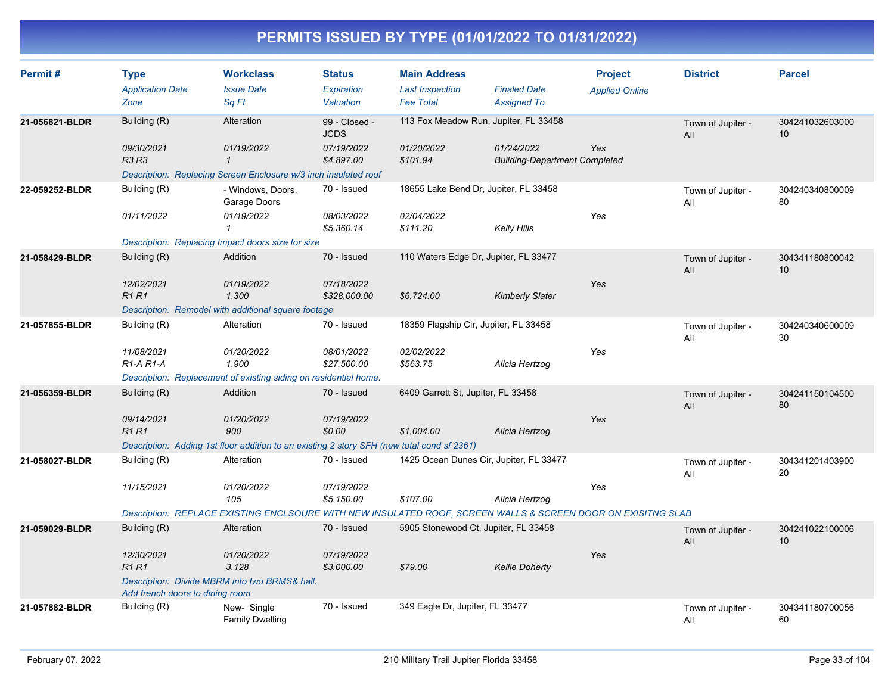| Permit#        | <b>Type</b><br><b>Application Date</b><br>Zone | <b>Workclass</b><br><b>Issue Date</b><br>Sq Ft                                                               | <b>Status</b><br>Expiration<br>Valuation | <b>Main Address</b><br><b>Last Inspection</b><br><b>Fee Total</b> | <b>Finaled Date</b><br><b>Assigned To</b>          | <b>Project</b><br><b>Applied Online</b> | <b>District</b>          | <b>Parcel</b>         |
|----------------|------------------------------------------------|--------------------------------------------------------------------------------------------------------------|------------------------------------------|-------------------------------------------------------------------|----------------------------------------------------|-----------------------------------------|--------------------------|-----------------------|
| 21-056821-BLDR | Building (R)                                   | Alteration                                                                                                   | 99 - Closed -<br><b>JCDS</b>             | 113 Fox Meadow Run, Jupiter, FL 33458                             |                                                    |                                         | Town of Jupiter -<br>All | 304241032603000<br>10 |
|                | 09/30/2021<br><b>R3 R3</b>                     | 01/19/2022<br>$\mathbf{1}$                                                                                   | 07/19/2022<br>\$4,897.00                 | 01/20/2022<br>\$101.94                                            | 01/24/2022<br><b>Building-Department Completed</b> | Yes                                     |                          |                       |
|                |                                                | Description: Replacing Screen Enclosure w/3 inch insulated roof                                              |                                          |                                                                   |                                                    |                                         |                          |                       |
| 22-059252-BLDR | Building (R)                                   | - Windows, Doors,<br>Garage Doors                                                                            | 70 - Issued                              | 18655 Lake Bend Dr, Jupiter, FL 33458                             |                                                    |                                         | Town of Jupiter -<br>All | 304240340800009<br>80 |
|                | 01/11/2022                                     | 01/19/2022<br>$\mathcal I$                                                                                   | 08/03/2022<br>\$5,360.14                 | 02/04/2022<br>\$111.20                                            | Kelly Hills                                        | Yes                                     |                          |                       |
|                |                                                | Description: Replacing Impact doors size for size                                                            |                                          |                                                                   |                                                    |                                         |                          |                       |
| 21-058429-BLDR | Building (R)                                   | Addition                                                                                                     | 70 - Issued                              | 110 Waters Edge Dr, Jupiter, FL 33477                             |                                                    |                                         | Town of Jupiter -<br>All | 304341180800042<br>10 |
|                | 12/02/2021<br><b>R1R1</b>                      | 01/19/2022<br>1,300                                                                                          | 07/18/2022<br>\$328,000.00               | \$6,724.00                                                        | <b>Kimberly Slater</b>                             | Yes                                     |                          |                       |
|                |                                                | Description: Remodel with additional square footage                                                          |                                          |                                                                   |                                                    |                                         |                          |                       |
| 21-057855-BLDR | Building (R)                                   | Alteration                                                                                                   | 70 - Issued                              | 18359 Flagship Cir, Jupiter, FL 33458                             |                                                    |                                         | Town of Jupiter -<br>All | 304240340600009<br>30 |
|                | 11/08/2021<br>$R1-A R1-A$                      | 01/20/2022<br>1.900                                                                                          | 08/01/2022<br>\$27,500.00                | 02/02/2022<br>\$563.75                                            | Alicia Hertzog                                     | Yes                                     |                          |                       |
|                |                                                | Description: Replacement of existing siding on residential home.                                             |                                          |                                                                   |                                                    |                                         |                          |                       |
| 21-056359-BLDR | Building (R)                                   | Addition                                                                                                     | 70 - Issued                              | 6409 Garrett St, Jupiter, FL 33458                                |                                                    |                                         | Town of Jupiter -<br>All | 304241150104500<br>80 |
|                | 09/14/2021<br><b>R1R1</b>                      | 01/20/2022<br>900                                                                                            | 07/19/2022<br>\$0.00                     | \$1.004.00                                                        | Alicia Hertzog                                     | Yes                                     |                          |                       |
|                |                                                | Description: Adding 1st floor addition to an existing 2 story SFH (new total cond sf 2361)                   |                                          |                                                                   |                                                    |                                         |                          |                       |
| 21-058027-BLDR | Building (R)                                   | Alteration                                                                                                   | 70 - Issued                              | 1425 Ocean Dunes Cir, Jupiter, FL 33477                           |                                                    |                                         | Town of Jupiter -<br>All | 304341201403900<br>20 |
|                | 11/15/2021                                     | 01/20/2022<br>105                                                                                            | 07/19/2022<br>\$5,150.00                 | \$107.00                                                          | Alicia Hertzog                                     | Yes                                     |                          |                       |
|                |                                                | Description: REPLACE EXISTING ENCLSOURE WITH NEW INSULATED ROOF, SCREEN WALLS & SCREEN DOOR ON EXISITNG SLAB |                                          |                                                                   |                                                    |                                         |                          |                       |
| 21-059029-BLDR | Building (R)                                   | Alteration                                                                                                   | 70 - Issued                              | 5905 Stonewood Ct, Jupiter, FL 33458                              |                                                    |                                         | Town of Jupiter -<br>All | 304241022100006<br>10 |
|                | 12/30/2021<br><b>R1R1</b>                      | 01/20/2022<br>3.128                                                                                          | 07/19/2022<br>\$3,000.00                 | \$79.00                                                           | <b>Kellie Doherty</b>                              | Yes                                     |                          |                       |
|                | Add french doors to dining room                | Description: Divide MBRM into two BRMS& hall.                                                                |                                          |                                                                   |                                                    |                                         |                          |                       |
| 21-057882-BLDR | Building (R)                                   | New-Single<br><b>Family Dwelling</b>                                                                         | 70 - Issued                              | 349 Eagle Dr, Jupiter, FL 33477                                   |                                                    |                                         | Town of Jupiter -<br>All | 304341180700056<br>60 |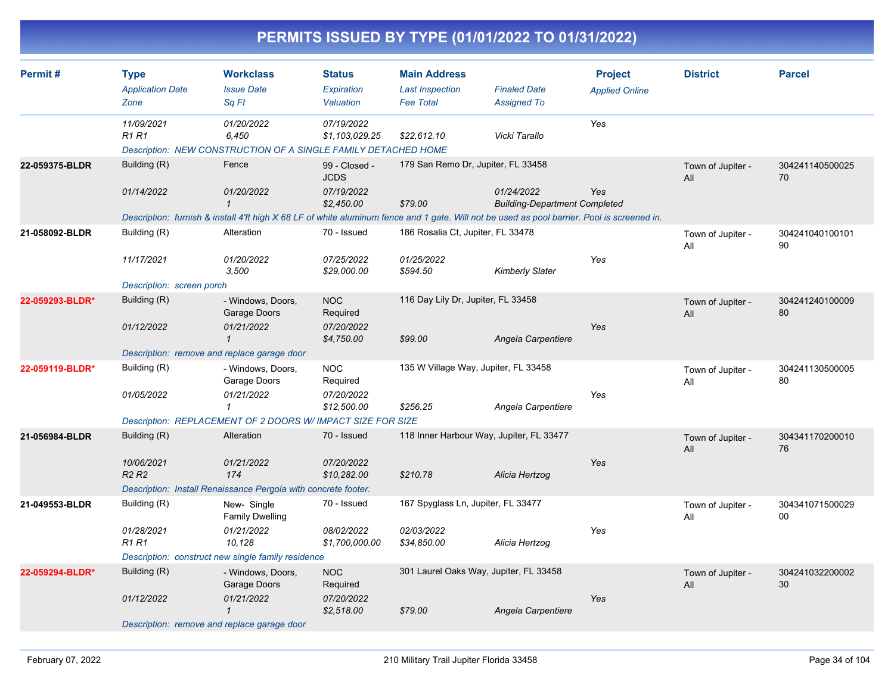| Permit#         | <b>Type</b><br><b>Application Date</b>      | <b>Workclass</b><br><b>Issue Date</b>                                                                                                       | <b>Status</b><br>Expiration  | <b>Main Address</b><br><b>Last Inspection</b> | <b>Finaled Date</b>                                | <b>Project</b><br><b>Applied Online</b> | <b>District</b>          | <b>Parcel</b>         |
|-----------------|---------------------------------------------|---------------------------------------------------------------------------------------------------------------------------------------------|------------------------------|-----------------------------------------------|----------------------------------------------------|-----------------------------------------|--------------------------|-----------------------|
|                 | Zone                                        | Sq Ft                                                                                                                                       | Valuation                    | <b>Fee Total</b>                              | <b>Assigned To</b>                                 |                                         |                          |                       |
|                 | 11/09/2021<br><b>R1 R1</b>                  | 01/20/2022<br>6,450<br>Description: NEW CONSTRUCTION OF A SINGLE FAMILY DETACHED HOME                                                       | 07/19/2022<br>\$1,103,029.25 | \$22,612.10                                   | Vicki Tarallo                                      | Yes                                     |                          |                       |
| 22-059375-BLDR  | Building (R)                                | Fence                                                                                                                                       | 99 - Closed -<br><b>JCDS</b> | 179 San Remo Dr, Jupiter, FL 33458            |                                                    |                                         | Town of Jupiter -<br>All | 304241140500025<br>70 |
|                 | 01/14/2022                                  | 01/20/2022<br>$\mathbf{1}$                                                                                                                  | 07/19/2022<br>\$2,450.00     | \$79.00                                       | 01/24/2022<br><b>Building-Department Completed</b> | Yes                                     |                          |                       |
|                 |                                             | Description: furnish & install 4'ft high X 68 LF of white aluminum fence and 1 gate. Will not be used as pool barrier. Pool is screened in. |                              |                                               |                                                    |                                         |                          |                       |
| 21-058092-BLDR  | Building (R)                                | Alteration                                                                                                                                  | 70 - Issued                  | 186 Rosalia Ct, Jupiter, FL 33478             |                                                    |                                         | Town of Jupiter -<br>All | 304241040100101<br>90 |
|                 | 11/17/2021                                  | 01/20/2022<br>3,500                                                                                                                         | 07/25/2022<br>\$29,000.00    | 01/25/2022<br>\$594.50                        | <b>Kimberly Slater</b>                             | Yes                                     |                          |                       |
|                 | Description: screen porch                   |                                                                                                                                             |                              |                                               |                                                    |                                         |                          |                       |
| 22-059293-BLDR* | Building (R)                                | - Windows, Doors,<br>Garage Doors                                                                                                           | <b>NOC</b><br>Required       | 116 Day Lily Dr, Jupiter, FL 33458            |                                                    |                                         | Town of Jupiter -<br>All | 304241240100009<br>80 |
|                 | 01/12/2022                                  | 01/21/2022<br>$\mathbf{1}$                                                                                                                  | 07/20/2022<br>\$4,750.00     | \$99.00                                       | Angela Carpentiere                                 | Yes                                     |                          |                       |
|                 | Description: remove and replace garage door |                                                                                                                                             |                              |                                               |                                                    |                                         |                          |                       |
| 22-059119-BLDR* | Building (R)                                | - Windows, Doors,<br>Garage Doors                                                                                                           | <b>NOC</b><br>Required       | 135 W Village Way, Jupiter, FL 33458          |                                                    |                                         | Town of Jupiter -<br>All | 304241130500005<br>80 |
|                 | 01/05/2022                                  | 01/21/2022<br>1                                                                                                                             | 07/20/2022<br>\$12,500.00    | \$256.25                                      | Angela Carpentiere                                 | Yes                                     |                          |                       |
|                 |                                             | Description: REPLACEMENT OF 2 DOORS W/ IMPACT SIZE FOR SIZE                                                                                 |                              |                                               |                                                    |                                         |                          |                       |
| 21-056984-BLDR  | Building (R)                                | Alteration                                                                                                                                  | 70 - Issued                  | 118 Inner Harbour Way, Jupiter, FL 33477      |                                                    |                                         | Town of Jupiter -<br>All | 304341170200010<br>76 |
|                 | 10/06/2021<br>R <sub>2</sub> R <sub>2</sub> | 01/21/2022<br>174                                                                                                                           | 07/20/2022<br>\$10,282.00    | \$210.78                                      | Alicia Hertzog                                     | Yes                                     |                          |                       |
|                 |                                             | Description: Install Renaissance Pergola with concrete footer.                                                                              |                              |                                               |                                                    |                                         |                          |                       |
| 21-049553-BLDR  | Building (R)                                | New- Single<br><b>Family Dwelling</b>                                                                                                       | 70 - Issued                  | 167 Spyglass Ln, Jupiter, FL 33477            |                                                    |                                         | Town of Jupiter -<br>All | 304341071500029<br>00 |
|                 | 01/28/2021<br><b>R1 R1</b>                  | 01/21/2022<br>10,128                                                                                                                        | 08/02/2022<br>\$1,700,000.00 | 02/03/2022<br>\$34,850.00                     | Alicia Hertzog                                     | Yes                                     |                          |                       |
|                 |                                             | Description: construct new single family residence                                                                                          |                              |                                               |                                                    |                                         |                          |                       |
| 22-059294-BLDR* | Building (R)                                | - Windows, Doors,<br>Garage Doors                                                                                                           | <b>NOC</b><br>Required       | 301 Laurel Oaks Way, Jupiter, FL 33458        |                                                    |                                         | Town of Jupiter -<br>All | 304241032200002<br>30 |
|                 | 01/12/2022                                  | 01/21/2022<br>$\mathbf{1}$                                                                                                                  | 07/20/2022<br>\$2,518.00     | \$79.00                                       | Angela Carpentiere                                 | Yes                                     |                          |                       |
|                 | Description: remove and replace garage door |                                                                                                                                             |                              |                                               |                                                    |                                         |                          |                       |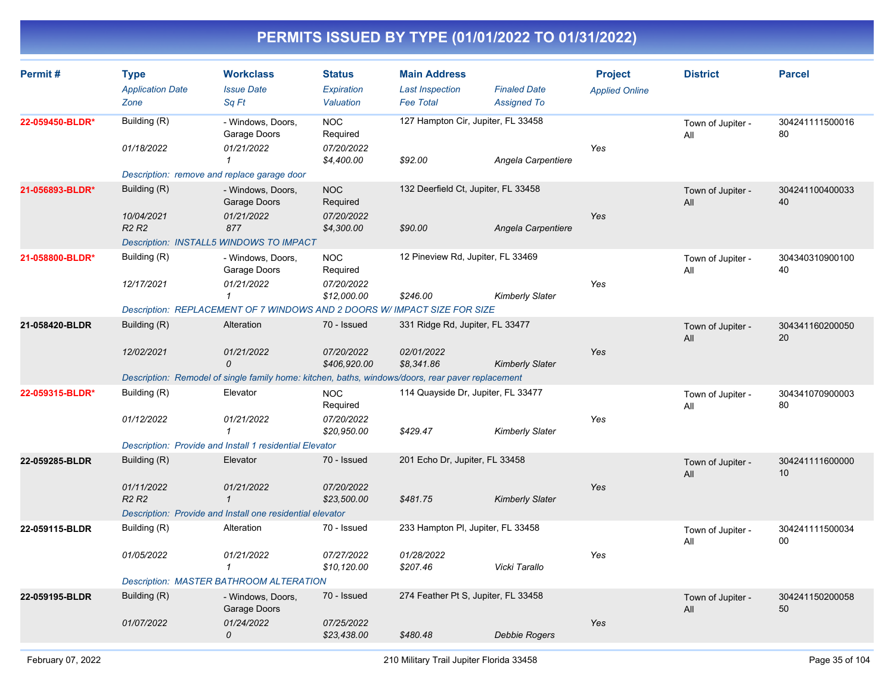| Permit#         | <b>Type</b><br><b>Application Date</b><br>Zone | <b>Workclass</b><br><b>Issue Date</b><br>Sq Ft                                                          | <b>Status</b><br>Expiration<br>Valuation | <b>Main Address</b><br><b>Last Inspection</b><br><b>Fee Total</b> | <b>Finaled Date</b><br><b>Assigned To</b> | <b>Project</b><br><b>Applied Online</b> | <b>District</b>          | <b>Parcel</b>         |
|-----------------|------------------------------------------------|---------------------------------------------------------------------------------------------------------|------------------------------------------|-------------------------------------------------------------------|-------------------------------------------|-----------------------------------------|--------------------------|-----------------------|
| 22-059450-BLDR* | Building (R)<br>01/18/2022                     | - Windows, Doors,<br>Garage Doors<br>01/21/2022                                                         | <b>NOC</b><br>Required<br>07/20/2022     | 127 Hampton Cir, Jupiter, FL 33458                                |                                           | Yes                                     | Town of Jupiter -<br>All | 304241111500016<br>80 |
|                 | Description: remove and replace garage door    | $\mathbf{1}$                                                                                            | \$4,400.00                               | \$92.00                                                           | Angela Carpentiere                        |                                         |                          |                       |
| 21-056893-BLDR* | Building (R)                                   | - Windows, Doors,<br>Garage Doors                                                                       | <b>NOC</b><br>Required                   | 132 Deerfield Ct, Jupiter, FL 33458                               |                                           |                                         | Town of Jupiter -<br>All | 304241100400033<br>40 |
|                 | 10/04/2021<br>R <sub>2</sub> R <sub>2</sub>    | 01/21/2022<br>877<br>Description: INSTALL5 WINDOWS TO IMPACT                                            | 07/20/2022<br>\$4,300.00                 | \$90.00                                                           | Angela Carpentiere                        | Yes                                     |                          |                       |
| 21-058800-BLDR* | Building (R)                                   | - Windows, Doors,<br>Garage Doors                                                                       | <b>NOC</b><br>Required                   | 12 Pineview Rd, Jupiter, FL 33469                                 |                                           |                                         | Town of Jupiter -<br>All | 304340310900100<br>40 |
|                 | 12/17/2021                                     | 01/21/2022<br>$\mathcal I$<br>Description: REPLACEMENT OF 7 WINDOWS AND 2 DOORS W/ IMPACT SIZE FOR SIZE | 07/20/2022<br>\$12,000.00                | \$246.00                                                          | <b>Kimberly Slater</b>                    | Yes                                     |                          |                       |
| 21-058420-BLDR  | Building (R)                                   | Alteration                                                                                              | 70 - Issued                              | 331 Ridge Rd, Jupiter, FL 33477                                   |                                           |                                         | Town of Jupiter -<br>All | 304341160200050<br>20 |
|                 | 12/02/2021                                     | 01/21/2022<br>$\mathcal{O}$                                                                             | 07/20/2022<br>\$406,920.00               | 02/01/2022<br>\$8,341.86                                          | <b>Kimberly Slater</b>                    | Yes                                     |                          |                       |
|                 |                                                | Description: Remodel of single family home: kitchen, baths, windows/doors, rear paver replacement       |                                          |                                                                   |                                           |                                         |                          |                       |
| 22-059315-BLDR* | Building (R)                                   | Elevator                                                                                                | <b>NOC</b><br>Required                   | 114 Quayside Dr, Jupiter, FL 33477                                |                                           |                                         | Town of Jupiter -<br>All | 304341070900003<br>80 |
|                 | 01/12/2022                                     | 01/21/2022<br>$\overline{1}$                                                                            | 07/20/2022<br>\$20,950.00                | \$429.47                                                          | <b>Kimberly Slater</b>                    | Yes                                     |                          |                       |
|                 |                                                | Description: Provide and Install 1 residential Elevator                                                 |                                          |                                                                   |                                           |                                         |                          |                       |
| 22-059285-BLDR  | Building (R)                                   | Elevator                                                                                                | 70 - Issued                              | 201 Echo Dr, Jupiter, FL 33458                                    |                                           |                                         | Town of Jupiter -<br>All | 304241111600000<br>10 |
|                 | 01/11/2022<br>R <sub>2</sub> R <sub>2</sub>    | 01/21/2022<br>$\mathbf{1}$<br>Description: Provide and Install one residential elevator                 | 07/20/2022<br>\$23,500.00                | \$481.75                                                          | <b>Kimberly Slater</b>                    | Yes                                     |                          |                       |
| 22-059115-BLDR  | Building (R)                                   | Alteration                                                                                              | 70 - Issued                              | 233 Hampton PI, Jupiter, FL 33458                                 |                                           |                                         |                          | 304241111500034       |
|                 |                                                |                                                                                                         |                                          |                                                                   |                                           |                                         | Town of Jupiter -<br>All | 00                    |
|                 | 01/05/2022                                     | 01/21/2022<br>$\mathbf{1}$                                                                              | 07/27/2022<br>\$10,120.00                | 01/28/2022<br>\$207.46                                            | Vicki Tarallo                             | Yes                                     |                          |                       |
|                 |                                                | Description: MASTER BATHROOM ALTERATION                                                                 |                                          |                                                                   |                                           |                                         |                          |                       |
| 22-059195-BLDR  | Building (R)                                   | - Windows, Doors,<br>Garage Doors                                                                       | 70 - Issued                              | 274 Feather Pt S, Jupiter, FL 33458                               |                                           |                                         | Town of Jupiter -<br>All | 304241150200058<br>50 |
|                 | 01/07/2022                                     | 01/24/2022<br>0                                                                                         | 07/25/2022<br>\$23,438.00                | \$480.48                                                          | Debbie Rogers                             | Yes                                     |                          |                       |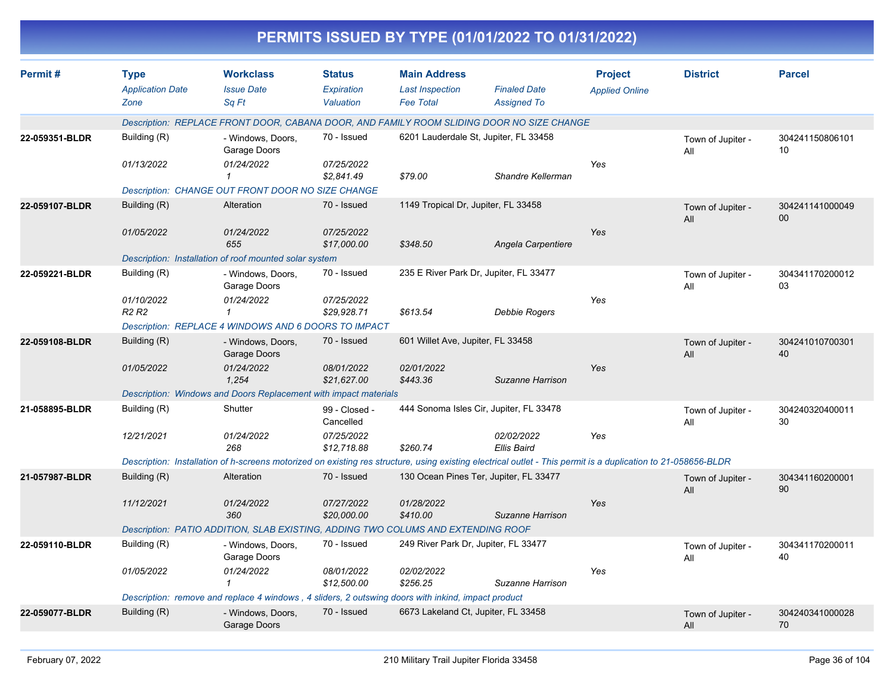|                |                                                |                                                                                                                                                               |                                          |                                                                   | PERMITS ISSUED BY TYPE (01/01/2022 TO 01/31/2022) |                                         |                          |                           |
|----------------|------------------------------------------------|---------------------------------------------------------------------------------------------------------------------------------------------------------------|------------------------------------------|-------------------------------------------------------------------|---------------------------------------------------|-----------------------------------------|--------------------------|---------------------------|
| Permit#        | <b>Type</b><br><b>Application Date</b><br>Zone | <b>Workclass</b><br><b>Issue Date</b><br>Sq Ft                                                                                                                | <b>Status</b><br>Expiration<br>Valuation | <b>Main Address</b><br><b>Last Inspection</b><br><b>Fee Total</b> | <b>Finaled Date</b><br><b>Assigned To</b>         | <b>Project</b><br><b>Applied Online</b> | <b>District</b>          | <b>Parcel</b>             |
|                |                                                | Description: REPLACE FRONT DOOR, CABANA DOOR, AND FAMILY ROOM SLIDING DOOR NO SIZE CHANGE                                                                     |                                          |                                                                   |                                                   |                                         |                          |                           |
| 22-059351-BLDR | Building (R)                                   | - Windows, Doors,<br>Garage Doors                                                                                                                             | 70 - Issued                              |                                                                   | 6201 Lauderdale St, Jupiter, FL 33458             |                                         | Town of Jupiter -<br>All | 304241150806101<br>10     |
|                | 01/13/2022                                     | 01/24/2022                                                                                                                                                    | 07/25/2022<br>\$2,841.49                 | \$79.00                                                           | Shandre Kellerman                                 | Yes                                     |                          |                           |
|                |                                                | Description: CHANGE OUT FRONT DOOR NO SIZE CHANGE                                                                                                             |                                          |                                                                   |                                                   |                                         |                          |                           |
| 22-059107-BLDR | Building (R)                                   | Alteration                                                                                                                                                    | 70 - Issued                              | 1149 Tropical Dr, Jupiter, FL 33458                               |                                                   |                                         | Town of Jupiter -<br>All | 304241141000049<br>$00\,$ |
|                | 01/05/2022                                     | 01/24/2022<br>655                                                                                                                                             | 07/25/2022<br>\$17,000.00                | \$348.50                                                          | Angela Carpentiere                                | Yes                                     |                          |                           |
|                |                                                | Description: Installation of roof mounted solar system                                                                                                        |                                          |                                                                   |                                                   |                                         |                          |                           |
| 22-059221-BLDR | Building (R)                                   | - Windows, Doors,<br>Garage Doors                                                                                                                             | 70 - Issued                              |                                                                   | 235 E River Park Dr, Jupiter, FL 33477            |                                         | Town of Jupiter -<br>All | 304341170200012<br>03     |
|                | 01/10/2022<br><b>R2 R2</b>                     | 01/24/2022                                                                                                                                                    | 07/25/2022<br>\$29,928.71                | \$613.54                                                          | <b>Debbie Rogers</b>                              | Yes                                     |                          |                           |
|                |                                                | Description: REPLACE 4 WINDOWS AND 6 DOORS TO IMPACT                                                                                                          |                                          |                                                                   |                                                   |                                         |                          |                           |
| 22-059108-BLDR | Building (R)                                   | - Windows, Doors,<br>Garage Doors                                                                                                                             | 70 - Issued                              | 601 Willet Ave, Jupiter, FL 33458                                 |                                                   |                                         | Town of Jupiter -<br>All | 304241010700301<br>40     |
|                | 01/05/2022                                     | 01/24/2022<br>1,254                                                                                                                                           | 08/01/2022<br>\$21,627.00                | 02/01/2022<br>\$443.36                                            | Suzanne Harrison                                  | Yes                                     |                          |                           |
|                |                                                | Description: Windows and Doors Replacement with impact materials                                                                                              |                                          |                                                                   |                                                   |                                         |                          |                           |
| 21-058895-BLDR | Building (R)                                   | Shutter                                                                                                                                                       | 99 - Closed -<br>Cancelled               |                                                                   | 444 Sonoma Isles Cir, Jupiter, FL 33478           |                                         | Town of Jupiter -<br>All | 304240320400011<br>30     |
|                | 12/21/2021                                     | 01/24/2022<br>268                                                                                                                                             | 07/25/2022<br>\$12,718.88                | \$260.74                                                          | 02/02/2022<br>Ellis Baird                         | Yes                                     |                          |                           |
|                |                                                | Description: Installation of h-screens motorized on existing res structure, using existing electrical outlet - This permit is a duplication to 21-058656-BLDR |                                          |                                                                   |                                                   |                                         |                          |                           |
| 21-057987-BLDR | Building (R)                                   | Alteration                                                                                                                                                    | 70 - Issued                              |                                                                   | 130 Ocean Pines Ter, Jupiter, FL 33477            |                                         | Town of Jupiter -<br>All | 304341160200001<br>90     |
|                | 11/12/2021                                     | 01/24/2022<br>360                                                                                                                                             | 07/27/2022<br>\$20,000.00                | 01/28/2022<br>\$410.00                                            | Suzanne Harrison                                  | Yes                                     |                          |                           |
|                |                                                | Description: PATIO ADDITION, SLAB EXISTING, ADDING TWO COLUMS AND EXTENDING ROOF                                                                              |                                          |                                                                   |                                                   |                                         |                          |                           |
| 22-059110-BLDR | Building (R)                                   | - Windows, Doors,<br>Garage Doors                                                                                                                             | 70 - Issued                              | 249 River Park Dr, Jupiter, FL 33477                              |                                                   |                                         | Town of Jupiter -<br>All | 304341170200011<br>40     |
|                | 01/05/2022                                     | 01/24/2022<br>1                                                                                                                                               | 08/01/2022<br>\$12,500.00                | 02/02/2022<br>\$256.25                                            | Suzanne Harrison                                  | Yes                                     |                          |                           |
|                |                                                | Description: remove and replace 4 windows, 4 sliders, 2 outswing doors with inkind, impact product                                                            |                                          |                                                                   |                                                   |                                         |                          |                           |
| 22-059077-BLDR | Building (R)                                   | - Windows, Doors,<br>Garage Doors                                                                                                                             | 70 - Issued                              | 6673 Lakeland Ct, Jupiter, FL 33458                               |                                                   |                                         | Town of Jupiter -<br>All | 304240341000028<br>70     |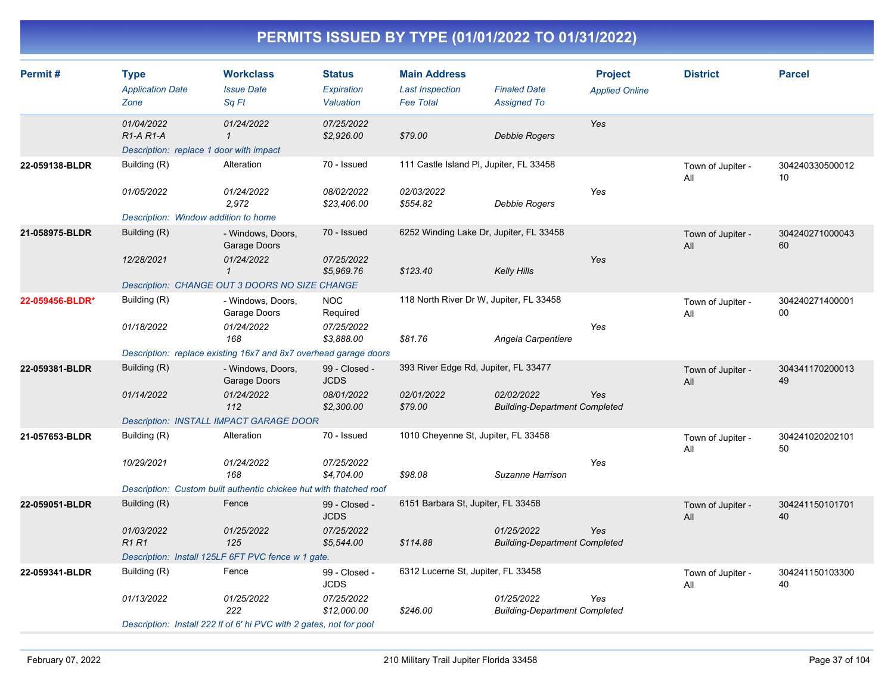| Permit#         | <b>Type</b><br><b>Application Date</b><br>Zone                       | <b>Workclass</b><br><b>Issue Date</b><br>Sq Ft                      | <b>Status</b><br>Expiration<br>Valuation | <b>Main Address</b><br><b>Last Inspection</b><br><b>Fee Total</b> | <b>Finaled Date</b><br><b>Assigned To</b>          | <b>Project</b><br><b>Applied Online</b> | <b>District</b>          | <b>Parcel</b>         |
|-----------------|----------------------------------------------------------------------|---------------------------------------------------------------------|------------------------------------------|-------------------------------------------------------------------|----------------------------------------------------|-----------------------------------------|--------------------------|-----------------------|
|                 | 01/04/2022<br>$R1-A R1-A$<br>Description: replace 1 door with impact | 01/24/2022<br>$\mathbf{1}$                                          | 07/25/2022<br>\$2,926.00                 | \$79.00                                                           | <b>Debbie Rogers</b>                               | Yes                                     |                          |                       |
| 22-059138-BLDR  | Building (R)                                                         | Alteration                                                          | 70 - Issued                              | 111 Castle Island PI, Jupiter, FL 33458                           |                                                    |                                         | Town of Jupiter -<br>All | 304240330500012<br>10 |
|                 | 01/05/2022                                                           | 01/24/2022<br>2,972                                                 | 08/02/2022<br>\$23,406.00                | 02/03/2022<br>\$554.82                                            | Debbie Rogers                                      | Yes                                     |                          |                       |
|                 | Description: Window addition to home                                 |                                                                     |                                          |                                                                   |                                                    |                                         |                          |                       |
| 21-058975-BLDR  | Building (R)                                                         | - Windows, Doors,<br>Garage Doors                                   | 70 - Issued                              | 6252 Winding Lake Dr, Jupiter, FL 33458                           |                                                    |                                         | Town of Jupiter -<br>All | 304240271000043<br>60 |
|                 | 12/28/2021                                                           | 01/24/2022<br>$\mathcal I$                                          | 07/25/2022<br>\$5,969.76                 | \$123.40                                                          | <b>Kelly Hills</b>                                 | Yes                                     |                          |                       |
|                 |                                                                      | Description: CHANGE OUT 3 DOORS NO SIZE CHANGE                      |                                          |                                                                   |                                                    |                                         |                          |                       |
| 22-059456-BLDR* | Building (R)                                                         | - Windows, Doors,<br>Garage Doors                                   | <b>NOC</b><br>Required                   | 118 North River Dr W, Jupiter, FL 33458                           |                                                    |                                         | Town of Jupiter -<br>All | 304240271400001<br>00 |
|                 | 01/18/2022                                                           | 01/24/2022<br>168                                                   | 07/25/2022<br>\$3,888.00                 | \$81.76                                                           | Angela Carpentiere                                 | Yes                                     |                          |                       |
|                 |                                                                      | Description: replace existing 16x7 and 8x7 overhead garage doors    |                                          |                                                                   |                                                    |                                         |                          |                       |
| 22-059381-BLDR  | Building (R)                                                         | - Windows, Doors,<br>Garage Doors                                   | 99 - Closed -<br><b>JCDS</b>             | 393 River Edge Rd, Jupiter, FL 33477                              |                                                    |                                         | Town of Jupiter -<br>All | 304341170200013<br>49 |
|                 | 01/14/2022                                                           | 01/24/2022<br>112                                                   | 08/01/2022<br>\$2,300.00                 | 02/01/2022<br>\$79.00                                             | 02/02/2022<br><b>Building-Department Completed</b> | Yes                                     |                          |                       |
|                 |                                                                      | <b>Description: INSTALL IMPACT GARAGE DOOR</b>                      |                                          |                                                                   |                                                    |                                         |                          |                       |
| 21-057653-BLDR  | Building (R)                                                         | Alteration                                                          | 70 - Issued                              | 1010 Cheyenne St, Jupiter, FL 33458                               |                                                    |                                         | Town of Jupiter -<br>All | 304241020202101<br>50 |
|                 | 10/29/2021                                                           | 01/24/2022<br>168                                                   | 07/25/2022<br>\$4,704.00                 | \$98.08                                                           | Suzanne Harrison                                   | Yes                                     |                          |                       |
|                 |                                                                      | Description: Custom built authentic chickee hut with thatched roof  |                                          |                                                                   |                                                    |                                         |                          |                       |
| 22-059051-BLDR  | Building (R)                                                         | Fence                                                               | 99 - Closed -<br><b>JCDS</b>             | 6151 Barbara St, Jupiter, FL 33458                                |                                                    |                                         | Town of Jupiter -<br>All | 304241150101701<br>40 |
|                 | 01/03/2022<br>R <sub>1</sub> R <sub>1</sub>                          | 01/25/2022<br>125                                                   | 07/25/2022<br>\$5,544.00                 | \$114.88                                                          | 01/25/2022<br><b>Building-Department Completed</b> | Yes                                     |                          |                       |
|                 |                                                                      | Description: Install 125LF 6FT PVC fence w 1 gate.                  |                                          |                                                                   |                                                    |                                         |                          |                       |
| 22-059341-BLDR  | Building (R)                                                         | Fence                                                               | 99 - Closed -<br><b>JCDS</b>             | 6312 Lucerne St, Jupiter, FL 33458                                |                                                    |                                         | Town of Jupiter -<br>All | 304241150103300<br>40 |
|                 | 01/13/2022                                                           | 01/25/2022<br>222                                                   | 07/25/2022<br>\$12,000.00                | \$246.00                                                          | 01/25/2022<br><b>Building-Department Completed</b> | Yes                                     |                          |                       |
|                 |                                                                      | Description: Install 222 If of 6' hi PVC with 2 gates, not for pool |                                          |                                                                   |                                                    |                                         |                          |                       |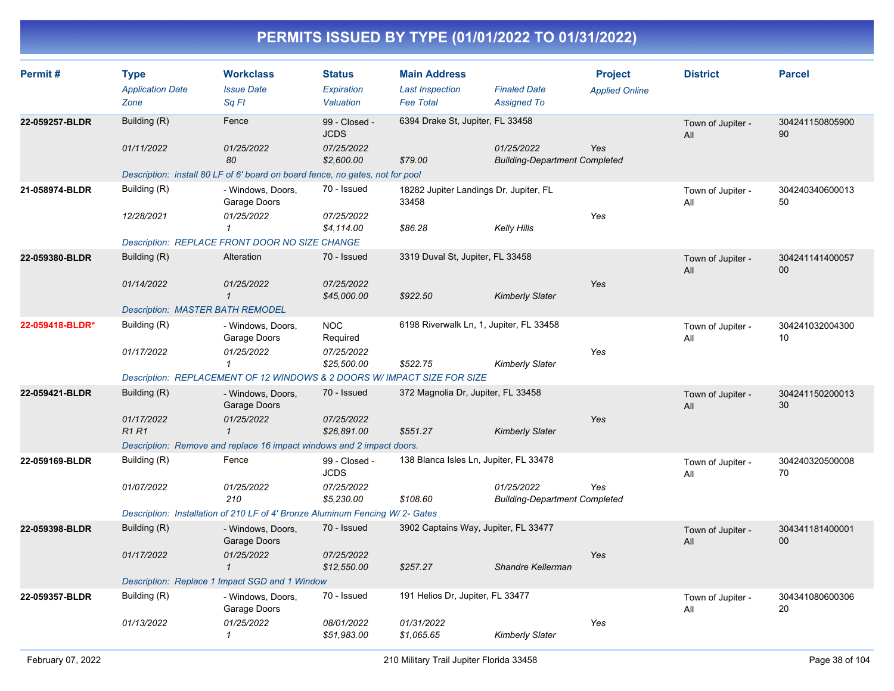| Permit#         | <b>Type</b>                             | <b>Workclass</b>                                                              | <b>Status</b>                | <b>Main Address</b>                             |                                                    | <b>Project</b>        | <b>District</b>          | <b>Parcel</b>         |
|-----------------|-----------------------------------------|-------------------------------------------------------------------------------|------------------------------|-------------------------------------------------|----------------------------------------------------|-----------------------|--------------------------|-----------------------|
|                 | <b>Application Date</b><br>Zone         | <b>Issue Date</b><br>Sq Ft                                                    | Expiration<br>Valuation      | <b>Last Inspection</b><br><b>Fee Total</b>      | <b>Finaled Date</b><br><b>Assigned To</b>          | <b>Applied Online</b> |                          |                       |
| 22-059257-BLDR  | Building (R)                            | Fence                                                                         | 99 - Closed -<br><b>JCDS</b> | 6394 Drake St, Jupiter, FL 33458                |                                                    |                       | Town of Jupiter -<br>All | 304241150805900<br>90 |
|                 | 01/11/2022                              | 01/25/2022<br>80                                                              | 07/25/2022<br>\$2,600.00     | \$79.00                                         | 01/25/2022<br><b>Building-Department Completed</b> | Yes                   |                          |                       |
|                 |                                         | Description: install 80 LF of 6' board on board fence, no gates, not for pool |                              |                                                 |                                                    |                       |                          |                       |
| 21-058974-BLDR  | Building (R)                            | - Windows, Doors,<br>Garage Doors                                             | 70 - Issued                  | 18282 Jupiter Landings Dr, Jupiter, FL<br>33458 |                                                    |                       | Town of Jupiter -<br>All | 304240340600013<br>50 |
|                 | 12/28/2021                              | 01/25/2022<br>1                                                               | 07/25/2022<br>\$4,114.00     | \$86.28                                         | <b>Kelly Hills</b>                                 | Yes                   |                          |                       |
|                 |                                         | Description: REPLACE FRONT DOOR NO SIZE CHANGE                                |                              |                                                 |                                                    |                       |                          |                       |
| 22-059380-BLDR  | Building (R)                            | Alteration                                                                    | 70 - Issued                  | 3319 Duval St, Jupiter, FL 33458                |                                                    |                       | Town of Jupiter -<br>All | 304241141400057<br>00 |
|                 | 01/14/2022                              | 01/25/2022<br>$\mathbf{1}$                                                    | 07/25/2022<br>\$45,000.00    | \$922.50                                        | <b>Kimberly Slater</b>                             | Yes                   |                          |                       |
|                 | <b>Description: MASTER BATH REMODEL</b> |                                                                               |                              |                                                 |                                                    |                       |                          |                       |
| 22-059418-BLDR* | Building (R)                            | - Windows, Doors,<br>Garage Doors                                             | <b>NOC</b><br>Required       | 6198 Riverwalk Ln, 1, Jupiter, FL 33458         |                                                    |                       | Town of Jupiter -<br>All | 304241032004300<br>10 |
|                 | 01/17/2022                              | 01/25/2022<br>$\mathbf{1}$                                                    | 07/25/2022<br>\$25,500.00    | \$522.75                                        | <b>Kimberly Slater</b>                             | Yes                   |                          |                       |
|                 |                                         | Description: REPLACEMENT OF 12 WINDOWS & 2 DOORS W/ IMPACT SIZE FOR SIZE      |                              |                                                 |                                                    |                       |                          |                       |
| 22-059421-BLDR  | Building (R)                            | - Windows, Doors,<br>Garage Doors                                             | 70 - Issued                  | 372 Magnolia Dr, Jupiter, FL 33458              |                                                    |                       | Town of Jupiter -<br>All | 304241150200013<br>30 |
|                 | 01/17/2022<br><b>R1R1</b>               | 01/25/2022<br>$\mathbf{1}$                                                    | 07/25/2022<br>\$26,891.00    | \$551.27                                        | <b>Kimberly Slater</b>                             | Yes                   |                          |                       |
|                 |                                         | Description: Remove and replace 16 impact windows and 2 impact doors.         |                              |                                                 |                                                    |                       |                          |                       |
| 22-059169-BLDR  | Building (R)                            | Fence                                                                         | 99 - Closed -<br><b>JCDS</b> | 138 Blanca Isles Ln, Jupiter, FL 33478          |                                                    |                       | Town of Jupiter -<br>All | 304240320500008<br>70 |
|                 | 01/07/2022                              | 01/25/2022<br>210                                                             | 07/25/2022<br>\$5,230.00     | \$108.60                                        | 01/25/2022<br><b>Building-Department Completed</b> | Yes                   |                          |                       |
|                 |                                         | Description: Installation of 210 LF of 4' Bronze Aluminum Fencing W/2- Gates  |                              |                                                 |                                                    |                       |                          |                       |
| 22-059398-BLDR  | Building (R)                            | - Windows, Doors,<br>Garage Doors                                             | 70 - Issued                  | 3902 Captains Way, Jupiter, FL 33477            |                                                    |                       | Town of Jupiter -<br>All | 304341181400001<br>00 |
|                 | 01/17/2022                              | 01/25/2022<br>$\mathbf{1}$                                                    | 07/25/2022<br>\$12,550.00    | \$257.27                                        | Shandre Kellerman                                  | Yes                   |                          |                       |
|                 |                                         | Description: Replace 1 Impact SGD and 1 Window                                |                              |                                                 |                                                    |                       |                          |                       |
| 22-059357-BLDR  | Building (R)                            | - Windows, Doors,<br>Garage Doors                                             | 70 - Issued                  | 191 Helios Dr, Jupiter, FL 33477                |                                                    |                       | Town of Jupiter -<br>All | 304341080600306<br>20 |
|                 | 01/13/2022                              | 01/25/2022<br>1                                                               | 08/01/2022<br>\$51,983.00    | 01/31/2022<br>\$1.065.65                        | <b>Kimberly Slater</b>                             | Yes                   |                          |                       |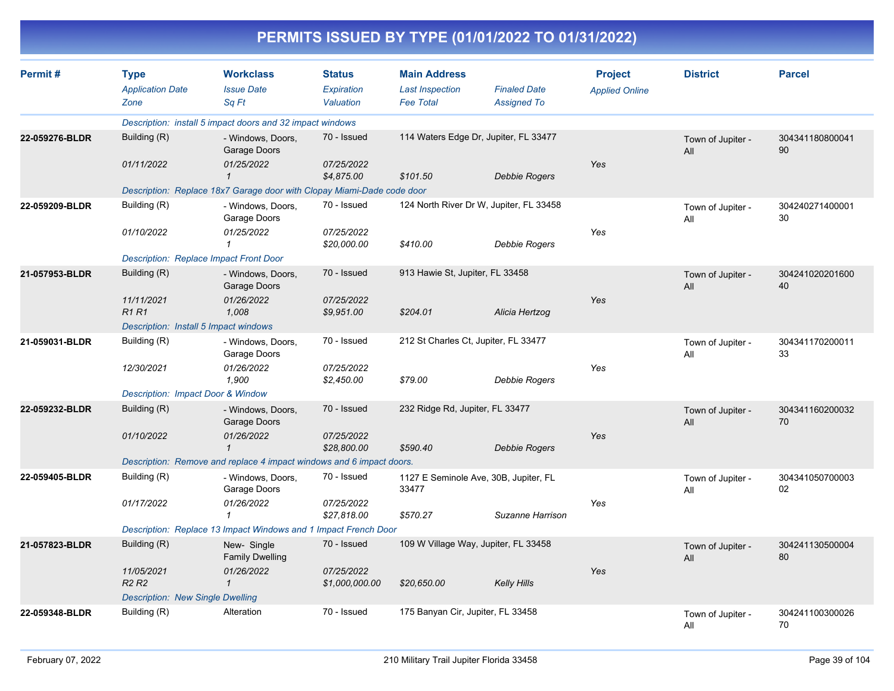|                |                                                                                       |                                                                                                                                           |                                             |                                                                   | PERMITS ISSUED BY TYPE (01/01/2022 TO 01/31/2022)             |                                         |                          |                       |
|----------------|---------------------------------------------------------------------------------------|-------------------------------------------------------------------------------------------------------------------------------------------|---------------------------------------------|-------------------------------------------------------------------|---------------------------------------------------------------|-----------------------------------------|--------------------------|-----------------------|
| Permit#        | <b>Type</b><br><b>Application Date</b><br>Zone                                        | <b>Workclass</b><br><b>Issue Date</b><br>Sa Ft                                                                                            | <b>Status</b><br>Expiration<br>Valuation    | <b>Main Address</b><br><b>Last Inspection</b><br><b>Fee Total</b> | <b>Finaled Date</b><br><b>Assigned To</b>                     | <b>Project</b><br><b>Applied Online</b> | <b>District</b>          | <b>Parcel</b>         |
|                |                                                                                       | Description: install 5 impact doors and 32 impact windows                                                                                 |                                             |                                                                   |                                                               |                                         |                          |                       |
| 22-059276-BLDR | Building (R)<br>01/11/2022                                                            | - Windows, Doors,<br>Garage Doors<br>01/25/2022<br>$\mathbf{1}$                                                                           | 70 - Issued<br>07/25/2022<br>\$4,875.00     | \$101.50                                                          | 114 Waters Edge Dr, Jupiter, FL 33477<br><b>Debbie Rogers</b> | Yes                                     | Town of Jupiter -<br>All | 304341180800041<br>90 |
|                | Building (R)                                                                          | Description: Replace 18x7 Garage door with Clopay Miami-Dade code door                                                                    | 70 - Issued                                 |                                                                   | 124 North River Dr W, Jupiter, FL 33458                       |                                         |                          |                       |
| 22-059209-BLDR | 01/10/2022                                                                            | - Windows, Doors,<br>Garage Doors<br>01/25/2022<br>$\mathbf{1}$<br><b>Description: Replace Impact Front Door</b>                          | 07/25/2022<br>\$20,000.00                   | \$410.00                                                          | Debbie Rogers                                                 | Yes                                     | Town of Jupiter -<br>All | 304240271400001<br>30 |
| 21-057953-BLDR | Building (R)<br>11/11/2021<br><b>R1 R1</b>                                            | - Windows, Doors,<br>Garage Doors<br>01/26/2022<br>1,008                                                                                  | 70 - Issued<br>07/25/2022<br>\$9,951.00     | 913 Hawie St, Jupiter, FL 33458<br>\$204.01                       | Alicia Hertzog                                                | Yes                                     | Town of Jupiter -<br>All | 304241020201600<br>40 |
|                | Description: Install 5 Impact windows                                                 |                                                                                                                                           |                                             |                                                                   |                                                               |                                         |                          |                       |
| 21-059031-BLDR | Building (R)<br>12/30/2021<br>Description: Impact Door & Window                       | - Windows, Doors,<br>Garage Doors<br>01/26/2022<br>1,900                                                                                  | 70 - Issued<br>07/25/2022<br>\$2,450.00     | \$79.00                                                           | 212 St Charles Ct, Jupiter, FL 33477<br>Debbie Rogers         | Yes                                     | Town of Jupiter -<br>All | 304341170200011<br>33 |
| 22-059232-BLDR | Building (R)<br>01/10/2022                                                            | - Windows, Doors,<br>Garage Doors<br>01/26/2022<br>$\overline{1}$<br>Description: Remove and replace 4 impact windows and 6 impact doors. | 70 - Issued<br>07/25/2022<br>\$28,800.00    | 232 Ridge Rd, Jupiter, FL 33477<br>\$590.40                       | <b>Debbie Rogers</b>                                          | Yes                                     | Town of Jupiter -<br>All | 304341160200032<br>70 |
| 22-059405-BLDR | Building (R)<br>01/17/2022                                                            | - Windows, Doors,<br>Garage Doors<br>01/26/2022<br>$\mathcal I$<br>Description: Replace 13 Impact Windows and 1 Impact French Door        | 70 - Issued<br>07/25/2022<br>\$27,818.00    | 33477<br>\$570.27                                                 | 1127 E Seminole Ave, 30B, Jupiter, FL<br>Suzanne Harrison     | Yes                                     | Town of Jupiter -<br>All | 304341050700003<br>02 |
| 21-057823-BLDR | Building (R)<br>11/05/2021<br><b>R2 R2</b><br><b>Description: New Single Dwelling</b> | New-Single<br><b>Family Dwelling</b><br>01/26/2022<br>$\mathbf{1}$                                                                        | 70 - Issued<br>07/25/2022<br>\$1,000,000.00 | \$20,650.00                                                       | 109 W Village Way, Jupiter, FL 33458<br><b>Kelly Hills</b>    | Yes                                     | Town of Jupiter -<br>All | 304241130500004<br>80 |
| 22-059348-BLDR | Building (R)                                                                          | Alteration                                                                                                                                | 70 - Issued                                 | 175 Banyan Cir, Jupiter, FL 33458                                 |                                                               |                                         | Town of Jupiter -        | 304241100300026       |

Building (R) Alteration 70 - Issued 175 Banyan Cir, Jupiter, FL 33458 Town of Jupiter - 304241100300026 All 70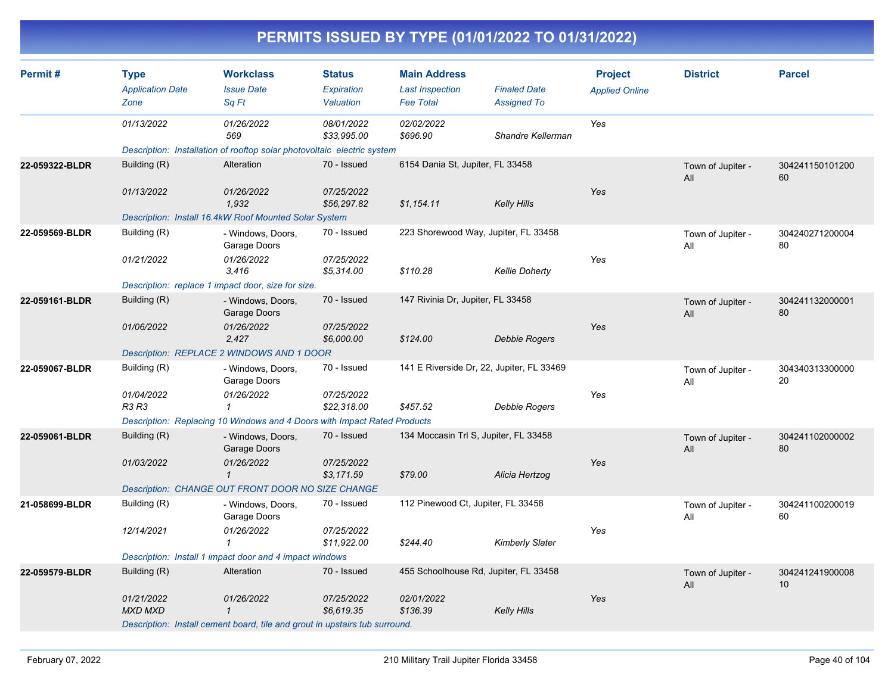| Permit#        | <b>Type</b><br><b>Application Date</b> | <b>Workclass</b><br><b>Issue Date</b>                                       | <b>Status</b><br>Expiration | <b>Main Address</b><br><b>Last Inspection</b> | <b>Finaled Date</b>    | <b>Project</b><br><b>Applied Online</b> | <b>District</b>          | <b>Parcel</b>         |
|----------------|----------------------------------------|-----------------------------------------------------------------------------|-----------------------------|-----------------------------------------------|------------------------|-----------------------------------------|--------------------------|-----------------------|
|                | Zone                                   | Sq Ft                                                                       | Valuation                   | <b>Fee Total</b>                              | <b>Assigned To</b>     |                                         |                          |                       |
|                | 01/13/2022                             | 01/26/2022<br>569                                                           | 08/01/2022<br>\$33,995.00   | 02/02/2022<br>\$696.90                        | Shandre Kellerman      | Yes                                     |                          |                       |
|                |                                        | Description: Installation of rooftop solar photovoltaic electric system     |                             |                                               |                        |                                         |                          |                       |
| 22-059322-BLDR | Building (R)                           | Alteration                                                                  | 70 - Issued                 | 6154 Dania St, Jupiter, FL 33458              |                        |                                         | Town of Jupiter -<br>All | 304241150101200<br>60 |
|                | 01/13/2022                             | 01/26/2022<br>1,932                                                         | 07/25/2022<br>\$56,297.82   | \$1,154.11                                    | <b>Kelly Hills</b>     | Yes                                     |                          |                       |
|                |                                        | Description: Install 16.4kW Roof Mounted Solar System                       |                             |                                               |                        |                                         |                          |                       |
| 22-059569-BLDR | Building (R)                           | - Windows, Doors,<br>Garage Doors                                           | 70 - Issued                 | 223 Shorewood Way, Jupiter, FL 33458          |                        |                                         | Town of Jupiter -<br>All | 304240271200004<br>80 |
|                | 01/21/2022                             | 01/26/2022<br>3,416                                                         | 07/25/2022<br>\$5,314.00    | \$110.28                                      | <b>Kellie Doherty</b>  | Yes                                     |                          |                       |
|                |                                        | Description: replace 1 impact door, size for size.                          |                             |                                               |                        |                                         |                          |                       |
| 22-059161-BLDR | Building (R)                           | - Windows, Doors,<br>Garage Doors                                           | 70 - Issued                 | 147 Rivinia Dr, Jupiter, FL 33458             |                        |                                         | Town of Jupiter -<br>All | 304241132000001<br>80 |
|                | 01/06/2022                             | 01/26/2022<br>2,427                                                         | 07/25/2022<br>\$6,000.00    | \$124.00                                      | <b>Debbie Rogers</b>   | Yes                                     |                          |                       |
|                |                                        | Description: REPLACE 2 WINDOWS AND 1 DOOR                                   |                             |                                               |                        |                                         |                          |                       |
| 22-059067-BLDR | Building (R)                           | - Windows, Doors,<br>Garage Doors                                           | 70 - Issued                 | 141 E Riverside Dr, 22, Jupiter, FL 33469     |                        |                                         | Town of Jupiter -<br>All | 304340313300000<br>20 |
|                | 01/04/2022<br>R3 R3                    | 01/26/2022<br>$\mathbf{1}$                                                  | 07/25/2022<br>\$22,318.00   | \$457.52                                      | Debbie Rogers          | Yes                                     |                          |                       |
|                |                                        | Description: Replacing 10 Windows and 4 Doors with Impact Rated Products    |                             |                                               |                        |                                         |                          |                       |
| 22-059061-BLDR | Building (R)                           | - Windows, Doors,<br>Garage Doors                                           | 70 - Issued                 | 134 Moccasin Trl S, Jupiter, FL 33458         |                        |                                         | Town of Jupiter -<br>All | 304241102000002<br>80 |
|                | 01/03/2022                             | 01/26/2022<br>$\mathbf{1}$                                                  | 07/25/2022<br>\$3,171.59    | \$79.00                                       | Alicia Hertzog         | Yes                                     |                          |                       |
|                |                                        | Description: CHANGE OUT FRONT DOOR NO SIZE CHANGE                           |                             |                                               |                        |                                         |                          |                       |
| 21-058699-BLDR | Building (R)                           | - Windows, Doors,<br>Garage Doors                                           | 70 - Issued                 | 112 Pinewood Ct, Jupiter, FL 33458            |                        |                                         | Town of Jupiter -<br>All | 304241100200019<br>60 |
|                | 12/14/2021                             | 01/26/2022<br>-1                                                            | 07/25/2022<br>\$11,922.00   | \$244.40                                      | <b>Kimberly Slater</b> | Yes                                     |                          |                       |
|                |                                        | Description: Install 1 impact door and 4 impact windows                     |                             |                                               |                        |                                         |                          |                       |
| 22-059579-BLDR | Building (R)                           | Alteration                                                                  | 70 - Issued                 | 455 Schoolhouse Rd, Jupiter, FL 33458         |                        |                                         | Town of Jupiter -<br>All | 304241241900008<br>10 |
|                | 01/21/2022<br><b>MXD MXD</b>           | 01/26/2022<br>$\mathbf 1$                                                   | 07/25/2022<br>\$6,619.35    | 02/01/2022<br>\$136.39                        | Kelly Hills            | Yes                                     |                          |                       |
|                |                                        | Description: Install cement board, tile and grout in upstairs tub surround. |                             |                                               |                        |                                         |                          |                       |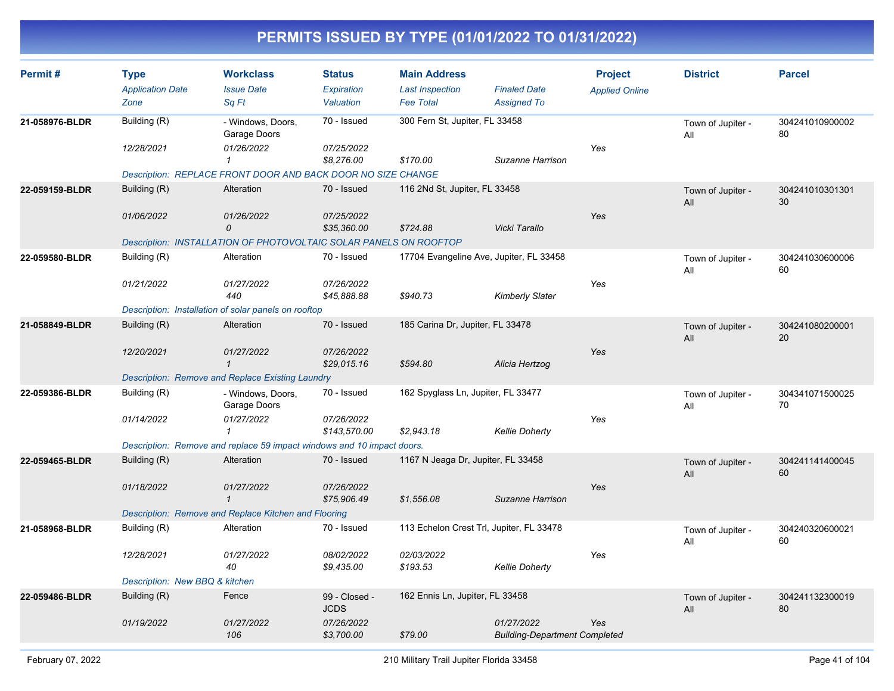| Permit#        | <b>Type</b><br><b>Application Date</b><br>Zone | <b>Workclass</b><br><b>Issue Date</b><br>Sq Ft                         | <b>Status</b><br>Expiration<br>Valuation | <b>Main Address</b><br><b>Last Inspection</b><br><b>Fee Total</b> | <b>Finaled Date</b><br><b>Assigned To</b>          | <b>Project</b><br><b>Applied Online</b> | <b>District</b>          | <b>Parcel</b>         |
|----------------|------------------------------------------------|------------------------------------------------------------------------|------------------------------------------|-------------------------------------------------------------------|----------------------------------------------------|-----------------------------------------|--------------------------|-----------------------|
| 21-058976-BLDR | Building (R)<br>12/28/2021                     | - Windows, Doors,<br>Garage Doors<br>01/26/2022<br>$\mathbf{1}$        | 70 - Issued<br>07/25/2022<br>\$8,276.00  | 300 Fern St, Jupiter, FL 33458<br>\$170.00                        | Suzanne Harrison                                   | Yes                                     | Town of Jupiter -<br>All | 304241010900002<br>80 |
|                |                                                | Description: REPLACE FRONT DOOR AND BACK DOOR NO SIZE CHANGE           |                                          |                                                                   |                                                    |                                         |                          |                       |
| 22-059159-BLDR | Building (R)                                   | Alteration                                                             | 70 - Issued                              | 116 2Nd St, Jupiter, FL 33458                                     |                                                    |                                         | Town of Jupiter -<br>All | 304241010301301<br>30 |
|                | 01/06/2022                                     | 01/26/2022<br>0                                                        | 07/25/2022<br>\$35,360.00                | \$724.88                                                          | Vicki Tarallo                                      | Yes                                     |                          |                       |
|                |                                                | Description: INSTALLATION OF PHOTOVOLTAIC SOLAR PANELS ON ROOFTOP      |                                          |                                                                   |                                                    |                                         |                          |                       |
| 22-059580-BLDR | Building (R)                                   | Alteration                                                             | 70 - Issued                              | 17704 Evangeline Ave, Jupiter, FL 33458                           |                                                    |                                         | Town of Jupiter -<br>All | 304241030600006<br>60 |
|                | 01/21/2022                                     | 01/27/2022<br>440                                                      | 07/26/2022<br>\$45,888.88                | \$940.73                                                          | <b>Kimberly Slater</b>                             | Yes                                     |                          |                       |
|                |                                                | Description: Installation of solar panels on rooftop                   |                                          |                                                                   |                                                    |                                         |                          |                       |
| 21-058849-BLDR | Building (R)                                   | Alteration                                                             | 70 - Issued                              | 185 Carina Dr, Jupiter, FL 33478                                  |                                                    |                                         | Town of Jupiter -<br>All | 304241080200001<br>20 |
|                | 12/20/2021                                     | 01/27/2022<br>$\mathbf{1}$                                             | 07/26/2022<br>\$29,015.16                | \$594.80                                                          | Alicia Hertzog                                     | Yes                                     |                          |                       |
|                |                                                | Description: Remove and Replace Existing Laundry                       |                                          |                                                                   |                                                    |                                         |                          |                       |
| 22-059386-BLDR | Building (R)                                   | - Windows, Doors,<br>Garage Doors                                      | 70 - Issued                              | 162 Spyglass Ln, Jupiter, FL 33477                                |                                                    |                                         | Town of Jupiter -<br>All | 304341071500025<br>70 |
|                | 01/14/2022                                     | 01/27/2022<br>$\mathcal I$                                             | 07/26/2022<br>\$143.570.00               | \$2,943.18                                                        | <b>Kellie Doherty</b>                              | Yes                                     |                          |                       |
|                |                                                | Description: Remove and replace 59 impact windows and 10 impact doors. |                                          |                                                                   |                                                    |                                         |                          |                       |
| 22-059465-BLDR | Building (R)                                   | Alteration                                                             | 70 - Issued                              | 1167 N Jeaga Dr, Jupiter, FL 33458                                |                                                    |                                         | Town of Jupiter -<br>All | 304241141400045<br>60 |
|                | 01/18/2022                                     | 01/27/2022<br>$\mathbf{1}$                                             | 07/26/2022<br>\$75,906.49                | \$1,556.08                                                        | Suzanne Harrison                                   | Yes                                     |                          |                       |
|                |                                                | Description: Remove and Replace Kitchen and Flooring                   |                                          |                                                                   |                                                    |                                         |                          |                       |
| 21-058968-BLDR | Building (R)                                   | Alteration                                                             | 70 - Issued                              | 113 Echelon Crest Trl, Jupiter, FL 33478                          |                                                    |                                         | Town of Jupiter -<br>All | 304240320600021<br>60 |
|                | 12/28/2021                                     | 01/27/2022<br>40                                                       | 08/02/2022<br>\$9,435.00                 | 02/03/2022<br>\$193.53                                            | <b>Kellie Doherty</b>                              | Yes                                     |                          |                       |
|                | Description: New BBQ & kitchen                 |                                                                        |                                          |                                                                   |                                                    |                                         |                          |                       |
| 22-059486-BLDR | Building (R)                                   | Fence                                                                  | 99 - Closed -<br><b>JCDS</b>             | 162 Ennis Ln, Jupiter, FL 33458                                   |                                                    |                                         | Town of Jupiter -<br>All | 304241132300019<br>80 |
|                | 01/19/2022                                     | 01/27/2022<br>106                                                      | 07/26/2022<br>\$3,700.00                 | \$79.00                                                           | 01/27/2022<br><b>Building-Department Completed</b> | Yes                                     |                          |                       |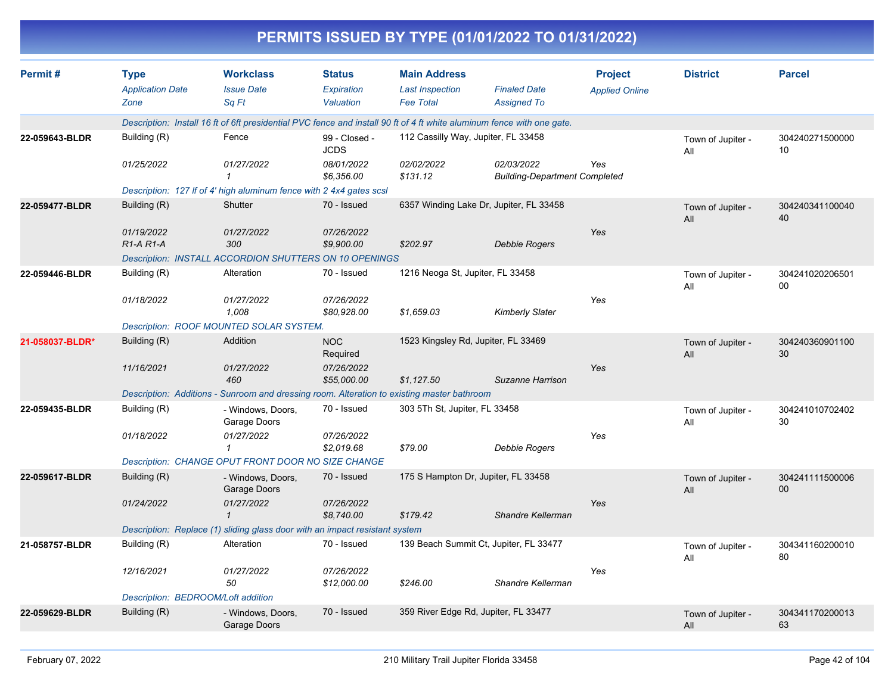|                 | PERMITS ISSUED BY TYPE (01/01/2022 TO 01/31/2022) |                                                                                                                        |                                          |                                                                   |                                                    |                                         |                          |                       |  |  |  |
|-----------------|---------------------------------------------------|------------------------------------------------------------------------------------------------------------------------|------------------------------------------|-------------------------------------------------------------------|----------------------------------------------------|-----------------------------------------|--------------------------|-----------------------|--|--|--|
| Permit#         | <b>Type</b><br><b>Application Date</b><br>Zone    | <b>Workclass</b><br><b>Issue Date</b><br>Sq Ft                                                                         | <b>Status</b><br>Expiration<br>Valuation | <b>Main Address</b><br><b>Last Inspection</b><br><b>Fee Total</b> | <b>Finaled Date</b><br><b>Assigned To</b>          | <b>Project</b><br><b>Applied Online</b> | <b>District</b>          | <b>Parcel</b>         |  |  |  |
|                 |                                                   | Description: Install 16 ft of 6ft presidential PVC fence and install 90 ft of 4 ft white aluminum fence with one gate. |                                          |                                                                   |                                                    |                                         |                          |                       |  |  |  |
| 22-059643-BLDR  | Building (R)                                      | Fence                                                                                                                  | 99 - Closed -<br><b>JCDS</b>             | 112 Cassilly Way, Jupiter, FL 33458                               |                                                    |                                         | Town of Jupiter -<br>All | 304240271500000<br>10 |  |  |  |
|                 | 01/25/2022                                        | 01/27/2022                                                                                                             | 08/01/2022<br>\$6,356.00                 | 02/02/2022<br>\$131.12                                            | 02/03/2022<br><b>Building-Department Completed</b> | Yes                                     |                          |                       |  |  |  |
|                 |                                                   | Description: 127 If of 4' high aluminum fence with 2 4x4 gates scsl                                                    |                                          |                                                                   |                                                    |                                         |                          |                       |  |  |  |
| 22-059477-BLDR  | Building (R)                                      | <b>Shutter</b>                                                                                                         | 70 - Issued                              |                                                                   | 6357 Winding Lake Dr, Jupiter, FL 33458            |                                         | Town of Jupiter -<br>All | 304240341100040<br>40 |  |  |  |
|                 | 01/19/2022<br>$R1-A R1-A$                         | 01/27/2022<br>300<br>Description: INSTALL ACCORDION SHUTTERS ON 10 OPENINGS                                            | 07/26/2022<br>\$9,900.00                 | \$202.97                                                          | <b>Debbie Rogers</b>                               | Yes                                     |                          |                       |  |  |  |
| 22-059446-BLDR  | Building (R)                                      | Alteration                                                                                                             | 70 - Issued                              | 1216 Neoga St, Jupiter, FL 33458                                  |                                                    |                                         | Town of Jupiter -<br>All | 304241020206501<br>00 |  |  |  |
|                 | 01/18/2022                                        | 01/27/2022<br>1,008                                                                                                    | 07/26/2022<br>\$80,928.00                | \$1,659.03                                                        | <b>Kimberly Slater</b>                             | Yes                                     |                          |                       |  |  |  |
|                 | Description: ROOF MOUNTED SOLAR SYSTEM.           |                                                                                                                        |                                          |                                                                   |                                                    |                                         |                          |                       |  |  |  |
| 21-058037-BLDR* | Building (R)<br>11/16/2021                        | Addition<br>01/27/2022                                                                                                 | <b>NOC</b><br>Required<br>07/26/2022     | 1523 Kingsley Rd, Jupiter, FL 33469                               |                                                    | Yes                                     | Town of Jupiter -<br>All | 304240360901100<br>30 |  |  |  |
|                 |                                                   | 460<br>Description: Additions - Sunroom and dressing room. Alteration to existing master bathroom                      | \$55,000.00                              | \$1,127.50                                                        | Suzanne Harrison                                   |                                         |                          |                       |  |  |  |
| 22-059435-BLDR  | Building (R)                                      | - Windows, Doors,<br>Garage Doors                                                                                      | 70 - Issued                              | 303 5Th St, Jupiter, FL 33458                                     |                                                    |                                         | Town of Jupiter -<br>All | 304241010702402<br>30 |  |  |  |
|                 | 01/18/2022                                        | 01/27/2022<br>1<br>Description: CHANGE OPUT FRONT DOOR NO SIZE CHANGE                                                  | 07/26/2022<br>\$2,019.68                 | \$79.00                                                           | <b>Debbie Rogers</b>                               | Yes                                     |                          |                       |  |  |  |
| 22-059617-BLDR  | Building (R)                                      | - Windows, Doors,<br>Garage Doors                                                                                      | 70 - Issued                              | 175 S Hampton Dr, Jupiter, FL 33458                               |                                                    |                                         | Town of Jupiter -<br>All | 304241111500006<br>00 |  |  |  |
|                 | 01/24/2022                                        | 01/27/2022<br>1                                                                                                        | 07/26/2022<br>\$8,740.00                 | \$179.42                                                          | Shandre Kellerman                                  | Yes                                     |                          |                       |  |  |  |
|                 |                                                   | Description: Replace (1) sliding glass door with an impact resistant system                                            |                                          |                                                                   |                                                    |                                         |                          |                       |  |  |  |
| 21-058757-BLDR  | Building (R)                                      | Alteration                                                                                                             | 70 - Issued                              |                                                                   | 139 Beach Summit Ct, Jupiter, FL 33477             |                                         | Town of Jupiter -<br>All | 304341160200010<br>80 |  |  |  |
|                 | 12/16/2021                                        | 01/27/2022<br>50                                                                                                       | 07/26/2022<br>\$12,000.00                | \$246.00                                                          | Shandre Kellerman                                  | Yes                                     |                          |                       |  |  |  |
|                 | Description: BEDROOM/Loft addition                |                                                                                                                        |                                          |                                                                   |                                                    |                                         |                          |                       |  |  |  |
| 22-059629-BLDR  | Building (R)                                      | - Windows, Doors,<br>Garage Doors                                                                                      | 70 - Issued                              |                                                                   | 359 River Edge Rd, Jupiter, FL 33477               |                                         | Town of Jupiter -<br>All | 304341170200013<br>63 |  |  |  |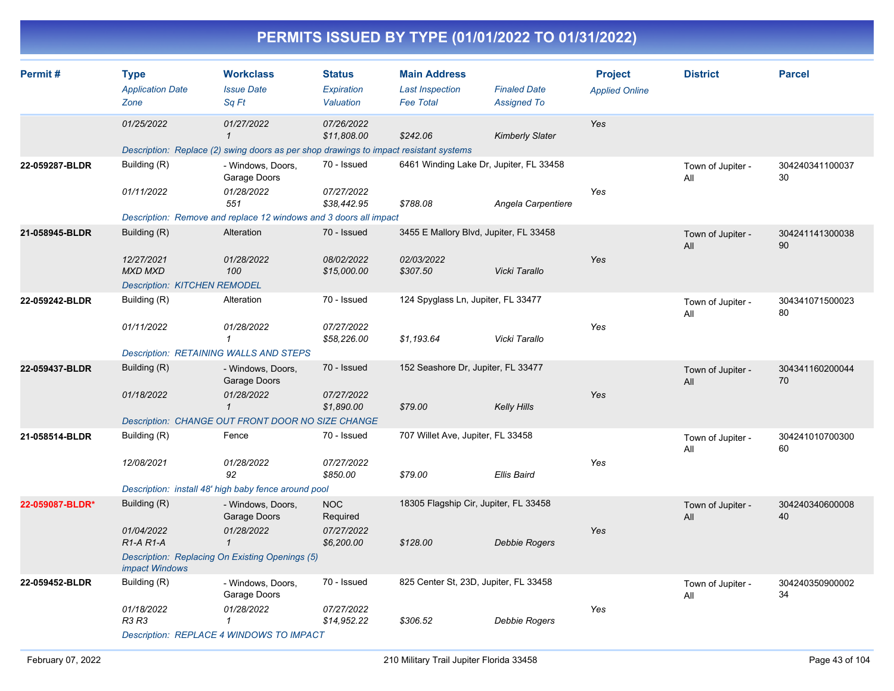| Permit#         | <b>Type</b>                                      | <b>Workclass</b>                                                                      | <b>Status</b>                  | <b>Main Address</b>                        |                                           | <b>Project</b>        | <b>District</b>          | <b>Parcel</b>         |
|-----------------|--------------------------------------------------|---------------------------------------------------------------------------------------|--------------------------------|--------------------------------------------|-------------------------------------------|-----------------------|--------------------------|-----------------------|
|                 | <b>Application Date</b><br>Zone                  | <b>Issue Date</b><br>Sq Ft                                                            | <b>Expiration</b><br>Valuation | <b>Last Inspection</b><br><b>Fee Total</b> | <b>Finaled Date</b><br><b>Assigned To</b> | <b>Applied Online</b> |                          |                       |
|                 | 01/25/2022                                       | 01/27/2022<br>$\mathbf{1}$                                                            | 07/26/2022<br>\$11,808.00      | \$242.06                                   | <b>Kimberly Slater</b>                    | Yes                   |                          |                       |
|                 |                                                  | Description: Replace (2) swing doors as per shop drawings to impact resistant systems |                                |                                            |                                           |                       |                          |                       |
| 22-059287-BLDR  | Building (R)                                     | - Windows, Doors,<br>Garage Doors                                                     | 70 - Issued                    | 6461 Winding Lake Dr, Jupiter, FL 33458    |                                           |                       | Town of Jupiter -<br>All | 304240341100037<br>30 |
|                 | 01/11/2022                                       | 01/28/2022<br>551                                                                     | 07/27/2022<br>\$38,442.95      | \$788.08                                   | Angela Carpentiere                        | Yes                   |                          |                       |
|                 |                                                  | Description: Remove and replace 12 windows and 3 doors all impact                     |                                |                                            |                                           |                       |                          |                       |
| 21-058945-BLDR  | Building (R)                                     | Alteration                                                                            | 70 - Issued                    | 3455 E Mallory Blvd, Jupiter, FL 33458     |                                           |                       | Town of Jupiter -<br>All | 304241141300038<br>90 |
|                 | 12/27/2021<br><b>MXD MXD</b>                     | 01/28/2022<br>100                                                                     | 08/02/2022<br>\$15,000.00      | 02/03/2022<br>\$307.50                     | Vicki Tarallo                             | Yes                   |                          |                       |
|                 | <b>Description: KITCHEN REMODEL</b>              |                                                                                       |                                |                                            |                                           |                       |                          |                       |
| 22-059242-BLDR  | Building (R)                                     | Alteration                                                                            | 70 - Issued                    | 124 Spyglass Ln, Jupiter, FL 33477         |                                           |                       | Town of Jupiter -<br>All | 304341071500023<br>80 |
|                 | 01/11/2022                                       | 01/28/2022<br>$\mathbf{1}$                                                            | 07/27/2022<br>\$58,226.00      | \$1,193.64                                 | Vicki Tarallo                             | Yes                   |                          |                       |
|                 |                                                  | Description: RETAINING WALLS AND STEPS                                                |                                |                                            |                                           |                       |                          |                       |
| 22-059437-BLDR  | Building (R)                                     | - Windows, Doors,<br>Garage Doors                                                     | 70 - Issued                    | 152 Seashore Dr, Jupiter, FL 33477         |                                           |                       | Town of Jupiter -<br>All | 304341160200044<br>70 |
|                 | 01/18/2022                                       | 01/28/2022<br>$\mathcal I$                                                            | 07/27/2022<br>\$1,890.00       | \$79.00                                    | <b>Kelly Hills</b>                        | Yes                   |                          |                       |
|                 |                                                  | Description: CHANGE OUT FRONT DOOR NO SIZE CHANGE                                     |                                |                                            |                                           |                       |                          |                       |
| 21-058514-BLDR  | Building (R)                                     | Fence                                                                                 | 70 - Issued                    | 707 Willet Ave, Jupiter, FL 33458          |                                           |                       | Town of Jupiter -<br>All | 304241010700300<br>60 |
|                 | 12/08/2021                                       | 01/28/2022<br>92                                                                      | 07/27/2022<br>\$850.00         | \$79.00                                    | <b>Ellis Baird</b>                        | Yes                   |                          |                       |
|                 |                                                  | Description: install 48' high baby fence around pool                                  |                                |                                            |                                           |                       |                          |                       |
| 22-059087-BLDR* | Building (R)                                     | - Windows, Doors,<br>Garage Doors                                                     | <b>NOC</b><br>Required         | 18305 Flagship Cir, Jupiter, FL 33458      |                                           |                       | Town of Jupiter -<br>All | 304240340600008<br>40 |
|                 | 01/04/2022<br>R <sub>1</sub> -A <sub>R1</sub> -A | 01/28/2022<br>$\mathcal I$                                                            | 07/27/2022<br>\$6,200.00       | \$128.00                                   | <b>Debbie Rogers</b>                      | Yes                   |                          |                       |
|                 | <i>impact Windows</i>                            | Description: Replacing On Existing Openings (5)                                       |                                |                                            |                                           |                       |                          |                       |
| 22-059452-BLDR  | Building (R)                                     | - Windows, Doors,<br>Garage Doors                                                     | 70 - Issued                    | 825 Center St, 23D, Jupiter, FL 33458      |                                           |                       | Town of Jupiter -<br>All | 304240350900002<br>34 |
|                 | 01/18/2022<br>R3 R3                              | 01/28/2022<br>1<br><b>Description: REPLACE 4 WINDOWS TO IMPACT</b>                    | 07/27/2022<br>\$14,952.22      | \$306.52                                   | Debbie Rogers                             | Yes                   |                          |                       |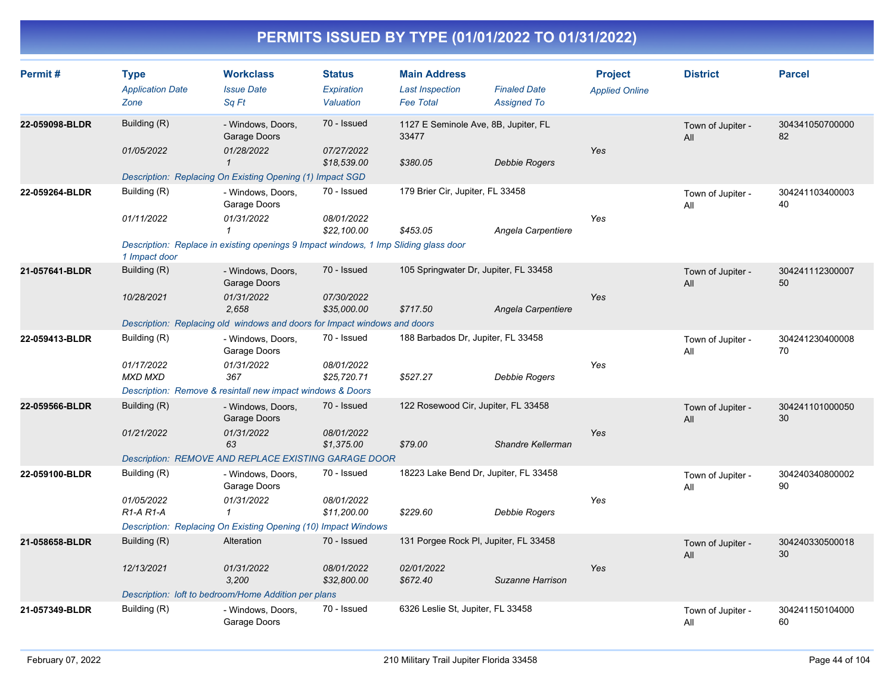| Permit#        | <b>Type</b><br><b>Application Date</b><br>Zone   | <b>Workclass</b><br><b>Issue Date</b><br>Sq Ft                                       | <b>Status</b><br><b>Expiration</b><br>Valuation | <b>Main Address</b><br><b>Last Inspection</b><br><b>Fee Total</b> | <b>Finaled Date</b><br><b>Assigned To</b> | <b>Project</b><br><b>Applied Online</b> | <b>District</b>          | <b>Parcel</b>         |
|----------------|--------------------------------------------------|--------------------------------------------------------------------------------------|-------------------------------------------------|-------------------------------------------------------------------|-------------------------------------------|-----------------------------------------|--------------------------|-----------------------|
| 22-059098-BLDR | Building (R)<br>01/05/2022                       | - Windows, Doors,<br>Garage Doors<br>01/28/2022<br>$\mathbf 1$                       | 70 - Issued<br>07/27/2022                       | 33477<br>\$380.05                                                 | 1127 E Seminole Ave, 8B, Jupiter, FL      | Yes                                     | Town of Jupiter -<br>All | 304341050700000<br>82 |
|                |                                                  | Description: Replacing On Existing Opening (1) Impact SGD                            | \$18,539.00                                     |                                                                   | <b>Debbie Rogers</b>                      |                                         |                          |                       |
| 22-059264-BLDR | Building (R)                                     | - Windows, Doors,<br>Garage Doors                                                    | 70 - Issued                                     | 179 Brier Cir, Jupiter, FL 33458                                  |                                           |                                         | Town of Jupiter -<br>All | 304241103400003<br>40 |
|                | 01/11/2022                                       | 01/31/2022<br>$\mathbf{1}$                                                           | 08/01/2022<br>\$22,100.00                       | \$453.05                                                          | Angela Carpentiere                        | Yes                                     |                          |                       |
|                | 1 Impact door                                    | Description: Replace in existing openings 9 Impact windows, 1 Imp Sliding glass door |                                                 |                                                                   |                                           |                                         |                          |                       |
| 21-057641-BLDR | Building (R)                                     | - Windows, Doors,<br>Garage Doors                                                    | 70 - Issued                                     |                                                                   | 105 Springwater Dr, Jupiter, FL 33458     |                                         | Town of Jupiter -<br>All | 304241112300007<br>50 |
|                | 10/28/2021                                       | 01/31/2022<br>2.658                                                                  | 07/30/2022<br>\$35,000.00                       | \$717.50                                                          | Angela Carpentiere                        | Yes                                     |                          |                       |
|                |                                                  | Description: Replacing old windows and doors for Impact windows and doors            |                                                 |                                                                   |                                           |                                         |                          |                       |
| 22-059413-BLDR | Building (R)                                     | - Windows, Doors,<br>Garage Doors                                                    | 70 - Issued                                     | 188 Barbados Dr, Jupiter, FL 33458                                |                                           |                                         | Town of Jupiter -<br>All | 304241230400008<br>70 |
|                | 01/17/2022<br><b>MXD MXD</b>                     | 01/31/2022<br>367                                                                    | 08/01/2022<br>\$25,720.71                       | \$527.27                                                          | Debbie Rogers                             | Yes                                     |                          |                       |
|                |                                                  | Description: Remove & resintall new impact windows & Doors                           |                                                 |                                                                   |                                           |                                         |                          |                       |
| 22-059566-BLDR | Building (R)                                     | - Windows, Doors,<br>Garage Doors                                                    | 70 - Issued                                     |                                                                   | 122 Rosewood Cir, Jupiter, FL 33458       |                                         | Town of Jupiter -<br>All | 304241101000050<br>30 |
|                | 01/21/2022                                       | 01/31/2022<br>63                                                                     | 08/01/2022<br>\$1,375.00                        | \$79.00                                                           | Shandre Kellerman                         | Yes                                     |                          |                       |
|                |                                                  | Description: REMOVE AND REPLACE EXISTING GARAGE DOOR                                 |                                                 |                                                                   |                                           |                                         |                          |                       |
| 22-059100-BLDR | Building (R)                                     | - Windows, Doors,<br>Garage Doors                                                    | 70 - Issued                                     |                                                                   | 18223 Lake Bend Dr, Jupiter, FL 33458     |                                         | Town of Jupiter -<br>All | 304240340800002<br>90 |
|                | 01/05/2022<br>R <sub>1</sub> -A <sub>R1</sub> -A | 01/31/2022<br>$\mathbf 1$                                                            | 08/01/2022<br>\$11,200.00                       | \$229.60                                                          | <b>Debbie Rogers</b>                      | Yes                                     |                          |                       |
|                |                                                  | Description: Replacing On Existing Opening (10) Impact Windows                       |                                                 |                                                                   |                                           |                                         |                          |                       |
| 21-058658-BLDR | Building (R)                                     | Alteration                                                                           | 70 - Issued                                     |                                                                   | 131 Porgee Rock PI, Jupiter, FL 33458     |                                         | Town of Jupiter -<br>All | 304240330500018<br>30 |
|                | 12/13/2021                                       | 01/31/2022<br>3,200                                                                  | 08/01/2022<br>\$32,800.00                       | 02/01/2022<br>\$672.40                                            | Suzanne Harrison                          | Yes                                     |                          |                       |
|                |                                                  | Description: loft to bedroom/Home Addition per plans                                 |                                                 |                                                                   |                                           |                                         |                          |                       |
| 21-057349-BLDR | Building (R)                                     | - Windows, Doors,<br>Garage Doors                                                    | 70 - Issued                                     | 6326 Leslie St, Jupiter, FL 33458                                 |                                           |                                         | Town of Jupiter -<br>All | 304241150104000<br>60 |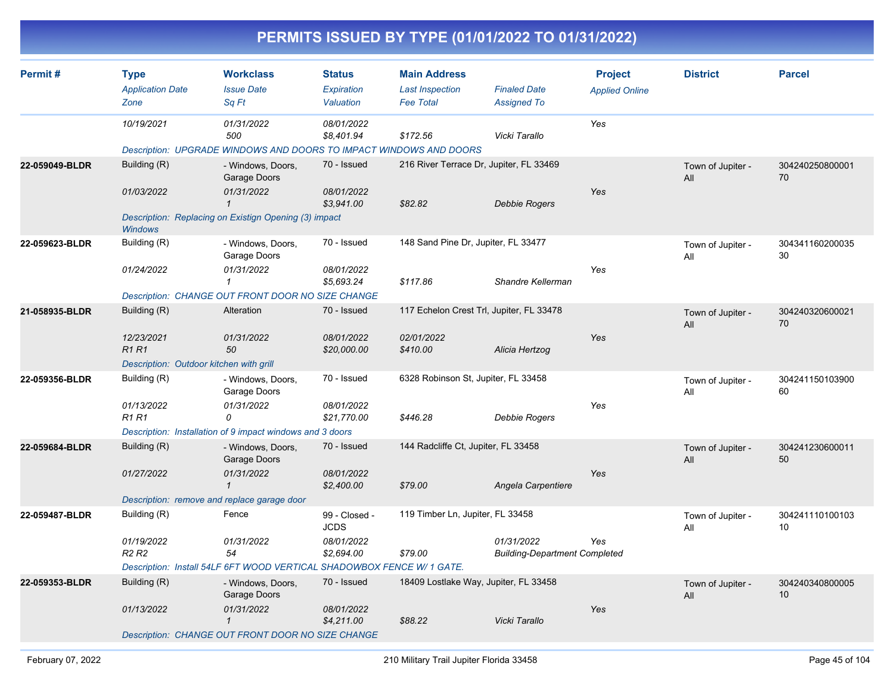| Permit#        | <b>Type</b><br><b>Application Date</b>      | <b>Workclass</b><br><b>Issue Date</b>                                  | <b>Status</b><br>Expiration  | <b>Main Address</b><br><b>Last Inspection</b> | <b>Finaled Date</b>                                | <b>Project</b><br><b>Applied Online</b> | <b>District</b>          | <b>Parcel</b>         |
|----------------|---------------------------------------------|------------------------------------------------------------------------|------------------------------|-----------------------------------------------|----------------------------------------------------|-----------------------------------------|--------------------------|-----------------------|
|                | Zone                                        | Sq Ft                                                                  | Valuation                    | <b>Fee Total</b>                              | <b>Assigned To</b>                                 |                                         |                          |                       |
|                | 10/19/2021                                  | 01/31/2022<br>500                                                      | 08/01/2022<br>\$8,401.94     | \$172.56                                      | Vicki Tarallo                                      | Yes                                     |                          |                       |
|                |                                             | Description: UPGRADE WINDOWS AND DOORS TO IMPACT WINDOWS AND DOORS     |                              |                                               |                                                    |                                         |                          |                       |
| 22-059049-BLDR | Building (R)                                | - Windows, Doors,<br>Garage Doors                                      | 70 - Issued                  | 216 River Terrace Dr, Jupiter, FL 33469       |                                                    |                                         | Town of Jupiter -<br>All | 304240250800001<br>70 |
|                | 01/03/2022                                  | 01/31/2022<br>$\mathbf{1}$                                             | 08/01/2022<br>\$3,941.00     | \$82.82                                       | Debbie Rogers                                      | Yes                                     |                          |                       |
|                | <b>Windows</b>                              | Description: Replacing on Existign Opening (3) impact                  |                              |                                               |                                                    |                                         |                          |                       |
| 22-059623-BLDR | Building (R)                                | - Windows, Doors,<br>Garage Doors                                      | 70 - Issued                  | 148 Sand Pine Dr, Jupiter, FL 33477           |                                                    |                                         | Town of Jupiter -<br>All | 304341160200035<br>30 |
|                | 01/24/2022                                  | 01/31/2022<br>$\mathcal I$                                             | 08/01/2022<br>\$5,693.24     | \$117.86                                      | Shandre Kellerman                                  | Yes                                     |                          |                       |
|                |                                             | Description: CHANGE OUT FRONT DOOR NO SIZE CHANGE                      |                              |                                               |                                                    |                                         |                          |                       |
| 21-058935-BLDR | Building (R)                                | Alteration                                                             | 70 - Issued                  | 117 Echelon Crest Trl, Jupiter, FL 33478      |                                                    |                                         | Town of Jupiter -<br>All | 304240320600021<br>70 |
|                | 12/23/2021<br><b>R1R1</b>                   | 01/31/2022<br>50                                                       | 08/01/2022<br>\$20,000.00    | 02/01/2022<br>\$410.00                        | Alicia Hertzog                                     | Yes                                     |                          |                       |
|                | Description: Outdoor kitchen with grill     |                                                                        |                              |                                               |                                                    |                                         |                          |                       |
| 22-059356-BLDR | Building (R)                                | - Windows, Doors,<br>Garage Doors                                      | 70 - Issued                  | 6328 Robinson St, Jupiter, FL 33458           |                                                    |                                         | Town of Jupiter -<br>All | 304241150103900<br>60 |
|                | 01/13/2022<br><b>R1 R1</b>                  | 01/31/2022<br>0                                                        | 08/01/2022<br>\$21.770.00    | \$446.28                                      | Debbie Rogers                                      | Yes                                     |                          |                       |
|                |                                             | Description: Installation of 9 impact windows and 3 doors              |                              |                                               |                                                    |                                         |                          |                       |
| 22-059684-BLDR | Building (R)                                | - Windows, Doors,<br>Garage Doors                                      | 70 - Issued                  | 144 Radcliffe Ct, Jupiter, FL 33458           |                                                    |                                         | Town of Jupiter -<br>All | 304241230600011<br>50 |
|                | 01/27/2022                                  | 01/31/2022<br>$\mathbf{1}$                                             | 08/01/2022<br>\$2,400.00     | \$79.00                                       | Angela Carpentiere                                 | Yes                                     |                          |                       |
|                | Description: remove and replace garage door |                                                                        |                              |                                               |                                                    |                                         |                          |                       |
| 22-059487-BLDR | Building (R)                                | Fence                                                                  | 99 - Closed -<br><b>JCDS</b> | 119 Timber Ln, Jupiter, FL 33458              |                                                    |                                         | Town of Jupiter -<br>All | 304241110100103<br>10 |
|                | 01/19/2022<br>R <sub>2</sub> R <sub>2</sub> | 01/31/2022<br>54                                                       | 08/01/2022<br>\$2,694.00     | \$79.00                                       | 01/31/2022<br><b>Building-Department Completed</b> | Yes                                     |                          |                       |
|                |                                             | Description: Install 54LF 6FT WOOD VERTICAL SHADOWBOX FENCE W/ 1 GATE. |                              |                                               |                                                    |                                         |                          |                       |
| 22-059353-BLDR | Building (R)                                | - Windows, Doors,<br>Garage Doors                                      | 70 - Issued                  | 18409 Lostlake Way, Jupiter, FL 33458         |                                                    |                                         | Town of Jupiter -<br>All | 304240340800005<br>10 |
|                | 01/13/2022                                  | 01/31/2022<br>$\mathbf{1}$                                             | 08/01/2022<br>\$4,211.00     | \$88.22                                       | Vicki Tarallo                                      | Yes                                     |                          |                       |
|                |                                             | Description: CHANGE OUT FRONT DOOR NO SIZE CHANGE                      |                              |                                               |                                                    |                                         |                          |                       |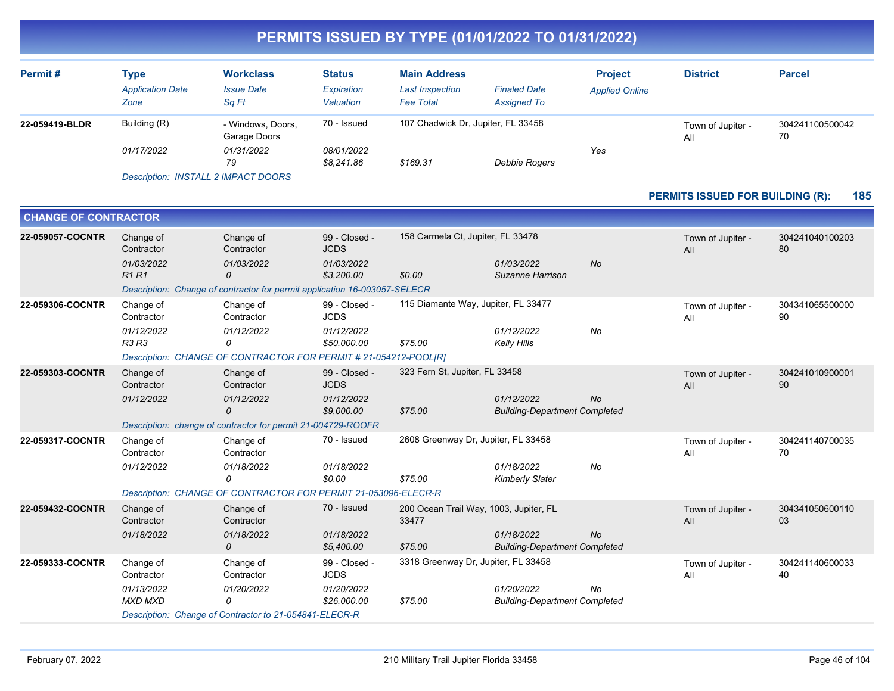| Permit#        | Type<br><b>Application Date</b><br>Zone | <b>Workclass</b><br><b>Issue Date</b><br>Sa Ft | <b>Status</b><br>Expiration<br>Valuation | <b>Main Address</b><br><b>Last Inspection</b><br><b>Fee Total</b> | <b>Finaled Date</b><br><b>Assigned To</b> | <b>Project</b><br><b>Applied Online</b> | <b>District</b>          | <b>Parcel</b>         |
|----------------|-----------------------------------------|------------------------------------------------|------------------------------------------|-------------------------------------------------------------------|-------------------------------------------|-----------------------------------------|--------------------------|-----------------------|
| 22-059419-BLDR | Building (R)                            | - Windows, Doors,<br>Garage Doors              | 70 - Issued                              | 107 Chadwick Dr, Jupiter, FL 33458                                |                                           |                                         | Town of Jupiter -<br>All | 304241100500042<br>70 |
|                | 01/17/2022                              | 01/31/2022<br>79                               | 08/01/2022<br>\$8,241.86                 | \$169.31                                                          | Debbie Rogers                             | Yes                                     |                          |                       |

*Description: INSTALL 2 IMPACT DOORS*

#### **PERMITS ISSUED FOR BUILDING (R): 185**

| <b>CHANGE OF CONTRACTOR</b> |                              |                                                                           |                              |                                                 |                                                    |           |                          |                       |
|-----------------------------|------------------------------|---------------------------------------------------------------------------|------------------------------|-------------------------------------------------|----------------------------------------------------|-----------|--------------------------|-----------------------|
| 22-059057-COCNTR            | Change of<br>Contractor      | Change of<br>Contractor                                                   | 99 - Closed -<br><b>JCDS</b> | 158 Carmela Ct, Jupiter, FL 33478               |                                                    |           | Town of Jupiter -<br>All | 304241040100203<br>80 |
|                             | 01/03/2022<br>R1R1           | 01/03/2022<br>0                                                           | 01/03/2022<br>\$3,200.00     | \$0.00                                          | 01/03/2022<br>Suzanne Harrison                     | <b>No</b> |                          |                       |
|                             |                              | Description: Change of contractor for permit application 16-003057-SELECR |                              |                                                 |                                                    |           |                          |                       |
| 22-059306-COCNTR            | Change of<br>Contractor      | Change of<br>Contractor                                                   | 99 - Closed -<br><b>JCDS</b> | 115 Diamante Way, Jupiter, FL 33477             |                                                    |           | Town of Jupiter -<br>All | 304341065500000<br>90 |
|                             | 01/12/2022<br><b>R3 R3</b>   | 01/12/2022<br>0                                                           | 01/12/2022<br>\$50,000.00    | \$75.00                                         | 01/12/2022<br><b>Kelly Hills</b>                   | No        |                          |                       |
|                             |                              | Description: CHANGE OF CONTRACTOR FOR PERMIT # 21-054212-POOL[R]          |                              |                                                 |                                                    |           |                          |                       |
| 22-059303-COCNTR            | Change of<br>Contractor      | Change of<br>Contractor                                                   | 99 - Closed -<br><b>JCDS</b> | 323 Fern St, Jupiter, FL 33458                  |                                                    |           | Town of Jupiter -<br>All | 304241010900001<br>90 |
|                             | 01/12/2022                   | 01/12/2022<br>$\mathcal{O}$                                               | 01/12/2022<br>\$9,000.00     | \$75.00                                         | 01/12/2022<br><b>Building-Department Completed</b> | <b>No</b> |                          |                       |
|                             |                              | Description: change of contractor for permit 21-004729-ROOFR              |                              |                                                 |                                                    |           |                          |                       |
| 22-059317-COCNTR            | Change of<br>Contractor      | Change of<br>Contractor                                                   | 70 - Issued                  | 2608 Greenway Dr, Jupiter, FL 33458             |                                                    |           | Town of Jupiter -<br>All | 304241140700035<br>70 |
|                             | 01/12/2022                   | 01/18/2022<br>0                                                           | 01/18/2022<br>\$0.00         | \$75.00                                         | 01/18/2022<br><b>Kimberly Slater</b>               | No        |                          |                       |
|                             |                              | Description: CHANGE OF CONTRACTOR FOR PERMIT 21-053096-ELECR-R            |                              |                                                 |                                                    |           |                          |                       |
| 22-059432-COCNTR            | Change of<br>Contractor      | Change of<br>Contractor                                                   | 70 - Issued                  | 200 Ocean Trail Way, 1003, Jupiter, FL<br>33477 |                                                    |           | Town of Jupiter -<br>All | 304341050600110<br>03 |
|                             | 01/18/2022                   | 01/18/2022<br>$\mathcal{O}$                                               | 01/18/2022<br>\$5,400.00     | \$75.00                                         | 01/18/2022<br><b>Building-Department Completed</b> | <b>No</b> |                          |                       |
| 22-059333-COCNTR            | Change of<br>Contractor      | Change of<br>Contractor                                                   | 99 - Closed -<br><b>JCDS</b> | 3318 Greenway Dr, Jupiter, FL 33458             |                                                    |           | Town of Jupiter -<br>All | 304241140600033<br>40 |
|                             | 01/13/2022<br><b>MXD MXD</b> | 01/20/2022<br>0                                                           | 01/20/2022<br>\$26,000.00    | \$75.00                                         | 01/20/2022<br><b>Building-Department Completed</b> | No        |                          |                       |
|                             |                              | Description: Change of Contractor to 21-054841-ELECR-R                    |                              |                                                 |                                                    |           |                          |                       |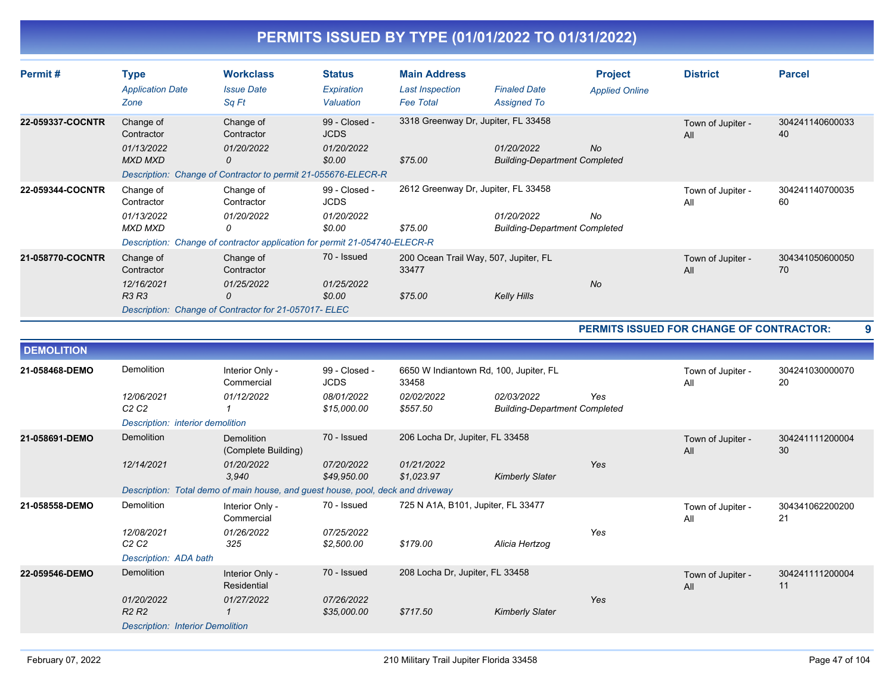| Permit#           | <b>Type</b><br><b>Application Date</b><br>Zone                                         | <b>Workclass</b><br><b>Issue Date</b><br>Sa Ft                                                                           | <b>Status</b><br>Expiration<br>Valuation             | <b>Main Address</b><br><b>Last Inspection</b><br><b>Fee Total</b> | <b>Finaled Date</b><br><b>Assigned To</b>          | <b>Project</b><br><b>Applied Online</b> | <b>District</b>                                 | <b>Parcel</b>         |
|-------------------|----------------------------------------------------------------------------------------|--------------------------------------------------------------------------------------------------------------------------|------------------------------------------------------|-------------------------------------------------------------------|----------------------------------------------------|-----------------------------------------|-------------------------------------------------|-----------------------|
| 22-059337-COCNTR  | Change of<br>Contractor<br>01/13/2022<br><b>MXD MXD</b>                                | Change of<br>Contractor<br>01/20/2022<br>0<br>Description: Change of Contractor to permit 21-055676-ELECR-R              | 99 - Closed -<br><b>JCDS</b><br>01/20/2022<br>\$0.00 | 3318 Greenway Dr, Jupiter, FL 33458<br>\$75.00                    | 01/20/2022<br><b>Building-Department Completed</b> | <b>No</b>                               | Town of Jupiter -<br>All                        | 304241140600033<br>40 |
| 22-059344-COCNTR  | Change of<br>Contractor<br>01/13/2022<br><b>MXD MXD</b>                                | Change of<br>Contractor<br>01/20/2022<br>0<br>Description: Change of contractor application for permit 21-054740-ELECR-R | 99 - Closed -<br><b>JCDS</b><br>01/20/2022<br>\$0.00 | 2612 Greenway Dr, Jupiter, FL 33458<br>\$75.00                    | 01/20/2022<br><b>Building-Department Completed</b> | No                                      | Town of Jupiter -<br>All                        | 304241140700035<br>60 |
| 21-058770-COCNTR  | Change of<br>Contractor<br>12/16/2021<br>R3 R3                                         | Change of<br>Contractor<br>01/25/2022<br>0<br>Description: Change of Contractor for 21-057017- ELEC                      | 70 - Issued<br>01/25/2022<br>\$0.00                  | 200 Ocean Trail Way, 507, Jupiter, FL<br>33477<br>\$75.00         | <b>Kelly Hills</b>                                 | <b>No</b>                               | Town of Jupiter -<br>All                        | 304341050600050<br>70 |
|                   |                                                                                        |                                                                                                                          |                                                      |                                                                   |                                                    |                                         | <b>PERMITS ISSUED FOR CHANGE OF CONTRACTOR:</b> | 9                     |
| <b>DEMOLITION</b> |                                                                                        |                                                                                                                          |                                                      |                                                                   |                                                    |                                         |                                                 |                       |
| 21-058468-DEMO    | Demolition<br>12/06/2021                                                               | Interior Only -<br>Commercial<br>01/12/2022                                                                              | 99 - Closed -<br><b>JCDS</b><br>08/01/2022           | 6650 W Indiantown Rd, 100, Jupiter, FL<br>33458<br>02/02/2022     | 02/03/2022                                         | Yes                                     | Town of Jupiter -<br>All                        | 304241030000070<br>20 |
|                   | C2C2<br>Description: interior demolition                                               | $\mathbf{1}$                                                                                                             | \$15,000.00                                          | \$557.50                                                          | <b>Building-Department Completed</b>               |                                         |                                                 |                       |
| 21-058691-DEMO    | Demolition<br>12/14/2021                                                               | <b>Demolition</b><br>(Complete Building)<br>01/20/2022<br>3.940                                                          | 70 - Issued<br>07/20/2022<br>\$49,950.00             | 206 Locha Dr, Jupiter, FL 33458<br>01/21/2022<br>\$1,023.97       | <b>Kimberly Slater</b>                             | Yes                                     | Town of Jupiter -<br>All                        | 304241111200004<br>30 |
|                   |                                                                                        | Description: Total demo of main house, and guest house, pool, deck and driveway                                          |                                                      |                                                                   |                                                    |                                         |                                                 |                       |
| 21-058558-DEMO    | Demolition                                                                             | Interior Only -<br>Commercial                                                                                            | 70 - Issued                                          | 725 N A1A, B101, Jupiter, FL 33477                                |                                                    |                                         | Town of Jupiter -<br>All                        | 304341062200200<br>21 |
|                   | 12/08/2021<br>C <sub>2</sub> C <sub>2</sub><br>Description: ADA bath                   | 01/26/2022<br>325                                                                                                        | 07/25/2022<br>\$2,500.00                             | \$179.00                                                          | Alicia Hertzog                                     | Yes                                     |                                                 |                       |
| 22-059546-DEMO    | Demolition                                                                             | Interior Only -<br><b>Residential</b>                                                                                    | 70 - Issued                                          | 208 Locha Dr, Jupiter, FL 33458                                   |                                                    |                                         | Town of Jupiter -<br>All                        | 304241111200004<br>11 |
|                   | 01/20/2022<br>R <sub>2</sub> R <sub>2</sub><br><b>Description: Interior Demolition</b> | 01/27/2022<br>$\mathbf{1}$                                                                                               | 07/26/2022<br>\$35,000.00                            | \$717.50                                                          | <b>Kimberly Slater</b>                             | Yes                                     |                                                 |                       |
|                   |                                                                                        |                                                                                                                          |                                                      |                                                                   |                                                    |                                         |                                                 |                       |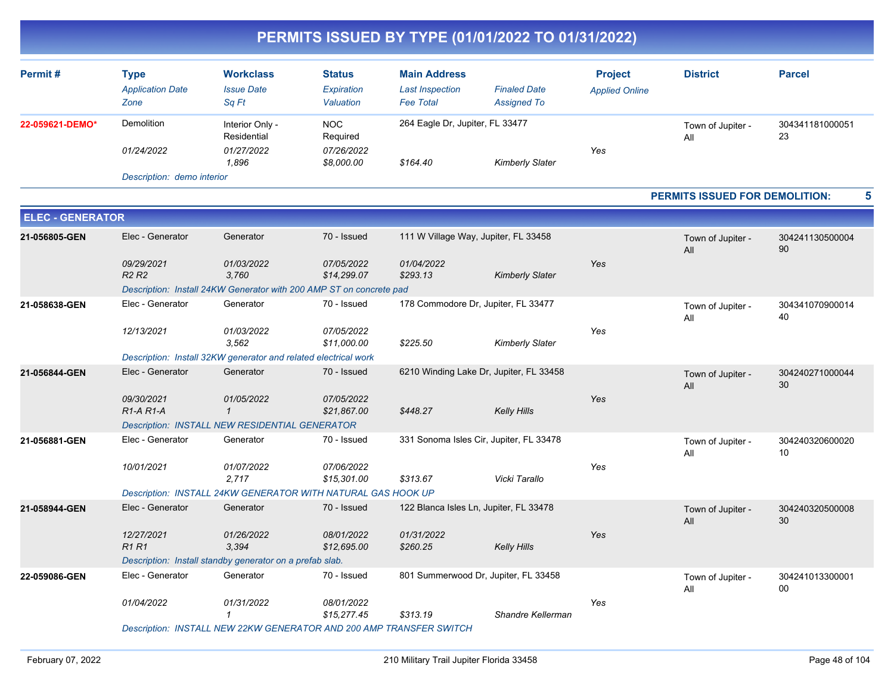| Permit#         | Type<br><b>Application Date</b><br>Zone | <b>Workclass</b><br><b>Issue Date</b><br>Sq Ft        | <b>Status</b><br>Expiration<br>Valuation           | <b>Main Address</b><br><b>Last Inspection</b><br><b>Fee Total</b> | <b>Finaled Date</b><br><b>Assigned To</b> | <b>Project</b><br><b>Applied Online</b> | <b>District</b>          | <b>Parcel</b>         |
|-----------------|-----------------------------------------|-------------------------------------------------------|----------------------------------------------------|-------------------------------------------------------------------|-------------------------------------------|-----------------------------------------|--------------------------|-----------------------|
| 22-059621-DEMO* | Demolition<br>01/24/2022                | Interior Only -<br>Residential<br>01/27/2022<br>1.896 | <b>NOC</b><br>Required<br>07/26/2022<br>\$8,000.00 | 264 Eagle Dr, Jupiter, FL 33477<br>\$164.40                       | <b>Kimberly Slater</b>                    | Yes                                     | Town of Jupiter -<br>All | 304341181000051<br>23 |

*Description: demo interior*

#### **PERMITS ISSUED FOR DEMOLITION: 5**

| <b>ELEC - GENERATOR</b> |                                             |                                                                     |                           |                        |                                         |     |                          |                       |
|-------------------------|---------------------------------------------|---------------------------------------------------------------------|---------------------------|------------------------|-----------------------------------------|-----|--------------------------|-----------------------|
| 21-056805-GEN           | Elec - Generator                            | Generator                                                           | 70 - Issued               |                        | 111 W Village Way, Jupiter, FL 33458    |     | Town of Jupiter -<br>All | 304241130500004<br>90 |
|                         | 09/29/2021<br>R <sub>2</sub> R <sub>2</sub> | 01/03/2022<br>3.760                                                 | 07/05/2022<br>\$14,299.07 | 01/04/2022<br>\$293.13 | <b>Kimberly Slater</b>                  | Yes |                          |                       |
|                         |                                             | Description: Install 24KW Generator with 200 AMP ST on concrete pad |                           |                        |                                         |     |                          |                       |
| 21-058638-GEN           | Elec - Generator                            | Generator                                                           | 70 - Issued               |                        | 178 Commodore Dr. Jupiter, FL 33477     |     | Town of Jupiter -<br>All | 304341070900014<br>40 |
|                         | 12/13/2021                                  | 01/03/2022<br>3.562                                                 | 07/05/2022<br>\$11,000.00 | \$225.50               | <b>Kimberly Slater</b>                  | Yes |                          |                       |
|                         |                                             | Description: Install 32KW generator and related electrical work     |                           |                        |                                         |     |                          |                       |
| 21-056844-GEN           | Elec - Generator                            | Generator                                                           | 70 - Issued               |                        | 6210 Winding Lake Dr, Jupiter, FL 33458 |     | Town of Jupiter -<br>All | 304240271000044<br>30 |
|                         | 09/30/2021<br>$R1-A R1-A$                   | 01/05/2022<br>$\mathbf{1}$                                          | 07/05/2022<br>\$21,867.00 | \$448.27               | <b>Kelly Hills</b>                      | Yes |                          |                       |
|                         |                                             | Description: INSTALL NEW RESIDENTIAL GENERATOR                      |                           |                        |                                         |     |                          |                       |
| 21-056881-GEN           | Elec - Generator                            | Generator                                                           | 70 - Issued               |                        | 331 Sonoma Isles Cir, Jupiter, FL 33478 |     | Town of Jupiter -<br>All | 304240320600020<br>10 |
|                         | 10/01/2021                                  | 01/07/2022<br>2.717                                                 | 07/06/2022<br>\$15,301.00 | \$313.67               | Vicki Tarallo                           | Yes |                          |                       |
|                         |                                             | Description: INSTALL 24KW GENERATOR WITH NATURAL GAS HOOK UP        |                           |                        |                                         |     |                          |                       |
| 21-058944-GEN           | Elec - Generator                            | Generator                                                           | 70 - Issued               |                        | 122 Blanca Isles Ln, Jupiter, FL 33478  |     | Town of Jupiter -<br>All | 304240320500008<br>30 |
|                         | 12/27/2021<br><b>R1 R1</b>                  | 01/26/2022<br>3,394                                                 | 08/01/2022<br>\$12,695.00 | 01/31/2022<br>\$260.25 | <b>Kelly Hills</b>                      | Yes |                          |                       |
|                         |                                             | Description: Install standby generator on a prefab slab.            |                           |                        |                                         |     |                          |                       |
| 22-059086-GEN           | Elec - Generator                            | Generator                                                           | 70 - Issued               |                        | 801 Summerwood Dr, Jupiter, FL 33458    |     | Town of Jupiter -<br>All | 304241013300001<br>00 |
|                         | 01/04/2022                                  | 01/31/2022<br>$\mathcal I$                                          | 08/01/2022<br>\$15,277.45 | \$313.19               | Shandre Kellerman                       | Yes |                          |                       |
|                         |                                             | Description: INSTALL NEW 22KW GENERATOR AND 200 AMP TRANSFER SWITCH |                           |                        |                                         |     |                          |                       |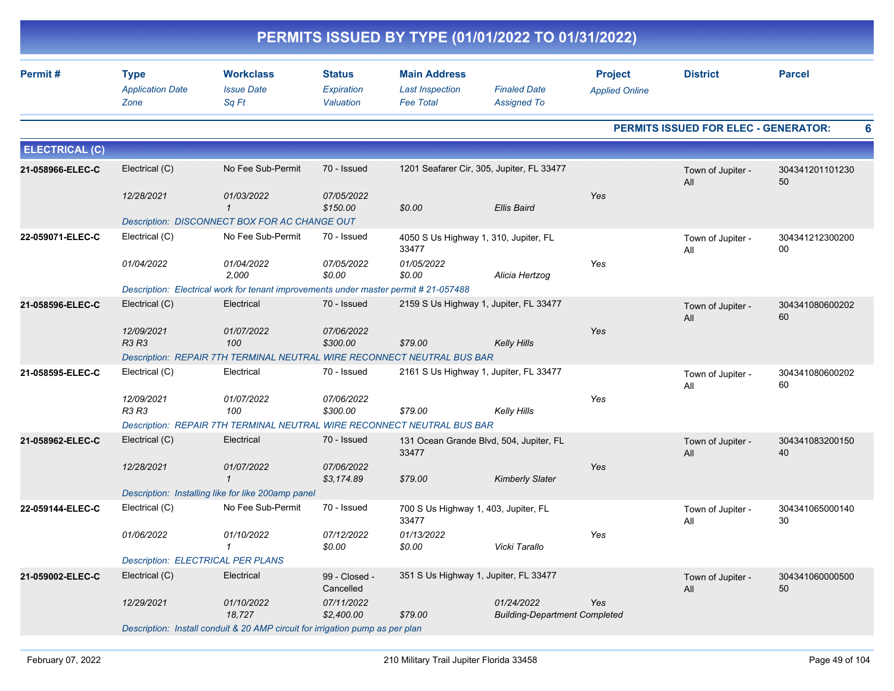| PERMITS ISSUED BY TYPE (01/01/2022 TO 01/31/2022) |                                                |                                                                                     |                                          |                                                                   |                                                    |                                         |                                      |                       |  |  |
|---------------------------------------------------|------------------------------------------------|-------------------------------------------------------------------------------------|------------------------------------------|-------------------------------------------------------------------|----------------------------------------------------|-----------------------------------------|--------------------------------------|-----------------------|--|--|
| Permit#                                           | <b>Type</b><br><b>Application Date</b><br>Zone | <b>Workclass</b><br><b>Issue Date</b><br>Sq Ft                                      | <b>Status</b><br>Expiration<br>Valuation | <b>Main Address</b><br><b>Last Inspection</b><br><b>Fee Total</b> | <b>Finaled Date</b><br><b>Assigned To</b>          | <b>Project</b><br><b>Applied Online</b> | <b>District</b>                      | <b>Parcel</b>         |  |  |
|                                                   |                                                |                                                                                     |                                          |                                                                   |                                                    |                                         | PERMITS ISSUED FOR ELEC - GENERATOR: |                       |  |  |
| <b>ELECTRICAL (C)</b>                             |                                                |                                                                                     |                                          |                                                                   |                                                    |                                         |                                      |                       |  |  |
| 21-058966-ELEC-C                                  | Electrical (C)                                 | No Fee Sub-Permit                                                                   | 70 - Issued                              |                                                                   | 1201 Seafarer Cir, 305, Jupiter, FL 33477          |                                         | Town of Jupiter -<br>All             | 304341201101230<br>50 |  |  |
|                                                   | 12/28/2021                                     | 01/03/2022<br>$\mathbf{1}$                                                          | 07/05/2022<br>\$150.00                   | \$0.00                                                            | <b>Ellis Baird</b>                                 | Yes                                     |                                      |                       |  |  |
|                                                   |                                                | Description: DISCONNECT BOX FOR AC CHANGE OUT                                       |                                          |                                                                   |                                                    |                                         |                                      |                       |  |  |
| 22-059071-ELEC-C                                  | Electrical (C)                                 | No Fee Sub-Permit                                                                   | 70 - Issued                              | 4050 S Us Highway 1, 310, Jupiter, FL<br>33477                    |                                                    |                                         | Town of Jupiter -<br>All             | 304341212300200<br>00 |  |  |
|                                                   | 01/04/2022                                     | 01/04/2022<br>2,000                                                                 | 07/05/2022<br>\$0.00                     | 01/05/2022<br>\$0.00                                              | Alicia Hertzog                                     | Yes                                     |                                      |                       |  |  |
|                                                   |                                                | Description: Electrical work for tenant improvements under master permit #21-057488 |                                          |                                                                   |                                                    |                                         |                                      |                       |  |  |
| 21-058596-ELEC-C                                  | Electrical (C)                                 | Electrical                                                                          | 70 - Issued                              |                                                                   | 2159 S Us Highway 1, Jupiter, FL 33477             |                                         | Town of Jupiter -<br>All             | 304341080600202<br>60 |  |  |
|                                                   | 12/09/2021<br>R3 R3                            | 01/07/2022<br>100                                                                   | 07/06/2022<br>\$300.00                   | \$79.00                                                           | <b>Kelly Hills</b>                                 | Yes                                     |                                      |                       |  |  |
|                                                   |                                                | Description: REPAIR 7TH TERMINAL NEUTRAL WIRE RECONNECT NEUTRAL BUS BAR             |                                          |                                                                   |                                                    |                                         |                                      |                       |  |  |
| 21-058595-ELEC-C                                  | Electrical (C)                                 | Electrical                                                                          | 70 - Issued                              |                                                                   | 2161 S Us Highway 1, Jupiter, FL 33477             |                                         | Town of Jupiter -<br>All             | 304341080600202<br>60 |  |  |
|                                                   | 12/09/2021<br>R3 R3                            | 01/07/2022<br>100                                                                   | 07/06/2022<br>\$300.00                   | \$79.00                                                           | <b>Kelly Hills</b>                                 | Yes                                     |                                      |                       |  |  |
|                                                   |                                                | Description: REPAIR 7TH TERMINAL NEUTRAL WIRE RECONNECT NEUTRAL BUS BAR             |                                          |                                                                   |                                                    |                                         |                                      |                       |  |  |
| 21-058962-ELEC-C                                  | Electrical (C)                                 | Electrical                                                                          | 70 - Issued                              | 33477                                                             | 131 Ocean Grande Blvd, 504, Jupiter, FL            |                                         | Town of Jupiter -<br>All             | 304341083200150<br>40 |  |  |
|                                                   | 12/28/2021                                     | 01/07/2022<br>$\mathbf{1}$                                                          | 07/06/2022<br>\$3,174.89                 | \$79.00                                                           | <b>Kimberly Slater</b>                             | Yes                                     |                                      |                       |  |  |
|                                                   |                                                | Description: Installing like for like 200amp panel                                  |                                          |                                                                   |                                                    |                                         |                                      |                       |  |  |
| 22-059144-ELEC-C                                  | Electrical (C)                                 | No Fee Sub-Permit                                                                   | 70 - Issued                              | 700 S Us Highway 1, 403, Jupiter, FL<br>33477                     |                                                    |                                         | Town of Jupiter -<br>All             | 304341065000140<br>30 |  |  |
|                                                   | 01/06/2022                                     | 01/10/2022<br>$\mathbf{1}$                                                          | 07/12/2022<br>\$0.00                     | 01/13/2022<br>\$0.00                                              | Vicki Tarallo                                      | Yes                                     |                                      |                       |  |  |
|                                                   | Description: ELECTRICAL PER PLANS              |                                                                                     |                                          |                                                                   |                                                    |                                         |                                      |                       |  |  |
| 21-059002-ELEC-C                                  | Electrical (C)                                 | Electrical                                                                          | 99 - Closed -<br>Cancelled               | 351 S Us Highway 1, Jupiter, FL 33477                             |                                                    |                                         | Town of Jupiter -<br>All             | 304341060000500<br>50 |  |  |
|                                                   | 12/29/2021                                     | 01/10/2022<br>18,727                                                                | 07/11/2022<br>\$2,400.00                 | \$79.00                                                           | 01/24/2022<br><b>Building-Department Completed</b> | Yes                                     |                                      |                       |  |  |
|                                                   |                                                | Description: Install conduit & 20 AMP circuit for irrigation pump as per plan       |                                          |                                                                   |                                                    |                                         |                                      |                       |  |  |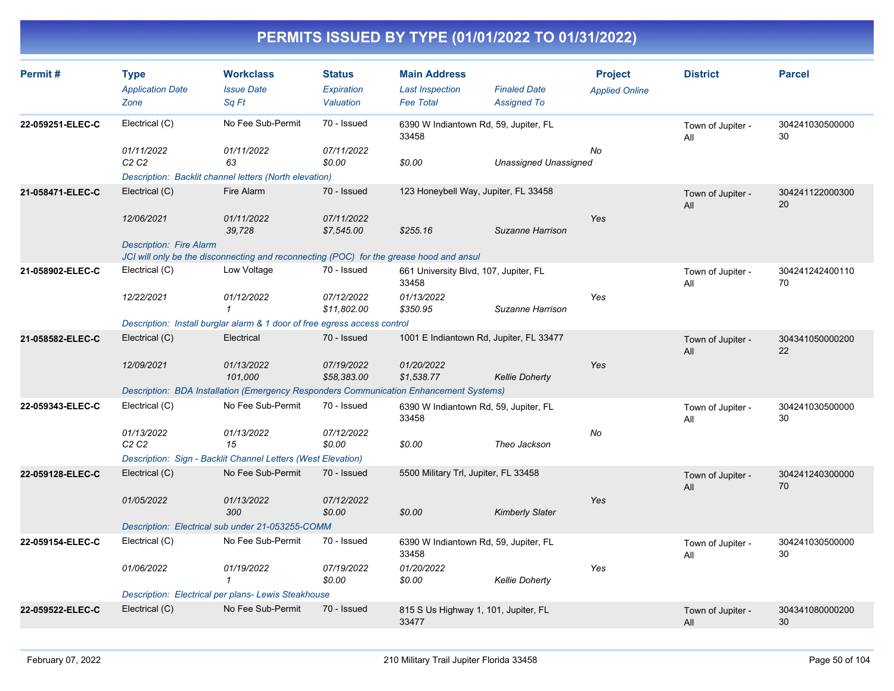| Permit#          | <b>Type</b><br><b>Application Date</b><br>Zone | <b>Workclass</b><br><b>Issue Date</b><br>Sa Ft                                          | <b>Status</b><br>Expiration<br>Valuation | <b>Main Address</b><br><b>Last Inspection</b><br><b>Fee Total</b> | <b>Finaled Date</b><br><b>Assigned To</b> | <b>Project</b><br><b>Applied Online</b> | <b>District</b>          | <b>Parcel</b>         |
|------------------|------------------------------------------------|-----------------------------------------------------------------------------------------|------------------------------------------|-------------------------------------------------------------------|-------------------------------------------|-----------------------------------------|--------------------------|-----------------------|
| 22-059251-ELEC-C | Electrical (C)                                 | No Fee Sub-Permit                                                                       | 70 - Issued                              | 6390 W Indiantown Rd, 59, Jupiter, FL<br>33458                    |                                           |                                         | Town of Jupiter -<br>All | 304241030500000<br>30 |
|                  | 01/11/2022<br>C2C2                             | 01/11/2022<br>63                                                                        | 07/11/2022<br>\$0.00                     | \$0.00                                                            | <b>Unassigned Unassigned</b>              | No                                      |                          |                       |
|                  |                                                | Description: Backlit channel letters (North elevation)                                  |                                          |                                                                   |                                           |                                         |                          |                       |
| 21-058471-ELEC-C | Electrical (C)                                 | Fire Alarm                                                                              | 70 - Issued                              | 123 Honeybell Way, Jupiter, FL 33458                              |                                           |                                         | Town of Jupiter -<br>All | 304241122000300<br>20 |
|                  | 12/06/2021                                     | 01/11/2022<br>39,728                                                                    | 07/11/2022<br>\$7,545.00                 | \$255.16                                                          | Suzanne Harrison                          | Yes                                     |                          |                       |
|                  | <b>Description: Fire Alarm</b>                 |                                                                                         |                                          |                                                                   |                                           |                                         |                          |                       |
|                  |                                                | JCI will only be the disconnecting and reconnecting (POC) for the grease hood and ansul |                                          |                                                                   |                                           |                                         |                          |                       |
| 21-058902-ELEC-C | Electrical (C)                                 | Low Voltage                                                                             | 70 - Issued                              | 661 University Blvd, 107, Jupiter, FL<br>33458                    |                                           |                                         | Town of Jupiter -<br>All | 304241242400110<br>70 |
|                  | 12/22/2021                                     | 01/12/2022<br>$\mathbf{1}$                                                              | 07/12/2022<br>\$11,802.00                | 01/13/2022<br>\$350.95                                            | Suzanne Harrison                          | Yes                                     |                          |                       |
|                  |                                                | Description: Install burglar alarm & 1 door of free egress access control               |                                          |                                                                   |                                           |                                         |                          |                       |
| 21-058582-ELEC-C | Electrical (C)                                 | Electrical                                                                              | 70 - Issued                              | 1001 E Indiantown Rd, Jupiter, FL 33477                           |                                           |                                         | Town of Jupiter -<br>All | 304341050000200<br>22 |
|                  | 12/09/2021                                     | 01/13/2022<br>101.000                                                                   | 07/19/2022<br>\$58,383.00                | 01/20/2022<br>\$1,538.77                                          | <b>Kellie Doherty</b>                     | Yes                                     |                          |                       |
|                  |                                                | Description: BDA Installation (Emergency Responders Communication Enhancement Systems)  |                                          |                                                                   |                                           |                                         |                          |                       |
| 22-059343-ELEC-C | Electrical (C)                                 | No Fee Sub-Permit                                                                       | 70 - Issued                              | 6390 W Indiantown Rd, 59, Jupiter, FL<br>33458                    |                                           |                                         | Town of Jupiter -<br>All | 304241030500000<br>30 |
|                  | 01/13/2022<br>C2C2                             | 01/13/2022<br>15                                                                        | 07/12/2022<br>\$0.00                     | \$0.00                                                            | Theo Jackson                              | No                                      |                          |                       |
|                  |                                                | Description: Sign - Backlit Channel Letters (West Elevation)                            |                                          |                                                                   |                                           |                                         |                          |                       |
| 22-059128-ELEC-C | Electrical (C)                                 | No Fee Sub-Permit                                                                       | 70 - Issued                              | 5500 Military Trl, Jupiter, FL 33458                              |                                           |                                         | Town of Jupiter -<br>All | 304241240300000<br>70 |
|                  | 01/05/2022                                     | 01/13/2022<br>300                                                                       | 07/12/2022<br>\$0.00                     | \$0.00                                                            | <b>Kimberly Slater</b>                    | Yes                                     |                          |                       |
|                  |                                                | Description: Electrical sub under 21-053255-COMM                                        |                                          |                                                                   |                                           |                                         |                          |                       |
| 22-059154-ELEC-C | Electrical (C)                                 | No Fee Sub-Permit                                                                       | 70 - Issued                              | 6390 W Indiantown Rd, 59, Jupiter, FL<br>33458                    |                                           |                                         | Town of Jupiter -<br>All | 304241030500000<br>30 |
|                  | 01/06/2022                                     | 01/19/2022<br>$\mathbf{1}$                                                              | 07/19/2022<br>\$0.00                     | 01/20/2022<br>\$0.00                                              | <b>Kellie Doherty</b>                     | Yes                                     |                          |                       |
|                  |                                                | Description: Electrical per plans-Lewis Steakhouse                                      |                                          |                                                                   |                                           |                                         |                          |                       |
| 22-059522-ELEC-C | Electrical (C)                                 | No Fee Sub-Permit                                                                       | 70 - Issued                              | 815 S Us Highway 1, 101, Jupiter, FL<br>33477                     |                                           |                                         | Town of Jupiter -<br>All | 304341080000200<br>30 |
|                  |                                                |                                                                                         |                                          |                                                                   |                                           |                                         |                          |                       |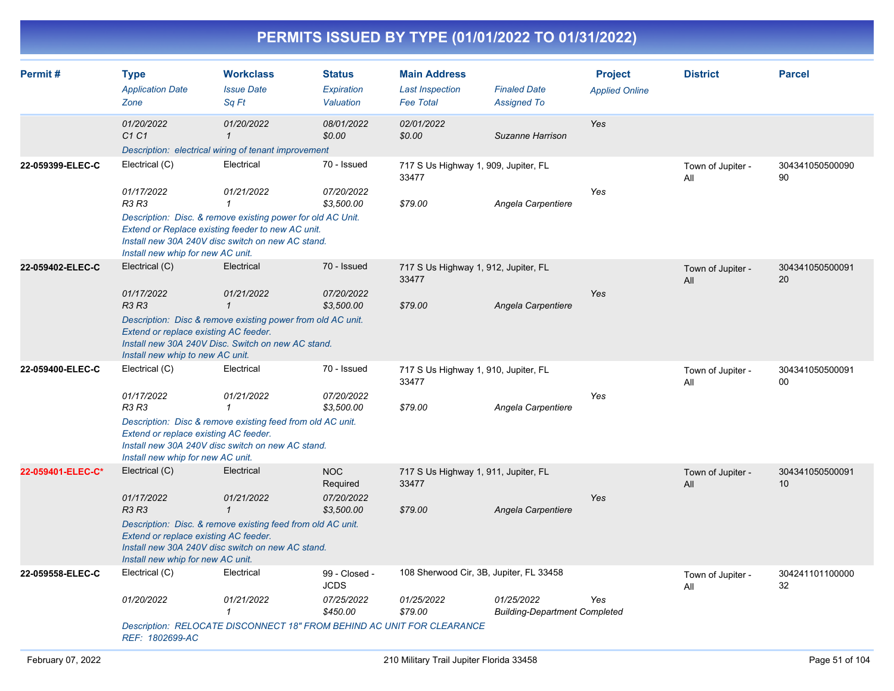| PERMITS ISSUED BY TYPE (01/01/2022 TO 01/31/2022) |                                                                                                                           |                                                                                                                                                                 |                                                    |                                                                   |                                                            |                                         |                          |                       |  |  |  |
|---------------------------------------------------|---------------------------------------------------------------------------------------------------------------------------|-----------------------------------------------------------------------------------------------------------------------------------------------------------------|----------------------------------------------------|-------------------------------------------------------------------|------------------------------------------------------------|-----------------------------------------|--------------------------|-----------------------|--|--|--|
| Permit#                                           | <b>Type</b><br><b>Application Date</b><br>Zone                                                                            | <b>Workclass</b><br><b>Issue Date</b><br>Sa Ft                                                                                                                  | <b>Status</b><br>Expiration<br>Valuation           | <b>Main Address</b><br><b>Last Inspection</b><br><b>Fee Total</b> | <b>Finaled Date</b><br><b>Assigned To</b>                  | <b>Project</b><br><b>Applied Online</b> | <b>District</b>          | <b>Parcel</b>         |  |  |  |
|                                                   | 01/20/2022<br>C1 C1                                                                                                       | 01/20/2022<br>$\mathbf{1}$<br>Description: electrical wiring of tenant improvement                                                                              | 08/01/2022<br>\$0.00                               | 02/01/2022<br>\$0.00                                              | Suzanne Harrison                                           | Yes                                     |                          |                       |  |  |  |
| 22-059399-ELEC-C                                  | Electrical (C)<br>01/17/2022<br><b>R3 R3</b>                                                                              | Electrical<br>01/21/2022<br>$\mathbf{1}$<br>Description: Disc. & remove existing power for old AC Unit.<br>Extend or Replace existing feeder to new AC unit.    | 70 - Issued<br>07/20/2022<br>\$3,500.00            | 33477<br>\$79.00                                                  | 717 S Us Highway 1, 909, Jupiter, FL<br>Angela Carpentiere | Yes                                     | Town of Jupiter -<br>All | 304341050500090<br>90 |  |  |  |
|                                                   | Install new whip for new AC unit.                                                                                         | Install new 30A 240V disc switch on new AC stand.                                                                                                               |                                                    |                                                                   |                                                            |                                         |                          |                       |  |  |  |
| 22-059402-ELEC-C                                  | Electrical (C)<br>01/17/2022<br><b>R3 R3</b><br>Extend or replace existing AC feeder.<br>Install new whip to new AC unit. | Electrical<br>01/21/2022<br>$\overline{1}$<br>Description: Disc & remove existing power from old AC unit.<br>Install new 30A 240V Disc. Switch on new AC stand. | 70 - Issued<br>07/20/2022<br>\$3,500.00            | 33477<br>\$79.00                                                  | 717 S Us Highway 1, 912, Jupiter, FL<br>Angela Carpentiere | Yes                                     | Town of Jupiter -<br>All | 304341050500091<br>20 |  |  |  |
| 22-059400-ELEC-C                                  | Electrical (C)<br>01/17/2022<br>R3 R3<br>Extend or replace existing AC feeder.<br>Install new whip for new AC unit.       | Electrical<br>01/21/2022<br>$\overline{1}$<br>Description: Disc & remove existing feed from old AC unit.<br>Install new 30A 240V disc switch on new AC stand.   | 70 - Issued<br>07/20/2022<br>\$3,500.00            | 33477<br>\$79.00                                                  | 717 S Us Highway 1, 910, Jupiter, FL<br>Angela Carpentiere | Yes                                     | Town of Jupiter -<br>All | 304341050500091<br>00 |  |  |  |
| 22-059401-ELEC-C*                                 | Electrical (C)<br>01/17/2022<br>R3R3<br>Extend or replace existing AC feeder.<br>Install new whip for new AC unit.        | Electrical<br>01/21/2022<br>$\mathbf{1}$<br>Description: Disc. & remove existing feed from old AC unit.<br>Install new 30A 240V disc switch on new AC stand.    | <b>NOC</b><br>Required<br>07/20/2022<br>\$3.500.00 | 33477<br>\$79.00                                                  | 717 S Us Highway 1, 911, Jupiter, FL<br>Angela Carpentiere | Yes                                     | Town of Jupiter -<br>All | 304341050500091<br>10 |  |  |  |
| 22-059558-ELEC-C                                  | Electrical (C)                                                                                                            | Electrical                                                                                                                                                      | 99 - Closed -<br><b>JCDS</b>                       |                                                                   | 108 Sherwood Cir, 3B, Jupiter, FL 33458                    |                                         | Town of Jupiter -<br>All | 304241101100000<br>32 |  |  |  |

*Description: RELOCATE DISCONNECT 18" FROM BEHIND AC UNIT FOR CLEARANCE REF: 1802699-AC*

*01/20/2022 01/21/2022 07/25/2022 01/25/2022 01/25/2022*

*Yes*

 *1 \$450.00 \$79.00 Building-Department Completed*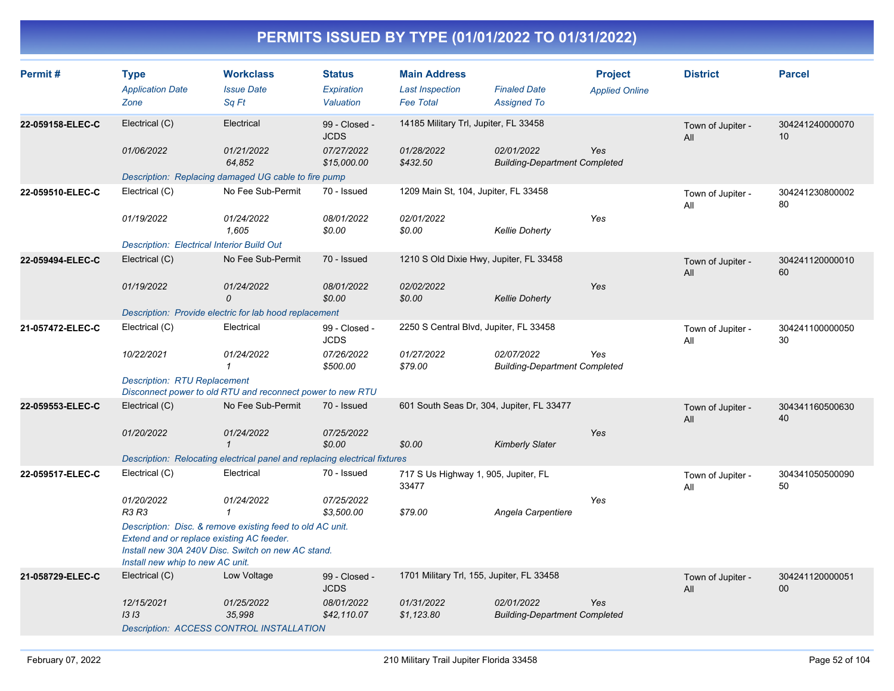| Permit#          | <b>Type</b><br><b>Application Date</b>                                        | <b>Workclass</b><br><b>Issue Date</b>                                                                           | <b>Status</b><br><b>Expiration</b> | <b>Main Address</b><br><b>Last Inspection</b> | <b>Finaled Date</b>                                | <b>Project</b><br><b>Applied Online</b> | <b>District</b>          | <b>Parcel</b>         |
|------------------|-------------------------------------------------------------------------------|-----------------------------------------------------------------------------------------------------------------|------------------------------------|-----------------------------------------------|----------------------------------------------------|-----------------------------------------|--------------------------|-----------------------|
|                  | Zone                                                                          | Sq Ft                                                                                                           | Valuation                          | <b>Fee Total</b>                              | <b>Assigned To</b>                                 |                                         |                          |                       |
| 22-059158-ELEC-C | Electrical (C)                                                                | Electrical                                                                                                      | 99 - Closed -<br><b>JCDS</b>       | 14185 Military Trl, Jupiter, FL 33458         |                                                    |                                         | Town of Jupiter -<br>All | 304241240000070<br>10 |
|                  | 01/06/2022                                                                    | 01/21/2022<br>64,852                                                                                            | 07/27/2022<br>\$15,000.00          | 01/28/2022<br>\$432.50                        | 02/01/2022<br><b>Building-Department Completed</b> | Yes                                     |                          |                       |
|                  |                                                                               | Description: Replacing damaged UG cable to fire pump                                                            |                                    |                                               |                                                    |                                         |                          |                       |
| 22-059510-ELEC-C | Electrical (C)                                                                | No Fee Sub-Permit                                                                                               | 70 - Issued                        | 1209 Main St, 104, Jupiter, FL 33458          |                                                    |                                         | Town of Jupiter -<br>All | 304241230800002<br>80 |
|                  | 01/19/2022                                                                    | 01/24/2022<br>1,605                                                                                             | 08/01/2022<br>\$0.00               | 02/01/2022<br>\$0.00                          | <b>Kellie Doherty</b>                              | Yes                                     |                          |                       |
|                  | <b>Description: Electrical Interior Build Out</b>                             |                                                                                                                 |                                    |                                               |                                                    |                                         |                          |                       |
| 22-059494-ELEC-C | Electrical (C)                                                                | No Fee Sub-Permit                                                                                               | 70 - Issued                        | 1210 S Old Dixie Hwy, Jupiter, FL 33458       |                                                    |                                         | Town of Jupiter -<br>All | 304241120000010<br>60 |
|                  | 01/19/2022                                                                    | 01/24/2022<br>$\mathcal{O}$                                                                                     | 08/01/2022<br>\$0.00               | 02/02/2022<br>\$0.00                          | <b>Kellie Doherty</b>                              | Yes                                     |                          |                       |
|                  |                                                                               | Description: Provide electric for lab hood replacement                                                          |                                    |                                               |                                                    |                                         |                          |                       |
| 21-057472-ELEC-C | Electrical (C)                                                                | Electrical                                                                                                      | 99 - Closed -<br><b>JCDS</b>       | 2250 S Central Blvd, Jupiter, FL 33458        |                                                    |                                         | Town of Jupiter -<br>All | 304241100000050<br>30 |
|                  | 10/22/2021                                                                    | 01/24/2022<br>$\mathbf{1}$                                                                                      | 07/26/2022<br>\$500.00             | 01/27/2022<br>\$79.00                         | 02/07/2022<br><b>Building-Department Completed</b> | Yes                                     |                          |                       |
|                  | <b>Description: RTU Replacement</b>                                           | Disconnect power to old RTU and reconnect power to new RTU                                                      |                                    |                                               |                                                    |                                         |                          |                       |
| 22-059553-ELEC-C | Electrical (C)                                                                | No Fee Sub-Permit                                                                                               | 70 - Issued                        | 601 South Seas Dr, 304, Jupiter, FL 33477     |                                                    |                                         | Town of Jupiter -<br>All | 304341160500630<br>40 |
|                  | 01/20/2022                                                                    | 01/24/2022<br>$\mathbf{1}$                                                                                      | 07/25/2022<br>\$0.00               | \$0.00                                        | <b>Kimberly Slater</b>                             | Yes                                     |                          |                       |
|                  |                                                                               | Description: Relocating electrical panel and replacing electrical fixtures                                      |                                    |                                               |                                                    |                                         |                          |                       |
| 22-059517-ELEC-C | Electrical (C)                                                                | Electrical                                                                                                      | 70 - Issued                        | 717 S Us Highway 1, 905, Jupiter, FL<br>33477 |                                                    |                                         | Town of Jupiter -<br>All | 304341050500090<br>50 |
|                  | 01/20/2022<br><b>R3 R3</b>                                                    | 01/24/2022<br>$\mathbf{1}$                                                                                      | 07/25/2022<br>\$3,500.00           | \$79.00                                       | Angela Carpentiere                                 | Yes                                     |                          |                       |
|                  | Extend and or replace existing AC feeder.<br>Install new whip to new AC unit. | Description: Disc. & remove existing feed to old AC unit.<br>Install new 30A 240V Disc. Switch on new AC stand. |                                    |                                               |                                                    |                                         |                          |                       |
| 21-058729-ELEC-C | Electrical (C)                                                                | Low Voltage                                                                                                     | 99 - Closed -<br><b>JCDS</b>       | 1701 Military Trl, 155, Jupiter, FL 33458     |                                                    |                                         | Town of Jupiter -<br>All | 304241120000051<br>00 |
|                  | 12/15/2021<br>1313                                                            | 01/25/2022<br>35,998<br><b>Description: ACCESS CONTROL INSTALLATION</b>                                         | 08/01/2022<br>\$42,110.07          | 01/31/2022<br>\$1,123.80                      | 02/01/2022<br><b>Building-Department Completed</b> | Yes                                     |                          |                       |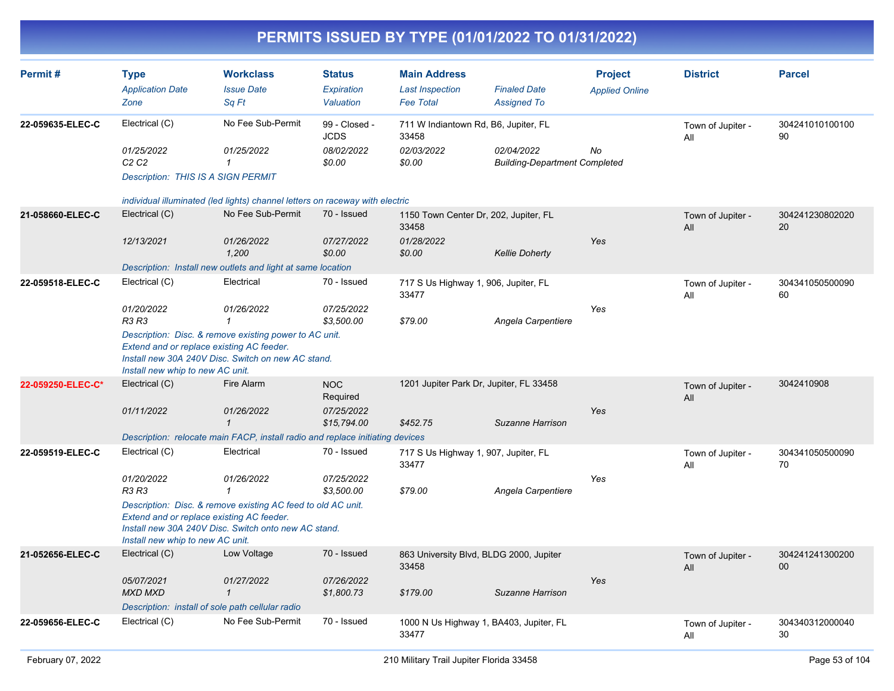| Permit#           | <b>Type</b><br><b>Application Date</b><br>Zone                                           | <b>Workclass</b><br><b>Issue Date</b><br>Sq Ft                                                                                                                    | <b>Status</b><br>Expiration<br>Valuation | <b>Main Address</b><br><b>Last Inspection</b><br><b>Fee Total</b> | <b>Finaled Date</b><br><b>Assigned To</b>          | <b>Project</b><br><b>Applied Online</b> | <b>District</b>          | <b>Parcel</b>         |
|-------------------|------------------------------------------------------------------------------------------|-------------------------------------------------------------------------------------------------------------------------------------------------------------------|------------------------------------------|-------------------------------------------------------------------|----------------------------------------------------|-----------------------------------------|--------------------------|-----------------------|
| 22-059635-ELEC-C  | Electrical (C)                                                                           | No Fee Sub-Permit                                                                                                                                                 | 99 - Closed -<br><b>JCDS</b>             | 711 W Indiantown Rd, B6, Jupiter, FL<br>33458                     |                                                    |                                         | Town of Jupiter -<br>All | 304241010100100<br>90 |
|                   | 01/25/2022<br>C <sub>2</sub> C <sub>2</sub><br><b>Description: THIS IS A SIGN PERMIT</b> | 01/25/2022<br>$\mathbf{1}$                                                                                                                                        | 08/02/2022<br>\$0.00                     | 02/03/2022<br>\$0.00                                              | 02/04/2022<br><b>Building-Department Completed</b> | No                                      |                          |                       |
|                   |                                                                                          | individual illuminated (led lights) channel letters on raceway with electric                                                                                      |                                          |                                                                   |                                                    |                                         |                          |                       |
| 21-058660-ELEC-C  | Electrical (C)                                                                           | No Fee Sub-Permit                                                                                                                                                 | 70 - Issued                              | 1150 Town Center Dr, 202, Jupiter, FL<br>33458                    |                                                    |                                         | Town of Jupiter -<br>All | 304241230802020<br>20 |
|                   | 12/13/2021                                                                               | 01/26/2022<br>1.200                                                                                                                                               | 07/27/2022<br>\$0.00                     | 01/28/2022<br>\$0.00                                              | <b>Kellie Doherty</b>                              | Yes                                     |                          |                       |
|                   |                                                                                          | Description: Install new outlets and light at same location                                                                                                       |                                          |                                                                   |                                                    |                                         |                          |                       |
| 22-059518-ELEC-C  | Electrical (C)                                                                           | Electrical                                                                                                                                                        | 70 - Issued                              | 717 S Us Highway 1, 906, Jupiter, FL<br>33477                     |                                                    |                                         | Town of Jupiter -<br>All | 304341050500090<br>60 |
|                   | 01/20/2022<br>R3 R3                                                                      | 01/26/2022<br>$\mathbf 1$                                                                                                                                         | 07/25/2022<br>\$3,500.00                 | \$79.00                                                           | Angela Carpentiere                                 | Yes                                     |                          |                       |
|                   | Install new whip to new AC unit.                                                         | Description: Disc. & remove existing power to AC unit.<br>Extend and or replace existing AC feeder.<br>Install new 30A 240V Disc. Switch on new AC stand.         |                                          |                                                                   |                                                    |                                         |                          |                       |
| 22-059250-ELEC-C* | Electrical (C)                                                                           | Fire Alarm                                                                                                                                                        | NOC<br>Required                          |                                                                   | 1201 Jupiter Park Dr, Jupiter, FL 33458            |                                         | Town of Jupiter -<br>All | 3042410908            |
|                   | 01/11/2022                                                                               | 01/26/2022<br>$\mathcal I$                                                                                                                                        | 07/25/2022<br>\$15,794.00                | \$452.75                                                          | Suzanne Harrison                                   | Yes                                     |                          |                       |
|                   |                                                                                          | Description: relocate main FACP, install radio and replace initiating devices                                                                                     |                                          |                                                                   |                                                    |                                         |                          |                       |
| 22-059519-ELEC-C  | Electrical (C)                                                                           | Electrical                                                                                                                                                        | 70 - Issued                              | 717 S Us Highway 1, 907, Jupiter, FL<br>33477                     |                                                    |                                         | Town of Jupiter -<br>All | 304341050500090<br>70 |
|                   | 01/20/2022<br>R3 R3                                                                      | 01/26/2022<br>$\mathbf{1}$                                                                                                                                        | 07/25/2022<br>\$3.500.00                 | \$79.00                                                           | Angela Carpentiere                                 | Yes                                     |                          |                       |
|                   | Install new whip to new AC unit.                                                         | Description: Disc. & remove existing AC feed to old AC unit.<br>Extend and or replace existing AC feeder.<br>Install new 30A 240V Disc. Switch onto new AC stand. |                                          |                                                                   |                                                    |                                         |                          |                       |
| 21-052656-ELEC-C  | Electrical (C)                                                                           | Low Voltage                                                                                                                                                       | 70 - Issued                              | 33458                                                             | 863 University Blvd, BLDG 2000, Jupiter            |                                         | Town of Jupiter -<br>All | 304241241300200<br>00 |
|                   | 05/07/2021<br><b>MXD MXD</b>                                                             | 01/27/2022<br>$\mathbf{1}$                                                                                                                                        | 07/26/2022<br>\$1,800.73                 | \$179.00                                                          | Suzanne Harrison                                   | Yes                                     |                          |                       |
|                   |                                                                                          | Description: install of sole path cellular radio                                                                                                                  |                                          |                                                                   |                                                    |                                         |                          |                       |
| 22-059656-ELEC-C  | Electrical (C)                                                                           | No Fee Sub-Permit                                                                                                                                                 | 70 - Issued                              | 33477                                                             | 1000 N Us Highway 1, BA403, Jupiter, FL            |                                         | Town of Jupiter -<br>All | 304340312000040<br>30 |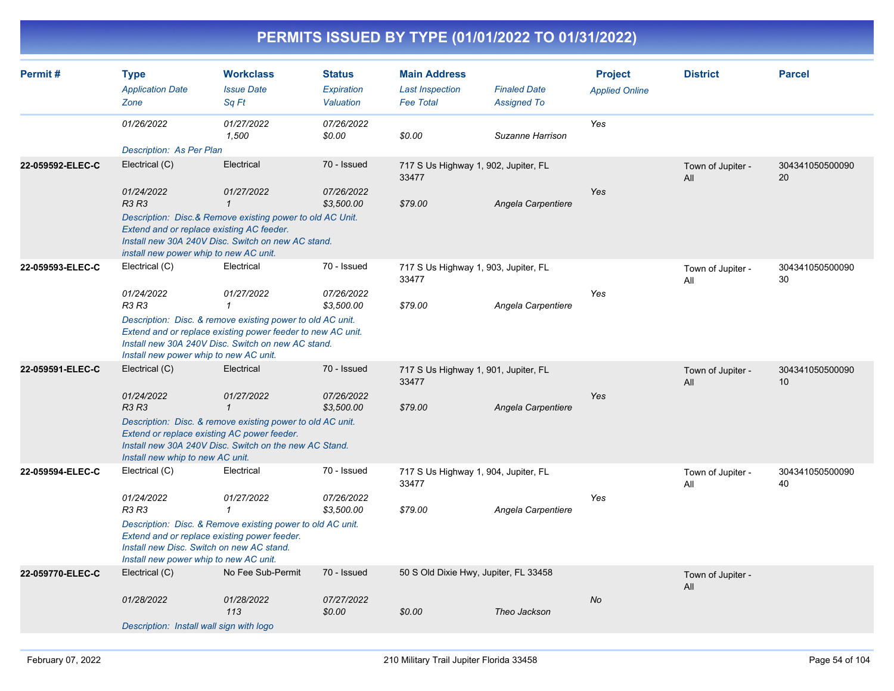| Permit#          | <b>Type</b><br><b>Application Date</b><br>Zone                                                                                      | <b>Workclass</b><br><b>Issue Date</b><br>Sq Ft                                                                                                                                  | <b>Status</b><br><b>Expiration</b><br>Valuation | <b>Main Address</b><br><b>Last Inspection</b><br><b>Fee Total</b> | <b>Finaled Date</b><br><b>Assigned To</b> | <b>Project</b><br><b>Applied Online</b> | <b>District</b>          | <b>Parcel</b>         |
|------------------|-------------------------------------------------------------------------------------------------------------------------------------|---------------------------------------------------------------------------------------------------------------------------------------------------------------------------------|-------------------------------------------------|-------------------------------------------------------------------|-------------------------------------------|-----------------------------------------|--------------------------|-----------------------|
|                  | 01/26/2022                                                                                                                          | 01/27/2022<br>1,500                                                                                                                                                             | 07/26/2022<br>\$0.00                            | \$0.00                                                            | Suzanne Harrison                          | Yes                                     |                          |                       |
|                  | Description: As Per Plan                                                                                                            |                                                                                                                                                                                 |                                                 |                                                                   |                                           |                                         |                          |                       |
| 22-059592-ELEC-C | Electrical (C)                                                                                                                      | Electrical                                                                                                                                                                      | 70 - Issued                                     | 717 S Us Highway 1, 902, Jupiter, FL<br>33477                     |                                           |                                         | Town of Jupiter -<br>All | 304341050500090<br>20 |
|                  | 01/24/2022<br><b>R3 R3</b>                                                                                                          | 01/27/2022<br>$\mathbf{1}$                                                                                                                                                      | 07/26/2022<br>\$3,500.00                        | \$79.00                                                           | Angela Carpentiere                        | Yes                                     |                          |                       |
|                  | Extend and or replace existing AC feeder.<br>install new power whip to new AC unit.                                                 | Description: Disc.& Remove existing power to old AC Unit.<br>Install new 30A 240V Disc. Switch on new AC stand.                                                                 |                                                 |                                                                   |                                           |                                         |                          |                       |
| 22-059593-ELEC-C | Electrical (C)                                                                                                                      | Electrical                                                                                                                                                                      | 70 - Issued                                     | 717 S Us Highway 1, 903, Jupiter, FL<br>33477                     |                                           |                                         | Town of Jupiter -<br>All | 304341050500090<br>30 |
|                  | 01/24/2022<br>R3 R3                                                                                                                 | 01/27/2022<br>$\mathbf{1}$                                                                                                                                                      | 07/26/2022<br>\$3,500.00                        | \$79.00                                                           | Angela Carpentiere                        | Yes                                     |                          |                       |
|                  | Install new power whip to new AC unit.                                                                                              | Description: Disc. & remove existing power to old AC unit.<br>Extend and or replace existing power feeder to new AC unit.<br>Install new 30A 240V Disc. Switch on new AC stand. |                                                 |                                                                   |                                           |                                         |                          |                       |
| 22-059591-ELEC-C | Electrical (C)                                                                                                                      | Electrical                                                                                                                                                                      | 70 - Issued                                     | 717 S Us Highway 1, 901, Jupiter, FL<br>33477                     |                                           |                                         | Town of Jupiter -<br>All | 304341050500090<br>10 |
|                  | 01/24/2022<br><b>R3 R3</b>                                                                                                          | 01/27/2022<br>$\mathbf{1}$                                                                                                                                                      | 07/26/2022<br>\$3,500.00                        | \$79.00                                                           | Angela Carpentiere                        | Yes                                     |                          |                       |
|                  | Extend or replace existing AC power feeder.<br>Install new whip to new AC unit.                                                     | Description: Disc. & remove existing power to old AC unit.<br>Install new 30A 240V Disc. Switch on the new AC Stand.                                                            |                                                 |                                                                   |                                           |                                         |                          |                       |
| 22-059594-ELEC-C | Electrical (C)                                                                                                                      | Electrical                                                                                                                                                                      | 70 - Issued                                     | 717 S Us Highway 1, 904, Jupiter, FL<br>33477                     |                                           |                                         | Town of Jupiter -<br>All | 304341050500090<br>40 |
|                  | 01/24/2022<br><b>R3 R3</b>                                                                                                          | 01/27/2022<br>$\mathbf{1}$                                                                                                                                                      | 07/26/2022<br>\$3,500.00                        | \$79.00                                                           | Angela Carpentiere                        | Yes                                     |                          |                       |
|                  | Extend and or replace existing power feeder.<br>Install new Disc. Switch on new AC stand.<br>Install new power whip to new AC unit. | Description: Disc. & Remove existing power to old AC unit.                                                                                                                      |                                                 |                                                                   |                                           |                                         |                          |                       |
| 22-059770-ELEC-C | Electrical (C)                                                                                                                      | No Fee Sub-Permit                                                                                                                                                               | 70 - Issued                                     | 50 S Old Dixie Hwy, Jupiter, FL 33458                             |                                           |                                         | Town of Jupiter -<br>All |                       |
|                  | 01/28/2022                                                                                                                          | 01/28/2022<br>113                                                                                                                                                               | 07/27/2022<br>\$0.00                            | \$0.00                                                            | Theo Jackson                              | No                                      |                          |                       |
|                  | Description: Install wall sign with logo                                                                                            |                                                                                                                                                                                 |                                                 |                                                                   |                                           |                                         |                          |                       |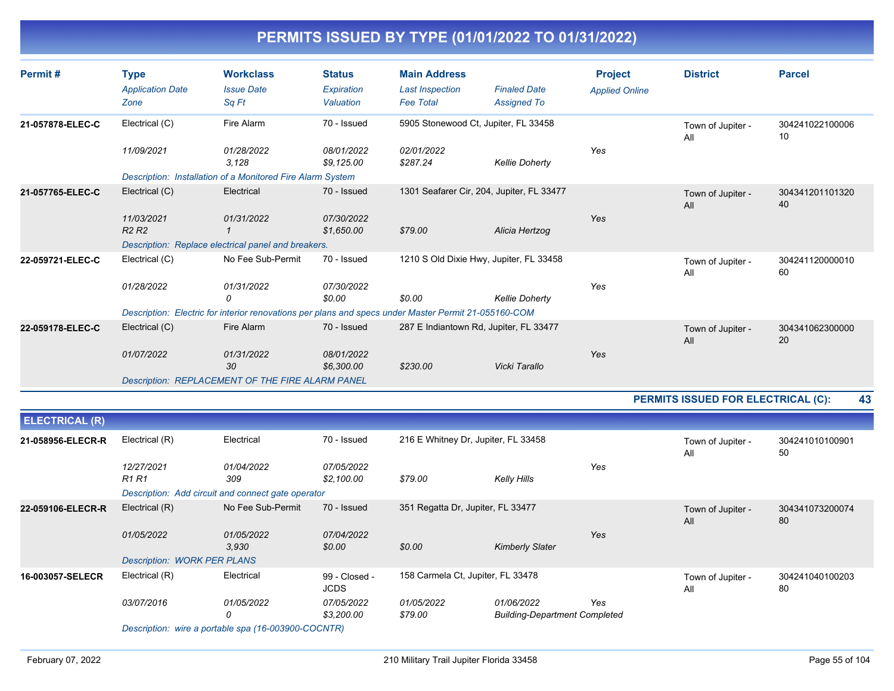| Permit#               | <b>Type</b><br><b>Application Date</b><br>Zone | <b>Workclass</b><br><b>Issue Date</b><br>Sq Ft             | <b>Status</b><br>Expiration<br>Valuation | <b>Main Address</b><br><b>Last Inspection</b><br><b>Fee Total</b>                                    | <b>Finaled Date</b><br><b>Assigned To</b> | <b>Project</b><br><b>Applied Online</b> | <b>District</b>                    | <b>Parcel</b>         |    |
|-----------------------|------------------------------------------------|------------------------------------------------------------|------------------------------------------|------------------------------------------------------------------------------------------------------|-------------------------------------------|-----------------------------------------|------------------------------------|-----------------------|----|
| 21-057878-ELEC-C      | Electrical (C)                                 | Fire Alarm                                                 | 70 - Issued                              | 5905 Stonewood Ct, Jupiter, FL 33458                                                                 |                                           |                                         | Town of Jupiter -<br>All           | 304241022100006<br>10 |    |
|                       | 11/09/2021                                     | 01/28/2022<br>3.128                                        | 08/01/2022<br>\$9,125.00                 | 02/01/2022<br>\$287.24                                                                               | <b>Kellie Doherty</b>                     | Yes                                     |                                    |                       |    |
|                       |                                                | Description: Installation of a Monitored Fire Alarm System |                                          |                                                                                                      |                                           |                                         |                                    |                       |    |
| 21-057765-ELEC-C      | Electrical (C)                                 | Electrical                                                 | 70 - Issued                              | 1301 Seafarer Cir, 204, Jupiter, FL 33477                                                            |                                           |                                         | Town of Jupiter -<br>All           | 304341201101320<br>40 |    |
|                       | 11/03/2021<br>R <sub>2</sub> R <sub>2</sub>    | 01/31/2022                                                 | 07/30/2022<br>\$1,650.00                 | \$79.00                                                                                              | Alicia Hertzog                            | Yes                                     |                                    |                       |    |
|                       |                                                | Description: Replace electrical panel and breakers.        |                                          |                                                                                                      |                                           |                                         |                                    |                       |    |
| 22-059721-ELEC-C      | Electrical (C)                                 | No Fee Sub-Permit                                          | 70 - Issued                              | 1210 S Old Dixie Hwy, Jupiter, FL 33458                                                              |                                           |                                         | Town of Jupiter -<br>All           | 304241120000010<br>60 |    |
|                       | 01/28/2022                                     | 01/31/2022<br>0                                            | 07/30/2022<br>\$0.00                     | \$0.00                                                                                               | <b>Kellie Doherty</b>                     | Yes                                     |                                    |                       |    |
|                       |                                                |                                                            |                                          | Description: Electric for interior renovations per plans and specs under Master Permit 21-055160-COM |                                           |                                         |                                    |                       |    |
| 22-059178-ELEC-C      | Electrical (C)                                 | Fire Alarm                                                 | 70 - Issued                              | 287 E Indiantown Rd, Jupiter, FL 33477                                                               |                                           |                                         | Town of Jupiter -<br>All           | 304341062300000<br>20 |    |
|                       | 01/07/2022                                     | 01/31/2022<br>30                                           | 08/01/2022<br>\$6,300.00                 | \$230.00                                                                                             | Vicki Tarallo                             | Yes                                     |                                    |                       |    |
|                       |                                                | Description: REPLACEMENT OF THE FIRE ALARM PANEL           |                                          |                                                                                                      |                                           |                                         |                                    |                       |    |
|                       |                                                |                                                            |                                          |                                                                                                      |                                           |                                         | PERMITS ISSUED FOR ELECTRICAL (C): |                       | 43 |
| <b>ELECTRICAL (R)</b> |                                                |                                                            |                                          |                                                                                                      |                                           |                                         |                                    |                       |    |
| 21-058956-ELECR-R     | Electrical (R)                                 | Electrical                                                 | 70 - Issued                              | 216 E Whitney Dr, Jupiter, FL 33458                                                                  |                                           |                                         | Town of Jupiter -                  | 304241010100901       |    |

|                   |                                    |                                                     |                              |                                   |                                      |     | .<br>All                 | 50                    |
|-------------------|------------------------------------|-----------------------------------------------------|------------------------------|-----------------------------------|--------------------------------------|-----|--------------------------|-----------------------|
|                   | 12/27/2021                         | 01/04/2022                                          | 07/05/2022                   |                                   |                                      | Yes |                          |                       |
|                   | <b>R1 R1</b>                       | 309                                                 | \$2,100.00                   | \$79.00                           | Kelly Hills                          |     |                          |                       |
|                   |                                    | Description: Add circuit and connect gate operator  |                              |                                   |                                      |     |                          |                       |
| 22-059106-ELECR-R | Electrical (R)                     | No Fee Sub-Permit                                   | 70 - Issued                  | 351 Regatta Dr, Jupiter, FL 33477 |                                      |     | Town of Jupiter -<br>All | 304341073200074<br>80 |
|                   | 01/05/2022                         | 01/05/2022<br>3.930                                 | 07/04/2022<br>\$0.00         | \$0.00                            | <b>Kimberly Slater</b>               | Yes |                          |                       |
|                   | <b>Description: WORK PER PLANS</b> |                                                     |                              |                                   |                                      |     |                          |                       |
| 16-003057-SELECR  | Electrical (R)                     | Electrical                                          | 99 - Closed -<br><b>JCDS</b> | 158 Carmela Ct, Jupiter, FL 33478 |                                      |     | Town of Jupiter -<br>All | 304241040100203<br>80 |
|                   | 03/07/2016                         | 01/05/2022                                          | 07/05/2022                   | 01/05/2022                        | 01/06/2022                           | Yes |                          |                       |
|                   |                                    | 0                                                   | \$3,200.00                   | \$79.00                           | <b>Building-Department Completed</b> |     |                          |                       |
|                   |                                    | Description: wire a portable spa (16-003900-COCNTR) |                              |                                   |                                      |     |                          |                       |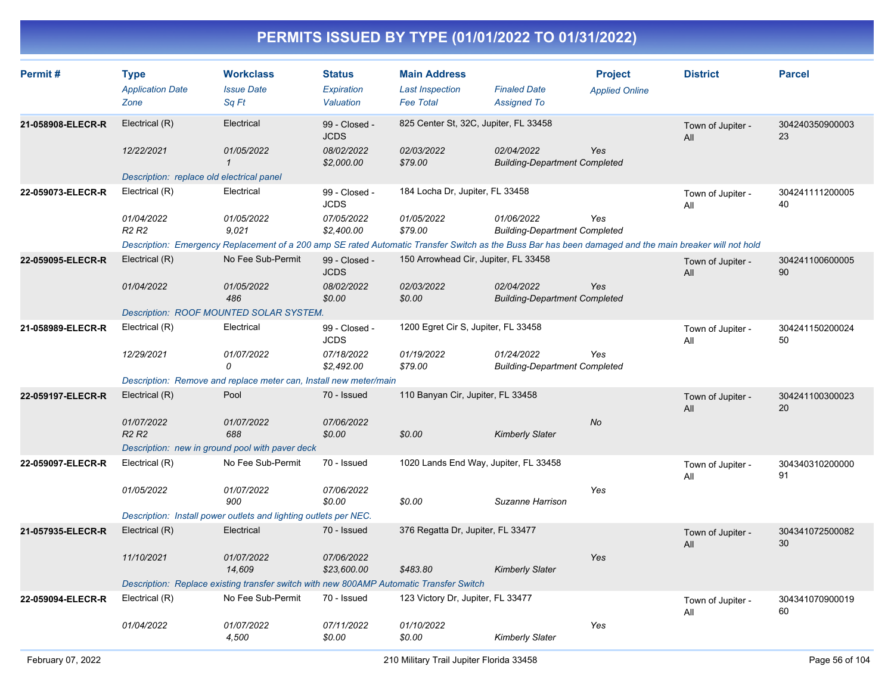| Permit#           | <b>Type</b>                                 | <b>Workclass</b>                                                                                                                                       | Status                       | <b>Main Address</b>                   |                                                    | <b>Project</b>        | <b>District</b>          | <b>Parcel</b>         |
|-------------------|---------------------------------------------|--------------------------------------------------------------------------------------------------------------------------------------------------------|------------------------------|---------------------------------------|----------------------------------------------------|-----------------------|--------------------------|-----------------------|
|                   | <b>Application Date</b>                     | <b>Issue Date</b>                                                                                                                                      | Expiration                   | <b>Last Inspection</b>                | <b>Finaled Date</b>                                | <b>Applied Online</b> |                          |                       |
|                   | Zone                                        | Sq Ft                                                                                                                                                  | Valuation                    | <b>Fee Total</b>                      | <b>Assigned To</b>                                 |                       |                          |                       |
| 21-058908-ELECR-R | Electrical (R)                              | Electrical                                                                                                                                             | 99 - Closed -<br><b>JCDS</b> | 825 Center St, 32C, Jupiter, FL 33458 |                                                    |                       | Town of Jupiter -<br>All | 304240350900003<br>23 |
|                   | 12/22/2021                                  | 01/05/2022<br>$\mathbf{1}$                                                                                                                             | 08/02/2022<br>\$2,000.00     | 02/03/2022<br>\$79.00                 | 02/04/2022<br><b>Building-Department Completed</b> | Yes                   |                          |                       |
|                   | Description: replace old electrical panel   |                                                                                                                                                        |                              |                                       |                                                    |                       |                          |                       |
| 22-059073-ELECR-R | Electrical (R)                              | Electrical                                                                                                                                             | 99 - Closed -<br><b>JCDS</b> | 184 Locha Dr, Jupiter, FL 33458       |                                                    |                       | Town of Jupiter -<br>All | 304241111200005<br>40 |
|                   | 01/04/2022<br>R <sub>2</sub> R <sub>2</sub> | 01/05/2022<br>9.021                                                                                                                                    | 07/05/2022<br>\$2,400.00     | 01/05/2022<br>\$79.00                 | 01/06/2022<br><b>Building-Department Completed</b> | Yes                   |                          |                       |
|                   |                                             | Description: Emergency Replacement of a 200 amp SE rated Automatic Transfer Switch as the Buss Bar has been damaged and the main breaker will not hold |                              |                                       |                                                    |                       |                          |                       |
| 22-059095-ELECR-R | Electrical (R)                              | No Fee Sub-Permit                                                                                                                                      | 99 - Closed -<br><b>JCDS</b> | 150 Arrowhead Cir, Jupiter, FL 33458  |                                                    |                       | Town of Jupiter -<br>All | 304241100600005<br>90 |
|                   | 01/04/2022                                  | 01/05/2022<br>486                                                                                                                                      | 08/02/2022<br>\$0.00         | 02/03/2022<br>\$0.00                  | 02/04/2022<br><b>Building-Department Completed</b> | Yes                   |                          |                       |
|                   |                                             | Description: ROOF MOUNTED SOLAR SYSTEM.                                                                                                                |                              |                                       |                                                    |                       |                          |                       |
| 21-058989-ELECR-R | Electrical (R)                              | Electrical                                                                                                                                             | 99 - Closed -<br><b>JCDS</b> | 1200 Egret Cir S, Jupiter, FL 33458   |                                                    |                       | Town of Jupiter -<br>All | 304241150200024<br>50 |
|                   | 12/29/2021                                  | 01/07/2022<br>0                                                                                                                                        | 07/18/2022<br>\$2,492.00     | 01/19/2022<br>\$79.00                 | 01/24/2022<br><b>Building-Department Completed</b> | Yes                   |                          |                       |
|                   |                                             | Description: Remove and replace meter can, Install new meter/main                                                                                      |                              |                                       |                                                    |                       |                          |                       |
| 22-059197-ELECR-R | Electrical (R)                              | Pool                                                                                                                                                   | 70 - Issued                  | 110 Banyan Cir, Jupiter, FL 33458     |                                                    |                       | Town of Jupiter -<br>All | 304241100300023<br>20 |
|                   | 01/07/2022                                  | 01/07/2022                                                                                                                                             | 07/06/2022                   |                                       |                                                    | <b>No</b>             |                          |                       |
|                   | <b>R2 R2</b>                                | 688                                                                                                                                                    | \$0.00                       | \$0.00                                | <b>Kimberly Slater</b>                             |                       |                          |                       |
|                   |                                             | Description: new in ground pool with paver deck                                                                                                        |                              |                                       |                                                    |                       |                          |                       |
| 22-059097-ELECR-R | Electrical (R)                              | No Fee Sub-Permit                                                                                                                                      | 70 - Issued                  | 1020 Lands End Way, Jupiter, FL 33458 |                                                    |                       | Town of Jupiter -<br>All | 304340310200000<br>91 |
|                   | 01/05/2022                                  | 01/07/2022<br>900                                                                                                                                      | 07/06/2022<br>\$0.00         | \$0.00                                | Suzanne Harrison                                   | Yes                   |                          |                       |
|                   |                                             | Description: Install power outlets and lighting outlets per NEC.                                                                                       |                              |                                       |                                                    |                       |                          |                       |
| 21-057935-ELECR-R | Electrical (R)                              | Electrical                                                                                                                                             | 70 - Issued                  | 376 Regatta Dr, Jupiter, FL 33477     |                                                    |                       | Town of Jupiter -<br>All | 304341072500082<br>30 |
|                   | 11/10/2021                                  | 01/07/2022<br>14,609                                                                                                                                   | 07/06/2022<br>\$23,600.00    | \$483.80                              | <b>Kimberly Slater</b>                             | Yes                   |                          |                       |
|                   |                                             | Description: Replace existing transfer switch with new 800AMP Automatic Transfer Switch                                                                |                              |                                       |                                                    |                       |                          |                       |
| 22-059094-ELECR-R | Electrical (R)                              | No Fee Sub-Permit                                                                                                                                      | 70 - Issued                  | 123 Victory Dr, Jupiter, FL 33477     |                                                    |                       | Town of Jupiter -<br>All | 304341070900019<br>60 |
|                   | 01/04/2022                                  | 01/07/2022<br>4,500                                                                                                                                    | 07/11/2022<br>\$0.00         | 01/10/2022<br>\$0.00                  | <b>Kimberly Slater</b>                             | Yes                   |                          |                       |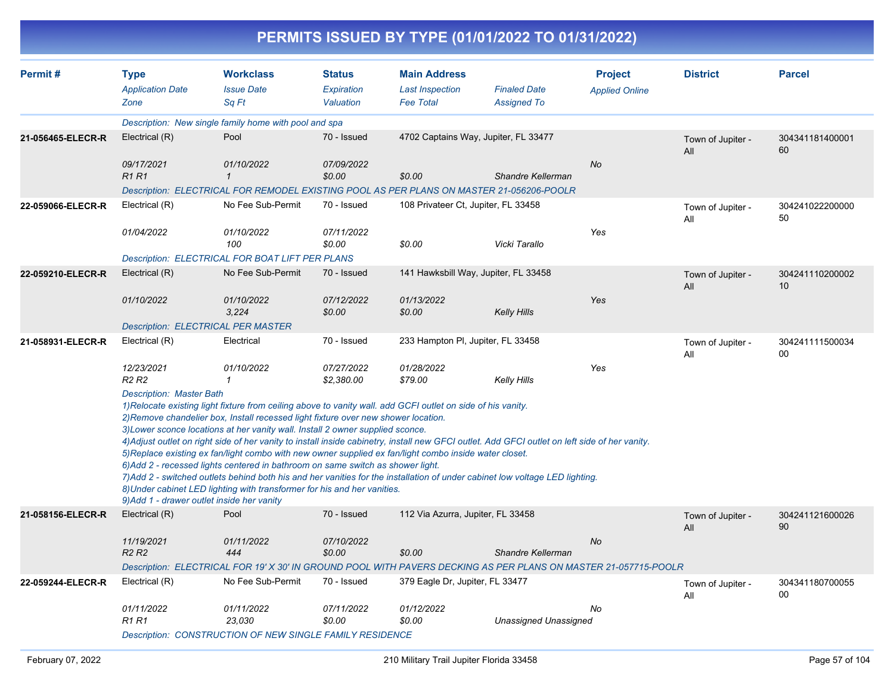| Permit#           | <b>Type</b>                                                                   | <b>Workclass</b>                                                                                                                                                                                                                                                                                                                                                                                                                                                                                                                                                                                                                                                                                                                                                                                                                                | <b>Status</b>            | <b>Main Address</b>                  |                                      | <b>Project</b>        | <b>District</b>          | <b>Parcel</b>         |
|-------------------|-------------------------------------------------------------------------------|-------------------------------------------------------------------------------------------------------------------------------------------------------------------------------------------------------------------------------------------------------------------------------------------------------------------------------------------------------------------------------------------------------------------------------------------------------------------------------------------------------------------------------------------------------------------------------------------------------------------------------------------------------------------------------------------------------------------------------------------------------------------------------------------------------------------------------------------------|--------------------------|--------------------------------------|--------------------------------------|-----------------------|--------------------------|-----------------------|
|                   | <b>Application Date</b>                                                       | <b>Issue Date</b>                                                                                                                                                                                                                                                                                                                                                                                                                                                                                                                                                                                                                                                                                                                                                                                                                               | Expiration               | <b>Last Inspection</b>               | <b>Finaled Date</b>                  | <b>Applied Online</b> |                          |                       |
|                   | Zone                                                                          | Sq Ft                                                                                                                                                                                                                                                                                                                                                                                                                                                                                                                                                                                                                                                                                                                                                                                                                                           | Valuation                | <b>Fee Total</b>                     | <b>Assigned To</b>                   |                       |                          |                       |
|                   |                                                                               | Description: New single family home with pool and spa                                                                                                                                                                                                                                                                                                                                                                                                                                                                                                                                                                                                                                                                                                                                                                                           |                          |                                      |                                      |                       |                          |                       |
| 21-056465-ELECR-R | Electrical (R)                                                                | Pool                                                                                                                                                                                                                                                                                                                                                                                                                                                                                                                                                                                                                                                                                                                                                                                                                                            | 70 - Issued              |                                      | 4702 Captains Way, Jupiter, FL 33477 |                       | Town of Jupiter -<br>All | 304341181400001<br>60 |
|                   | 09/17/2021<br><b>R1 R1</b>                                                    | 01/10/2022<br>$\mathbf{1}$                                                                                                                                                                                                                                                                                                                                                                                                                                                                                                                                                                                                                                                                                                                                                                                                                      | 07/09/2022<br>\$0.00     | \$0.00                               | <b>Shandre Kellerman</b>             | <b>No</b>             |                          |                       |
|                   |                                                                               | Description: ELECTRICAL FOR REMODEL EXISTING POOL AS PER PLANS ON MASTER 21-056206-POOLR                                                                                                                                                                                                                                                                                                                                                                                                                                                                                                                                                                                                                                                                                                                                                        |                          |                                      |                                      |                       |                          |                       |
| 22-059066-ELECR-R | Electrical (R)                                                                | No Fee Sub-Permit                                                                                                                                                                                                                                                                                                                                                                                                                                                                                                                                                                                                                                                                                                                                                                                                                               | 70 - Issued              | 108 Privateer Ct, Jupiter, FL 33458  |                                      |                       | Town of Jupiter -<br>All | 304241022200000<br>50 |
|                   | 01/04/2022                                                                    | 01/10/2022<br>100                                                                                                                                                                                                                                                                                                                                                                                                                                                                                                                                                                                                                                                                                                                                                                                                                               | 07/11/2022<br>\$0.00     | \$0.00                               | Vicki Tarallo                        | Yes                   |                          |                       |
|                   |                                                                               | Description: ELECTRICAL FOR BOAT LIFT PER PLANS                                                                                                                                                                                                                                                                                                                                                                                                                                                                                                                                                                                                                                                                                                                                                                                                 |                          |                                      |                                      |                       |                          |                       |
| 22-059210-ELECR-R | Electrical (R)                                                                | No Fee Sub-Permit                                                                                                                                                                                                                                                                                                                                                                                                                                                                                                                                                                                                                                                                                                                                                                                                                               | 70 - Issued              | 141 Hawksbill Way, Jupiter, FL 33458 |                                      |                       | Town of Jupiter -<br>All | 304241110200002<br>10 |
|                   | 01/10/2022                                                                    | 01/10/2022<br>3,224                                                                                                                                                                                                                                                                                                                                                                                                                                                                                                                                                                                                                                                                                                                                                                                                                             | 07/12/2022<br>\$0.00     | 01/13/2022<br>\$0.00                 | <b>Kelly Hills</b>                   | Yes                   |                          |                       |
|                   |                                                                               | Description: ELECTRICAL PER MASTER                                                                                                                                                                                                                                                                                                                                                                                                                                                                                                                                                                                                                                                                                                                                                                                                              |                          |                                      |                                      |                       |                          |                       |
| 21-058931-ELECR-R | Electrical (R)                                                                | Electrical                                                                                                                                                                                                                                                                                                                                                                                                                                                                                                                                                                                                                                                                                                                                                                                                                                      | 70 - Issued              | 233 Hampton PI, Jupiter, FL 33458    |                                      |                       | Town of Jupiter -<br>All | 304241111500034<br>00 |
|                   | 12/23/2021<br>R <sub>2</sub> R <sub>2</sub>                                   | 01/10/2022<br>$\mathbf{1}$                                                                                                                                                                                                                                                                                                                                                                                                                                                                                                                                                                                                                                                                                                                                                                                                                      | 07/27/2022<br>\$2,380.00 | 01/28/2022<br>\$79.00                | <b>Kelly Hills</b>                   | Yes                   |                          |                       |
|                   | <b>Description: Master Bath</b><br>9) Add 1 - drawer outlet inside her vanity | 1) Relocate existing light fixture from ceiling above to vanity wall. add GCFI outlet on side of his vanity.<br>2) Remove chandelier box, Install recessed light fixture over new shower location.<br>3) Lower sconce locations at her vanity wall. Install 2 owner supplied sconce.<br>4) Adjust outlet on right side of her vanity to install inside cabinetry, install new GFCI outlet. Add GFCI outlet on left side of her vanity.<br>5) Replace existing ex fan/light combo with new owner supplied ex fan/light combo inside water closet.<br>6) Add 2 - recessed lights centered in bathroom on same switch as shower light.<br>7) Add 2 - switched outlets behind both his and her vanities for the installation of under cabinet low voltage LED lighting.<br>8) Under cabinet LED lighting with transformer for his and her vanities. |                          |                                      |                                      |                       |                          |                       |
| 21-058156-ELECR-R | Electrical (R)                                                                | Pool                                                                                                                                                                                                                                                                                                                                                                                                                                                                                                                                                                                                                                                                                                                                                                                                                                            | 70 - Issued              | 112 Via Azurra, Jupiter, FL 33458    |                                      |                       | Town of Jupiter -<br>All | 304241121600026<br>90 |
|                   | 11/19/2021<br>R <sub>2</sub> R <sub>2</sub>                                   | 01/11/2022<br>444                                                                                                                                                                                                                                                                                                                                                                                                                                                                                                                                                                                                                                                                                                                                                                                                                               | 07/10/2022<br>\$0.00     | \$0.00                               | <b>Shandre Kellerman</b>             | No                    |                          |                       |
|                   |                                                                               | Description: ELECTRICAL FOR 19' X 30' IN GROUND POOL WITH PAVERS DECKING AS PER PLANS ON MASTER 21-057715-POOLR                                                                                                                                                                                                                                                                                                                                                                                                                                                                                                                                                                                                                                                                                                                                 |                          |                                      |                                      |                       |                          |                       |
| 22-059244-ELECR-R | Electrical (R)                                                                | No Fee Sub-Permit                                                                                                                                                                                                                                                                                                                                                                                                                                                                                                                                                                                                                                                                                                                                                                                                                               | 70 - Issued              | 379 Eagle Dr, Jupiter, FL 33477      |                                      |                       | Town of Jupiter -<br>All | 304341180700055<br>00 |
|                   | 01/11/2022<br>R1 R1                                                           | 01/11/2022<br>23,030<br><b>Description: CONSTRUCTION OF NEW SINGLE FAMILY RESIDENCE</b>                                                                                                                                                                                                                                                                                                                                                                                                                                                                                                                                                                                                                                                                                                                                                         | 07/11/2022<br>\$0.00     | 01/12/2022<br>\$0.00                 | Unassigned Unassigned                | No                    |                          |                       |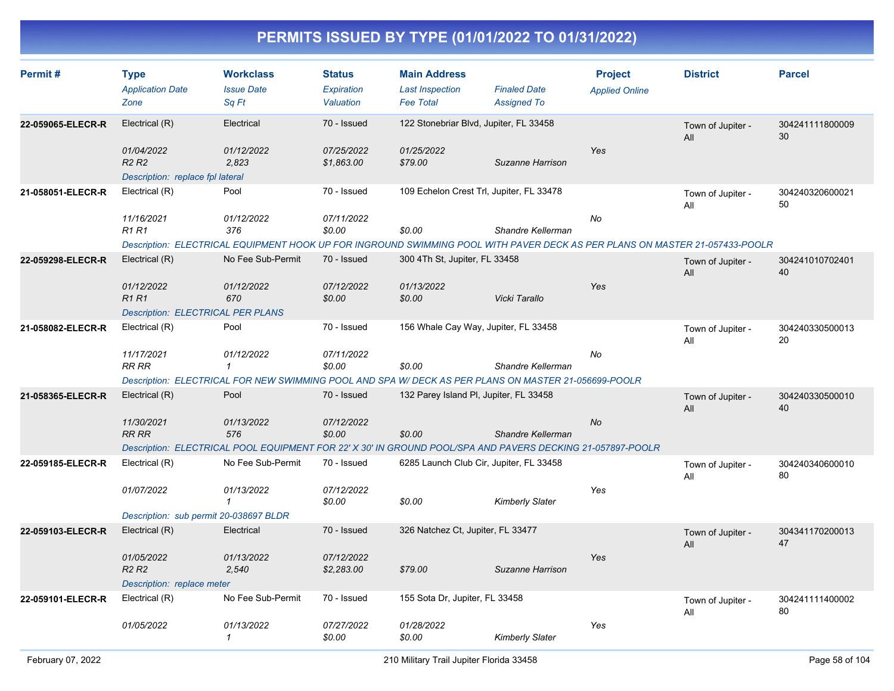| Permit#           | <b>Type</b><br><b>Application Date</b><br>Zone                                  | <b>Workclass</b><br><b>Issue Date</b><br>Sq Ft                                                                              | <b>Status</b><br><b>Expiration</b><br>Valuation | <b>Main Address</b><br><b>Last Inspection</b><br><b>Fee Total</b> | <b>Finaled Date</b><br><b>Assigned To</b> | <b>Project</b><br><b>Applied Online</b> | <b>District</b>          | <b>Parcel</b>         |
|-------------------|---------------------------------------------------------------------------------|-----------------------------------------------------------------------------------------------------------------------------|-------------------------------------------------|-------------------------------------------------------------------|-------------------------------------------|-----------------------------------------|--------------------------|-----------------------|
| 22-059065-ELECR-R | Electrical (R)                                                                  | Electrical                                                                                                                  | 70 - Issued                                     | 122 Stonebriar Blvd, Jupiter, FL 33458                            |                                           |                                         | Town of Jupiter -<br>All | 304241111800009<br>30 |
|                   | 01/04/2022<br>R <sub>2</sub> R <sub>2</sub><br>Description: replace fpl lateral | 01/12/2022<br>2,823                                                                                                         | 07/25/2022<br>\$1,863.00                        | 01/25/2022<br>\$79.00                                             | Suzanne Harrison                          | Yes                                     |                          |                       |
| 21-058051-ELECR-R | Electrical (R)                                                                  | Pool                                                                                                                        | 70 - Issued                                     | 109 Echelon Crest Trl, Jupiter, FL 33478                          |                                           |                                         | Town of Jupiter -<br>All | 304240320600021<br>50 |
|                   | 11/16/2021<br><b>R1 R1</b>                                                      | 01/12/2022<br>376                                                                                                           | 07/11/2022<br>\$0.00                            | \$0.00                                                            | Shandre Kellerman                         | No                                      |                          |                       |
|                   |                                                                                 | Description: ELECTRICAL EQUIPMENT HOOK UP FOR INGROUND SWIMMING POOL WITH PAVER DECK AS PER PLANS ON MASTER 21-057433-POOLR |                                                 |                                                                   |                                           |                                         |                          |                       |
| 22-059298-ELECR-R | Electrical (R)                                                                  | No Fee Sub-Permit                                                                                                           | 70 - Issued                                     | 300 4Th St, Jupiter, FL 33458                                     |                                           |                                         | Town of Jupiter -<br>All | 304241010702401<br>40 |
|                   | 01/12/2022<br><b>R1R1</b>                                                       | 01/12/2022<br>670                                                                                                           | 07/12/2022<br>\$0.00                            | 01/13/2022<br>\$0.00                                              | Vicki Tarallo                             | Yes                                     |                          |                       |
|                   | Description: ELECTRICAL PER PLANS                                               |                                                                                                                             |                                                 |                                                                   |                                           |                                         |                          |                       |
| 21-058082-ELECR-R | Electrical (R)                                                                  | Pool                                                                                                                        | 70 - Issued                                     | 156 Whale Cay Way, Jupiter, FL 33458                              |                                           |                                         | Town of Jupiter -<br>All | 304240330500013<br>20 |
|                   | 11/17/2021<br><b>RR RR</b>                                                      | 01/12/2022<br>$\mathbf{1}$                                                                                                  | 07/11/2022<br>\$0.00                            | \$0.00                                                            | Shandre Kellerman                         | No                                      |                          |                       |
|                   |                                                                                 | Description: ELECTRICAL FOR NEW SWIMMING POOL AND SPA W/ DECK AS PER PLANS ON MASTER 21-056699-POOLR                        |                                                 |                                                                   |                                           |                                         |                          |                       |
| 21-058365-ELECR-R | Electrical (R)                                                                  | Pool                                                                                                                        | 70 - Issued                                     | 132 Parey Island PI, Jupiter, FL 33458                            |                                           |                                         | Town of Jupiter -<br>All | 304240330500010<br>40 |
|                   | 11/30/2021<br>RR RR                                                             | 01/13/2022<br>576                                                                                                           | 07/12/2022<br>\$0.00                            | \$0.00                                                            | Shandre Kellerman                         | <b>No</b>                               |                          |                       |
|                   |                                                                                 | Description: ELECTRICAL POOL EQUIPMENT FOR 22' X 30' IN GROUND POOL/SPA AND PAVERS DECKING 21-057897-POOLR                  |                                                 |                                                                   |                                           |                                         |                          |                       |
| 22-059185-ELECR-R | Electrical (R)                                                                  | No Fee Sub-Permit                                                                                                           | 70 - Issued                                     | 6285 Launch Club Cir, Jupiter, FL 33458                           |                                           |                                         | Town of Jupiter -<br>All | 304240340600010<br>80 |
|                   | 01/07/2022                                                                      | 01/13/2022<br>$\mathbf{1}$                                                                                                  | 07/12/2022<br>\$0.00                            | \$0.00                                                            | <b>Kimberly Slater</b>                    | Yes                                     |                          |                       |
|                   | Description: sub permit 20-038697 BLDR                                          |                                                                                                                             |                                                 |                                                                   |                                           |                                         |                          |                       |
| 22-059103-ELECR-R | Electrical (R)                                                                  | Electrical                                                                                                                  | 70 - Issued                                     | 326 Natchez Ct, Jupiter, FL 33477                                 |                                           |                                         | Town of Jupiter -<br>All | 304341170200013<br>47 |
|                   | 01/05/2022<br><b>R2 R2</b>                                                      | 01/13/2022<br>2,540                                                                                                         | 07/12/2022<br>\$2,283.00                        | \$79.00                                                           | Suzanne Harrison                          | Yes                                     |                          |                       |
|                   | Description: replace meter                                                      |                                                                                                                             |                                                 |                                                                   |                                           |                                         |                          |                       |
| 22-059101-ELECR-R | Electrical (R)                                                                  | No Fee Sub-Permit                                                                                                           | 70 - Issued                                     | 155 Sota Dr, Jupiter, FL 33458                                    |                                           |                                         | Town of Jupiter -<br>All | 304241111400002<br>80 |
|                   | 01/05/2022                                                                      | 01/13/2022<br>1                                                                                                             | 07/27/2022<br>\$0.00                            | 01/28/2022<br>\$0.00                                              | <b>Kimberly Slater</b>                    | Yes                                     |                          |                       |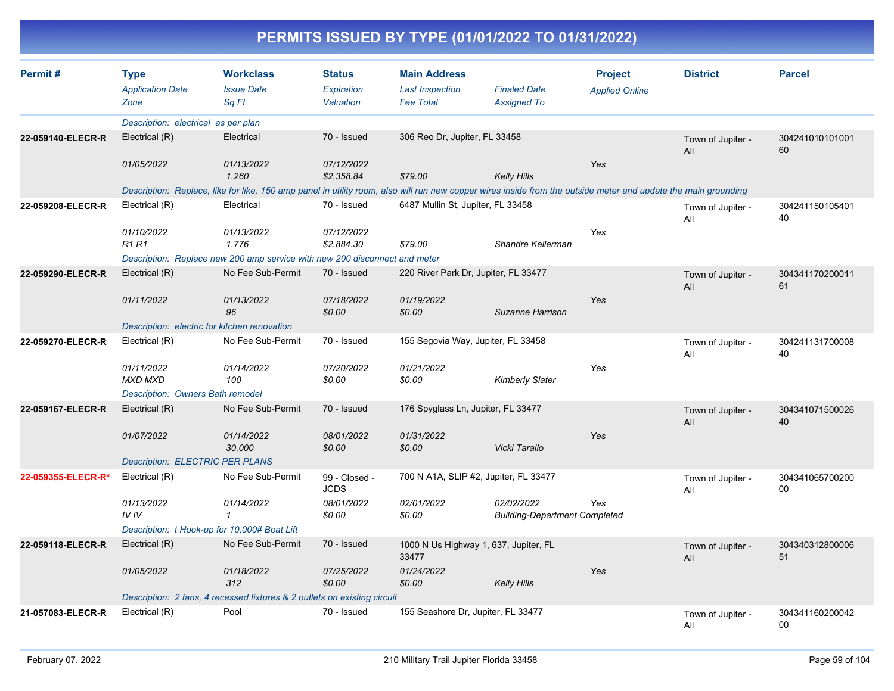| Permit#            | <b>Type</b>                                  | <b>Workclass</b>                                                                                                                                               | <b>Status</b>                | <b>Main Address</b>                            |                                                    | <b>Project</b>        | <b>District</b>          | <b>Parcel</b>         |
|--------------------|----------------------------------------------|----------------------------------------------------------------------------------------------------------------------------------------------------------------|------------------------------|------------------------------------------------|----------------------------------------------------|-----------------------|--------------------------|-----------------------|
|                    | <b>Application Date</b>                      | <b>Issue Date</b>                                                                                                                                              | <b>Expiration</b>            | <b>Last Inspection</b>                         | <b>Finaled Date</b>                                | <b>Applied Online</b> |                          |                       |
|                    | Zone                                         | Sa Ft                                                                                                                                                          | Valuation                    | <b>Fee Total</b>                               | <b>Assigned To</b>                                 |                       |                          |                       |
|                    | Description: electrical as per plan          |                                                                                                                                                                |                              |                                                |                                                    |                       |                          |                       |
| 22-059140-ELECR-R  | Electrical (R)                               | Electrical                                                                                                                                                     | 70 - Issued                  | 306 Reo Dr, Jupiter, FL 33458                  |                                                    |                       | Town of Jupiter -<br>All | 304241010101001<br>60 |
|                    | 01/05/2022                                   | 01/13/2022<br>1,260                                                                                                                                            | 07/12/2022<br>\$2,358.84     | \$79.00                                        | <b>Kelly Hills</b>                                 | Yes                   |                          |                       |
|                    |                                              | Description: Replace, like for like, 150 amp panel in utility room, also will run new copper wires inside from the outside meter and update the main grounding |                              |                                                |                                                    |                       |                          |                       |
| 22-059208-ELECR-R  | Electrical (R)                               | Electrical                                                                                                                                                     | 70 - Issued                  | 6487 Mullin St, Jupiter, FL 33458              |                                                    |                       | Town of Jupiter -<br>All | 304241150105401<br>40 |
|                    | 01/10/2022<br><b>R1 R1</b>                   | 01/13/2022<br>1,776                                                                                                                                            | 07/12/2022<br>\$2,884.30     | \$79.00                                        | Shandre Kellerman                                  | Yes                   |                          |                       |
|                    |                                              | Description: Replace new 200 amp service with new 200 disconnect and meter                                                                                     |                              |                                                |                                                    |                       |                          |                       |
| 22-059290-ELECR-R  | Electrical (R)                               | No Fee Sub-Permit                                                                                                                                              | 70 - Issued                  | 220 River Park Dr, Jupiter, FL 33477           |                                                    |                       | Town of Jupiter -<br>All | 304341170200011<br>61 |
|                    | 01/11/2022                                   | 01/13/2022<br>96                                                                                                                                               | 07/18/2022<br>\$0.00         | 01/19/2022<br>\$0.00                           | Suzanne Harrison                                   | Yes                   |                          |                       |
|                    | Description: electric for kitchen renovation |                                                                                                                                                                |                              |                                                |                                                    |                       |                          |                       |
| 22-059270-ELECR-R  | Electrical (R)                               | No Fee Sub-Permit                                                                                                                                              | 70 - Issued                  | 155 Segovia Way, Jupiter, FL 33458             |                                                    |                       | Town of Jupiter -<br>All | 304241131700008<br>40 |
|                    | 01/11/2022<br><b>MXD MXD</b>                 | 01/14/2022<br>100                                                                                                                                              | 07/20/2022<br>\$0.00         | 01/21/2022<br>\$0.00                           | <b>Kimberly Slater</b>                             | Yes                   |                          |                       |
|                    | <b>Description: Owners Bath remodel</b>      |                                                                                                                                                                |                              |                                                |                                                    |                       |                          |                       |
| 22-059167-ELECR-R  | Electrical (R)                               | No Fee Sub-Permit                                                                                                                                              | 70 - Issued                  | 176 Spyglass Ln, Jupiter, FL 33477             |                                                    |                       | Town of Jupiter -<br>All | 304341071500026<br>40 |
|                    | 01/07/2022                                   | 01/14/2022<br>30,000                                                                                                                                           | 08/01/2022<br>\$0.00         | 01/31/2022<br>\$0.00                           | Vicki Tarallo                                      | Yes                   |                          |                       |
|                    | <b>Description: ELECTRIC PER PLANS</b>       |                                                                                                                                                                |                              |                                                |                                                    |                       |                          |                       |
| 22-059355-ELECR-R* | Electrical (R)                               | No Fee Sub-Permit                                                                                                                                              | 99 - Closed -<br><b>JCDS</b> | 700 N A1A, SLIP #2, Jupiter, FL 33477          |                                                    |                       | Town of Jupiter -<br>All | 304341065700200<br>00 |
|                    | 01/13/2022<br>IVIV                           | 01/14/2022<br>$\mathbf{1}$                                                                                                                                     | 08/01/2022<br>\$0.00         | 02/01/2022<br>\$0.00                           | 02/02/2022<br><b>Building-Department Completed</b> | Yes                   |                          |                       |
|                    | Description: t Hook-up for 10,000# Boat Lift |                                                                                                                                                                |                              |                                                |                                                    |                       |                          |                       |
| 22-059118-ELECR-R  | Electrical (R)                               | No Fee Sub-Permit                                                                                                                                              | 70 - Issued                  | 1000 N Us Highway 1, 637, Jupiter, FL<br>33477 |                                                    |                       | Town of Jupiter -<br>All | 304340312800006<br>51 |
|                    | 01/05/2022                                   | 01/18/2022<br>312                                                                                                                                              | 07/25/2022<br>\$0.00         | 01/24/2022<br>\$0.00                           | <b>Kelly Hills</b>                                 | Yes                   |                          |                       |
|                    |                                              | Description: 2 fans, 4 recessed fixtures & 2 outlets on existing circuit                                                                                       |                              |                                                |                                                    |                       |                          |                       |
| 21-057083-ELECR-R  | Electrical (R)                               | Pool                                                                                                                                                           | 70 - Issued                  | 155 Seashore Dr, Jupiter, FL 33477             |                                                    |                       | Town of Jupiter -<br>All | 304341160200042<br>00 |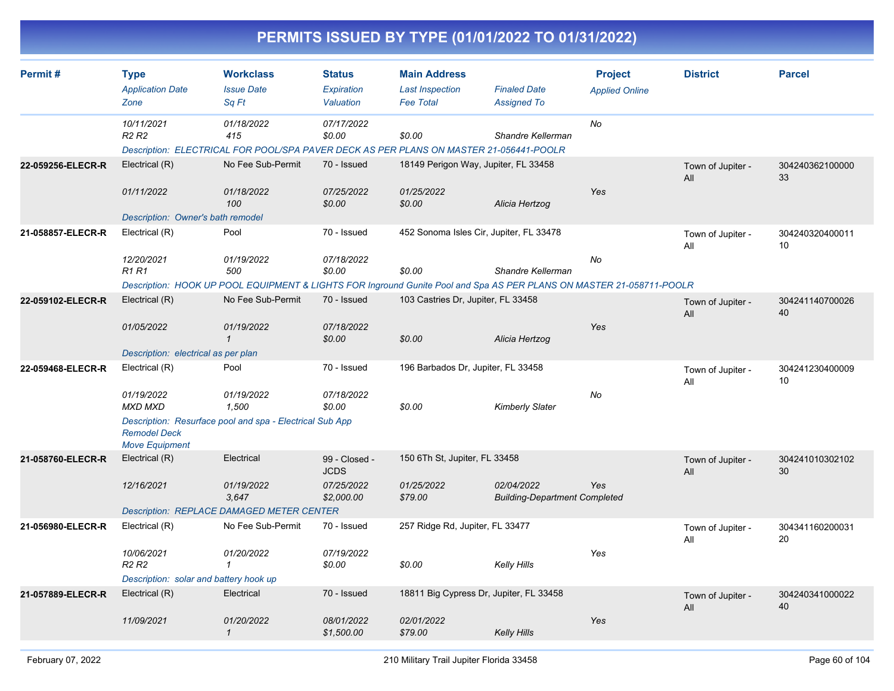|                   |                                                |                                                          |                                          | PERMITS ISSUED BY TYPE (01/01/2022 TO 01/31/2022)                                                                    |                                                    |                                         |                          |                       |
|-------------------|------------------------------------------------|----------------------------------------------------------|------------------------------------------|----------------------------------------------------------------------------------------------------------------------|----------------------------------------------------|-----------------------------------------|--------------------------|-----------------------|
| Permit#           | <b>Type</b><br><b>Application Date</b><br>Zone | <b>Workclass</b><br><b>Issue Date</b><br>Sq Ft           | <b>Status</b><br>Expiration<br>Valuation | <b>Main Address</b><br><b>Last Inspection</b><br><b>Fee Total</b>                                                    | <b>Finaled Date</b><br><b>Assigned To</b>          | <b>Project</b><br><b>Applied Online</b> | <b>District</b>          | <b>Parcel</b>         |
|                   | 10/11/2021<br><b>R2 R2</b>                     | 01/18/2022<br>415                                        | 07/17/2022<br>\$0.00                     | \$0.00<br>Description: ELECTRICAL FOR POOL/SPA PAVER DECK AS PER PLANS ON MASTER 21-056441-POOLR                     | Shandre Kellerman                                  | No                                      |                          |                       |
| 22-059256-ELECR-R | Electrical (R)<br>01/11/2022                   | No Fee Sub-Permit<br>01/18/2022                          | 70 - Issued<br>07/25/2022                | 18149 Perigon Way, Jupiter, FL 33458<br>01/25/2022                                                                   |                                                    | Yes                                     | Town of Jupiter -<br>All | 304240362100000<br>33 |
|                   | Description: Owner's bath remodel              | 100                                                      | \$0.00                                   | \$0.00                                                                                                               | Alicia Hertzog                                     |                                         |                          |                       |
| 21-058857-ELECR-R | Electrical (R)<br>12/20/2021<br><b>R1 R1</b>   | Pool<br>01/19/2022<br>500                                | 70 - Issued<br>07/18/2022<br>\$0.00      | 452 Sonoma Isles Cir, Jupiter, FL 33478<br>\$0.00                                                                    | Shandre Kellerman                                  | No                                      | Town of Jupiter -<br>All | 304240320400011<br>10 |
|                   |                                                |                                                          |                                          | Description: HOOK UP POOL EQUIPMENT & LIGHTS FOR Inground Gunite Pool and Spa AS PER PLANS ON MASTER 21-058711-POOLR |                                                    |                                         |                          |                       |
| 22-059102-ELECR-R | Electrical (R)                                 | No Fee Sub-Permit                                        | 70 - Issued                              | 103 Castries Dr, Jupiter, FL 33458                                                                                   |                                                    |                                         | Town of Jupiter -<br>All | 304241140700026<br>40 |
|                   | 01/05/2022                                     | 01/19/2022<br>$\mathbf{\mathcal{L}}$                     | 07/18/2022<br>\$0.00                     | \$0.00                                                                                                               | Alicia Hertzog                                     | Yes                                     |                          |                       |
|                   | Description: electrical as per plan            |                                                          |                                          |                                                                                                                      |                                                    |                                         |                          |                       |
| 22-059468-ELECR-R | Electrical (R)                                 | Pool                                                     | 70 - Issued                              | 196 Barbados Dr, Jupiter, FL 33458                                                                                   |                                                    |                                         | Town of Jupiter -<br>All | 304241230400009<br>10 |
|                   | 01/19/2022<br><b>MXD MXD</b>                   | 01/19/2022<br>1,500                                      | 07/18/2022<br>\$0.00                     | \$0.00                                                                                                               | <b>Kimberly Slater</b>                             | No                                      |                          |                       |
|                   | <b>Remodel Deck</b><br><b>Move Equipment</b>   | Description: Resurface pool and spa - Electrical Sub App |                                          |                                                                                                                      |                                                    |                                         |                          |                       |
| 21-058760-ELECR-R | Electrical (R)                                 | Electrical                                               | 99 - Closed -<br><b>JCDS</b>             | 150 6Th St, Jupiter, FL 33458                                                                                        |                                                    |                                         | Town of Jupiter -<br>All | 304241010302102<br>30 |
|                   | 12/16/2021                                     | 01/19/2022<br>3,647                                      | 07/25/2022<br>\$2,000.00                 | 01/25/2022<br>\$79.00                                                                                                | 02/04/2022<br><b>Building-Department Completed</b> | Yes                                     |                          |                       |
|                   |                                                | <b>Description: REPLACE DAMAGED METER CENTER</b>         |                                          |                                                                                                                      |                                                    |                                         |                          |                       |
| 21-056980-ELECR-R | Electrical (R)                                 | No Fee Sub-Permit                                        | 70 - Issued                              | 257 Ridge Rd, Jupiter, FL 33477                                                                                      |                                                    |                                         | Town of Jupiter -<br>All | 304341160200031<br>20 |
|                   | 10/06/2021<br>R <sub>2</sub> R <sub>2</sub>    | 01/20/2022<br>1                                          | 07/19/2022<br>\$0.00                     | \$0.00                                                                                                               | <b>Kelly Hills</b>                                 | Yes                                     |                          |                       |
|                   | Description: solar and battery hook up         |                                                          |                                          |                                                                                                                      |                                                    |                                         |                          |                       |
| 21-057889-ELECR-R | Electrical (R)                                 | Electrical                                               | 70 - Issued                              | 18811 Big Cypress Dr, Jupiter, FL 33458                                                                              |                                                    |                                         | Town of Jupiter -<br>All | 304240341000022<br>40 |
|                   | 11/09/2021                                     | 01/20/2022<br>$\mathcal I$                               | 08/01/2022<br>\$1,500.00                 | 02/01/2022<br>\$79.00                                                                                                | <b>Kelly Hills</b>                                 | Yes                                     |                          |                       |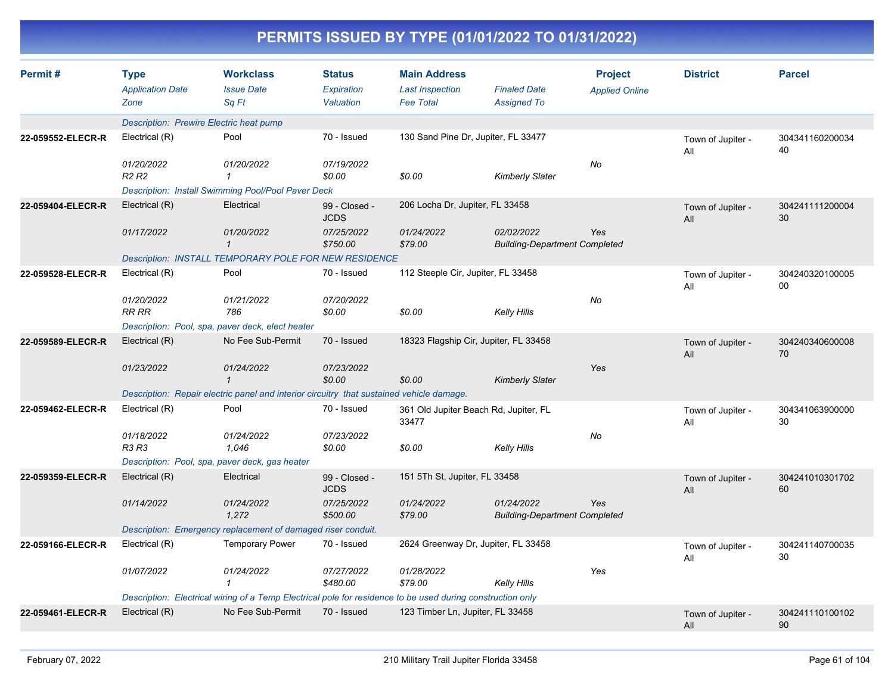|                   |                                                |                                                                                                            |                                                 |                                                                   | PERMITS ISSUED BY TYPE (01/01/2022 TO 01/31/2022)  |                                         |                          |                       |
|-------------------|------------------------------------------------|------------------------------------------------------------------------------------------------------------|-------------------------------------------------|-------------------------------------------------------------------|----------------------------------------------------|-----------------------------------------|--------------------------|-----------------------|
| Permit#           | <b>Type</b><br><b>Application Date</b><br>Zone | <b>Workclass</b><br><b>Issue Date</b><br>Sq Ft                                                             | <b>Status</b><br><b>Expiration</b><br>Valuation | <b>Main Address</b><br><b>Last Inspection</b><br><b>Fee Total</b> | <b>Finaled Date</b><br><b>Assigned To</b>          | <b>Project</b><br><b>Applied Online</b> | <b>District</b>          | <b>Parcel</b>         |
|                   | <b>Description: Prewire Electric heat pump</b> |                                                                                                            |                                                 |                                                                   |                                                    |                                         |                          |                       |
| 22-059552-ELECR-R | Electrical (R)                                 | Pool                                                                                                       | 70 - Issued                                     | 130 Sand Pine Dr, Jupiter, FL 33477                               |                                                    |                                         | Town of Jupiter -<br>All | 304341160200034<br>40 |
|                   | 01/20/2022<br>R <sub>2</sub> R <sub>2</sub>    | 01/20/2022<br>$\overline{1}$                                                                               | 07/19/2022<br>\$0.00                            | \$0.00                                                            | <b>Kimberly Slater</b>                             | No                                      |                          |                       |
|                   |                                                | Description: Install Swimming Pool/Pool Paver Deck                                                         |                                                 |                                                                   |                                                    |                                         |                          |                       |
| 22-059404-ELECR-R | Electrical (R)                                 | Electrical                                                                                                 | 99 - Closed -<br><b>JCDS</b>                    | 206 Locha Dr, Jupiter, FL 33458                                   |                                                    |                                         | Town of Jupiter -<br>All | 304241111200004<br>30 |
|                   | 01/17/2022                                     | 01/20/2022<br>$\mathbf{1}$                                                                                 | 07/25/2022<br>\$750.00                          | 01/24/2022<br>\$79.00                                             | 02/02/2022<br><b>Building-Department Completed</b> | Yes                                     |                          |                       |
|                   |                                                | <b>Description: INSTALL TEMPORARY POLE FOR NEW RESIDENCE</b>                                               |                                                 |                                                                   |                                                    |                                         |                          |                       |
| 22-059528-ELECR-R | Electrical (R)                                 | Pool                                                                                                       | 70 - Issued                                     | 112 Steeple Cir, Jupiter, FL 33458                                |                                                    |                                         | Town of Jupiter -<br>All | 304240320100005<br>00 |
|                   | 01/20/2022<br><b>RR RR</b>                     | 01/21/2022<br>786                                                                                          | 07/20/2022<br>\$0.00                            | \$0.00                                                            | <b>Kelly Hills</b>                                 | No                                      |                          |                       |
|                   |                                                | Description: Pool, spa, paver deck, elect heater                                                           |                                                 |                                                                   |                                                    |                                         |                          |                       |
| 22-059589-ELECR-R | Electrical (R)                                 | No Fee Sub-Permit                                                                                          | 70 - Issued                                     | 18323 Flagship Cir, Jupiter, FL 33458                             |                                                    |                                         | Town of Jupiter -<br>All | 304240340600008<br>70 |
|                   | 01/23/2022                                     | 01/24/2022<br>$\mathbf{1}$                                                                                 | 07/23/2022<br>\$0.00                            | \$0.00                                                            | <b>Kimberly Slater</b>                             | Yes                                     |                          |                       |
|                   |                                                | Description: Repair electric panel and interior circuitry that sustained vehicle damage.                   |                                                 |                                                                   |                                                    |                                         |                          |                       |
| 22-059462-ELECR-R | Electrical (R)                                 | Pool                                                                                                       | 70 - Issued                                     | 361 Old Jupiter Beach Rd, Jupiter, FL<br>33477                    |                                                    |                                         | Town of Jupiter -<br>All | 304341063900000<br>30 |
|                   | 01/18/2022<br><b>R3 R3</b>                     | 01/24/2022<br>1,046                                                                                        | 07/23/2022<br>\$0.00                            | \$0.00                                                            | <b>Kelly Hills</b>                                 | No                                      |                          |                       |
|                   |                                                | Description: Pool, spa, paver deck, gas heater                                                             |                                                 |                                                                   |                                                    |                                         |                          |                       |
| 22-059359-ELECR-R | Electrical (R)                                 | Electrical                                                                                                 | 99 - Closed -<br><b>JCDS</b>                    | 151 5Th St, Jupiter, FL 33458                                     |                                                    |                                         | Town of Jupiter -<br>All | 304241010301702<br>60 |
|                   | 01/14/2022                                     | 01/24/2022<br>1.272                                                                                        | 07/25/2022<br>\$500.00                          | 01/24/2022<br>\$79.00                                             | 01/24/2022<br><b>Building-Department Completed</b> | Yes                                     |                          |                       |
|                   |                                                | Description: Emergency replacement of damaged riser conduit.                                               |                                                 |                                                                   |                                                    |                                         |                          |                       |
| 22-059166-ELECR-R | Electrical (R)                                 | <b>Temporary Power</b>                                                                                     | 70 - Issued                                     | 2624 Greenway Dr, Jupiter, FL 33458                               |                                                    |                                         | Town of Jupiter -<br>All | 304241140700035<br>30 |
|                   | 01/07/2022                                     | 01/24/2022<br>-1                                                                                           | 07/27/2022<br>\$480.00                          | 01/28/2022<br>\$79.00                                             | <b>Kelly Hills</b>                                 | Yes                                     |                          |                       |
|                   |                                                | Description: Electrical wiring of a Temp Electrical pole for residence to be used during construction only |                                                 |                                                                   |                                                    |                                         |                          |                       |

Electrical (R) No Fee Sub-Permit 70 - Issued 123 Timber Ln, Jupiter, FL 33458 Town of Jupiter - 304241110100102 **22-059461-ELECR-R**

T

90

All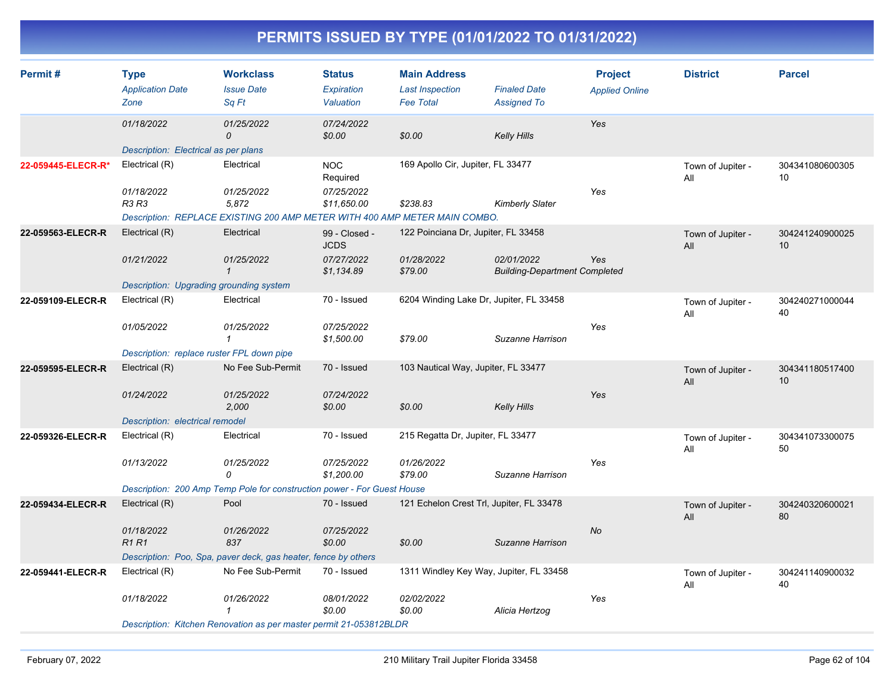| Permit#            | <b>Type</b><br><b>Application Date</b><br>Zone     | <b>Workclass</b><br><b>Issue Date</b><br>Sq Ft                                                    | <b>Status</b><br>Expiration<br>Valuation | <b>Main Address</b><br><b>Last Inspection</b><br><b>Fee Total</b> | <b>Finaled Date</b><br><b>Assigned To</b>          | <b>Project</b><br><b>Applied Online</b> | <b>District</b>          | <b>Parcel</b>         |
|--------------------|----------------------------------------------------|---------------------------------------------------------------------------------------------------|------------------------------------------|-------------------------------------------------------------------|----------------------------------------------------|-----------------------------------------|--------------------------|-----------------------|
|                    | 01/18/2022<br>Description: Electrical as per plans | 01/25/2022<br>0                                                                                   | 07/24/2022<br>\$0.00                     | \$0.00                                                            | <b>Kelly Hills</b>                                 | <b>Yes</b>                              |                          |                       |
| 22-059445-ELECR-R* | Electrical (R)                                     | Electrical                                                                                        | <b>NOC</b><br>Required                   | 169 Apollo Cir, Jupiter, FL 33477                                 |                                                    |                                         | Town of Jupiter -<br>All | 304341080600305<br>10 |
|                    | 01/18/2022<br>R3 R3                                | 01/25/2022<br>5,872<br>Description: REPLACE EXISTING 200 AMP METER WITH 400 AMP METER MAIN COMBO. | 07/25/2022<br>\$11,650.00                | \$238.83                                                          | <b>Kimberly Slater</b>                             | Yes                                     |                          |                       |
| 22-059563-ELECR-R  | Electrical (R)                                     | Electrical                                                                                        | 99 - Closed -                            | 122 Poinciana Dr, Jupiter, FL 33458                               |                                                    |                                         | Town of Jupiter -        | 304241240900025       |
|                    | 01/21/2022                                         | 01/25/2022<br>$\mathbf{1}$                                                                        | <b>JCDS</b><br>07/27/2022<br>\$1,134.89  | 01/28/2022<br>\$79.00                                             | 02/01/2022<br><b>Building-Department Completed</b> | Yes                                     | All                      | 10                    |
|                    | Description: Upgrading grounding system            |                                                                                                   |                                          |                                                                   |                                                    |                                         |                          |                       |
| 22-059109-ELECR-R  | Electrical (R)                                     | Electrical                                                                                        | 70 - Issued                              | 6204 Winding Lake Dr, Jupiter, FL 33458                           |                                                    |                                         | Town of Jupiter -<br>All | 304240271000044<br>40 |
|                    | 01/05/2022                                         | 01/25/2022<br>$\mathbf{1}$                                                                        | 07/25/2022<br>\$1,500.00                 | \$79.00                                                           | Suzanne Harrison                                   | Yes                                     |                          |                       |
|                    | Description: replace ruster FPL down pipe          |                                                                                                   |                                          |                                                                   |                                                    |                                         |                          |                       |
| 22-059595-ELECR-R  | Electrical (R)                                     | No Fee Sub-Permit                                                                                 | 70 - Issued                              | 103 Nautical Way, Jupiter, FL 33477                               |                                                    |                                         | Town of Jupiter -<br>All | 304341180517400<br>10 |
|                    | 01/24/2022                                         | 01/25/2022<br>2,000                                                                               | 07/24/2022<br>\$0.00                     | \$0.00                                                            | <b>Kelly Hills</b>                                 | Yes                                     |                          |                       |
|                    | Description: electrical remodel<br>Electrical (R)  | Electrical                                                                                        | 70 - Issued                              | 215 Regatta Dr, Jupiter, FL 33477                                 |                                                    |                                         |                          |                       |
| 22-059326-ELECR-R  |                                                    |                                                                                                   |                                          |                                                                   |                                                    |                                         | Town of Jupiter -<br>All | 304341073300075<br>50 |
|                    | 01/13/2022                                         | 01/25/2022<br>0                                                                                   | 07/25/2022<br>\$1,200.00                 | 01/26/2022<br>\$79.00                                             | Suzanne Harrison                                   | Yes                                     |                          |                       |
|                    |                                                    | Description: 200 Amp Temp Pole for construction power - For Guest House                           |                                          |                                                                   |                                                    |                                         |                          |                       |
| 22-059434-ELECR-R  | Electrical (R)                                     | Pool                                                                                              | 70 - Issued                              | 121 Echelon Crest Trl, Jupiter, FL 33478                          |                                                    |                                         | Town of Jupiter -<br>All | 304240320600021<br>80 |
|                    | 01/18/2022<br>R <sub>1</sub> R <sub>1</sub>        | 01/26/2022<br>837                                                                                 | 07/25/2022<br>\$0.00                     | \$0.00                                                            | Suzanne Harrison                                   | No                                      |                          |                       |
|                    |                                                    | Description: Poo, Spa, paver deck, gas heater, fence by others                                    |                                          |                                                                   |                                                    |                                         |                          |                       |
| 22-059441-ELECR-R  | Electrical (R)                                     | No Fee Sub-Permit                                                                                 | 70 - Issued                              | 1311 Windley Key Way, Jupiter, FL 33458                           |                                                    |                                         | Town of Jupiter -<br>All | 304241140900032<br>40 |
|                    | 01/18/2022                                         | 01/26/2022<br>1                                                                                   | 08/01/2022<br>\$0.00                     | 02/02/2022<br>\$0.00                                              | Alicia Hertzog                                     | Yes                                     |                          |                       |
|                    |                                                    | Description: Kitchen Renovation as per master permit 21-053812BLDR                                |                                          |                                                                   |                                                    |                                         |                          |                       |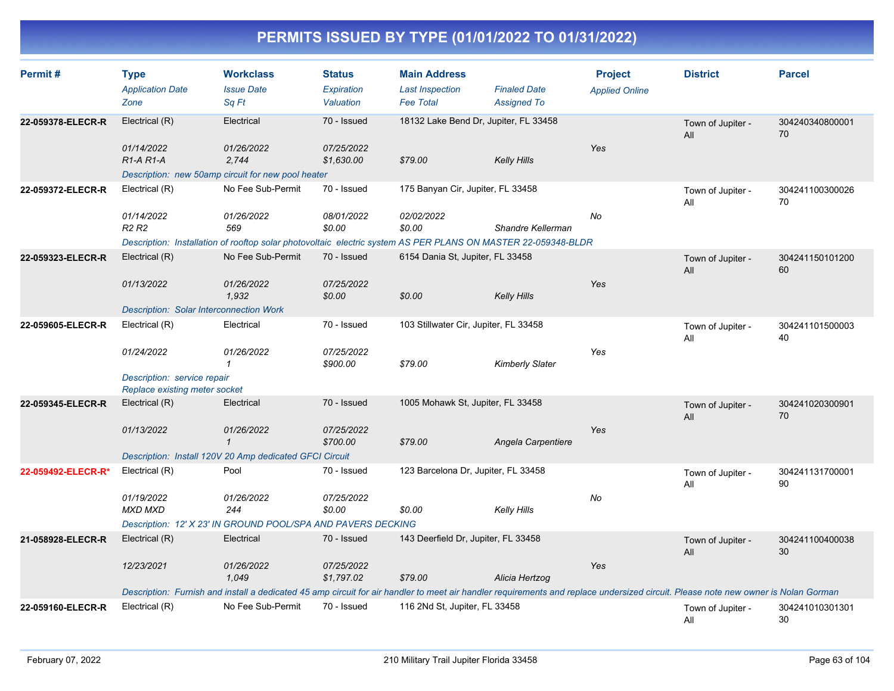| Permit#            | <b>Type</b><br><b>Application Date</b><br>Zone               | <b>Workclass</b><br><b>Issue Date</b><br>Sq Ft                                                                                                                                     | <b>Status</b><br>Expiration<br>Valuation | <b>Main Address</b><br><b>Last Inspection</b><br><b>Fee Total</b> | <b>Finaled Date</b><br><b>Assigned To</b> | <b>Project</b><br><b>Applied Online</b> | <b>District</b>          | <b>Parcel</b>         |
|--------------------|--------------------------------------------------------------|------------------------------------------------------------------------------------------------------------------------------------------------------------------------------------|------------------------------------------|-------------------------------------------------------------------|-------------------------------------------|-----------------------------------------|--------------------------|-----------------------|
| 22-059378-ELECR-R  | Electrical (R)                                               | Electrical                                                                                                                                                                         | 70 - Issued                              | 18132 Lake Bend Dr, Jupiter, FL 33458                             |                                           |                                         | Town of Jupiter -<br>All | 304240340800001<br>70 |
|                    | 01/14/2022<br>$R1-A R1-A$                                    | 01/26/2022<br>2.744                                                                                                                                                                | 07/25/2022<br>\$1,630.00                 | \$79.00                                                           | <b>Kelly Hills</b>                        | Yes                                     |                          |                       |
|                    | Electrical (R)                                               | Description: new 50amp circuit for new pool heater<br>No Fee Sub-Permit                                                                                                            | 70 - Issued                              | 175 Banyan Cir, Jupiter, FL 33458                                 |                                           |                                         |                          |                       |
| 22-059372-ELECR-R  |                                                              |                                                                                                                                                                                    |                                          |                                                                   |                                           |                                         | Town of Jupiter -<br>All | 304241100300026<br>70 |
|                    | 01/14/2022<br>R <sub>2</sub> R <sub>2</sub>                  | 01/26/2022<br>569                                                                                                                                                                  | 08/01/2022<br>\$0.00                     | 02/02/2022<br>\$0.00                                              | Shandre Kellerman                         | No                                      |                          |                       |
|                    |                                                              | Description: Installation of rooftop solar photovoltaic electric system AS PER PLANS ON MASTER 22-059348-BLDR                                                                      |                                          |                                                                   |                                           |                                         |                          |                       |
| 22-059323-ELECR-R  | Electrical (R)                                               | No Fee Sub-Permit                                                                                                                                                                  | 70 - Issued                              | 6154 Dania St, Jupiter, FL 33458                                  |                                           |                                         | Town of Jupiter -<br>All | 304241150101200<br>60 |
|                    | 01/13/2022                                                   | 01/26/2022<br>1,932                                                                                                                                                                | 07/25/2022<br>\$0.00                     | \$0.00                                                            | <b>Kelly Hills</b>                        | Yes                                     |                          |                       |
|                    | <b>Description: Solar Interconnection Work</b>               |                                                                                                                                                                                    |                                          |                                                                   |                                           |                                         |                          |                       |
| 22-059605-ELECR-R  | Electrical (R)                                               | Electrical                                                                                                                                                                         | 70 - Issued                              | 103 Stillwater Cir, Jupiter, FL 33458                             |                                           |                                         | Town of Jupiter -<br>All | 304241101500003<br>40 |
|                    | 01/24/2022                                                   | 01/26/2022<br>1                                                                                                                                                                    | 07/25/2022<br>\$900.00                   | \$79.00                                                           | <b>Kimberly Slater</b>                    | Yes                                     |                          |                       |
|                    | Description: service repair<br>Replace existing meter socket |                                                                                                                                                                                    |                                          |                                                                   |                                           |                                         |                          |                       |
| 22-059345-ELECR-R  | Electrical (R)                                               | Electrical                                                                                                                                                                         | 70 - Issued                              | 1005 Mohawk St, Jupiter, FL 33458                                 |                                           |                                         | Town of Jupiter -<br>All | 304241020300901<br>70 |
|                    | 01/13/2022                                                   | 01/26/2022<br>$\mathbf{1}$                                                                                                                                                         | 07/25/2022<br>\$700.00                   | \$79.00                                                           | Angela Carpentiere                        | Yes                                     |                          |                       |
|                    |                                                              | Description: Install 120V 20 Amp dedicated GFCI Circuit                                                                                                                            |                                          |                                                                   |                                           |                                         |                          |                       |
| 22-059492-ELECR-R* | Electrical (R)                                               | Pool                                                                                                                                                                               | 70 - Issued                              | 123 Barcelona Dr, Jupiter, FL 33458                               |                                           |                                         | Town of Jupiter -<br>All | 304241131700001<br>90 |
|                    | 01/19/2022<br><b>MXD MXD</b>                                 | 01/26/2022<br>244                                                                                                                                                                  | 07/25/2022<br>\$0.00                     | \$0.00                                                            | <b>Kelly Hills</b>                        | No                                      |                          |                       |
|                    |                                                              | Description: 12' X 23' IN GROUND POOL/SPA AND PAVERS DECKING                                                                                                                       |                                          |                                                                   |                                           |                                         |                          |                       |
| 21-058928-ELECR-R  | Electrical (R)                                               | Electrical                                                                                                                                                                         | 70 - Issued                              | 143 Deerfield Dr, Jupiter, FL 33458                               |                                           |                                         | Town of Jupiter -<br>All | 304241100400038<br>30 |
|                    | 12/23/2021                                                   | 01/26/2022<br>1,049                                                                                                                                                                | 07/25/2022<br>\$1,797.02                 | \$79.00                                                           | Alicia Hertzog                            | Yes                                     |                          |                       |
|                    |                                                              | Description: Furnish and install a dedicated 45 amp circuit for air handler to meet air handler requirements and replace undersized circuit. Please note new owner is Nolan Gorman |                                          |                                                                   |                                           |                                         |                          |                       |
| 22-059160-ELECR-R  | Electrical (R)                                               | No Fee Sub-Permit                                                                                                                                                                  | 70 - Issued                              | 116 2Nd St, Jupiter, FL 33458                                     |                                           |                                         | Town of Jupiter -<br>All | 304241010301301<br>30 |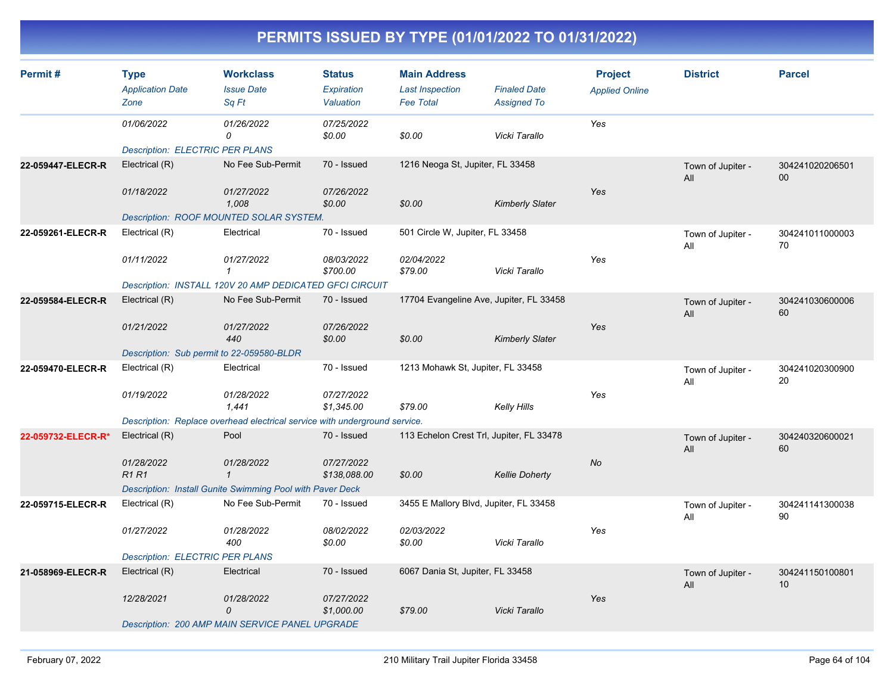| Permit#            | <b>Type</b><br><b>Application Date</b><br>Zone | <b>Workclass</b><br><b>Issue Date</b><br>Sq Ft                             | <b>Status</b><br>Expiration<br>Valuation | <b>Main Address</b><br><b>Last Inspection</b><br><b>Fee Total</b> | <b>Finaled Date</b><br><b>Assigned To</b> | <b>Project</b><br><b>Applied Online</b> | <b>District</b>          | <b>Parcel</b>         |
|--------------------|------------------------------------------------|----------------------------------------------------------------------------|------------------------------------------|-------------------------------------------------------------------|-------------------------------------------|-----------------------------------------|--------------------------|-----------------------|
|                    | 01/06/2022                                     | 01/26/2022<br>0                                                            | 07/25/2022<br>\$0.00                     | \$0.00                                                            | Vicki Tarallo                             | Yes                                     |                          |                       |
|                    | <b>Description: ELECTRIC PER PLANS</b>         |                                                                            |                                          |                                                                   |                                           |                                         |                          |                       |
| 22-059447-ELECR-R  | Electrical (R)                                 | No Fee Sub-Permit                                                          | 70 - Issued                              | 1216 Neoga St, Jupiter, FL 33458                                  |                                           |                                         | Town of Jupiter -<br>All | 304241020206501<br>00 |
|                    | 01/18/2022                                     | 01/27/2022<br>1,008                                                        | 07/26/2022<br>\$0.00                     | \$0.00                                                            | <b>Kimberly Slater</b>                    | Yes                                     |                          |                       |
|                    |                                                | Description: ROOF MOUNTED SOLAR SYSTEM.                                    |                                          |                                                                   |                                           |                                         |                          |                       |
| 22-059261-ELECR-R  | Electrical (R)                                 | Electrical                                                                 | 70 - Issued                              | 501 Circle W, Jupiter, FL 33458                                   |                                           |                                         | Town of Jupiter -<br>All | 304241011000003<br>70 |
|                    | 01/11/2022                                     | 01/27/2022<br>$\mathbf{1}$                                                 | 08/03/2022<br>\$700.00                   | 02/04/2022<br>\$79.00                                             | Vicki Tarallo                             | Yes                                     |                          |                       |
|                    |                                                | Description: INSTALL 120V 20 AMP DEDICATED GFCI CIRCUIT                    |                                          |                                                                   |                                           |                                         |                          |                       |
| 22-059584-ELECR-R  | Electrical (R)                                 | No Fee Sub-Permit                                                          | 70 - Issued                              | 17704 Evangeline Ave, Jupiter, FL 33458                           |                                           |                                         | Town of Jupiter -<br>All | 304241030600006<br>60 |
|                    | 01/21/2022                                     | 01/27/2022<br>440                                                          | 07/26/2022<br>\$0.00                     | \$0.00                                                            | <b>Kimberly Slater</b>                    | Yes                                     |                          |                       |
|                    | Description: Sub permit to 22-059580-BLDR      |                                                                            |                                          |                                                                   |                                           |                                         |                          |                       |
| 22-059470-ELECR-R  | Electrical (R)                                 | Electrical                                                                 | 70 - Issued                              | 1213 Mohawk St, Jupiter, FL 33458                                 |                                           |                                         | Town of Jupiter -<br>All | 304241020300900<br>20 |
|                    | 01/19/2022                                     | 01/28/2022<br>1,441                                                        | 07/27/2022<br>\$1,345.00                 | \$79.00                                                           | Kelly Hills                               | Yes                                     |                          |                       |
|                    |                                                | Description: Replace overhead electrical service with underground service. |                                          |                                                                   |                                           |                                         |                          |                       |
| 22-059732-ELECR-R* | Electrical (R)                                 | Pool                                                                       | 70 - Issued                              | 113 Echelon Crest Trl, Jupiter, FL 33478                          |                                           |                                         | Town of Jupiter -<br>All | 304240320600021<br>60 |
|                    | 01/28/2022<br>R1R1                             | 01/28/2022<br>$\mathbf{1}$                                                 | 07/27/2022<br>\$138,088.00               | \$0.00                                                            | <b>Kellie Doherty</b>                     | No                                      |                          |                       |
|                    |                                                | <b>Description: Install Gunite Swimming Pool with Paver Deck</b>           |                                          |                                                                   |                                           |                                         |                          |                       |
| 22-059715-ELECR-R  | Electrical (R)                                 | No Fee Sub-Permit                                                          | 70 - Issued                              | 3455 E Mallory Blvd, Jupiter, FL 33458                            |                                           |                                         | Town of Jupiter -<br>All | 304241141300038<br>90 |
|                    | 01/27/2022                                     | 01/28/2022<br>400                                                          | 08/02/2022<br>\$0.00                     | 02/03/2022<br>\$0.00                                              | Vicki Tarallo                             | Yes                                     |                          |                       |
|                    | <b>Description: ELECTRIC PER PLANS</b>         |                                                                            |                                          |                                                                   |                                           |                                         |                          |                       |
| 21-058969-ELECR-R  | Electrical (R)                                 | Electrical                                                                 | 70 - Issued                              | 6067 Dania St, Jupiter, FL 33458                                  |                                           |                                         | Town of Jupiter -<br>All | 304241150100801<br>10 |
|                    | 12/28/2021                                     | 01/28/2022<br>$\mathcal{O}$                                                | 07/27/2022<br>\$1,000.00                 | \$79.00                                                           | Vicki Tarallo                             | Yes                                     |                          |                       |
|                    |                                                | Description: 200 AMP MAIN SERVICE PANEL UPGRADE                            |                                          |                                                                   |                                           |                                         |                          |                       |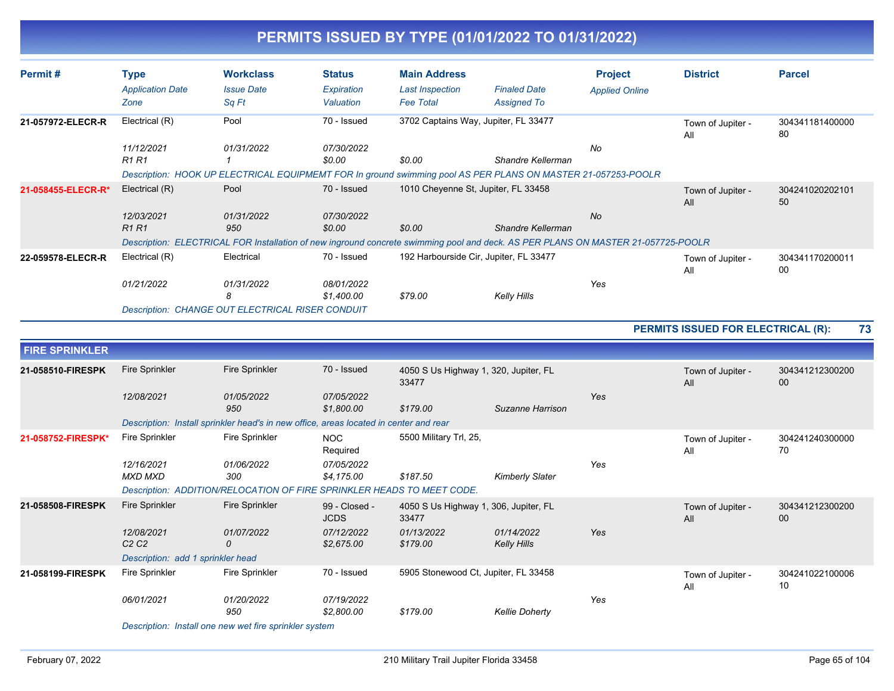| Permit#               | <b>Type</b>                                 | <b>Workclass</b>                                                                      | <b>Status</b>                | <b>Main Address</b>                            |                                                                                                                                  | <b>Project</b>        | <b>District</b>                    | <b>Parcel</b>             |
|-----------------------|---------------------------------------------|---------------------------------------------------------------------------------------|------------------------------|------------------------------------------------|----------------------------------------------------------------------------------------------------------------------------------|-----------------------|------------------------------------|---------------------------|
|                       | <b>Application Date</b><br>Zone             | <b>Issue Date</b><br>Sq Ft                                                            | Expiration<br>Valuation      | <b>Last Inspection</b><br><b>Fee Total</b>     | <b>Finaled Date</b><br><b>Assigned To</b>                                                                                        | <b>Applied Online</b> |                                    |                           |
| 21-057972-ELECR-R     | Electrical (R)                              | Pool                                                                                  | 70 - Issued                  | 3702 Captains Way, Jupiter, FL 33477           |                                                                                                                                  |                       | Town of Jupiter -<br>All           | 304341181400000<br>80     |
|                       | 11/12/2021<br>R <sub>1</sub> R <sub>1</sub> | 01/31/2022<br>$\mathbf{1}$                                                            | 07/30/2022<br>\$0.00         | \$0.00                                         | Shandre Kellerman                                                                                                                | No                    |                                    |                           |
|                       |                                             |                                                                                       |                              |                                                | Description: HOOK UP ELECTRICAL EQUIPMEMT FOR In ground swimming pool AS PER PLANS ON MASTER 21-057253-POOLR                     |                       |                                    |                           |
| 21-058455-ELECR-R*    | Electrical (R)                              | Pool                                                                                  | 70 - Issued                  | 1010 Cheyenne St, Jupiter, FL 33458            |                                                                                                                                  |                       | Town of Jupiter -<br>All           | 304241020202101<br>50     |
|                       | 12/03/2021<br>R <sub>1</sub> R <sub>1</sub> | 01/31/2022<br>950                                                                     | 07/30/2022<br>\$0.00         | \$0.00                                         | Shandre Kellerman                                                                                                                | No                    |                                    |                           |
|                       |                                             |                                                                                       |                              |                                                | Description: ELECTRICAL FOR Installation of new inground concrete swimming pool and deck. AS PER PLANS ON MASTER 21-057725-POOLR |                       |                                    |                           |
| 22-059578-ELECR-R     | Electrical (R)                              | Electrical                                                                            | 70 - Issued                  | 192 Harbourside Cir, Jupiter, FL 33477         |                                                                                                                                  |                       | Town of Jupiter -<br>All           | 304341170200011<br>$00\,$ |
|                       | 01/21/2022                                  | 01/31/2022<br>8                                                                       | 08/01/2022<br>\$1,400.00     | \$79.00                                        | <b>Kelly Hills</b>                                                                                                               | Yes                   |                                    |                           |
|                       |                                             | Description: CHANGE OUT ELECTRICAL RISER CONDUIT                                      |                              |                                                |                                                                                                                                  |                       |                                    |                           |
|                       |                                             |                                                                                       |                              |                                                |                                                                                                                                  |                       | PERMITS ISSUED FOR ELECTRICAL (R): | 73                        |
| <b>FIRE SPRINKLER</b> |                                             |                                                                                       |                              |                                                |                                                                                                                                  |                       |                                    |                           |
| 21-058510-FIRESPK     | <b>Fire Sprinkler</b>                       | <b>Fire Sprinkler</b>                                                                 | 70 - Issued                  | 4050 S Us Highway 1, 320, Jupiter, FL<br>33477 |                                                                                                                                  |                       | Town of Jupiter -<br>All           | 304341212300200<br>00     |
|                       | 12/08/2021                                  | 01/05/2022<br>950                                                                     | 07/05/2022<br>\$1,800.00     | \$179.00                                       | Suzanne Harrison                                                                                                                 | Yes                   |                                    |                           |
|                       |                                             | Description: Install sprinkler head's in new office, areas located in center and rear |                              |                                                |                                                                                                                                  |                       |                                    |                           |
| 21-058752-FIRESPK*    | <b>Fire Sprinkler</b>                       | Fire Sprinkler                                                                        | <b>NOC</b><br>Required       | 5500 Military Trl, 25,                         |                                                                                                                                  |                       | Town of Jupiter -<br>All           | 304241240300000<br>70     |
|                       | 12/16/2021<br><b>MXD MXD</b>                | 01/06/2022<br>300                                                                     | 07/05/2022<br>\$4,175.00     | \$187.50                                       | <b>Kimberly Slater</b>                                                                                                           | Yes                   |                                    |                           |
|                       |                                             | Description: ADDITION/RELOCATION OF FIRE SPRINKLER HEADS TO MEET CODE.                |                              |                                                |                                                                                                                                  |                       |                                    |                           |
| 21-058508-FIRESPK     | <b>Fire Sprinkler</b>                       | <b>Fire Sprinkler</b>                                                                 | 99 - Closed -<br><b>JCDS</b> | 4050 S Us Highway 1, 306, Jupiter, FL<br>33477 |                                                                                                                                  |                       | Town of Jupiter -<br>All           | 304341212300200<br>$00\,$ |
|                       | 12/08/2021<br>C2C2                          | 01/07/2022<br>$\Omega$                                                                | 07/12/2022<br>\$2,675.00     | 01/13/2022<br>\$179.00                         | 01/14/2022<br><b>Kelly Hills</b>                                                                                                 | Yes                   |                                    |                           |
|                       | Description: add 1 sprinkler head           |                                                                                       |                              |                                                |                                                                                                                                  |                       |                                    |                           |
| 21-058199-FIRESPK     | <b>Fire Sprinkler</b>                       | <b>Fire Sprinkler</b>                                                                 | 70 - Issued                  | 5905 Stonewood Ct, Jupiter, FL 33458           |                                                                                                                                  |                       | Town of Jupiter -<br>All           | 304241022100006<br>10     |
|                       | 06/01/2021                                  | 01/20/2022                                                                            | 07/19/2022                   |                                                |                                                                                                                                  | Yes                   |                                    |                           |

*Description: Install one new wet fire sprinkler system*

 *950 \$2,800.00 \$179.00 Kellie Doherty*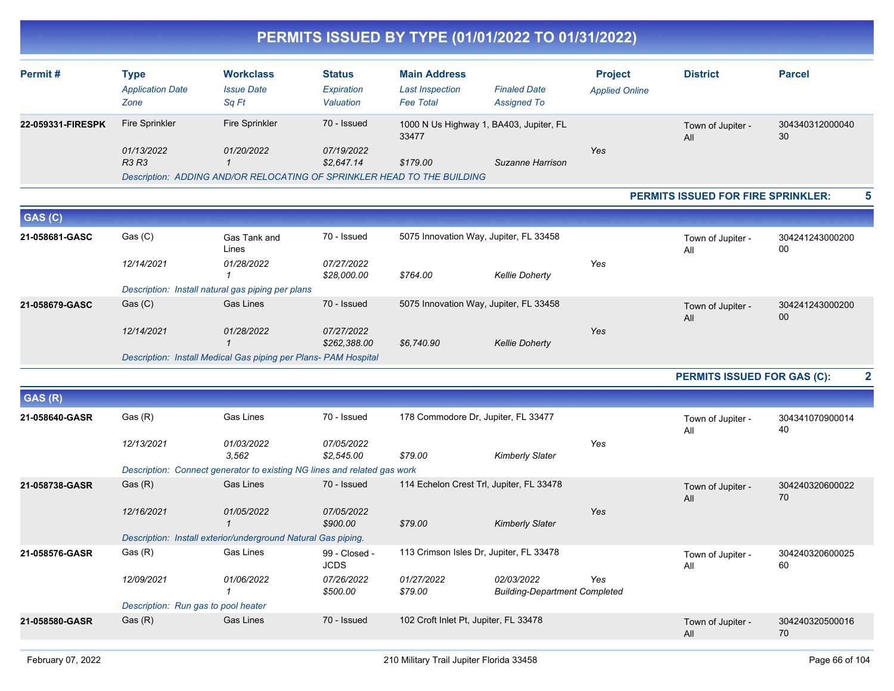| Permit#           | Type<br><b>Application Date</b><br>Zone | <b>Workclass</b><br><b>Issue Date</b><br>Sq Ft                          | <b>Status</b><br>Expiration<br>Valuation | <b>Main Address</b><br><b>Last Inspection</b><br><b>Fee Total</b> | <b>Finaled Date</b><br><b>Assigned To</b> | <b>Project</b><br><b>Applied Online</b> | <b>District</b> | <b>Parcel</b>   |
|-------------------|-----------------------------------------|-------------------------------------------------------------------------|------------------------------------------|-------------------------------------------------------------------|-------------------------------------------|-----------------------------------------|-----------------|-----------------|
| 22-059331-FIRESPK | Fire Sprinkler                          | <b>Fire Sprinkler</b>                                                   | 70 - Issued                              | 1000 N Us Highway 1, BA403, Jupiter, FL<br>33477                  |                                           | Town of Jupiter -<br>30<br>All          |                 | 304340312000040 |
|                   | 01/13/2022                              | 01/20/2022                                                              | 07/19/2022                               |                                                                   |                                           | Yes                                     |                 |                 |
|                   | <b>R3 R3</b>                            |                                                                         | \$2.647.14                               | \$179.00                                                          | Suzanne Harrison                          |                                         |                 |                 |
|                   |                                         | Description: ADDING AND/OR RELOCATING OF SPRINKLER HEAD TO THE BUILDING |                                          |                                                                   |                                           |                                         |                 |                 |

#### **PERMITS ISSUED FOR FIRE SPRINKLER: 5**

| GAS (C)        |            |                                                                 |                            |            |                                        |     |                          |                       |
|----------------|------------|-----------------------------------------------------------------|----------------------------|------------|----------------------------------------|-----|--------------------------|-----------------------|
| 21-058681-GASC | Gas (C)    | Gas Tank and<br>Lines                                           | 70 - Issued                |            | 5075 Innovation Way, Jupiter, FL 33458 |     | Town of Jupiter -<br>All | 304241243000200<br>00 |
|                | 12/14/2021 | 01/28/2022                                                      | 07/27/2022<br>\$28,000.00  | \$764.00   | <b>Kellie Doherty</b>                  | Yes |                          |                       |
|                |            | Description: Install natural gas piping per plans               |                            |            |                                        |     |                          |                       |
| 21-058679-GASC | Gas (C)    | <b>Gas Lines</b>                                                | 70 - Issued                |            | 5075 Innovation Way, Jupiter, FL 33458 |     | Town of Jupiter -<br>All | 304241243000200<br>00 |
|                | 12/14/2021 | 01/28/2022                                                      | 07/27/2022<br>\$262,388.00 | \$6,740.90 | <b>Kellie Doherty</b>                  | Yes |                          |                       |
|                |            | Description: Install Medical Gas piping per Plans- PAM Hospital |                            |            |                                        |     |                          |                       |

**PERMITS ISSUED FOR GAS (C): 2**

| GAS (R)        |            |                                                                          |                              |                                          |                                                    |     |                          |                       |
|----------------|------------|--------------------------------------------------------------------------|------------------------------|------------------------------------------|----------------------------------------------------|-----|--------------------------|-----------------------|
| 21-058640-GASR | Gas (R)    | Gas Lines                                                                | 70 - Issued                  | 178 Commodore Dr, Jupiter, FL 33477      |                                                    |     | Town of Jupiter -<br>All | 304341070900014<br>40 |
|                | 12/13/2021 | 01/03/2022<br>3,562                                                      | 07/05/2022<br>\$2,545.00     | \$79.00                                  | <b>Kimberly Slater</b>                             | Yes |                          |                       |
|                |            |                                                                          |                              |                                          |                                                    |     |                          |                       |
|                |            | Description: Connect generator to existing NG lines and related gas work |                              |                                          |                                                    |     |                          |                       |
| 21-058738-GASR | Gas (R)    | <b>Gas Lines</b>                                                         | 70 - Issued                  | 114 Echelon Crest Trl, Jupiter, FL 33478 |                                                    |     | Town of Jupiter -<br>All | 304240320600022<br>70 |
|                | 12/16/2021 | 01/05/2022                                                               | 07/05/2022<br>\$900.00       | \$79.00                                  | <b>Kimberly Slater</b>                             | Yes |                          |                       |
|                |            | Description: Install exterior/underground Natural Gas piping.            |                              |                                          |                                                    |     |                          |                       |
| 21-058576-GASR | Gas (R)    | Gas Lines                                                                | 99 - Closed -<br><b>JCDS</b> | 113 Crimson Isles Dr, Jupiter, FL 33478  |                                                    |     | Town of Jupiter -<br>All | 304240320600025<br>60 |
|                | 12/09/2021 | 01/06/2022                                                               | 07/26/2022<br>\$500.00       | 01/27/2022<br>\$79.00                    | 02/03/2022<br><b>Building-Department Completed</b> | Yes |                          |                       |
|                |            | Description: Run gas to pool heater                                      |                              |                                          |                                                    |     |                          |                       |
| 21-058580-GASR | Gas(R)     | <b>Gas Lines</b>                                                         | 70 - Issued                  | 102 Croft Inlet Pt, Jupiter, FL 33478    |                                                    |     | Town of Jupiter -<br>All | 304240320500016<br>70 |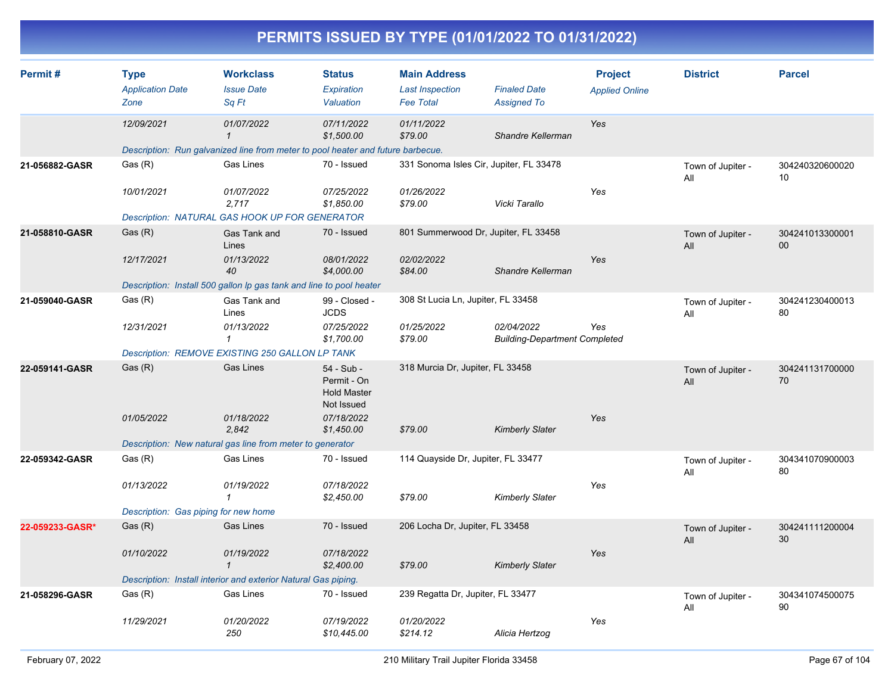|                 |                                                    |                                                                                               |                                                               |                                                                   | PERMITS ISSUED BY TYPE (01/01/2022 TO 01/31/2022)  |                                         |                          |                       |
|-----------------|----------------------------------------------------|-----------------------------------------------------------------------------------------------|---------------------------------------------------------------|-------------------------------------------------------------------|----------------------------------------------------|-----------------------------------------|--------------------------|-----------------------|
| Permit #        | <b>Type</b><br><b>Application Date</b><br>Zone     | <b>Workclass</b><br><b>Issue Date</b><br>Sq Ft                                                | <b>Status</b><br>Expiration<br>Valuation                      | <b>Main Address</b><br><b>Last Inspection</b><br><b>Fee Total</b> | <b>Finaled Date</b><br>Assigned To                 | <b>Project</b><br><b>Applied Online</b> | <b>District</b>          | <b>Parcel</b>         |
|                 | 12/09/2021                                         | 01/07/2022<br>Description: Run galvanized line from meter to pool heater and future barbecue. | 07/11/2022<br>\$1,500.00                                      | 01/11/2022<br>\$79.00                                             | Shandre Kellerman                                  | Yes                                     |                          |                       |
| 21-056882-GASR  | Gas (R)<br>10/01/2021                              | Gas Lines<br>01/07/2022                                                                       | 70 - Issued<br>07/25/2022                                     | 01/26/2022                                                        | 331 Sonoma Isles Cir, Jupiter, FL 33478            | Yes                                     | Town of Jupiter -<br>All | 304240320600020<br>10 |
|                 |                                                    | 2,717<br>Description: NATURAL GAS HOOK UP FOR GENERATOR                                       | \$1,850.00                                                    | \$79.00                                                           | Vicki Tarallo                                      |                                         |                          |                       |
| 21-058810-GASR  | Gas(R)                                             | Gas Tank and<br>Lines                                                                         | 70 - Issued                                                   |                                                                   | 801 Summerwood Dr, Jupiter, FL 33458               |                                         | Town of Jupiter -<br>All | 304241013300001<br>00 |
|                 | 12/17/2021                                         | 01/13/2022<br>40<br>Description: Install 500 gallon Ip gas tank and line to pool heater       | 08/01/2022<br>\$4,000.00                                      | 02/02/2022<br>\$84.00                                             | Shandre Kellerman                                  | Yes                                     |                          |                       |
| 21-059040-GASR  | Gas (R)                                            | Gas Tank and<br>Lines                                                                         | 99 - Closed -<br><b>JCDS</b>                                  | 308 St Lucia Ln, Jupiter, FL 33458                                |                                                    |                                         | Town of Jupiter -<br>All | 304241230400013<br>80 |
|                 | 12/31/2021                                         | 01/13/2022<br>$\mathbf{\overline{1}}$<br>Description: REMOVE EXISTING 250 GALLON LP TANK      | 07/25/2022<br>\$1,700.00                                      | 01/25/2022<br>\$79.00                                             | 02/04/2022<br><b>Building-Department Completed</b> | Yes                                     |                          |                       |
| 22-059141-GASR  | Gas(R)                                             | <b>Gas Lines</b>                                                                              | 54 - Sub -<br>Permit - On<br><b>Hold Master</b><br>Not Issued | 318 Murcia Dr, Jupiter, FL 33458                                  |                                                    |                                         | Town of Jupiter -<br>All | 304241131700000<br>70 |
|                 | 01/05/2022                                         | 01/18/2022<br>2,842<br>Description: New natural gas line from meter to generator              | 07/18/2022<br>\$1,450.00                                      | \$79.00                                                           | <b>Kimberly Slater</b>                             | Yes                                     |                          |                       |
| 22-059342-GASR  | Gas (R)                                            | Gas Lines                                                                                     | 70 - Issued                                                   | 114 Quayside Dr, Jupiter, FL 33477                                |                                                    |                                         | Town of Jupiter -<br>All | 304341070900003<br>80 |
|                 | 01/13/2022<br>Description: Gas piping for new home | 01/19/2022<br>1                                                                               | 07/18/2022<br>\$2,450.00                                      | \$79.00                                                           | <b>Kimberly Slater</b>                             | Yes                                     |                          |                       |
| 22-059233-GASR* | Gas(R)                                             | <b>Gas Lines</b>                                                                              | 70 - Issued                                                   | 206 Locha Dr, Jupiter, FL 33458                                   |                                                    |                                         | Town of Jupiter -<br>All | 304241111200004<br>30 |
|                 | 01/10/2022                                         | 01/19/2022<br>1<br>Description: Install interior and exterior Natural Gas piping.             | 07/18/2022<br>\$2,400.00                                      | \$79.00                                                           | <b>Kimberly Slater</b>                             | Yes                                     |                          |                       |
| 21-058296-GASR  | Gas (R)                                            | Gas Lines                                                                                     | 70 - Issued                                                   | 239 Regatta Dr, Jupiter, FL 33477                                 |                                                    |                                         | Town of Jupiter -<br>All | 304341074500075<br>90 |
|                 | 11/29/2021                                         | 01/20/2022<br>250                                                                             | 07/19/2022<br>\$10,445.00                                     | 01/20/2022<br>\$214.12                                            | Alicia Hertzog                                     | Yes                                     |                          |                       |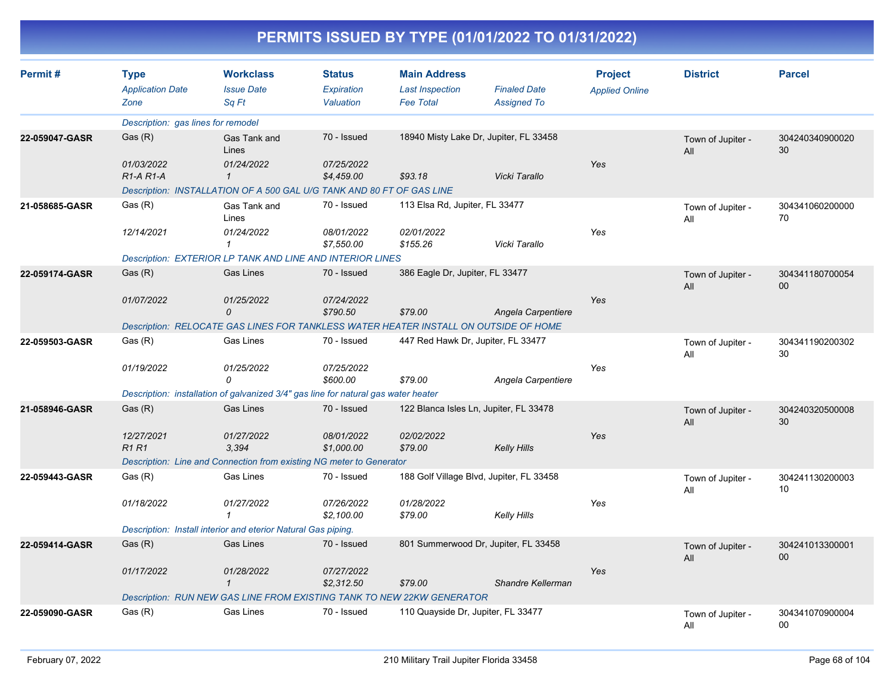| Permit#        | <b>Type</b><br><b>Application Date</b><br>Zone | <b>Workclass</b><br><b>Issue Date</b><br>Sq Ft                                       | <b>Status</b><br>Expiration<br>Valuation | <b>Main Address</b><br><b>Last Inspection</b><br><b>Fee Total</b> | <b>Finaled Date</b><br><b>Assigned To</b> | <b>Project</b><br><b>Applied Online</b> | <b>District</b>          | <b>Parcel</b>         |
|----------------|------------------------------------------------|--------------------------------------------------------------------------------------|------------------------------------------|-------------------------------------------------------------------|-------------------------------------------|-----------------------------------------|--------------------------|-----------------------|
|                | Description: gas lines for remodel             |                                                                                      |                                          |                                                                   |                                           |                                         |                          |                       |
| 22-059047-GASR | Gas (R)                                        | Gas Tank and<br>Lines                                                                | 70 - Issued                              |                                                                   | 18940 Misty Lake Dr, Jupiter, FL 33458    |                                         | Town of Jupiter -<br>All | 304240340900020<br>30 |
|                | 01/03/2022<br>$R1-A R1-A$                      | 01/24/2022<br>$\mathbf{1}$                                                           | 07/25/2022<br>\$4,459.00                 | \$93.18                                                           | Vicki Tarallo                             | Yes                                     |                          |                       |
|                |                                                | Description: INSTALLATION OF A 500 GAL U/G TANK AND 80 FT OF GAS LINE                |                                          |                                                                   |                                           |                                         |                          |                       |
| 21-058685-GASR | Gas (R)                                        | Gas Tank and<br>Lines                                                                | 70 - Issued                              | 113 Elsa Rd, Jupiter, FL 33477                                    |                                           |                                         | Town of Jupiter -<br>All | 304341060200000<br>70 |
|                | 12/14/2021                                     | 01/24/2022<br>1                                                                      | 08/01/2022<br>\$7,550.00                 | 02/01/2022<br>\$155.26                                            | Vicki Tarallo                             | Yes                                     |                          |                       |
|                |                                                | Description: EXTERIOR LP TANK AND LINE AND INTERIOR LINES                            |                                          |                                                                   |                                           |                                         |                          |                       |
| 22-059174-GASR | Gas (R)                                        | <b>Gas Lines</b>                                                                     | 70 - Issued                              | 386 Eagle Dr, Jupiter, FL 33477                                   |                                           |                                         | Town of Jupiter -<br>All | 304341180700054<br>00 |
|                | 01/07/2022                                     | 01/25/2022<br>$\Omega$                                                               | 07/24/2022<br>\$790.50                   | \$79.00                                                           | Angela Carpentiere                        | Yes                                     |                          |                       |
|                |                                                | Description: RELOCATE GAS LINES FOR TANKLESS WATER HEATER INSTALL ON OUTSIDE OF HOME |                                          |                                                                   |                                           |                                         |                          |                       |
| 22-059503-GASR | Gas (R)                                        | Gas Lines                                                                            | 70 - Issued                              | 447 Red Hawk Dr, Jupiter, FL 33477                                |                                           |                                         | Town of Jupiter -<br>All | 304341190200302<br>30 |
|                | 01/19/2022                                     | 01/25/2022<br>$\Omega$                                                               | 07/25/2022<br>\$600.00                   | \$79.00                                                           | Angela Carpentiere                        | Yes                                     |                          |                       |
|                |                                                | Description: installation of galvanized 3/4" gas line for natural gas water heater   |                                          |                                                                   |                                           |                                         |                          |                       |
| 21-058946-GASR | Gas (R)                                        | <b>Gas Lines</b>                                                                     | 70 - Issued                              |                                                                   | 122 Blanca Isles Ln, Jupiter, FL 33478    |                                         | Town of Jupiter -<br>All | 304240320500008<br>30 |
|                | 12/27/2021<br><b>R1 R1</b>                     | 01/27/2022<br>3,394                                                                  | 08/01/2022<br>\$1,000.00                 | 02/02/2022<br>\$79.00                                             | <b>Kelly Hills</b>                        | Yes                                     |                          |                       |
|                |                                                | Description: Line and Connection from existing NG meter to Generator                 |                                          |                                                                   |                                           |                                         |                          |                       |
| 22-059443-GASR | Gas (R)                                        | <b>Gas Lines</b>                                                                     | 70 - Issued                              |                                                                   | 188 Golf Village Blvd, Jupiter, FL 33458  |                                         | Town of Jupiter -<br>All | 304241130200003<br>10 |
|                | 01/18/2022                                     | 01/27/2022<br>$\mathbf{1}$                                                           | 07/26/2022<br>\$2.100.00                 | 01/28/2022<br>\$79.00                                             | <b>Kelly Hills</b>                        | Yes                                     |                          |                       |
|                |                                                | Description: Install interior and eterior Natural Gas piping.                        |                                          |                                                                   |                                           |                                         |                          |                       |
| 22-059414-GASR | Gas (R)                                        | <b>Gas Lines</b>                                                                     | 70 - Issued                              |                                                                   | 801 Summerwood Dr, Jupiter, FL 33458      |                                         | Town of Jupiter -<br>All | 304241013300001<br>00 |
|                | 01/17/2022                                     | 01/28/2022<br>$\mathbf{1}$                                                           | 07/27/2022<br>\$2,312.50                 | \$79.00                                                           | Shandre Kellerman                         | Yes                                     |                          |                       |
|                |                                                | Description: RUN NEW GAS LINE FROM EXISTING TANK TO NEW 22KW GENERATOR               |                                          |                                                                   |                                           |                                         |                          |                       |
| 22-059090-GASR | Gas (R)                                        | Gas Lines                                                                            | 70 - Issued                              | 110 Quayside Dr, Jupiter, FL 33477                                |                                           |                                         | Town of Jupiter -<br>All | 304341070900004<br>00 |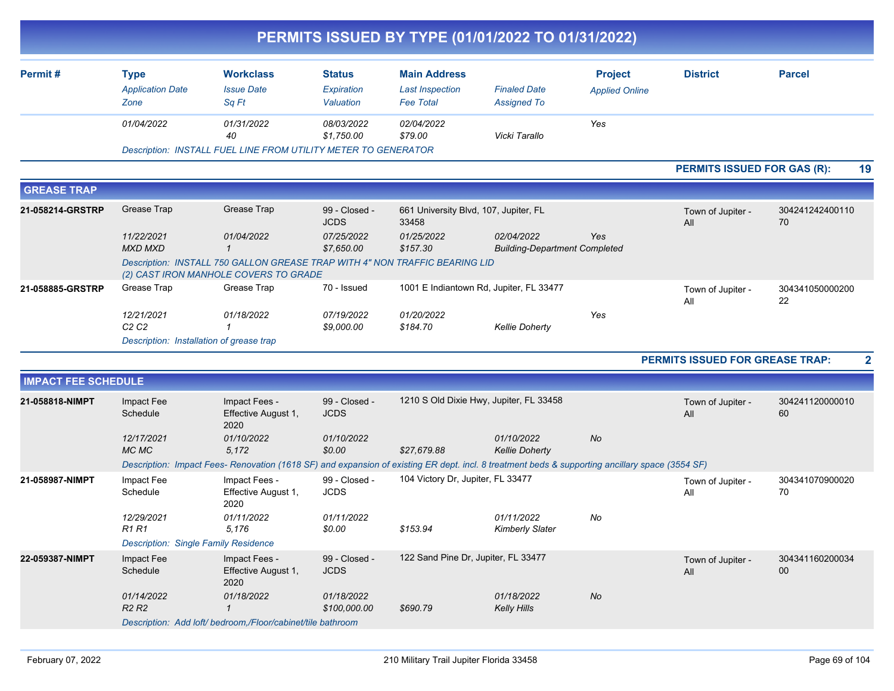|                            |                                             |                                                                                                                                                 |                              |                                                | PERMITS ISSUED BY TYPE (01/01/2022 TO 01/31/2022)  |                       |                                    |                           |
|----------------------------|---------------------------------------------|-------------------------------------------------------------------------------------------------------------------------------------------------|------------------------------|------------------------------------------------|----------------------------------------------------|-----------------------|------------------------------------|---------------------------|
| Permit#                    | <b>Type</b>                                 | <b>Workclass</b>                                                                                                                                | <b>Status</b>                | <b>Main Address</b>                            |                                                    | <b>Project</b>        | <b>District</b>                    | <b>Parcel</b>             |
|                            | <b>Application Date</b>                     | <b>Issue Date</b>                                                                                                                               | Expiration                   | <b>Last Inspection</b>                         | <b>Finaled Date</b>                                | <b>Applied Online</b> |                                    |                           |
|                            | Zone                                        | Sq Ft                                                                                                                                           | Valuation                    | <b>Fee Total</b>                               | <b>Assigned To</b>                                 |                       |                                    |                           |
|                            | 01/04/2022                                  | 01/31/2022<br>40                                                                                                                                | 08/03/2022<br>\$1,750.00     | 02/04/2022<br>\$79.00                          | Vicki Tarallo                                      | Yes                   |                                    |                           |
|                            |                                             | Description: INSTALL FUEL LINE FROM UTILITY METER TO GENERATOR                                                                                  |                              |                                                |                                                    |                       |                                    |                           |
|                            |                                             |                                                                                                                                                 |                              |                                                |                                                    |                       | <b>PERMITS ISSUED FOR GAS (R):</b> | 19                        |
| <b>GREASE TRAP</b>         |                                             |                                                                                                                                                 |                              |                                                |                                                    |                       |                                    |                           |
| 21-058214-GRSTRP           | Grease Trap                                 | Grease Trap                                                                                                                                     | 99 - Closed -<br><b>JCDS</b> | 661 University Blvd, 107, Jupiter, FL<br>33458 |                                                    |                       | Town of Jupiter -<br>All           | 304241242400110<br>70     |
|                            | 11/22/2021<br><b>MXD MXD</b>                | 01/04/2022<br>$\overline{\mathcal{L}}$                                                                                                          | 07/25/2022<br>\$7,650.00     | 01/25/2022<br>\$157.30                         | 02/04/2022<br><b>Building-Department Completed</b> | Yes                   |                                    |                           |
|                            |                                             | Description: INSTALL 750 GALLON GREASE TRAP WITH 4" NON TRAFFIC BEARING LID<br>(2) CAST IRON MANHOLE COVERS TO GRADE                            |                              |                                                |                                                    |                       |                                    |                           |
| 21-058885-GRSTRP           | Grease Trap                                 | Grease Trap                                                                                                                                     | 70 - Issued                  |                                                | 1001 E Indiantown Rd, Jupiter, FL 33477            |                       | Town of Jupiter -<br>All           | 304341050000200<br>22     |
|                            | 12/21/2021<br>C <sub>2</sub> C <sub>2</sub> | 01/18/2022<br>-1                                                                                                                                | 07/19/2022<br>\$9,000.00     | 01/20/2022<br>\$184.70                         | <b>Kellie Doherty</b>                              | Yes                   |                                    |                           |
|                            | Description: Installation of grease trap    |                                                                                                                                                 |                              |                                                |                                                    |                       |                                    |                           |
|                            |                                             |                                                                                                                                                 |                              |                                                |                                                    |                       | PERMITS ISSUED FOR GREASE TRAP:    | $\mathbf{2}$              |
| <b>IMPACT FEE SCHEDULE</b> |                                             |                                                                                                                                                 |                              |                                                |                                                    |                       |                                    |                           |
| 21-058818-NIMPT            | Impact Fee                                  | Impact Fees -                                                                                                                                   | 99 - Closed -                |                                                | 1210 S Old Dixie Hwy, Jupiter, FL 33458            |                       | Town of Jupiter -                  | 304241120000010           |
|                            | Schedule                                    | Effective August 1,<br>2020                                                                                                                     | <b>JCDS</b>                  |                                                |                                                    |                       | All                                | 60                        |
|                            | 12/17/2021<br>MC MC                         | 01/10/2022<br>5,172                                                                                                                             | 01/10/2022<br>\$0.00         | \$27,679.88                                    | 01/10/2022<br><b>Kellie Doherty</b>                | No                    |                                    |                           |
|                            |                                             | Description: Impact Fees- Renovation (1618 SF) and expansion of existing ER dept. incl. 8 treatment beds & supporting ancillary space (3554 SF) |                              |                                                |                                                    |                       |                                    |                           |
| 21-058987-NIMPT            | Impact Fee<br>Schedule                      | Impact Fees -<br>Effective August 1,<br>2020                                                                                                    | 99 - Closed -<br><b>JCDS</b> | 104 Victory Dr, Jupiter, FL 33477              |                                                    |                       | Town of Jupiter -<br>All           | 304341070900020<br>70     |
|                            | 12/29/2021<br><b>R1 R1</b>                  | 01/11/2022<br>5,176                                                                                                                             | 01/11/2022<br>\$0.00         | \$153.94                                       | 01/11/2022<br><b>Kimberly Slater</b>               | No                    |                                    |                           |
|                            | <b>Description: Single Family Residence</b> |                                                                                                                                                 |                              |                                                |                                                    |                       |                                    |                           |
| 22-059387-NIMPT            | Impact Fee<br>Schedule                      | Impact Fees -<br>Effective August 1,<br>2020                                                                                                    | 99 - Closed -<br><b>JCDS</b> | 122 Sand Pine Dr, Jupiter, FL 33477            |                                                    |                       | Town of Jupiter -<br>All           | 304341160200034<br>$00\,$ |
|                            | 01/14/2022<br>R <sub>2</sub> R <sub>2</sub> | 01/18/2022<br>$\mathcal I$                                                                                                                      | 01/18/2022<br>\$100,000.00   | \$690.79                                       | 01/18/2022<br><b>Kelly Hills</b>                   | No                    |                                    |                           |
|                            |                                             | Description: Add loft/ bedroom,/Floor/cabinet/tile bathroom                                                                                     |                              |                                                |                                                    |                       |                                    |                           |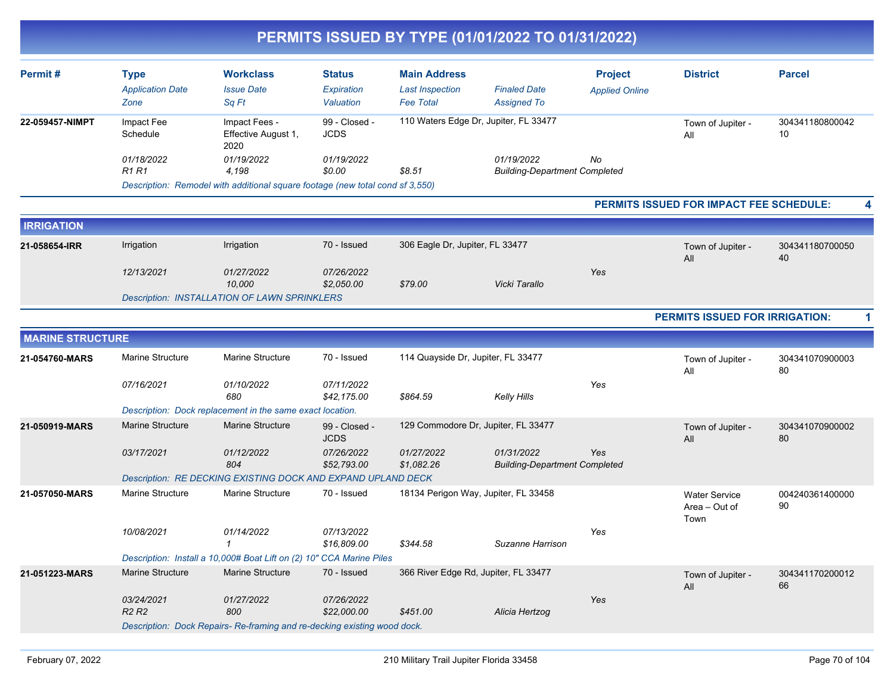| <b>Workclass</b><br><b>Status</b><br><b>Main Address</b><br><b>District</b><br><b>Parcel</b><br><b>Type</b><br><b>Project</b><br><b>Application Date</b><br><b>Issue Date</b><br>Expiration<br><b>Last Inspection</b><br><b>Finaled Date</b><br><b>Applied Online</b><br>Zone<br>Sq Ft<br>Valuation<br><b>Fee Total</b><br><b>Assigned To</b><br>110 Waters Edge Dr, Jupiter, FL 33477<br>99 - Closed -<br>Impact Fees -<br>Impact Fee<br>304341180800042<br>Town of Jupiter -<br>10<br>Schedule<br>Effective August 1,<br><b>JCDS</b><br>All<br>2020<br>01/19/2022<br>No<br>01/18/2022<br>01/19/2022<br>01/19/2022<br><b>R1 R1</b><br>4,198<br>\$0.00<br>\$8.51<br><b>Building-Department Completed</b><br>Description: Remodel with additional square footage (new total cond sf 3,550)<br>PERMITS ISSUED FOR IMPACT FEE SCHEDULE:<br><b>IRRIGATION</b><br>70 - Issued<br>Irrigation<br>Irrigation<br>306 Eagle Dr, Jupiter, FL 33477<br>304341180700050<br>21-058654-IRR<br>Town of Jupiter -<br>40<br>All<br>01/27/2022<br>07/26/2022<br>Yes<br>12/13/2021<br>10,000<br>Vicki Tarallo<br>\$2,050.00<br>\$79.00<br><b>Description: INSTALLATION OF LAWN SPRINKLERS</b><br><b>PERMITS ISSUED FOR IRRIGATION:</b><br><b>MARINE STRUCTURE</b><br>Marine Structure<br>Marine Structure<br>70 - Issued<br>114 Quayside Dr, Jupiter, FL 33477<br>21-054760-MARS<br>304341070900003<br>Town of Jupiter -<br>80<br>All<br>Yes<br>07/16/2021<br>01/10/2022<br>07/11/2022<br>680<br>\$42,175.00<br>\$864.59<br>Kelly Hills<br>Description: Dock replacement in the same exact location.<br>Marine Structure<br>129 Commodore Dr, Jupiter, FL 33477<br><b>Marine Structure</b><br>21-050919-MARS<br>99 - Closed -<br>304341070900002<br>Town of Jupiter -<br><b>JCDS</b><br>80<br>All<br>07/26/2022<br>01/31/2022<br>03/17/2021<br>01/12/2022<br>01/27/2022<br>Yes<br>804<br>\$52,793.00<br>\$1,082.26<br><b>Building-Department Completed</b><br>Description: RE DECKING EXISTING DOCK AND EXPAND UPLAND DECK<br>Marine Structure<br><b>Marine Structure</b><br>70 - Issued<br>18134 Perigon Way, Jupiter, FL 33458<br>004240361400000<br><b>Water Service</b><br>90<br>Area – Out of<br>Town<br>10/08/2021<br>01/14/2022<br>07/13/2022<br>Yes<br>$\mathbf{1}$<br>\$16,809.00<br>\$344.58<br>Suzanne Harrison<br>Description: Install a 10,000# Boat Lift on (2) 10" CCA Marine Piles<br><b>Marine Structure</b><br><b>Marine Structure</b><br>70 - Issued<br>366 River Edge Rd, Jupiter, FL 33477<br>304341170200012<br>Town of Jupiter -<br>66<br>All<br>Yes<br>03/24/2021<br>01/27/2022<br>07/26/2022<br>R <sub>2</sub> R <sub>2</sub><br>800<br>\$22,000.00<br>\$451.00<br>Alicia Hertzog<br>Description: Dock Repairs-Re-framing and re-decking existing wood dock. |                 |  |  | PERMITS ISSUED BY TYPE (01/01/2022 TO 01/31/2022) |  |  |
|-------------------------------------------------------------------------------------------------------------------------------------------------------------------------------------------------------------------------------------------------------------------------------------------------------------------------------------------------------------------------------------------------------------------------------------------------------------------------------------------------------------------------------------------------------------------------------------------------------------------------------------------------------------------------------------------------------------------------------------------------------------------------------------------------------------------------------------------------------------------------------------------------------------------------------------------------------------------------------------------------------------------------------------------------------------------------------------------------------------------------------------------------------------------------------------------------------------------------------------------------------------------------------------------------------------------------------------------------------------------------------------------------------------------------------------------------------------------------------------------------------------------------------------------------------------------------------------------------------------------------------------------------------------------------------------------------------------------------------------------------------------------------------------------------------------------------------------------------------------------------------------------------------------------------------------------------------------------------------------------------------------------------------------------------------------------------------------------------------------------------------------------------------------------------------------------------------------------------------------------------------------------------------------------------------------------------------------------------------------------------------------------------------------------------------------------------------------------------------------------------------------------------------------------------------------------------------------------------------------------------------------------------------------------------------------------------------------------------------------------------------------------|-----------------|--|--|---------------------------------------------------|--|--|
|                                                                                                                                                                                                                                                                                                                                                                                                                                                                                                                                                                                                                                                                                                                                                                                                                                                                                                                                                                                                                                                                                                                                                                                                                                                                                                                                                                                                                                                                                                                                                                                                                                                                                                                                                                                                                                                                                                                                                                                                                                                                                                                                                                                                                                                                                                                                                                                                                                                                                                                                                                                                                                                                                                                                                                   | Permit#         |  |  |                                                   |  |  |
|                                                                                                                                                                                                                                                                                                                                                                                                                                                                                                                                                                                                                                                                                                                                                                                                                                                                                                                                                                                                                                                                                                                                                                                                                                                                                                                                                                                                                                                                                                                                                                                                                                                                                                                                                                                                                                                                                                                                                                                                                                                                                                                                                                                                                                                                                                                                                                                                                                                                                                                                                                                                                                                                                                                                                                   | 22-059457-NIMPT |  |  |                                                   |  |  |
|                                                                                                                                                                                                                                                                                                                                                                                                                                                                                                                                                                                                                                                                                                                                                                                                                                                                                                                                                                                                                                                                                                                                                                                                                                                                                                                                                                                                                                                                                                                                                                                                                                                                                                                                                                                                                                                                                                                                                                                                                                                                                                                                                                                                                                                                                                                                                                                                                                                                                                                                                                                                                                                                                                                                                                   |                 |  |  |                                                   |  |  |
|                                                                                                                                                                                                                                                                                                                                                                                                                                                                                                                                                                                                                                                                                                                                                                                                                                                                                                                                                                                                                                                                                                                                                                                                                                                                                                                                                                                                                                                                                                                                                                                                                                                                                                                                                                                                                                                                                                                                                                                                                                                                                                                                                                                                                                                                                                                                                                                                                                                                                                                                                                                                                                                                                                                                                                   |                 |  |  |                                                   |  |  |
|                                                                                                                                                                                                                                                                                                                                                                                                                                                                                                                                                                                                                                                                                                                                                                                                                                                                                                                                                                                                                                                                                                                                                                                                                                                                                                                                                                                                                                                                                                                                                                                                                                                                                                                                                                                                                                                                                                                                                                                                                                                                                                                                                                                                                                                                                                                                                                                                                                                                                                                                                                                                                                                                                                                                                                   |                 |  |  |                                                   |  |  |
|                                                                                                                                                                                                                                                                                                                                                                                                                                                                                                                                                                                                                                                                                                                                                                                                                                                                                                                                                                                                                                                                                                                                                                                                                                                                                                                                                                                                                                                                                                                                                                                                                                                                                                                                                                                                                                                                                                                                                                                                                                                                                                                                                                                                                                                                                                                                                                                                                                                                                                                                                                                                                                                                                                                                                                   |                 |  |  |                                                   |  |  |
|                                                                                                                                                                                                                                                                                                                                                                                                                                                                                                                                                                                                                                                                                                                                                                                                                                                                                                                                                                                                                                                                                                                                                                                                                                                                                                                                                                                                                                                                                                                                                                                                                                                                                                                                                                                                                                                                                                                                                                                                                                                                                                                                                                                                                                                                                                                                                                                                                                                                                                                                                                                                                                                                                                                                                                   |                 |  |  |                                                   |  |  |
|                                                                                                                                                                                                                                                                                                                                                                                                                                                                                                                                                                                                                                                                                                                                                                                                                                                                                                                                                                                                                                                                                                                                                                                                                                                                                                                                                                                                                                                                                                                                                                                                                                                                                                                                                                                                                                                                                                                                                                                                                                                                                                                                                                                                                                                                                                                                                                                                                                                                                                                                                                                                                                                                                                                                                                   |                 |  |  |                                                   |  |  |
|                                                                                                                                                                                                                                                                                                                                                                                                                                                                                                                                                                                                                                                                                                                                                                                                                                                                                                                                                                                                                                                                                                                                                                                                                                                                                                                                                                                                                                                                                                                                                                                                                                                                                                                                                                                                                                                                                                                                                                                                                                                                                                                                                                                                                                                                                                                                                                                                                                                                                                                                                                                                                                                                                                                                                                   |                 |  |  |                                                   |  |  |
|                                                                                                                                                                                                                                                                                                                                                                                                                                                                                                                                                                                                                                                                                                                                                                                                                                                                                                                                                                                                                                                                                                                                                                                                                                                                                                                                                                                                                                                                                                                                                                                                                                                                                                                                                                                                                                                                                                                                                                                                                                                                                                                                                                                                                                                                                                                                                                                                                                                                                                                                                                                                                                                                                                                                                                   |                 |  |  |                                                   |  |  |
|                                                                                                                                                                                                                                                                                                                                                                                                                                                                                                                                                                                                                                                                                                                                                                                                                                                                                                                                                                                                                                                                                                                                                                                                                                                                                                                                                                                                                                                                                                                                                                                                                                                                                                                                                                                                                                                                                                                                                                                                                                                                                                                                                                                                                                                                                                                                                                                                                                                                                                                                                                                                                                                                                                                                                                   |                 |  |  |                                                   |  |  |
|                                                                                                                                                                                                                                                                                                                                                                                                                                                                                                                                                                                                                                                                                                                                                                                                                                                                                                                                                                                                                                                                                                                                                                                                                                                                                                                                                                                                                                                                                                                                                                                                                                                                                                                                                                                                                                                                                                                                                                                                                                                                                                                                                                                                                                                                                                                                                                                                                                                                                                                                                                                                                                                                                                                                                                   |                 |  |  |                                                   |  |  |
|                                                                                                                                                                                                                                                                                                                                                                                                                                                                                                                                                                                                                                                                                                                                                                                                                                                                                                                                                                                                                                                                                                                                                                                                                                                                                                                                                                                                                                                                                                                                                                                                                                                                                                                                                                                                                                                                                                                                                                                                                                                                                                                                                                                                                                                                                                                                                                                                                                                                                                                                                                                                                                                                                                                                                                   |                 |  |  |                                                   |  |  |
|                                                                                                                                                                                                                                                                                                                                                                                                                                                                                                                                                                                                                                                                                                                                                                                                                                                                                                                                                                                                                                                                                                                                                                                                                                                                                                                                                                                                                                                                                                                                                                                                                                                                                                                                                                                                                                                                                                                                                                                                                                                                                                                                                                                                                                                                                                                                                                                                                                                                                                                                                                                                                                                                                                                                                                   |                 |  |  |                                                   |  |  |
|                                                                                                                                                                                                                                                                                                                                                                                                                                                                                                                                                                                                                                                                                                                                                                                                                                                                                                                                                                                                                                                                                                                                                                                                                                                                                                                                                                                                                                                                                                                                                                                                                                                                                                                                                                                                                                                                                                                                                                                                                                                                                                                                                                                                                                                                                                                                                                                                                                                                                                                                                                                                                                                                                                                                                                   |                 |  |  |                                                   |  |  |
|                                                                                                                                                                                                                                                                                                                                                                                                                                                                                                                                                                                                                                                                                                                                                                                                                                                                                                                                                                                                                                                                                                                                                                                                                                                                                                                                                                                                                                                                                                                                                                                                                                                                                                                                                                                                                                                                                                                                                                                                                                                                                                                                                                                                                                                                                                                                                                                                                                                                                                                                                                                                                                                                                                                                                                   |                 |  |  |                                                   |  |  |
|                                                                                                                                                                                                                                                                                                                                                                                                                                                                                                                                                                                                                                                                                                                                                                                                                                                                                                                                                                                                                                                                                                                                                                                                                                                                                                                                                                                                                                                                                                                                                                                                                                                                                                                                                                                                                                                                                                                                                                                                                                                                                                                                                                                                                                                                                                                                                                                                                                                                                                                                                                                                                                                                                                                                                                   | 21-057050-MARS  |  |  |                                                   |  |  |
|                                                                                                                                                                                                                                                                                                                                                                                                                                                                                                                                                                                                                                                                                                                                                                                                                                                                                                                                                                                                                                                                                                                                                                                                                                                                                                                                                                                                                                                                                                                                                                                                                                                                                                                                                                                                                                                                                                                                                                                                                                                                                                                                                                                                                                                                                                                                                                                                                                                                                                                                                                                                                                                                                                                                                                   |                 |  |  |                                                   |  |  |
|                                                                                                                                                                                                                                                                                                                                                                                                                                                                                                                                                                                                                                                                                                                                                                                                                                                                                                                                                                                                                                                                                                                                                                                                                                                                                                                                                                                                                                                                                                                                                                                                                                                                                                                                                                                                                                                                                                                                                                                                                                                                                                                                                                                                                                                                                                                                                                                                                                                                                                                                                                                                                                                                                                                                                                   |                 |  |  |                                                   |  |  |
|                                                                                                                                                                                                                                                                                                                                                                                                                                                                                                                                                                                                                                                                                                                                                                                                                                                                                                                                                                                                                                                                                                                                                                                                                                                                                                                                                                                                                                                                                                                                                                                                                                                                                                                                                                                                                                                                                                                                                                                                                                                                                                                                                                                                                                                                                                                                                                                                                                                                                                                                                                                                                                                                                                                                                                   | 21-051223-MARS  |  |  |                                                   |  |  |
|                                                                                                                                                                                                                                                                                                                                                                                                                                                                                                                                                                                                                                                                                                                                                                                                                                                                                                                                                                                                                                                                                                                                                                                                                                                                                                                                                                                                                                                                                                                                                                                                                                                                                                                                                                                                                                                                                                                                                                                                                                                                                                                                                                                                                                                                                                                                                                                                                                                                                                                                                                                                                                                                                                                                                                   |                 |  |  |                                                   |  |  |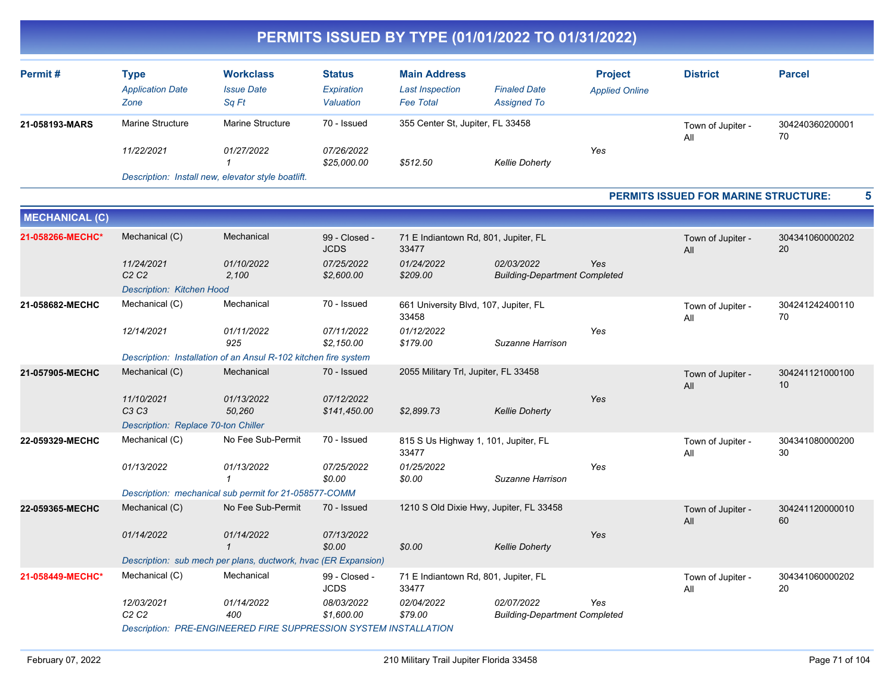| Permit#        | Type<br><b>Application Date</b><br>Zone | <b>Workclass</b><br><b>Issue Date</b><br>Sa Ft | <b>Status</b><br>Expiration<br>Valuation | <b>Main Address</b><br><b>Last Inspection</b><br><b>Fee Total</b> | <b>Finaled Date</b><br><b>Assigned To</b> | <b>Project</b><br><b>Applied Online</b> | <b>District</b>          | <b>Parcel</b>         |
|----------------|-----------------------------------------|------------------------------------------------|------------------------------------------|-------------------------------------------------------------------|-------------------------------------------|-----------------------------------------|--------------------------|-----------------------|
| 21-058193-MARS | <b>Marine Structure</b>                 | <b>Marine Structure</b>                        | 70 - Issued                              | 355 Center St. Jupiter, FL 33458                                  |                                           |                                         | Town of Jupiter -<br>All | 304240360200001<br>70 |
|                | 11/22/2021                              | 01/27/2022                                     | 07/26/2022<br>\$25,000.00                | \$512.50                                                          | <b>Kellie Doherty</b>                     | Yes                                     |                          |                       |

*Description: Install new, elevator style boatlift.*

#### **PERMITS ISSUED FOR MARINE STRUCTURE: 5**

| <b>MECHANICAL (C)</b> |                                                                  |                                                                 |                              |                                                |                                                    |            |                          |                       |  |  |
|-----------------------|------------------------------------------------------------------|-----------------------------------------------------------------|------------------------------|------------------------------------------------|----------------------------------------------------|------------|--------------------------|-----------------------|--|--|
| 21-058266-MECHC*      | Mechanical (C)                                                   | Mechanical                                                      | 99 - Closed -<br><b>JCDS</b> | 71 E Indiantown Rd, 801, Jupiter, FL<br>33477  |                                                    |            | Town of Jupiter -<br>All | 304341060000202<br>20 |  |  |
|                       | 11/24/2021<br>C <sub>2</sub> C <sub>2</sub>                      | 01/10/2022<br>2,100                                             | 07/25/2022<br>\$2,600.00     | 01/24/2022<br>\$209.00                         | 02/03/2022<br><b>Building-Department Completed</b> | <b>Yes</b> |                          |                       |  |  |
|                       | Description: Kitchen Hood                                        |                                                                 |                              |                                                |                                                    |            |                          |                       |  |  |
| 21-058682-MECHC       | Mechanical (C)                                                   | Mechanical                                                      | 70 - Issued                  | 661 University Blvd, 107, Jupiter, FL<br>33458 |                                                    |            | Town of Jupiter -<br>All | 304241242400110<br>70 |  |  |
|                       | 12/14/2021                                                       | 01/11/2022<br>925                                               | 07/11/2022<br>\$2,150.00     | 01/12/2022<br>\$179.00                         | Suzanne Harrison                                   | Yes        |                          |                       |  |  |
|                       |                                                                  | Description: Installation of an Ansul R-102 kitchen fire system |                              |                                                |                                                    |            |                          |                       |  |  |
| 21-057905-MECHC       | Mechanical (C)                                                   | Mechanical                                                      | 70 - Issued                  | 2055 Military Trl, Jupiter, FL 33458           |                                                    |            | Town of Jupiter -<br>All | 304241121000100<br>10 |  |  |
|                       | 11/10/2021<br>C3 C3                                              | 01/13/2022<br>50,260                                            | 07/12/2022<br>\$141,450.00   | \$2,899.73                                     | <b>Kellie Doherty</b>                              | Yes        |                          |                       |  |  |
|                       | Description: Replace 70-ton Chiller                              |                                                                 |                              |                                                |                                                    |            |                          |                       |  |  |
| 22-059329-MECHC       | Mechanical (C)                                                   | No Fee Sub-Permit                                               | 70 - Issued                  | 815 S Us Highway 1, 101, Jupiter, FL<br>33477  |                                                    |            | Town of Jupiter -<br>All | 304341080000200<br>30 |  |  |
|                       | 01/13/2022                                                       | 01/13/2022                                                      | 07/25/2022<br>\$0.00         | 01/25/2022<br>\$0.00                           | Suzanne Harrison                                   | Yes        |                          |                       |  |  |
|                       |                                                                  | Description: mechanical sub permit for 21-058577-COMM           |                              |                                                |                                                    |            |                          |                       |  |  |
| 22-059365-MECHC       | Mechanical (C)                                                   | No Fee Sub-Permit                                               | 70 - Issued                  | 1210 S Old Dixie Hwy, Jupiter, FL 33458        |                                                    |            | Town of Jupiter -<br>All | 304241120000010<br>60 |  |  |
|                       | 01/14/2022                                                       | 01/14/2022                                                      | 07/13/2022<br>\$0.00         | \$0.00                                         | <b>Kellie Doherty</b>                              | Yes        |                          |                       |  |  |
|                       | Description: sub mech per plans, ductwork, hvac (ER Expansion)   |                                                                 |                              |                                                |                                                    |            |                          |                       |  |  |
| 21-058449-MECHC*      | Mechanical (C)                                                   | Mechanical                                                      | 99 - Closed -<br><b>JCDS</b> | 71 E Indiantown Rd, 801, Jupiter, FL<br>33477  |                                                    |            | Town of Jupiter -<br>All | 304341060000202<br>20 |  |  |
|                       | 12/03/2021<br>C2C2                                               | 01/14/2022<br>400                                               | 08/03/2022<br>\$1,600.00     | 02/04/2022<br>\$79.00                          | 02/07/2022<br><b>Building-Department Completed</b> | Yes        |                          |                       |  |  |
|                       | Description: PRE-ENGINEERED FIRE SUPPRESSION SYSTEM INSTALLATION |                                                                 |                              |                                                |                                                    |            |                          |                       |  |  |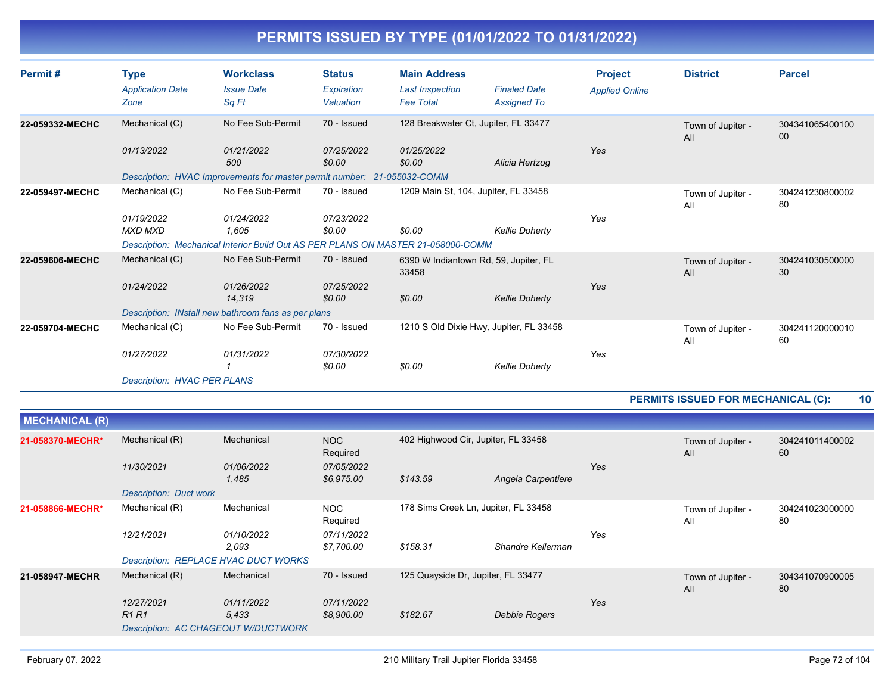| Permit#         | <b>Type</b><br><b>Application Date</b><br>Zone                     | <b>Workclass</b><br><b>Issue Date</b><br>Sq Ft                                                                               | <b>Status</b><br>Expiration<br>Valuation | <b>Main Address</b><br><b>Last Inspection</b><br><b>Fee Total</b> | <b>Finaled Date</b><br><b>Assigned To</b>                        | <b>Project</b><br><b>Applied Online</b> | <b>District</b>          | <b>Parcel</b>             |
|-----------------|--------------------------------------------------------------------|------------------------------------------------------------------------------------------------------------------------------|------------------------------------------|-------------------------------------------------------------------|------------------------------------------------------------------|-----------------------------------------|--------------------------|---------------------------|
| 22-059332-MECHC | Mechanical (C)<br>01/13/2022                                       | No Fee Sub-Permit<br>01/21/2022<br>500<br>Description: HVAC Improvements for master permit number: 21-055032-COMM            | 70 - Issued<br>07/25/2022<br>\$0.00      | 128 Breakwater Ct, Jupiter, FL 33477<br>01/25/2022<br>\$0.00      | Alicia Hertzog                                                   | <b>Yes</b>                              | Town of Jupiter -<br>All | 304341065400100<br>$00\,$ |
| 22-059497-MECHC | Mechanical (C)<br>01/19/2022<br><b>MXD MXD</b>                     | No Fee Sub-Permit<br>01/24/2022<br>1,605<br>Description: Mechanical Interior Build Out AS PER PLANS ON MASTER 21-058000-COMM | 70 - Issued<br>07/23/2022<br>\$0.00      | 1209 Main St, 104, Jupiter, FL 33458<br>\$0.00                    | <b>Kellie Doherty</b>                                            | Yes                                     | Town of Jupiter -<br>All | 304241230800002<br>80     |
| 22-059606-MECHC | Mechanical (C)<br>01/24/2022                                       | No Fee Sub-Permit<br>01/26/2022<br>14,319<br>Description: INstall new bathroom fans as per plans                             | 70 - Issued<br>07/25/2022<br>\$0.00      | 6390 W Indiantown Rd, 59, Jupiter, FL<br>33458<br>\$0.00          | <b>Kellie Doherty</b>                                            | Yes                                     | Town of Jupiter -<br>All | 304241030500000<br>30     |
| 22-059704-MECHC | Mechanical (C)<br>01/27/2022<br><b>Description: HVAC PER PLANS</b> | No Fee Sub-Permit<br>01/31/2022                                                                                              | 70 - Issued<br>07/30/2022<br>\$0.00      | \$0.00                                                            | 1210 S Old Dixie Hwy, Jupiter, FL 33458<br><b>Kellie Doherty</b> | Yes                                     | Town of Jupiter -<br>All | 304241120000010<br>60     |

#### **PERMITS ISSUED FOR MECHANICAL (C): 10**

| <b>MECHANICAL (R)</b> |                                             |                     |                          |                                      |                    |     |                          |                       |
|-----------------------|---------------------------------------------|---------------------|--------------------------|--------------------------------------|--------------------|-----|--------------------------|-----------------------|
| 21-058370-MECHR*      | Mechanical (R)                              | Mechanical          | <b>NOC</b><br>Required   | 402 Highwood Cir, Jupiter, FL 33458  |                    |     | Town of Jupiter -<br>All | 304241011400002<br>60 |
|                       | 11/30/2021                                  | 01/06/2022<br>1,485 | 07/05/2022<br>\$6,975.00 | \$143.59                             | Angela Carpentiere | Yes |                          |                       |
|                       | <b>Description: Duct work</b>               |                     |                          |                                      |                    |     |                          |                       |
| 21-058866-MECHR*      | Mechanical (R)                              | Mechanical          | <b>NOC</b><br>Required   | 178 Sims Creek Ln, Jupiter, FL 33458 |                    |     | Town of Jupiter -<br>All | 304241023000000<br>80 |
|                       | 12/21/2021                                  | 01/10/2022<br>2,093 | 07/11/2022<br>\$7,700.00 | \$158.31                             | Shandre Kellerman  | Yes |                          |                       |
|                       | <b>Description: REPLACE HVAC DUCT WORKS</b> |                     |                          |                                      |                    |     |                          |                       |
| 21-058947-MECHR       | Mechanical (R)                              | Mechanical          | 70 - Issued              | 125 Quayside Dr, Jupiter, FL 33477   |                    |     | Town of Jupiter -<br>All | 304341070900005<br>80 |
|                       | 12/27/2021                                  | 01/11/2022          | 07/11/2022               |                                      |                    | Yes |                          |                       |
|                       | R <sub>1</sub> R <sub>1</sub>               | 5.433               | \$8,900.00               | \$182.67                             | Debbie Rogers      |     |                          |                       |
|                       | <b>Description: AC CHAGEOUT W/DUCTWORK</b>  |                     |                          |                                      |                    |     |                          |                       |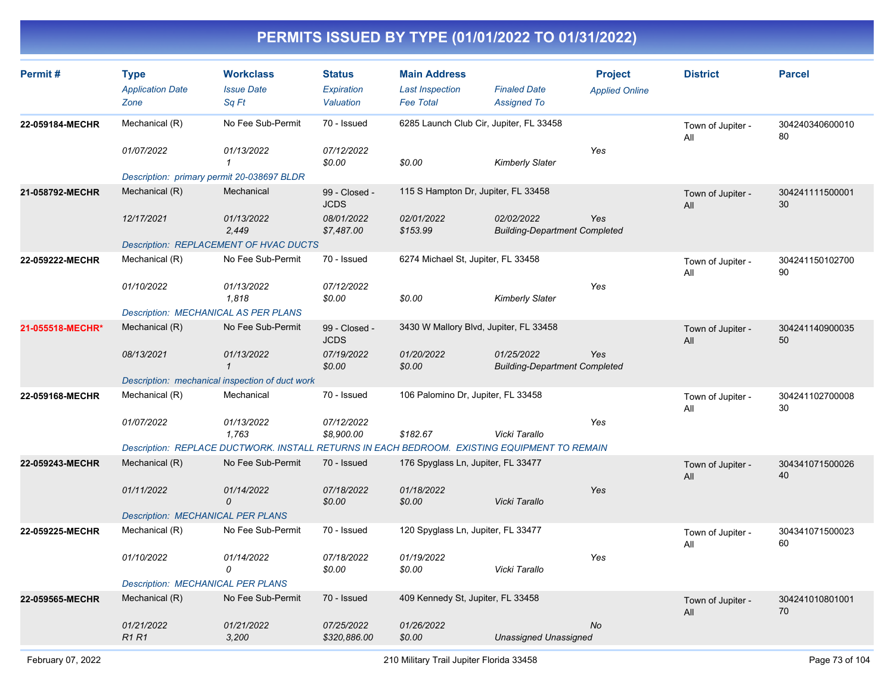| Permit#          | <b>Type</b><br><b>Application Date</b><br>Zone | <b>Workclass</b><br><b>Issue Date</b><br>Sq Ft                                               | <b>Status</b><br>Expiration<br>Valuation | <b>Main Address</b><br><b>Last Inspection</b><br><b>Fee Total</b> | <b>Finaled Date</b><br><b>Assigned To</b>          | <b>Project</b><br><b>Applied Online</b> | <b>District</b>          | <b>Parcel</b>         |
|------------------|------------------------------------------------|----------------------------------------------------------------------------------------------|------------------------------------------|-------------------------------------------------------------------|----------------------------------------------------|-----------------------------------------|--------------------------|-----------------------|
| 22-059184-MECHR  | Mechanical (R)                                 | No Fee Sub-Permit                                                                            | 70 - Issued                              | 6285 Launch Club Cir, Jupiter, FL 33458                           |                                                    |                                         | Town of Jupiter -<br>All | 304240340600010<br>80 |
|                  | 01/07/2022                                     | 01/13/2022<br>$\mathbf{1}$                                                                   | 07/12/2022<br>\$0.00                     | \$0.00                                                            | <b>Kimberly Slater</b>                             | Yes                                     |                          |                       |
|                  |                                                | Description: primary permit 20-038697 BLDR                                                   |                                          |                                                                   |                                                    |                                         |                          |                       |
| 21-058792-MECHR  | Mechanical (R)                                 | Mechanical                                                                                   | 99 - Closed -<br><b>JCDS</b>             | 115 S Hampton Dr, Jupiter, FL 33458                               |                                                    |                                         | Town of Jupiter -<br>All | 304241111500001<br>30 |
|                  | 12/17/2021                                     | 01/13/2022<br>2,449                                                                          | 08/01/2022<br>\$7,487.00                 | 02/01/2022<br>\$153.99                                            | 02/02/2022<br><b>Building-Department Completed</b> | Yes                                     |                          |                       |
|                  |                                                | Description: REPLACEMENT OF HVAC DUCTS                                                       |                                          |                                                                   |                                                    |                                         |                          |                       |
| 22-059222-MECHR  | Mechanical (R)                                 | No Fee Sub-Permit                                                                            | 70 - Issued                              | 6274 Michael St, Jupiter, FL 33458                                |                                                    |                                         | Town of Jupiter -<br>All | 304241150102700<br>90 |
|                  | 01/10/2022                                     | 01/13/2022<br>1,818                                                                          | 07/12/2022<br>\$0.00                     | \$0.00                                                            | <b>Kimberly Slater</b>                             | Yes                                     |                          |                       |
|                  | <b>Description: MECHANICAL AS PER PLANS</b>    |                                                                                              |                                          |                                                                   |                                                    |                                         |                          |                       |
| 21-055518-MECHR* | Mechanical (R)                                 | No Fee Sub-Permit                                                                            | 99 - Closed -<br><b>JCDS</b>             | 3430 W Mallory Blvd, Jupiter, FL 33458                            |                                                    |                                         | Town of Jupiter -<br>All | 304241140900035<br>50 |
|                  | 08/13/2021                                     | 01/13/2022<br>$\mathbf{1}$                                                                   | 07/19/2022<br>\$0.00                     | 01/20/2022<br>\$0.00                                              | 01/25/2022<br><b>Building-Department Completed</b> | Yes                                     |                          |                       |
|                  |                                                | Description: mechanical inspection of duct work                                              |                                          |                                                                   |                                                    |                                         |                          |                       |
| 22-059168-MECHR  | Mechanical (R)                                 | Mechanical                                                                                   | 70 - Issued                              | 106 Palomino Dr, Jupiter, FL 33458                                |                                                    |                                         | Town of Jupiter -<br>All | 304241102700008<br>30 |
|                  | 01/07/2022                                     | 01/13/2022<br>1,763                                                                          | 07/12/2022<br>\$8,900.00                 | \$182.67                                                          | Vicki Tarallo                                      | Yes                                     |                          |                       |
|                  |                                                | Description: REPLACE DUCTWORK. INSTALL RETURNS IN EACH BEDROOM. EXISTING EQUIPMENT TO REMAIN |                                          |                                                                   |                                                    |                                         |                          |                       |
| 22-059243-MECHR  | Mechanical (R)                                 | No Fee Sub-Permit                                                                            | 70 - Issued                              | 176 Spyglass Ln, Jupiter, FL 33477                                |                                                    |                                         | Town of Jupiter -<br>All | 304341071500026<br>40 |
|                  | 01/11/2022                                     | 01/14/2022<br>0                                                                              | 07/18/2022<br>\$0.00                     | 01/18/2022<br>\$0.00                                              | Vicki Tarallo                                      | Yes                                     |                          |                       |
|                  | <b>Description: MECHANICAL PER PLANS</b>       |                                                                                              |                                          |                                                                   |                                                    |                                         |                          |                       |
| 22-059225-MECHR  | Mechanical (R)                                 | No Fee Sub-Permit                                                                            | 70 - Issued                              | 120 Spyglass Ln, Jupiter, FL 33477                                |                                                    |                                         | Town of Jupiter -<br>All | 304341071500023<br>60 |
|                  | 01/10/2022                                     | 01/14/2022<br>0                                                                              | 07/18/2022<br>\$0.00                     | 01/19/2022<br>\$0.00                                              | Vicki Tarallo                                      | Yes                                     |                          |                       |
|                  | <b>Description: MECHANICAL PER PLANS</b>       |                                                                                              |                                          |                                                                   |                                                    |                                         |                          |                       |
| 22-059565-MECHR  | Mechanical (R)                                 | No Fee Sub-Permit                                                                            | 70 - Issued                              | 409 Kennedy St, Jupiter, FL 33458                                 |                                                    |                                         | Town of Jupiter -<br>All | 304241010801001<br>70 |
|                  | 01/21/2022<br><b>R1R1</b>                      | 01/21/2022<br>3,200                                                                          | 07/25/2022<br>\$320,886.00               | 01/26/2022<br>\$0.00                                              | <b>Unassigned Unassigned</b>                       | <b>No</b>                               |                          |                       |
|                  |                                                |                                                                                              |                                          |                                                                   |                                                    |                                         |                          |                       |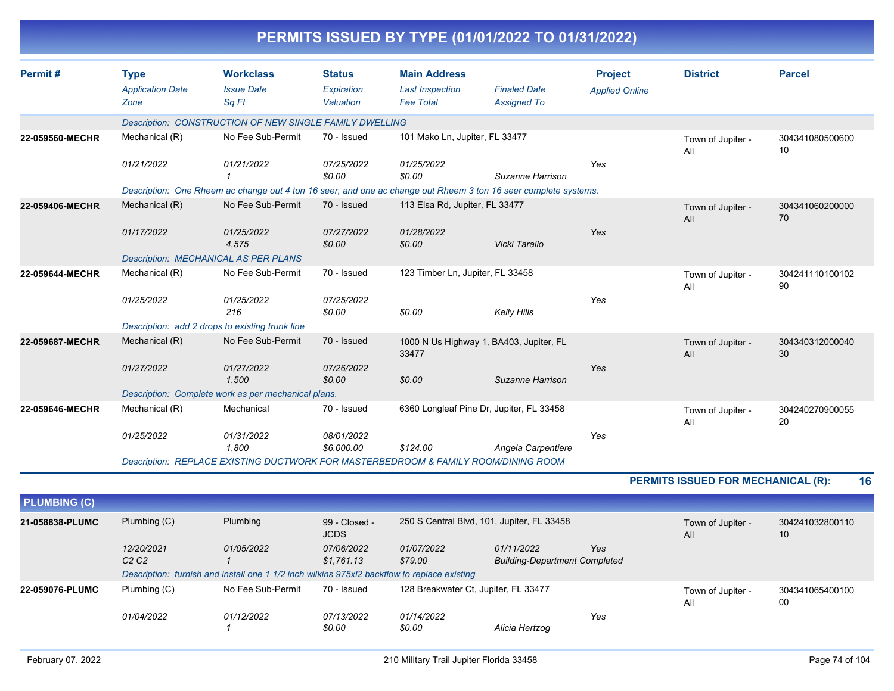| Permit#<br><b>Type</b><br>Zone<br>22-059560-MECHR<br>01/21/2022<br>22-059406-MECHR<br>01/17/2022<br>22-059644-MECHR<br>01/25/2022<br>22-059687-MECHR<br>01/27/2022<br>22-059646-MECHR | <b>Application Date</b><br>Mechanical (R)<br>Mechanical (R)<br><b>Description: MECHANICAL AS PER PLANS</b><br>Mechanical (R) | <b>Workclass</b><br><b>Issue Date</b><br>Sq Ft<br>Description: CONSTRUCTION OF NEW SINGLE FAMILY DWELLING<br>No Fee Sub-Permit<br>01/21/2022<br>1<br>No Fee Sub-Permit<br>01/25/2022<br>4,575<br>No Fee Sub-Permit<br>01/25/2022 | <b>Status</b><br>Expiration<br>Valuation<br>70 - Issued<br>07/25/2022<br>\$0.00<br>70 - Issued<br>07/27/2022<br>\$0.00<br>70 - Issued<br>07/25/2022 | <b>Main Address</b><br><b>Last Inspection</b><br><b>Fee Total</b><br>101 Mako Ln, Jupiter, FL 33477<br>01/25/2022<br>\$0.00<br>Description: One Rheem ac change out 4 ton 16 seer, and one ac change out Rheem 3 ton 16 seer complete systems.<br>113 Elsa Rd, Jupiter, FL 33477<br>01/28/2022<br>\$0.00<br>123 Timber Ln, Jupiter, FL 33458 | <b>Finaled Date</b><br><b>Assigned To</b><br>Suzanne Harrison<br>Vicki Tarallo | <b>Project</b><br><b>Applied Online</b><br>Yes<br>Yes | <b>District</b><br>Town of Jupiter -<br>All<br>Town of Jupiter -<br>All<br>Town of Jupiter -<br>All | <b>Parcel</b><br>304341080500600<br>10<br>304341060200000<br>70<br>304241110100102<br>90 |
|---------------------------------------------------------------------------------------------------------------------------------------------------------------------------------------|------------------------------------------------------------------------------------------------------------------------------|----------------------------------------------------------------------------------------------------------------------------------------------------------------------------------------------------------------------------------|-----------------------------------------------------------------------------------------------------------------------------------------------------|----------------------------------------------------------------------------------------------------------------------------------------------------------------------------------------------------------------------------------------------------------------------------------------------------------------------------------------------|--------------------------------------------------------------------------------|-------------------------------------------------------|-----------------------------------------------------------------------------------------------------|------------------------------------------------------------------------------------------|
|                                                                                                                                                                                       |                                                                                                                              |                                                                                                                                                                                                                                  |                                                                                                                                                     |                                                                                                                                                                                                                                                                                                                                              |                                                                                |                                                       |                                                                                                     |                                                                                          |
|                                                                                                                                                                                       |                                                                                                                              |                                                                                                                                                                                                                                  |                                                                                                                                                     |                                                                                                                                                                                                                                                                                                                                              |                                                                                |                                                       |                                                                                                     |                                                                                          |
|                                                                                                                                                                                       |                                                                                                                              |                                                                                                                                                                                                                                  |                                                                                                                                                     |                                                                                                                                                                                                                                                                                                                                              |                                                                                |                                                       |                                                                                                     |                                                                                          |
|                                                                                                                                                                                       |                                                                                                                              |                                                                                                                                                                                                                                  |                                                                                                                                                     |                                                                                                                                                                                                                                                                                                                                              |                                                                                |                                                       |                                                                                                     |                                                                                          |
|                                                                                                                                                                                       |                                                                                                                              |                                                                                                                                                                                                                                  |                                                                                                                                                     |                                                                                                                                                                                                                                                                                                                                              |                                                                                |                                                       |                                                                                                     |                                                                                          |
|                                                                                                                                                                                       |                                                                                                                              |                                                                                                                                                                                                                                  |                                                                                                                                                     |                                                                                                                                                                                                                                                                                                                                              |                                                                                |                                                       |                                                                                                     |                                                                                          |
|                                                                                                                                                                                       |                                                                                                                              |                                                                                                                                                                                                                                  |                                                                                                                                                     |                                                                                                                                                                                                                                                                                                                                              |                                                                                |                                                       |                                                                                                     |                                                                                          |
|                                                                                                                                                                                       |                                                                                                                              |                                                                                                                                                                                                                                  |                                                                                                                                                     |                                                                                                                                                                                                                                                                                                                                              |                                                                                |                                                       |                                                                                                     |                                                                                          |
|                                                                                                                                                                                       |                                                                                                                              |                                                                                                                                                                                                                                  |                                                                                                                                                     |                                                                                                                                                                                                                                                                                                                                              |                                                                                |                                                       |                                                                                                     |                                                                                          |
|                                                                                                                                                                                       |                                                                                                                              |                                                                                                                                                                                                                                  |                                                                                                                                                     |                                                                                                                                                                                                                                                                                                                                              |                                                                                |                                                       |                                                                                                     |                                                                                          |
|                                                                                                                                                                                       |                                                                                                                              |                                                                                                                                                                                                                                  |                                                                                                                                                     |                                                                                                                                                                                                                                                                                                                                              |                                                                                |                                                       |                                                                                                     |                                                                                          |
|                                                                                                                                                                                       |                                                                                                                              | 216                                                                                                                                                                                                                              | \$0.00                                                                                                                                              | \$0.00                                                                                                                                                                                                                                                                                                                                       | <b>Kelly Hills</b>                                                             | Yes                                                   |                                                                                                     |                                                                                          |
|                                                                                                                                                                                       |                                                                                                                              | Description: add 2 drops to existing trunk line                                                                                                                                                                                  |                                                                                                                                                     |                                                                                                                                                                                                                                                                                                                                              |                                                                                |                                                       |                                                                                                     |                                                                                          |
|                                                                                                                                                                                       | Mechanical (R)                                                                                                               | No Fee Sub-Permit                                                                                                                                                                                                                | 70 - Issued                                                                                                                                         | 1000 N Us Highway 1, BA403, Jupiter, FL<br>33477                                                                                                                                                                                                                                                                                             |                                                                                |                                                       | Town of Jupiter -<br>All                                                                            | 304340312000040<br>30                                                                    |
|                                                                                                                                                                                       |                                                                                                                              | 01/27/2022<br>1.500                                                                                                                                                                                                              | 07/26/2022<br>\$0.00                                                                                                                                | \$0.00                                                                                                                                                                                                                                                                                                                                       | Suzanne Harrison                                                               | Yes                                                   |                                                                                                     |                                                                                          |
|                                                                                                                                                                                       |                                                                                                                              | Description: Complete work as per mechanical plans.                                                                                                                                                                              |                                                                                                                                                     |                                                                                                                                                                                                                                                                                                                                              |                                                                                |                                                       |                                                                                                     |                                                                                          |
|                                                                                                                                                                                       | Mechanical (R)                                                                                                               | Mechanical                                                                                                                                                                                                                       | 70 - Issued                                                                                                                                         | 6360 Longleaf Pine Dr, Jupiter, FL 33458                                                                                                                                                                                                                                                                                                     |                                                                                |                                                       | Town of Jupiter -<br>All                                                                            | 304240270900055<br>20                                                                    |
|                                                                                                                                                                                       | 01/25/2022                                                                                                                   | 01/31/2022<br>1,800                                                                                                                                                                                                              | 08/01/2022<br>\$6,000.00                                                                                                                            | \$124.00                                                                                                                                                                                                                                                                                                                                     | Angela Carpentiere                                                             | Yes                                                   |                                                                                                     |                                                                                          |
|                                                                                                                                                                                       |                                                                                                                              |                                                                                                                                                                                                                                  |                                                                                                                                                     | Description: REPLACE EXISTING DUCTWORK FOR MASTERBEDROOM & FAMILY ROOM/DINING ROOM                                                                                                                                                                                                                                                           |                                                                                |                                                       |                                                                                                     |                                                                                          |
|                                                                                                                                                                                       |                                                                                                                              |                                                                                                                                                                                                                                  |                                                                                                                                                     |                                                                                                                                                                                                                                                                                                                                              |                                                                                |                                                       | PERMITS ISSUED FOR MECHANICAL (R):                                                                  | 16                                                                                       |
| <b>PLUMBING (C)</b>                                                                                                                                                                   |                                                                                                                              |                                                                                                                                                                                                                                  |                                                                                                                                                     |                                                                                                                                                                                                                                                                                                                                              |                                                                                |                                                       |                                                                                                     |                                                                                          |
| 21-058838-PLUMC                                                                                                                                                                       | Plumbing (C)                                                                                                                 | Plumbing                                                                                                                                                                                                                         | 99 - Closed -<br><b>JCDS</b>                                                                                                                        | 250 S Central Blvd, 101, Jupiter, FL 33458                                                                                                                                                                                                                                                                                                   |                                                                                |                                                       | Town of Jupiter -<br>All                                                                            | 304241032800110<br>10                                                                    |
| 12/20/2021<br>C <sub>2</sub> C <sub>2</sub>                                                                                                                                           |                                                                                                                              | 01/05/2022<br>$\mathbf 1$                                                                                                                                                                                                        | 07/06/2022<br>\$1,761.13                                                                                                                            | 01/07/2022<br>\$79.00                                                                                                                                                                                                                                                                                                                        | 01/11/2022<br><b>Building-Department Completed</b>                             | Yes                                                   |                                                                                                     |                                                                                          |

| <b>PLUMBING (C)</b> |                                                                                                        |                                                                                                           |                             |                                      |                                                    |     |                         |                       |
|---------------------|--------------------------------------------------------------------------------------------------------|-----------------------------------------------------------------------------------------------------------|-----------------------------|--------------------------------------|----------------------------------------------------|-----|-------------------------|-----------------------|
| 21-058838-PLUMC     | Plumbing (C)<br>Plumbing<br>250 S Central Blvd, 101, Jupiter, FL 33458<br>99 - Closed -<br><b>JCDS</b> |                                                                                                           |                             | Town of Jupiter -<br>All             | 304241032800110<br>10                              |     |                         |                       |
|                     | 12/20/2021<br>C2C2                                                                                     | 01/05/2022<br>Description: furnish and install one 1 1/2 inch wilkins 975xl2 backflow to replace existing | 07/06/2022<br>\$1.761.13    | 01/07/2022<br>\$79.00                | 01/11/2022<br><b>Building-Department Completed</b> | Yes |                         |                       |
| 22-059076-PLUMC     | Plumbing (C)                                                                                           | No Fee Sub-Permit                                                                                         | 70 - Issued                 | 128 Breakwater Ct, Jupiter, FL 33477 |                                                    |     | Town of Jupiter -<br>Al | 304341065400100<br>00 |
|                     | <i>01/04/2022</i>                                                                                      | 01/12/2022                                                                                                | <i>07/13/2022</i><br>\$0.00 | 01/14/2022<br>\$0.00                 | Alicia Hertzog                                     | Yes |                         |                       |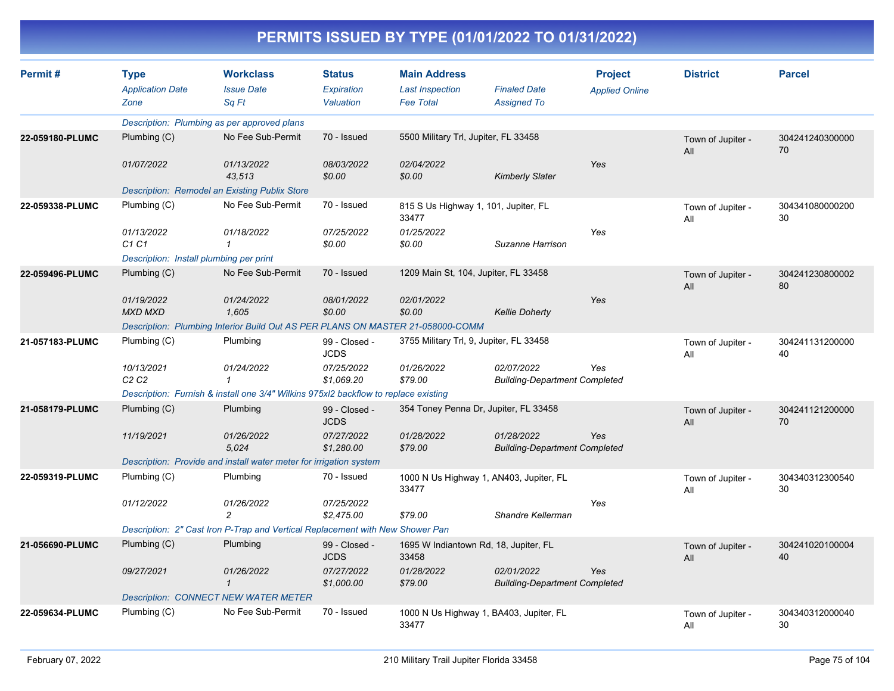| Permit#         | <b>Type</b>                                 | <b>Workclass</b>                                                                    | <b>Status</b>                | <b>Main Address</b>                              |                                                    | <b>Project</b>        | <b>District</b>          | <b>Parcel</b>         |
|-----------------|---------------------------------------------|-------------------------------------------------------------------------------------|------------------------------|--------------------------------------------------|----------------------------------------------------|-----------------------|--------------------------|-----------------------|
|                 | <b>Application Date</b>                     | <b>Issue Date</b>                                                                   | Expiration                   | <b>Last Inspection</b>                           | <b>Finaled Date</b>                                | <b>Applied Online</b> |                          |                       |
|                 | Zone                                        | Sq Ft                                                                               | Valuation                    | <b>Fee Total</b>                                 | <b>Assigned To</b>                                 |                       |                          |                       |
|                 |                                             | Description: Plumbing as per approved plans                                         |                              |                                                  |                                                    |                       |                          |                       |
| 22-059180-PLUMC | Plumbing (C)                                | No Fee Sub-Permit                                                                   | 70 - Issued                  | 5500 Military Trl, Jupiter, FL 33458             |                                                    |                       | Town of Jupiter -<br>All | 304241240300000<br>70 |
|                 | 01/07/2022                                  | 01/13/2022<br>43,513                                                                | 08/03/2022<br>\$0.00         | 02/04/2022<br>\$0.00                             | <b>Kimberly Slater</b>                             | Yes                   |                          |                       |
|                 |                                             | <b>Description: Remodel an Existing Publix Store</b>                                |                              |                                                  |                                                    |                       |                          |                       |
| 22-059338-PLUMC | Plumbing (C)                                | No Fee Sub-Permit                                                                   | 70 - Issued                  | 815 S Us Highway 1, 101, Jupiter, FL<br>33477    |                                                    |                       | Town of Jupiter -<br>All | 304341080000200<br>30 |
|                 | 01/13/2022<br>C1 C1                         | 01/18/2022<br>$\mathbf{1}$                                                          | 07/25/2022<br>\$0.00         | 01/25/2022<br>\$0.00                             | Suzanne Harrison                                   | Yes                   |                          |                       |
|                 | Description: Install plumbing per print     |                                                                                     |                              |                                                  |                                                    |                       |                          |                       |
| 22-059496-PLUMC | Plumbing (C)                                | No Fee Sub-Permit                                                                   | 70 - Issued                  | 1209 Main St, 104, Jupiter, FL 33458             |                                                    |                       | Town of Jupiter -<br>All | 304241230800002<br>80 |
|                 | 01/19/2022<br><b>MXD MXD</b>                | 01/24/2022<br>1,605                                                                 | 08/01/2022<br>\$0.00         | 02/01/2022<br>\$0.00                             | <b>Kellie Doherty</b>                              | Yes                   |                          |                       |
|                 |                                             | Description: Plumbing Interior Build Out AS PER PLANS ON MASTER 21-058000-COMM      |                              |                                                  |                                                    |                       |                          |                       |
| 21-057183-PLUMC | Plumbing (C)                                | Plumbing                                                                            | 99 - Closed -<br><b>JCDS</b> | 3755 Military Trl, 9, Jupiter, FL 33458          |                                                    |                       | Town of Jupiter -<br>All | 304241131200000<br>40 |
|                 | 10/13/2021<br>C <sub>2</sub> C <sub>2</sub> | 01/24/2022<br>$\mathbf{1}$                                                          | 07/25/2022<br>\$1,069.20     | 01/26/2022<br>\$79.00                            | 02/07/2022<br><b>Building-Department Completed</b> | Yes                   |                          |                       |
|                 |                                             | Description: Furnish & install one 3/4" Wilkins 975xl2 backflow to replace existing |                              |                                                  |                                                    |                       |                          |                       |
| 21-058179-PLUMC | Plumbing (C)                                | Plumbing                                                                            | 99 - Closed -<br><b>JCDS</b> | 354 Toney Penna Dr, Jupiter, FL 33458            |                                                    |                       | Town of Jupiter -<br>All | 304241121200000<br>70 |
|                 | 11/19/2021                                  | 01/26/2022<br>5,024                                                                 | 07/27/2022<br>\$1,280.00     | 01/28/2022<br>\$79.00                            | 01/28/2022<br><b>Building-Department Completed</b> | Yes                   |                          |                       |
|                 |                                             | Description: Provide and install water meter for irrigation system                  |                              |                                                  |                                                    |                       |                          |                       |
| 22-059319-PLUMC | Plumbing (C)                                | Plumbing                                                                            | 70 - Issued                  | 1000 N Us Highway 1, AN403, Jupiter, FL<br>33477 |                                                    |                       | Town of Jupiter -<br>All | 304340312300540<br>30 |
|                 | 01/12/2022                                  | 01/26/2022<br>$\overline{c}$                                                        | 07/25/2022<br>\$2,475.00     | \$79.00                                          | Shandre Kellerman                                  | Yes                   |                          |                       |
|                 |                                             | Description: 2" Cast Iron P-Trap and Vertical Replacement with New Shower Pan       |                              |                                                  |                                                    |                       |                          |                       |
| 21-056690-PLUMC | Plumbing (C)                                | Plumbing                                                                            | 99 - Closed -<br><b>JCDS</b> | 1695 W Indiantown Rd, 18, Jupiter, FL<br>33458   |                                                    |                       | Town of Jupiter -<br>All | 304241020100004<br>40 |
|                 | 09/27/2021                                  | 01/26/2022<br>$\mathcal I$                                                          | 07/27/2022<br>\$1,000.00     | 01/28/2022<br>\$79.00                            | 02/01/2022<br><b>Building-Department Completed</b> | Yes                   |                          |                       |
|                 |                                             | <b>Description: CONNECT NEW WATER METER</b>                                         |                              |                                                  |                                                    |                       |                          |                       |
| 22-059634-PLUMC | Plumbing (C)                                | No Fee Sub-Permit                                                                   | 70 - Issued                  | 1000 N Us Highway 1, BA403, Jupiter, FL<br>33477 |                                                    |                       | Town of Jupiter -<br>All | 304340312000040<br>30 |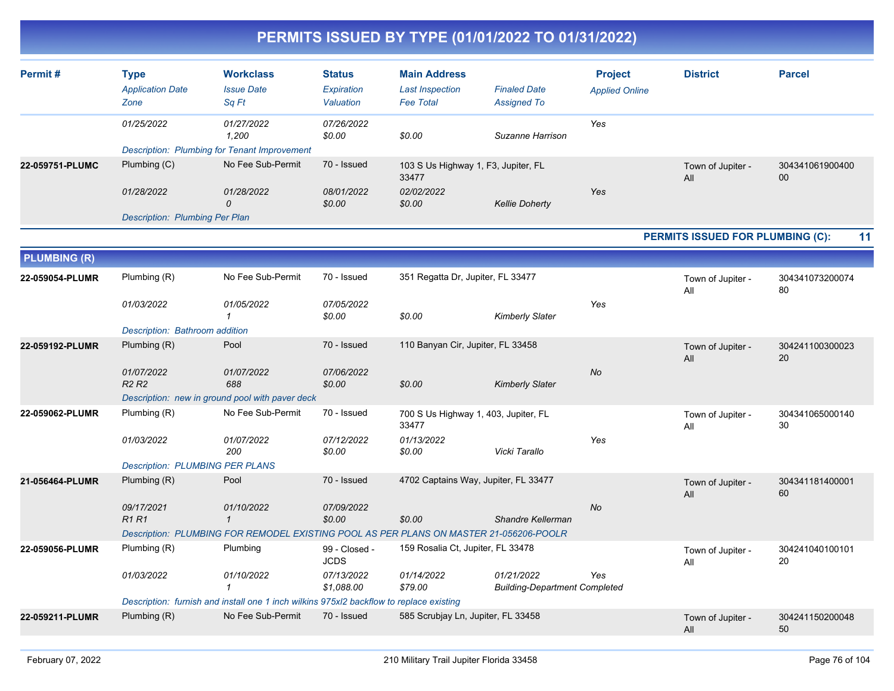|                     |                                                                      |                                                                                                                      |                                          | PERMITS ISSUED BY TYPE (01/01/2022 TO 01/31/2022)                     |                                                    |                                         |                                         |                       |
|---------------------|----------------------------------------------------------------------|----------------------------------------------------------------------------------------------------------------------|------------------------------------------|-----------------------------------------------------------------------|----------------------------------------------------|-----------------------------------------|-----------------------------------------|-----------------------|
| Permit#             | <b>Type</b><br><b>Application Date</b><br>Zone                       | <b>Workclass</b><br><b>Issue Date</b><br>Sq Ft                                                                       | <b>Status</b><br>Expiration<br>Valuation | <b>Main Address</b><br><b>Last Inspection</b><br><b>Fee Total</b>     | <b>Finaled Date</b><br><b>Assigned To</b>          | <b>Project</b><br><b>Applied Online</b> | <b>District</b>                         | <b>Parcel</b>         |
|                     | 01/25/2022                                                           | 01/27/2022<br>1,200<br><b>Description: Plumbing for Tenant Improvement</b>                                           | 07/26/2022<br>\$0.00                     | \$0.00                                                                | Suzanne Harrison                                   | Yes                                     |                                         |                       |
| 22-059751-PLUMC     | Plumbing (C)                                                         | No Fee Sub-Permit                                                                                                    | 70 - Issued                              | 103 S Us Highway 1, F3, Jupiter, FL<br>33477                          |                                                    |                                         | Town of Jupiter -<br>All                | 304341061900400<br>00 |
|                     | 01/28/2022<br><b>Description: Plumbing Per Plan</b>                  | 01/28/2022<br>$\mathcal{O}$                                                                                          | 08/01/2022<br>\$0.00                     | 02/02/2022<br>\$0.00                                                  | <b>Kellie Doherty</b>                              | Yes                                     |                                         |                       |
|                     |                                                                      |                                                                                                                      |                                          |                                                                       |                                                    |                                         | <b>PERMITS ISSUED FOR PLUMBING (C):</b> | 11                    |
| <b>PLUMBING (R)</b> |                                                                      |                                                                                                                      |                                          |                                                                       |                                                    |                                         |                                         |                       |
| 22-059054-PLUMR     | Plumbing (R)                                                         | No Fee Sub-Permit                                                                                                    | 70 - Issued                              | 351 Regatta Dr, Jupiter, FL 33477                                     |                                                    |                                         | Town of Jupiter -<br>All                | 304341073200074<br>80 |
|                     | 01/03/2022                                                           | 01/05/2022<br>-1                                                                                                     | 07/05/2022<br>\$0.00                     | \$0.00                                                                | <b>Kimberly Slater</b>                             | Yes                                     |                                         |                       |
|                     | Description: Bathroom addition                                       |                                                                                                                      |                                          |                                                                       |                                                    |                                         |                                         |                       |
| 22-059192-PLUMR     | Plumbing (R)<br>01/07/2022<br>R <sub>2</sub> R <sub>2</sub>          | Pool<br>01/07/2022<br>688<br>Description: new in ground pool with paver deck                                         | 70 - Issued<br>07/06/2022<br>\$0.00      | 110 Banyan Cir, Jupiter, FL 33458<br>\$0.00                           | <b>Kimberly Slater</b>                             | No                                      | Town of Jupiter -<br>All                | 304241100300023<br>20 |
| 22-059062-PLUMR     | Plumbing (R)<br>01/03/2022<br><b>Description: PLUMBING PER PLANS</b> | No Fee Sub-Permit<br>01/07/2022<br>200                                                                               | 70 - Issued<br>07/12/2022<br>\$0.00      | 700 S Us Highway 1, 403, Jupiter, FL<br>33477<br>01/13/2022<br>\$0.00 | Vicki Tarallo                                      | Yes                                     | Town of Jupiter -<br>All                | 304341065000140<br>30 |
| 21-056464-PLUMR     | Plumbing (R)<br>09/17/2021                                           | Pool                                                                                                                 | 70 - Issued                              | 4702 Captains Way, Jupiter, FL 33477                                  |                                                    | No                                      | Town of Jupiter -<br>All                | 304341181400001<br>60 |
|                     | R1 R1                                                                | 01/10/2022<br>$\mathcal I$<br>Description: PLUMBING FOR REMODEL EXISTING POOL AS PER PLANS ON MASTER 21-056206-POOLR | 07/09/2022<br>\$0.00                     | \$0.00                                                                | Shandre Kellerman                                  |                                         |                                         |                       |
| 22-059056-PLUMR     | Plumbing (R)                                                         | Plumbing                                                                                                             | 99 - Closed -<br><b>JCDS</b>             | 159 Rosalia Ct, Jupiter, FL 33478                                     |                                                    |                                         | Town of Jupiter -<br>All                | 304241040100101<br>20 |
|                     | 01/03/2022                                                           | 01/10/2022                                                                                                           | 07/13/2022<br>\$1,088.00                 | 01/14/2022<br>\$79.00                                                 | 01/21/2022<br><b>Building-Department Completed</b> | Yes                                     |                                         |                       |
|                     |                                                                      | Description: furnish and install one 1 inch wilkins 975xl2 backflow to replace existing                              |                                          |                                                                       |                                                    |                                         |                                         |                       |
| 22-059211-PLUMR     | Plumbing (R)                                                         | No Fee Sub-Permit                                                                                                    | 70 - Issued                              | 585 Scrubjay Ln, Jupiter, FL 33458                                    |                                                    |                                         | Town of Jupiter -<br>All                | 304241150200048<br>50 |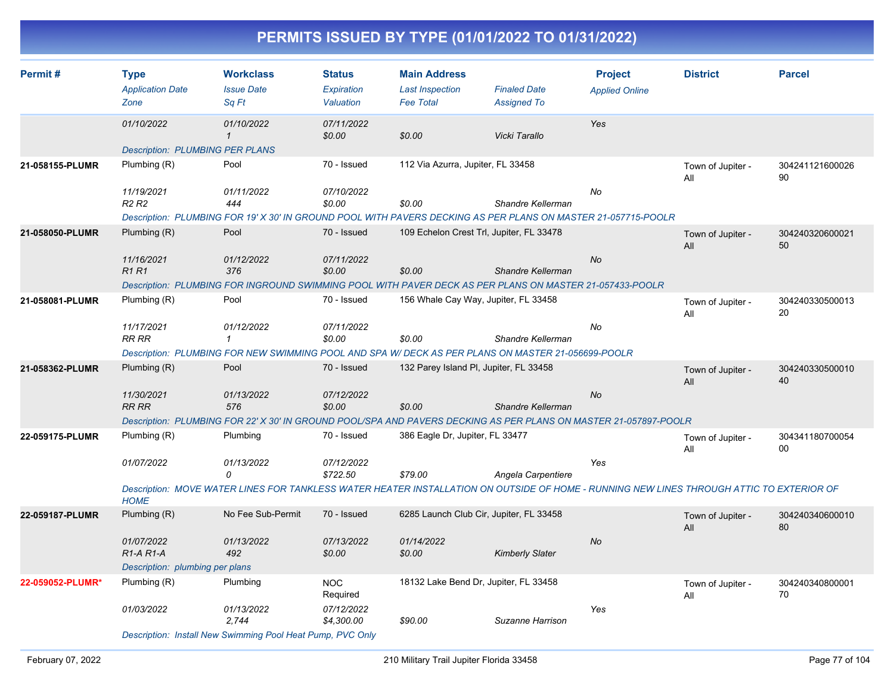| Permit#          | <b>Type</b>                                      | <b>Workclass</b>                                                                                                                         | <b>Status</b>            | <b>Main Address</b>                        |                                           | <b>Project</b>        | <b>District</b>          | <b>Parcel</b>         |
|------------------|--------------------------------------------------|------------------------------------------------------------------------------------------------------------------------------------------|--------------------------|--------------------------------------------|-------------------------------------------|-----------------------|--------------------------|-----------------------|
|                  | <b>Application Date</b><br>Zone                  | <b>Issue Date</b><br>Sq Ft                                                                                                               | Expiration<br>Valuation  | <b>Last Inspection</b><br><b>Fee Total</b> | <b>Finaled Date</b><br><b>Assigned To</b> | <b>Applied Online</b> |                          |                       |
|                  | 01/10/2022                                       | 01/10/2022<br>$\mathbf{1}$                                                                                                               | 07/11/2022<br>\$0.00     | \$0.00                                     | Vicki Tarallo                             | Yes                   |                          |                       |
|                  | <b>Description: PLUMBING PER PLANS</b>           |                                                                                                                                          |                          |                                            |                                           |                       |                          |                       |
| 21-058155-PLUMR  | Plumbing (R)                                     | Pool                                                                                                                                     | 70 - Issued              | 112 Via Azurra, Jupiter, FL 33458          |                                           |                       | Town of Jupiter -<br>All | 304241121600026<br>90 |
|                  | 11/19/2021                                       | 01/11/2022                                                                                                                               | 07/10/2022               |                                            |                                           | No                    |                          |                       |
|                  | R <sub>2</sub> R <sub>2</sub>                    | 444                                                                                                                                      | \$0.00                   | \$0.00                                     | Shandre Kellerman                         |                       |                          |                       |
|                  |                                                  | Description: PLUMBING FOR 19' X 30' IN GROUND POOL WITH PAVERS DECKING AS PER PLANS ON MASTER 21-057715-POOLR                            |                          |                                            |                                           |                       |                          |                       |
| 21-058050-PLUMR  | Plumbing $(R)$                                   | Pool                                                                                                                                     | 70 - Issued              | 109 Echelon Crest Trl, Jupiter, FL 33478   |                                           |                       | Town of Jupiter -<br>All | 304240320600021<br>50 |
|                  | 11/16/2021<br><b>R1R1</b>                        | 01/12/2022<br>376                                                                                                                        | 07/11/2022<br>\$0.00     | \$0.00                                     | Shandre Kellerman                         | No                    |                          |                       |
|                  |                                                  | Description: PLUMBING FOR INGROUND SWIMMING POOL WITH PAVER DECK AS PER PLANS ON MASTER 21-057433-POOLR                                  |                          |                                            |                                           |                       |                          |                       |
| 21-058081-PLUMR  | Plumbing (R)                                     | Pool                                                                                                                                     | 70 - Issued              | 156 Whale Cay Way, Jupiter, FL 33458       |                                           |                       | Town of Jupiter -<br>All | 304240330500013<br>20 |
|                  | 11/17/2021<br>RR RR                              | 01/12/2022<br>$\mathbf{1}$                                                                                                               | 07/11/2022<br>\$0.00     | \$0.00                                     | Shandre Kellerman                         | No                    |                          |                       |
|                  |                                                  | Description: PLUMBING FOR NEW SWIMMING POOL AND SPA W/ DECK AS PER PLANS ON MASTER 21-056699-POOLR                                       |                          |                                            |                                           |                       |                          |                       |
| 21-058362-PLUMR  | Plumbing $(R)$                                   | Pool                                                                                                                                     | 70 - Issued              | 132 Parey Island PI, Jupiter, FL 33458     |                                           |                       | Town of Jupiter -<br>All | 304240330500010<br>40 |
|                  | 11/30/2021<br><b>RR RR</b>                       | 01/13/2022<br>576                                                                                                                        | 07/12/2022<br>\$0.00     | \$0.00                                     | Shandre Kellerman                         | No                    |                          |                       |
|                  |                                                  | Description: PLUMBING FOR 22' X 30' IN GROUND POOL/SPA AND PAVERS DECKING AS PER PLANS ON MASTER 21-057897-POOLR                         |                          |                                            |                                           |                       |                          |                       |
| 22-059175-PLUMR  | Plumbing (R)                                     | Plumbing                                                                                                                                 | 70 - Issued              | 386 Eagle Dr, Jupiter, FL 33477            |                                           |                       | Town of Jupiter -<br>All | 304341180700054<br>00 |
|                  | 01/07/2022                                       | 01/13/2022<br>$\Omega$                                                                                                                   | 07/12/2022<br>\$722.50   | \$79.00                                    | Angela Carpentiere                        | Yes                   |                          |                       |
|                  | <b>HOME</b>                                      | Description: MOVE WATER LINES FOR TANKLESS WATER HEATER INSTALLATION ON OUTSIDE OF HOME - RUNNING NEW LINES THROUGH ATTIC TO EXTERIOR OF |                          |                                            |                                           |                       |                          |                       |
| 22-059187-PLUMR  | Plumbing (R)                                     | No Fee Sub-Permit                                                                                                                        | 70 - Issued              | 6285 Launch Club Cir, Jupiter, FL 33458    |                                           |                       | Town of Jupiter -<br>All | 304240340600010<br>80 |
|                  | 01/07/2022<br>R <sub>1</sub> -A <sub>R1</sub> -A | 01/13/2022<br>492                                                                                                                        | 07/13/2022<br>\$0.00     | 01/14/2022<br>\$0.00                       | <b>Kimberly Slater</b>                    | <b>No</b>             |                          |                       |
|                  | Description: plumbing per plans                  |                                                                                                                                          |                          |                                            |                                           |                       |                          |                       |
| 22-059052-PLUMR* | Plumbing (R)                                     | Plumbing                                                                                                                                 | <b>NOC</b><br>Required   | 18132 Lake Bend Dr, Jupiter, FL 33458      |                                           |                       | Town of Jupiter -<br>All | 304240340800001<br>70 |
|                  | 01/03/2022                                       | 01/13/2022<br>2,744                                                                                                                      | 07/12/2022<br>\$4,300.00 | \$90.00                                    | Suzanne Harrison                          | Yes                   |                          |                       |
|                  |                                                  | Description: Install New Swimming Pool Heat Pump, PVC Only                                                                               |                          |                                            |                                           |                       |                          |                       |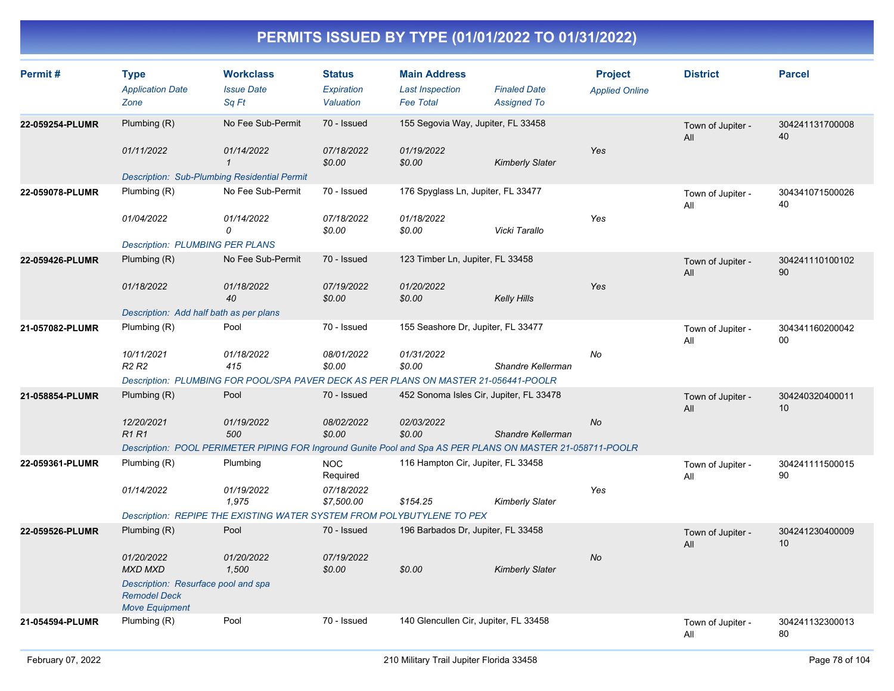| Permit#         | <b>Type</b><br><b>Application Date</b><br>Zone                                      | <b>Workclass</b><br><b>Issue Date</b><br>Sq Ft                                                             | <b>Status</b><br>Expiration<br>Valuation | <b>Main Address</b><br><b>Last Inspection</b><br><b>Fee Total</b> | <b>Finaled Date</b><br><b>Assigned To</b> | <b>Project</b><br><b>Applied Online</b> | <b>District</b>          | <b>Parcel</b>         |
|-----------------|-------------------------------------------------------------------------------------|------------------------------------------------------------------------------------------------------------|------------------------------------------|-------------------------------------------------------------------|-------------------------------------------|-----------------------------------------|--------------------------|-----------------------|
| 22-059254-PLUMR | Plumbing (R)                                                                        | No Fee Sub-Permit                                                                                          | 70 - Issued                              | 155 Segovia Way, Jupiter, FL 33458                                |                                           |                                         | Town of Jupiter -<br>All | 304241131700008<br>40 |
|                 | 01/11/2022                                                                          | 01/14/2022<br>$\mathbf{1}$                                                                                 | 07/18/2022<br>\$0.00                     | 01/19/2022<br>\$0.00                                              | <b>Kimberly Slater</b>                    | Yes                                     |                          |                       |
| 22-059078-PLUMR | Plumbing (R)                                                                        | <b>Description: Sub-Plumbing Residential Permit</b><br>No Fee Sub-Permit                                   | 70 - Issued                              | 176 Spyglass Ln, Jupiter, FL 33477                                |                                           |                                         | Town of Jupiter -<br>All | 304341071500026<br>40 |
|                 | 01/04/2022                                                                          | 01/14/2022<br>0                                                                                            | 07/18/2022<br>\$0.00                     | 01/18/2022<br>\$0.00                                              | Vicki Tarallo                             | Yes                                     |                          |                       |
|                 | <b>Description: PLUMBING PER PLANS</b>                                              |                                                                                                            |                                          |                                                                   |                                           |                                         |                          |                       |
| 22-059426-PLUMR | Plumbing $(R)$                                                                      | No Fee Sub-Permit                                                                                          | 70 - Issued                              | 123 Timber Ln, Jupiter, FL 33458                                  |                                           |                                         | Town of Jupiter -<br>All | 304241110100102<br>90 |
|                 | 01/18/2022                                                                          | 01/18/2022<br>40                                                                                           | 07/19/2022<br>\$0.00                     | 01/20/2022<br>\$0.00                                              | <b>Kelly Hills</b>                        | Yes                                     |                          |                       |
|                 | Description: Add half bath as per plans                                             |                                                                                                            |                                          |                                                                   |                                           |                                         |                          |                       |
| 21-057082-PLUMR | Plumbing (R)                                                                        | Pool                                                                                                       | 70 - Issued                              | 155 Seashore Dr, Jupiter, FL 33477                                |                                           |                                         | Town of Jupiter -<br>All | 304341160200042<br>00 |
|                 | 10/11/2021<br>R <sub>2</sub> R <sub>2</sub>                                         | 01/18/2022<br>415                                                                                          | 08/01/2022<br>\$0.00                     | 01/31/2022<br>\$0.00                                              | Shandre Kellerman                         | No                                      |                          |                       |
|                 |                                                                                     | Description: PLUMBING FOR POOL/SPA PAVER DECK AS PER PLANS ON MASTER 21-056441-POOLR                       |                                          |                                                                   |                                           |                                         |                          |                       |
| 21-058854-PLUMR | Plumbing (R)                                                                        | Pool                                                                                                       | 70 - Issued                              | 452 Sonoma Isles Cir, Jupiter, FL 33478                           |                                           |                                         | Town of Jupiter -<br>All | 304240320400011<br>10 |
|                 | 12/20/2021<br><b>R1 R1</b>                                                          | 01/19/2022<br>500                                                                                          | 08/02/2022<br>\$0.00                     | 02/03/2022<br>\$0.00                                              | Shandre Kellerman                         | No                                      |                          |                       |
|                 |                                                                                     | Description: POOL PERIMETER PIPING FOR Inground Gunite Pool and Spa AS PER PLANS ON MASTER 21-058711-POOLR |                                          |                                                                   |                                           |                                         |                          |                       |
| 22-059361-PLUMR | Plumbing (R)                                                                        | Plumbing                                                                                                   | <b>NOC</b><br>Required                   | 116 Hampton Cir, Jupiter, FL 33458                                |                                           |                                         | Town of Jupiter -<br>All | 304241111500015<br>90 |
|                 | 01/14/2022                                                                          | 01/19/2022<br>1,975                                                                                        | 07/18/2022<br>\$7,500.00                 | \$154.25                                                          | <b>Kimberly Slater</b>                    | Yes                                     |                          |                       |
|                 |                                                                                     | Description: REPIPE THE EXISTING WATER SYSTEM FROM POLYBUTYLENE TO PEX                                     |                                          |                                                                   |                                           |                                         |                          |                       |
| 22-059526-PLUMR | Plumbing (R)                                                                        | Pool                                                                                                       | 70 - Issued                              | 196 Barbados Dr, Jupiter, FL 33458                                |                                           |                                         | Town of Jupiter -<br>All | 304241230400009<br>10 |
|                 | 01/20/2022<br><b>MXD MXD</b>                                                        | 01/20/2022<br>1,500                                                                                        | 07/19/2022<br>\$0.00                     | \$0.00                                                            | <b>Kimberly Slater</b>                    | No                                      |                          |                       |
|                 | Description: Resurface pool and spa<br><b>Remodel Deck</b><br><b>Move Equipment</b> |                                                                                                            |                                          |                                                                   |                                           |                                         |                          |                       |
| 21-054594-PLUMR | Plumbing (R)                                                                        | Pool                                                                                                       | 70 - Issued                              | 140 Glencullen Cir, Jupiter, FL 33458                             |                                           |                                         | Town of Jupiter -<br>All | 304241132300013<br>80 |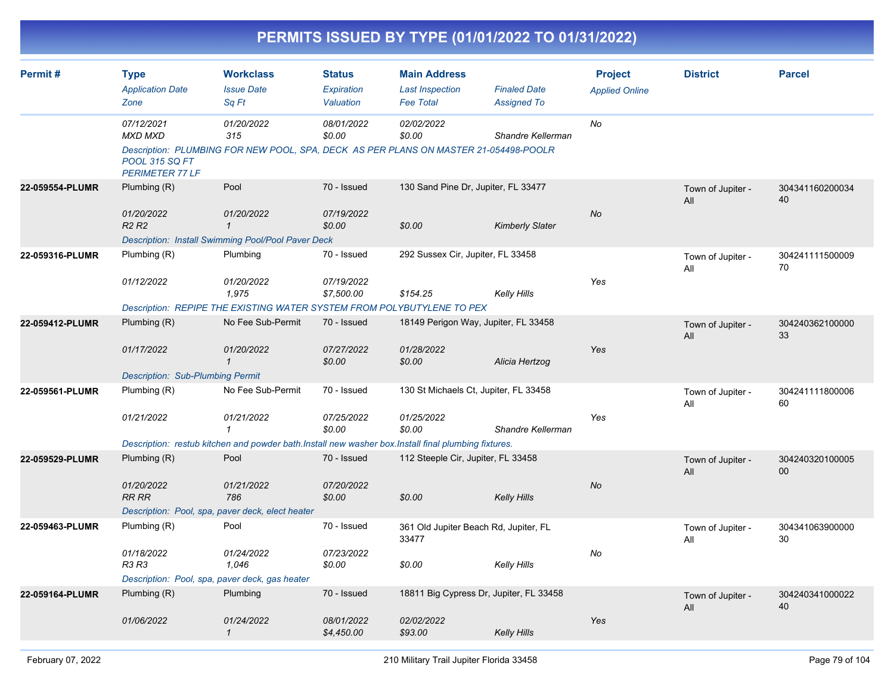|                 |                                                                          |                                                                                                                                             |                                          |                                                                   | PERMITS ISSUED BY TYPE (01/01/2022 TO 01/31/2022) |                                         |                          |                       |
|-----------------|--------------------------------------------------------------------------|---------------------------------------------------------------------------------------------------------------------------------------------|------------------------------------------|-------------------------------------------------------------------|---------------------------------------------------|-----------------------------------------|--------------------------|-----------------------|
| Permit #        | <b>Type</b><br><b>Application Date</b><br>Zone                           | <b>Workclass</b><br><b>Issue Date</b><br>Sq Ft                                                                                              | <b>Status</b><br>Expiration<br>Valuation | <b>Main Address</b><br><b>Last Inspection</b><br><b>Fee Total</b> | <b>Finaled Date</b><br><b>Assigned To</b>         | <b>Project</b><br><b>Applied Online</b> | <b>District</b>          | <b>Parcel</b>         |
|                 | 07/12/2021<br>MXD MXD<br><b>POOL 315 SQ FT</b><br><b>PERIMETER 77 LF</b> | 01/20/2022<br>315<br>Description: PLUMBING FOR NEW POOL, SPA, DECK AS PER PLANS ON MASTER 21-054498-POOLR                                   | 08/01/2022<br>\$0.00                     | 02/02/2022<br>\$0.00                                              | Shandre Kellerman                                 | No                                      |                          |                       |
| 22-059554-PLUMR | Plumbing (R)<br>01/20/2022<br><b>R2 R2</b>                               | Pool<br>01/20/2022<br>$\mathbf{1}$<br>Description: Install Swimming Pool/Pool Paver Deck                                                    | 70 - Issued<br>07/19/2022<br>\$0.00      | 130 Sand Pine Dr, Jupiter, FL 33477<br>\$0.00                     | <b>Kimberly Slater</b>                            | No                                      | Town of Jupiter -<br>All | 304341160200034<br>40 |
| 22-059316-PLUMR | Plumbing (R)<br>01/12/2022                                               | Plumbing<br>01/20/2022<br>1,975<br>Description: REPIPE THE EXISTING WATER SYSTEM FROM POLYBUTYLENE TO PEX                                   | 70 - Issued<br>07/19/2022<br>\$7,500.00  | 292 Sussex Cir, Jupiter, FL 33458<br>\$154.25                     | <b>Kelly Hills</b>                                | Yes                                     | Town of Jupiter -<br>All | 304241111500009<br>70 |
| 22-059412-PLUMR | Plumbing (R)<br>01/17/2022<br><b>Description: Sub-Plumbing Permit</b>    | No Fee Sub-Permit<br>01/20/2022<br>$\mathbf 1$                                                                                              | 70 - Issued<br>07/27/2022<br>\$0.00      | 18149 Perigon Way, Jupiter, FL 33458<br>01/28/2022<br>\$0.00      | Alicia Hertzog                                    | Yes                                     | Town of Jupiter -<br>All | 304240362100000<br>33 |
| 22-059561-PLUMR | Plumbing (R)<br>01/21/2022                                               | No Fee Sub-Permit<br>01/21/2022<br>1<br>Description: restub kitchen and powder bath.Install new washer box.Install final plumbing fixtures. | 70 - Issued<br>07/25/2022<br>\$0.00      | 130 St Michaels Ct, Jupiter, FL 33458<br>01/25/2022<br>\$0.00     | Shandre Kellerman                                 | Yes                                     | Town of Jupiter -<br>All | 304241111800006<br>60 |
| 22-059529-PLUMR | Plumbing (R)<br>01/20/2022<br><b>RR RR</b>                               | Pool<br>01/21/2022<br>786<br>Description: Pool, spa, paver deck, elect heater                                                               | 70 - Issued<br>07/20/2022<br>\$0.00      | 112 Steeple Cir, Jupiter, FL 33458<br>\$0.00                      | <b>Kelly Hills</b>                                | No                                      | Town of Jupiter -<br>All | 304240320100005<br>00 |
| 22-059463-PLUMR | Plumbing (R)<br>01/18/2022<br>R3 R3                                      | Pool<br>01/24/2022<br>1,046<br>Description: Pool, spa, paver deck, gas heater                                                               | 70 - Issued<br>07/23/2022<br>\$0.00      | 361 Old Jupiter Beach Rd, Jupiter, FL<br>33477<br>\$0.00          | <b>Kelly Hills</b>                                | No                                      | Town of Jupiter -<br>All | 304341063900000<br>30 |
| 22-059164-PLUMR | Plumbing (R)<br>01/06/2022                                               | Plumbing<br>01/24/2022<br>$\mathcal{I}$                                                                                                     | 70 - Issued<br>08/01/2022<br>\$4,450.00  | 18811 Big Cypress Dr, Jupiter, FL 33458<br>02/02/2022<br>\$93.00  | <b>Kelly Hills</b>                                | Yes                                     | Town of Jupiter -<br>All | 304240341000022<br>40 |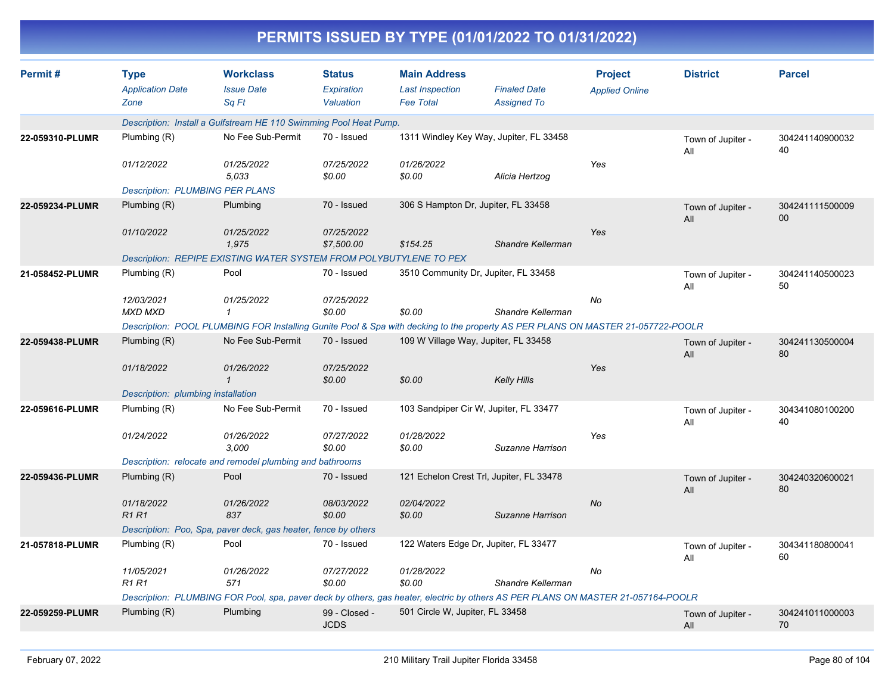|                 |                                                |                                                                                                                                  |                                          |                                                                   | PERMITS ISSUED BY TYPE (01/01/2022 TO 01/31/2022) |                                         |                          |                       |
|-----------------|------------------------------------------------|----------------------------------------------------------------------------------------------------------------------------------|------------------------------------------|-------------------------------------------------------------------|---------------------------------------------------|-----------------------------------------|--------------------------|-----------------------|
| Permit#         | <b>Type</b><br><b>Application Date</b><br>Zone | <b>Workclass</b><br><b>Issue Date</b><br>Sq Ft                                                                                   | <b>Status</b><br>Expiration<br>Valuation | <b>Main Address</b><br><b>Last Inspection</b><br><b>Fee Total</b> | <b>Finaled Date</b><br><b>Assigned To</b>         | <b>Project</b><br><b>Applied Online</b> | <b>District</b>          | <b>Parcel</b>         |
|                 |                                                | Description: Install a Gulfstream HE 110 Swimming Pool Heat Pump.                                                                |                                          |                                                                   |                                                   |                                         |                          |                       |
| 22-059310-PLUMR | Plumbing (R)                                   | No Fee Sub-Permit                                                                                                                | 70 - Issued                              |                                                                   | 1311 Windley Key Way, Jupiter, FL 33458           |                                         | Town of Jupiter -<br>All | 304241140900032<br>40 |
|                 | 01/12/2022                                     | 01/25/2022<br>5.033                                                                                                              | 07/25/2022<br>\$0.00                     | 01/26/2022<br>\$0.00                                              | Alicia Hertzog                                    | Yes                                     |                          |                       |
|                 | <b>Description: PLUMBING PER PLANS</b>         |                                                                                                                                  |                                          |                                                                   |                                                   |                                         |                          |                       |
| 22-059234-PLUMR | Plumbing (R)                                   | Plumbing                                                                                                                         | 70 - Issued                              | 306 S Hampton Dr, Jupiter, FL 33458                               |                                                   |                                         | Town of Jupiter -<br>All | 304241111500009<br>00 |
|                 | 01/10/2022                                     | 01/25/2022<br>1,975                                                                                                              | 07/25/2022<br>\$7,500.00                 | \$154.25                                                          | Shandre Kellerman                                 | Yes                                     |                          |                       |
|                 |                                                | Description: REPIPE EXISTING WATER SYSTEM FROM POLYBUTYLENE TO PEX                                                               |                                          |                                                                   |                                                   |                                         |                          |                       |
| 21-058452-PLUMR | Plumbing (R)                                   | Pool                                                                                                                             | 70 - Issued                              |                                                                   | 3510 Community Dr, Jupiter, FL 33458              |                                         | Town of Jupiter -<br>All | 304241140500023<br>50 |
|                 | 12/03/2021<br><b>MXD MXD</b>                   | 01/25/2022<br>$\mathbf{1}$                                                                                                       | 07/25/2022<br>\$0.00                     | \$0.00                                                            | Shandre Kellerman                                 | No                                      |                          |                       |
|                 |                                                | Description: POOL PLUMBING FOR Installing Gunite Pool & Spa with decking to the property AS PER PLANS ON MASTER 21-057722-POOLR  |                                          |                                                                   |                                                   |                                         |                          |                       |
| 22-059438-PLUMR | Plumbing (R)                                   | No Fee Sub-Permit                                                                                                                | 70 - Issued                              | 109 W Village Way, Jupiter, FL 33458                              |                                                   |                                         | Town of Jupiter -<br>All | 304241130500004<br>80 |
|                 | 01/18/2022                                     | 01/26/2022<br>$\mathcal I$                                                                                                       | 07/25/2022<br>\$0.00                     | \$0.00                                                            | <b>Kelly Hills</b>                                | Yes                                     |                          |                       |
|                 | Description: plumbing installation             |                                                                                                                                  |                                          |                                                                   |                                                   |                                         |                          |                       |
| 22-059616-PLUMR | Plumbing (R)                                   | No Fee Sub-Permit                                                                                                                | 70 - Issued                              |                                                                   | 103 Sandpiper Cir W, Jupiter, FL 33477            |                                         | Town of Jupiter -<br>All | 304341080100200<br>40 |
|                 | 01/24/2022                                     | 01/26/2022<br>3,000                                                                                                              | 07/27/2022<br>\$0.00                     | 01/28/2022<br>\$0.00                                              | Suzanne Harrison                                  | Yes                                     |                          |                       |
|                 |                                                | Description: relocate and remodel plumbing and bathrooms                                                                         |                                          |                                                                   |                                                   |                                         |                          |                       |
| 22-059436-PLUMR | Plumbing (R)                                   | Pool                                                                                                                             | 70 - Issued                              |                                                                   | 121 Echelon Crest Trl, Jupiter, FL 33478          |                                         | Town of Jupiter -<br>All | 304240320600021<br>80 |
|                 | 01/18/2022<br><b>R1R1</b>                      | 01/26/2022<br>837                                                                                                                | 08/03/2022<br>\$0.00                     | 02/04/2022<br>\$0.00                                              | Suzanne Harrison                                  | No                                      |                          |                       |
|                 |                                                | Description: Poo, Spa, paver deck, gas heater, fence by others                                                                   |                                          |                                                                   |                                                   |                                         |                          |                       |
| 21-057818-PLUMR | Plumbing (R)                                   | Pool                                                                                                                             | 70 - Issued                              |                                                                   | 122 Waters Edge Dr, Jupiter, FL 33477             |                                         | Town of Jupiter -<br>All | 304341180800041<br>60 |
|                 | 11/05/2021<br>R1 R1                            | 01/26/2022<br>571                                                                                                                | 07/27/2022<br>\$0.00                     | 01/28/2022<br>\$0.00                                              | Shandre Kellerman                                 | No                                      |                          |                       |
|                 |                                                | Description: PLUMBING FOR Pool, spa, paver deck by others, gas heater, electric by others AS PER PLANS ON MASTER 21-057164-POOLR |                                          |                                                                   |                                                   |                                         |                          |                       |
| 22-059259-PLUMR | Plumbing (R)                                   | Plumbing                                                                                                                         | 99 - Closed -<br><b>JCDS</b>             | 501 Circle W, Jupiter, FL 33458                                   |                                                   |                                         | Town of Jupiter -<br>All | 304241011000003<br>70 |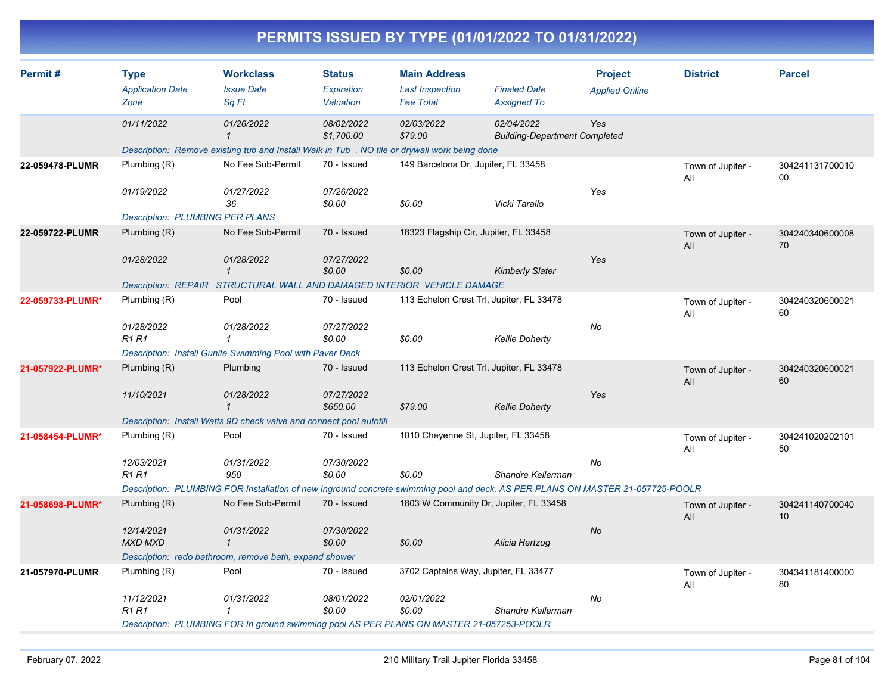|                  |                                                |                                                                                               |                                          |                                                                   | PERMITS ISSUED BY TYPE (01/01/2022 TO 01/31/2022)                                                                              |                                         |                          |                       |
|------------------|------------------------------------------------|-----------------------------------------------------------------------------------------------|------------------------------------------|-------------------------------------------------------------------|--------------------------------------------------------------------------------------------------------------------------------|-----------------------------------------|--------------------------|-----------------------|
| Permit#          | <b>Type</b><br><b>Application Date</b><br>Zone | <b>Workclass</b><br><b>Issue Date</b><br>Sq Ft                                                | <b>Status</b><br>Expiration<br>Valuation | <b>Main Address</b><br><b>Last Inspection</b><br><b>Fee Total</b> | <b>Finaled Date</b><br><b>Assigned To</b>                                                                                      | <b>Project</b><br><b>Applied Online</b> | <b>District</b>          | <b>Parcel</b>         |
|                  | 01/11/2022                                     | 01/26/2022                                                                                    | 08/02/2022<br>\$1,700.00                 | 02/03/2022<br>\$79.00                                             | 02/04/2022<br><b>Building-Department Completed</b>                                                                             | Yes                                     |                          |                       |
|                  |                                                | Description: Remove existing tub and Install Walk in Tub . NO tile or drywall work being done |                                          |                                                                   |                                                                                                                                |                                         |                          |                       |
| 22-059478-PLUMR  | Plumbing (R)                                   | No Fee Sub-Permit                                                                             | 70 - Issued                              | 149 Barcelona Dr, Jupiter, FL 33458                               |                                                                                                                                |                                         | Town of Jupiter -<br>All | 304241131700010<br>00 |
|                  | 01/19/2022                                     | 01/27/2022<br>36                                                                              | 07/26/2022<br>\$0.00                     | \$0.00                                                            | Vicki Tarallo                                                                                                                  | Yes                                     |                          |                       |
|                  | <b>Description: PLUMBING PER PLANS</b>         |                                                                                               |                                          |                                                                   |                                                                                                                                |                                         |                          |                       |
| 22-059722-PLUMR  | Plumbing (R)                                   | No Fee Sub-Permit                                                                             | 70 - Issued                              |                                                                   | 18323 Flagship Cir, Jupiter, FL 33458                                                                                          |                                         | Town of Jupiter -<br>All | 304240340600008<br>70 |
|                  | 01/28/2022                                     | 01/28/2022<br>$\mathbf{\overline{1}}$                                                         | 07/27/2022                               |                                                                   |                                                                                                                                | Yes                                     |                          |                       |
|                  |                                                | Description: REPAIR STRUCTURAL WALL AND DAMAGED INTERIOR VEHICLE DAMAGE                       | \$0.00                                   | \$0.00                                                            | <b>Kimberly Slater</b>                                                                                                         |                                         |                          |                       |
| 22-059733-PLUMR* | Plumbing (R)                                   | Pool                                                                                          | 70 - Issued                              |                                                                   | 113 Echelon Crest Trl, Jupiter, FL 33478                                                                                       |                                         |                          | 304240320600021       |
|                  |                                                |                                                                                               |                                          |                                                                   |                                                                                                                                |                                         | Town of Jupiter -<br>All | 60                    |
|                  | 01/28/2022<br><b>R1 R1</b>                     | 01/28/2022                                                                                    | 07/27/2022<br>\$0.00                     | \$0.00                                                            | <b>Kellie Doherty</b>                                                                                                          | No                                      |                          |                       |
|                  |                                                | Description: Install Gunite Swimming Pool with Paver Deck                                     |                                          |                                                                   |                                                                                                                                |                                         |                          |                       |
| 21-057922-PLUMR* | Plumbing (R)                                   | Plumbing                                                                                      | 70 - Issued                              |                                                                   | 113 Echelon Crest Trl, Jupiter, FL 33478                                                                                       |                                         | Town of Jupiter -<br>All | 304240320600021<br>60 |
|                  | 11/10/2021                                     | 01/28/2022<br>$\mathbf{1}$                                                                    | 07/27/2022<br>\$650.00                   | \$79.00                                                           | <b>Kellie Doherty</b>                                                                                                          | Yes                                     |                          |                       |
|                  |                                                | Description: Install Watts 9D check valve and connect pool autofill                           |                                          |                                                                   |                                                                                                                                |                                         |                          |                       |
| 21-058454-PLUMR* | Plumbing (R)                                   | Pool                                                                                          | 70 - Issued                              |                                                                   | 1010 Cheyenne St, Jupiter, FL 33458                                                                                            |                                         | Town of Jupiter -<br>All | 304241020202101<br>50 |
|                  | 12/03/2021<br><b>R1 R1</b>                     | 01/31/2022<br>950                                                                             | 07/30/2022<br>\$0.00                     | \$0.00                                                            | Shandre Kellerman                                                                                                              | No                                      |                          |                       |
|                  |                                                |                                                                                               |                                          |                                                                   | Description: PLUMBING FOR Installation of new inground concrete swimming pool and deck. AS PER PLANS ON MASTER 21-057725-POOLR |                                         |                          |                       |
| 21-058698-PLUMR* | Plumbing (R)                                   | No Fee Sub-Permit                                                                             | 70 - Issued                              |                                                                   | 1803 W Community Dr, Jupiter, FL 33458                                                                                         |                                         | Town of Jupiter -<br>All | 304241140700040<br>10 |
|                  | 12/14/2021<br><b>MXD MXD</b>                   | 01/31/2022<br>$\mathcal I$                                                                    | 07/30/2022<br>\$0.00                     | \$0.00                                                            | Alicia Hertzog                                                                                                                 | No                                      |                          |                       |
|                  |                                                | Description: redo bathroom, remove bath, expand shower                                        |                                          |                                                                   |                                                                                                                                |                                         |                          |                       |
| 21-057970-PLUMR  | Plumbing (R)                                   | Pool                                                                                          | 70 - Issued                              |                                                                   | 3702 Captains Way, Jupiter, FL 33477                                                                                           |                                         | Town of Jupiter -<br>All | 304341181400000<br>80 |
|                  | 11/12/2021<br><b>R1 R1</b>                     | 01/31/2022<br>$\mathbf{1}$                                                                    | 08/01/2022<br>\$0.00                     | 02/01/2022<br>\$0.00                                              | Shandre Kellerman                                                                                                              | No                                      |                          |                       |
|                  |                                                | Description: PLUMBING FOR In ground swimming pool AS PER PLANS ON MASTER 21-057253-POOLR      |                                          |                                                                   |                                                                                                                                |                                         |                          |                       |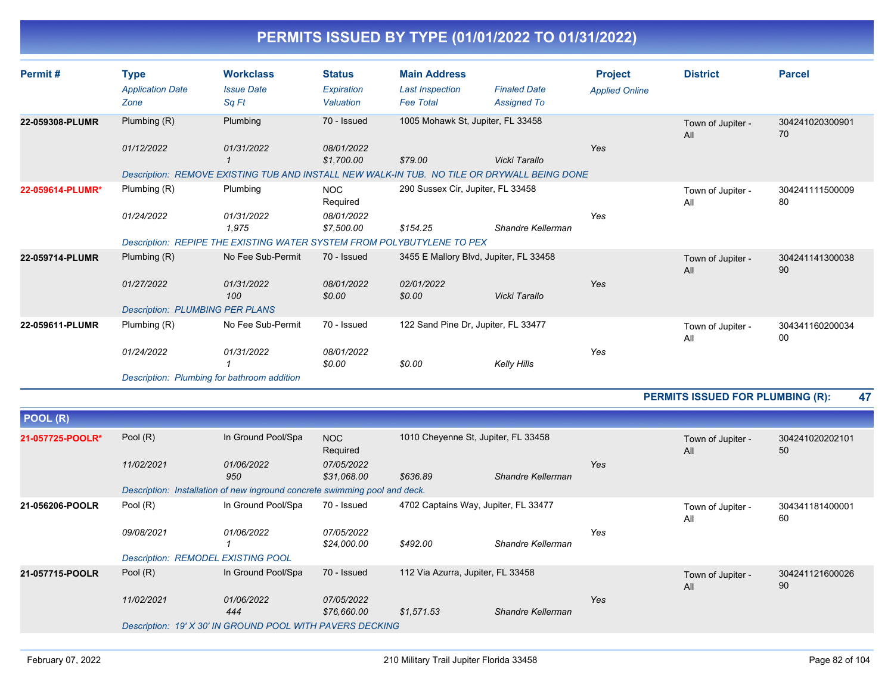| Permit#          | <b>Type</b>                            | <b>Workclass</b>                                                                            | <b>Status</b>            | <b>Main Address</b>                 |                                        | <b>Project</b>        | <b>District</b>                         | <b>Parcel</b>         |
|------------------|----------------------------------------|---------------------------------------------------------------------------------------------|--------------------------|-------------------------------------|----------------------------------------|-----------------------|-----------------------------------------|-----------------------|
|                  | <b>Application Date</b>                | <b>Issue Date</b>                                                                           | Expiration               | <b>Last Inspection</b>              | <b>Finaled Date</b>                    | <b>Applied Online</b> |                                         |                       |
|                  | Zone                                   | Sq Ft                                                                                       | Valuation                | <b>Fee Total</b>                    | <b>Assigned To</b>                     |                       |                                         |                       |
| 22-059308-PLUMR  | Plumbing (R)                           | Plumbing                                                                                    | 70 - Issued              | 1005 Mohawk St, Jupiter, FL 33458   |                                        |                       | Town of Jupiter -<br>All                | 304241020300901<br>70 |
|                  | 01/12/2022                             | 01/31/2022                                                                                  | 08/01/2022<br>\$1,700.00 | \$79.00                             | Vicki Tarallo                          | Yes                   |                                         |                       |
|                  |                                        | Description: REMOVE EXISTING TUB AND INSTALL NEW WALK-IN TUB. NO TILE OR DRYWALL BEING DONE |                          |                                     |                                        |                       |                                         |                       |
| 22-059614-PLUMR* | Plumbing (R)                           | Plumbing                                                                                    | <b>NOC</b><br>Required   | 290 Sussex Cir, Jupiter, FL 33458   |                                        |                       | Town of Jupiter -<br>All                | 304241111500009<br>80 |
|                  | 01/24/2022                             | 01/31/2022<br>1,975                                                                         | 08/01/2022<br>\$7,500.00 | \$154.25                            | Shandre Kellerman                      | Yes                   |                                         |                       |
|                  |                                        | Description: REPIPE THE EXISTING WATER SYSTEM FROM POLYBUTYLENE TO PEX                      |                          |                                     |                                        |                       |                                         |                       |
| 22-059714-PLUMR  | Plumbing (R)                           | No Fee Sub-Permit                                                                           | 70 - Issued              |                                     | 3455 E Mallory Blvd, Jupiter, FL 33458 |                       | Town of Jupiter -<br>All                | 304241141300038<br>90 |
|                  | 01/27/2022                             | 01/31/2022<br>100                                                                           | 08/01/2022<br>\$0.00     | 02/01/2022<br>\$0.00                | Vicki Tarallo                          | Yes                   |                                         |                       |
|                  | <b>Description: PLUMBING PER PLANS</b> |                                                                                             |                          |                                     |                                        |                       |                                         |                       |
| 22-059611-PLUMR  | Plumbing (R)                           | No Fee Sub-Permit                                                                           | 70 - Issued              | 122 Sand Pine Dr, Jupiter, FL 33477 |                                        |                       | Town of Jupiter -<br>All                | 304341160200034<br>00 |
|                  | 01/24/2022                             | 01/31/2022                                                                                  | 08/01/2022<br>\$0.00     | \$0.00                              | Kelly Hills                            | Yes                   |                                         |                       |
|                  |                                        | Description: Plumbing for bathroom addition                                                 |                          |                                     |                                        |                       |                                         |                       |
|                  |                                        |                                                                                             |                          |                                     |                                        |                       | <b>PERMITS ISSUED FOR PLUMBING (R):</b> | 47                    |
| POOL (R)         |                                        |                                                                                             |                          |                                     |                                        |                       |                                         |                       |

| י יי ביט         |                                           |                                                                            |                           |                                      |                   |     |                          |                       |
|------------------|-------------------------------------------|----------------------------------------------------------------------------|---------------------------|--------------------------------------|-------------------|-----|--------------------------|-----------------------|
| 21-057725-POOLR* | Pool $(R)$                                | In Ground Pool/Spa                                                         | NOC<br>Required           | 1010 Cheyenne St, Jupiter, FL 33458  |                   |     | Town of Jupiter -<br>All | 304241020202101<br>50 |
|                  | 11/02/2021                                | 01/06/2022<br>950                                                          | 07/05/2022<br>\$31,068.00 | \$636.89                             | Shandre Kellerman | Yes |                          |                       |
|                  |                                           | Description: Installation of new inground concrete swimming pool and deck. |                           |                                      |                   |     |                          |                       |
| 21-056206-POOLR  | Pool (R)                                  | In Ground Pool/Spa                                                         | 70 - Issued               | 4702 Captains Way, Jupiter, FL 33477 |                   |     | Town of Jupiter -<br>All | 304341181400001<br>60 |
|                  | 09/08/2021                                | 01/06/2022                                                                 | 07/05/2022<br>\$24,000.00 | \$492.00                             | Shandre Kellerman | Yes |                          |                       |
|                  | <b>Description: REMODEL EXISTING POOL</b> |                                                                            |                           |                                      |                   |     |                          |                       |
| 21-057715-POOLR  | Pool $(R)$                                | In Ground Pool/Spa                                                         | 70 - Issued               | 112 Via Azurra, Jupiter, FL 33458    |                   |     | Town of Jupiter -<br>All | 304241121600026<br>90 |
|                  | 11/02/2021                                | 01/06/2022<br>444                                                          | 07/05/2022<br>\$76,660.00 | \$1,571.53                           | Shandre Kellerman | Yes |                          |                       |
|                  |                                           | Description: 19' X 30' IN GROUND POOL WITH PAVERS DECKING                  |                           |                                      |                   |     |                          |                       |
|                  |                                           |                                                                            |                           |                                      |                   |     |                          |                       |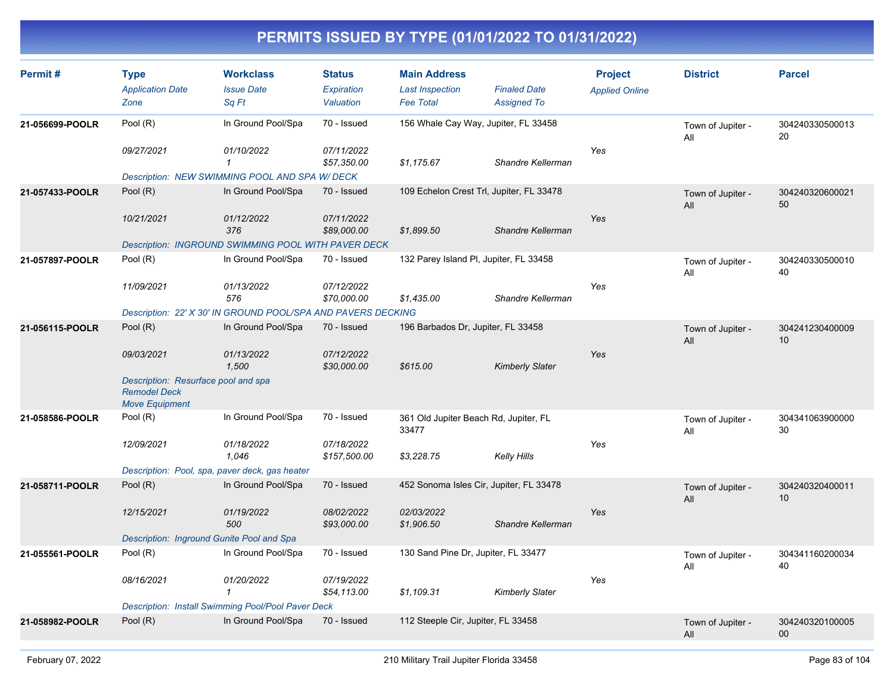| Permit#         | <b>Type</b><br><b>Application Date</b><br>Zone                                      | <b>Workclass</b><br><b>Issue Date</b><br>Sa Ft               | <b>Status</b><br>Expiration<br>Valuation | <b>Main Address</b><br><b>Last Inspection</b><br><b>Fee Total</b> | <b>Finaled Date</b><br><b>Assigned To</b> | <b>Project</b><br><b>Applied Online</b> | <b>District</b>          | <b>Parcel</b>         |
|-----------------|-------------------------------------------------------------------------------------|--------------------------------------------------------------|------------------------------------------|-------------------------------------------------------------------|-------------------------------------------|-----------------------------------------|--------------------------|-----------------------|
| 21-056699-POOLR | Pool (R)                                                                            | In Ground Pool/Spa                                           | 70 - Issued                              | 156 Whale Cay Way, Jupiter, FL 33458                              |                                           |                                         | Town of Jupiter -<br>All | 304240330500013<br>20 |
|                 | 09/27/2021                                                                          | 01/10/2022<br>$\mathbf{1}$                                   | 07/11/2022<br>\$57,350.00                | \$1,175.67                                                        | Shandre Kellerman                         | Yes                                     |                          |                       |
|                 |                                                                                     | Description: NEW SWIMMING POOL AND SPA W/ DECK               |                                          |                                                                   |                                           |                                         |                          |                       |
| 21-057433-POOLR | Pool (R)                                                                            | In Ground Pool/Spa                                           | 70 - Issued                              |                                                                   | 109 Echelon Crest Trl, Jupiter, FL 33478  |                                         | Town of Jupiter -<br>All | 304240320600021<br>50 |
|                 | 10/21/2021                                                                          | 01/12/2022<br>376                                            | 07/11/2022<br>\$89,000.00                | \$1,899.50                                                        | Shandre Kellerman                         | Yes                                     |                          |                       |
|                 |                                                                                     | <b>Description: INGROUND SWIMMING POOL WITH PAVER DECK</b>   |                                          |                                                                   |                                           |                                         |                          |                       |
| 21-057897-POOLR | Pool (R)                                                                            | In Ground Pool/Spa                                           | 70 - Issued                              | 132 Parey Island PI, Jupiter, FL 33458                            |                                           |                                         | Town of Jupiter -<br>All | 304240330500010<br>40 |
|                 | 11/09/2021                                                                          | 01/13/2022<br>576                                            | 07/12/2022<br>\$70,000.00                | \$1,435.00                                                        | Shandre Kellerman                         | Yes                                     |                          |                       |
|                 |                                                                                     | Description: 22' X 30' IN GROUND POOL/SPA AND PAVERS DECKING |                                          |                                                                   |                                           |                                         |                          |                       |
| 21-056115-POOLR | Pool (R)                                                                            | In Ground Pool/Spa                                           | 70 - Issued                              | 196 Barbados Dr, Jupiter, FL 33458                                |                                           |                                         | Town of Jupiter -<br>All | 304241230400009<br>10 |
|                 | 09/03/2021                                                                          | 01/13/2022<br>1,500                                          | 07/12/2022<br>\$30,000.00                | \$615.00                                                          | <b>Kimberly Slater</b>                    | Yes                                     |                          |                       |
|                 | Description: Resurface pool and spa<br><b>Remodel Deck</b><br><b>Move Equipment</b> |                                                              |                                          |                                                                   |                                           |                                         |                          |                       |
| 21-058586-POOLR | Pool (R)                                                                            | In Ground Pool/Spa                                           | 70 - Issued                              | 361 Old Jupiter Beach Rd, Jupiter, FL<br>33477                    |                                           |                                         | Town of Jupiter -<br>All | 304341063900000<br>30 |
|                 | 12/09/2021                                                                          | 01/18/2022<br>1,046                                          | 07/18/2022<br>\$157,500.00               | \$3,228.75                                                        | Kelly Hills                               | Yes                                     |                          |                       |
|                 |                                                                                     | Description: Pool, spa, paver deck, gas heater               |                                          |                                                                   |                                           |                                         |                          |                       |
| 21-058711-POOLR | Pool (R)                                                                            | In Ground Pool/Spa                                           | 70 - Issued                              | 452 Sonoma Isles Cir, Jupiter, FL 33478                           |                                           |                                         | Town of Jupiter -<br>All | 304240320400011<br>10 |
|                 | 12/15/2021                                                                          | 01/19/2022<br>500                                            | 08/02/2022<br>\$93,000.00                | 02/03/2022<br>\$1,906.50                                          | Shandre Kellerman                         | Yes                                     |                          |                       |
|                 |                                                                                     | Description: Inground Gunite Pool and Spa                    |                                          |                                                                   |                                           |                                         |                          |                       |
| 21-055561-POOLR | Pool (R)                                                                            | In Ground Pool/Spa                                           | 70 - Issued                              | 130 Sand Pine Dr, Jupiter, FL 33477                               |                                           |                                         | Town of Jupiter -<br>All | 304341160200034<br>40 |
|                 | 08/16/2021                                                                          | 01/20/2022<br>$\mathbf{1}$                                   | 07/19/2022<br>\$54,113.00                | \$1,109.31                                                        | <b>Kimberly Slater</b>                    | Yes                                     |                          |                       |
|                 |                                                                                     | Description: Install Swimming Pool/Pool Paver Deck           |                                          |                                                                   |                                           |                                         |                          |                       |
| 21-058982-POOLR | Pool (R)                                                                            | In Ground Pool/Spa                                           | 70 - Issued                              | 112 Steeple Cir, Jupiter, FL 33458                                |                                           |                                         | Town of Jupiter -<br>All | 304240320100005<br>00 |
|                 |                                                                                     |                                                              |                                          |                                                                   |                                           |                                         |                          |                       |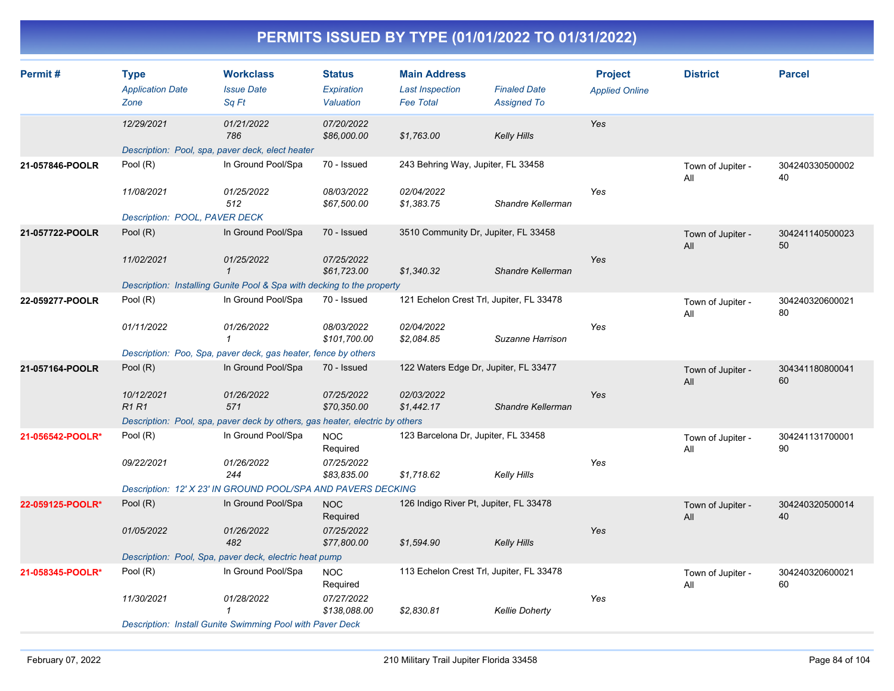| Permit#          | <b>Type</b><br><b>Application Date</b><br>Zone | <b>Workclass</b><br><b>Issue Date</b><br>Sq Ft                               | <b>Status</b><br><b>Expiration</b><br>Valuation | <b>Main Address</b><br><b>Last Inspection</b><br><b>Fee Total</b> | <b>Finaled Date</b><br><b>Assigned To</b> | <b>Project</b><br><b>Applied Online</b> | <b>District</b>          | <b>Parcel</b>         |
|------------------|------------------------------------------------|------------------------------------------------------------------------------|-------------------------------------------------|-------------------------------------------------------------------|-------------------------------------------|-----------------------------------------|--------------------------|-----------------------|
|                  | 12/29/2021                                     | 01/21/2022<br>786                                                            | 07/20/2022<br>\$86,000.00                       | \$1,763.00                                                        | <b>Kelly Hills</b>                        | Yes                                     |                          |                       |
|                  |                                                | Description: Pool, spa, paver deck, elect heater                             |                                                 |                                                                   |                                           |                                         |                          |                       |
| 21-057846-POOLR  | Pool (R)                                       | In Ground Pool/Spa                                                           | 70 - Issued                                     | 243 Behring Way, Jupiter, FL 33458                                |                                           |                                         | Town of Jupiter -<br>All | 304240330500002<br>40 |
|                  | 11/08/2021                                     | 01/25/2022<br>512                                                            | 08/03/2022<br>\$67,500.00                       | 02/04/2022<br>\$1,383.75                                          | Shandre Kellerman                         | Yes                                     |                          |                       |
|                  | Description: POOL, PAVER DECK                  |                                                                              |                                                 |                                                                   |                                           |                                         |                          |                       |
| 21-057722-POOLR  | Pool (R)                                       | In Ground Pool/Spa                                                           | 70 - Issued                                     | 3510 Community Dr, Jupiter, FL 33458                              |                                           |                                         | Town of Jupiter -<br>All | 304241140500023<br>50 |
|                  | 11/02/2021                                     | 01/25/2022<br>$\mathbf 1$                                                    | 07/25/2022<br>\$61,723.00                       | \$1,340.32                                                        | Shandre Kellerman                         | Yes                                     |                          |                       |
|                  |                                                | Description: Installing Gunite Pool & Spa with decking to the property       |                                                 |                                                                   |                                           |                                         |                          |                       |
| 22-059277-POOLR  | Pool (R)                                       | In Ground Pool/Spa                                                           | 70 - Issued                                     | 121 Echelon Crest Trl, Jupiter, FL 33478                          |                                           |                                         | Town of Jupiter -<br>All | 304240320600021<br>80 |
|                  | 01/11/2022                                     | 01/26/2022<br>$\mathbf{1}$                                                   | 08/03/2022<br>\$101,700.00                      | 02/04/2022<br>\$2,084.85                                          | Suzanne Harrison                          | Yes                                     |                          |                       |
|                  |                                                | Description: Poo, Spa, paver deck, gas heater, fence by others               |                                                 |                                                                   |                                           |                                         |                          |                       |
| 21-057164-POOLR  | Pool $(R)$                                     | In Ground Pool/Spa                                                           | 70 - Issued                                     |                                                                   | 122 Waters Edge Dr, Jupiter, FL 33477     |                                         |                          | 304341180800041<br>60 |
|                  | 10/12/2021<br><b>R1R1</b>                      | 01/26/2022<br>571                                                            | 07/25/2022<br>\$70,350.00                       | 02/03/2022<br>\$1,442.17                                          | Shandre Kellerman                         | Yes                                     |                          |                       |
|                  |                                                | Description: Pool, spa, paver deck by others, gas heater, electric by others |                                                 |                                                                   |                                           |                                         |                          |                       |
| 21-056542-POOLR* | Pool (R)                                       | In Ground Pool/Spa                                                           | <b>NOC</b><br>Required                          | 123 Barcelona Dr, Jupiter, FL 33458                               |                                           |                                         | Town of Jupiter -<br>All | 304241131700001<br>90 |
|                  | 09/22/2021                                     | 01/26/2022<br>244                                                            | 07/25/2022<br>\$83,835.00                       | \$1,718.62                                                        | Kelly Hills                               | Yes                                     |                          |                       |
|                  |                                                | Description: 12' X 23' IN GROUND POOL/SPA AND PAVERS DECKING                 |                                                 |                                                                   |                                           |                                         |                          |                       |
| 22-059125-POOLR* | Pool (R)                                       | In Ground Pool/Spa                                                           | <b>NOC</b><br>Required                          | 126 Indigo River Pt, Jupiter, FL 33478                            |                                           |                                         | Town of Jupiter -<br>All | 304240320500014<br>40 |
|                  | 01/05/2022                                     | 01/26/2022<br>482                                                            | 07/25/2022<br>\$77,800.00                       | \$1,594.90                                                        | <b>Kelly Hills</b>                        | Yes                                     |                          |                       |
|                  |                                                | Description: Pool, Spa, paver deck, electric heat pump                       |                                                 |                                                                   |                                           |                                         |                          |                       |
| 21-058345-POOLR* | Pool (R)                                       | In Ground Pool/Spa                                                           | <b>NOC</b><br>Required                          | 113 Echelon Crest Trl, Jupiter, FL 33478                          |                                           |                                         | Town of Jupiter -<br>All | 304240320600021<br>60 |
|                  | 11/30/2021                                     | 01/28/2022<br>1                                                              | 07/27/2022<br>\$138,088.00                      | \$2,830.81                                                        | <b>Kellie Doherty</b>                     | Yes                                     |                          |                       |
|                  |                                                | Description: Install Gunite Swimming Pool with Paver Deck                    |                                                 |                                                                   |                                           |                                         |                          |                       |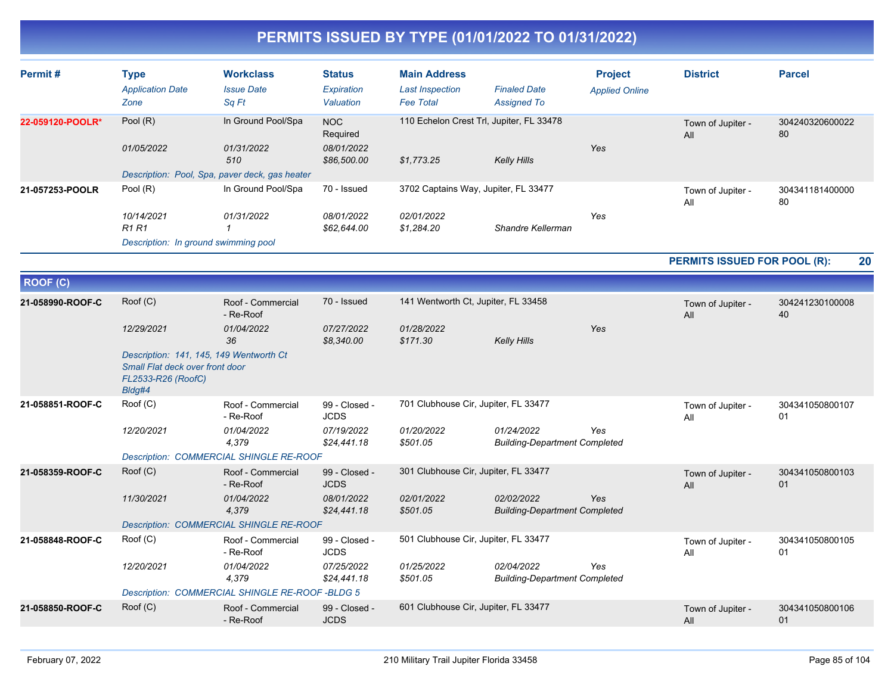| Permit#          | <b>Type</b><br><b>Application Date</b><br>Zone                                                             | <b>Workclass</b><br><b>Issue Date</b><br>Sa Ft  | <b>Status</b><br>Expiration<br>Valuation | <b>Main Address</b><br><b>Last Inspection</b><br><b>Fee Total</b> | <b>Finaled Date</b><br><b>Assigned To</b>          | <b>Project</b><br><b>Applied Online</b> | <b>District</b>              | <b>Parcel</b>         |
|------------------|------------------------------------------------------------------------------------------------------------|-------------------------------------------------|------------------------------------------|-------------------------------------------------------------------|----------------------------------------------------|-----------------------------------------|------------------------------|-----------------------|
| 22-059120-POOLR* | Pool (R)                                                                                                   | In Ground Pool/Spa                              | <b>NOC</b><br>Required                   | 110 Echelon Crest Trl, Jupiter, FL 33478                          |                                                    |                                         | Town of Jupiter -<br>All     | 304240320600022<br>80 |
|                  | 01/05/2022                                                                                                 | 01/31/2022<br>510                               | 08/01/2022<br>\$86,500.00                | \$1,773.25                                                        | Kelly Hills                                        | Yes                                     |                              |                       |
|                  |                                                                                                            | Description: Pool, Spa, paver deck, gas heater  |                                          |                                                                   |                                                    |                                         |                              |                       |
| 21-057253-POOLR  | Pool (R)                                                                                                   | In Ground Pool/Spa                              | 70 - Issued                              | 3702 Captains Way, Jupiter, FL 33477                              |                                                    |                                         | Town of Jupiter -<br>All     | 304341181400000<br>80 |
|                  | 10/14/2021<br><b>R1 R1</b>                                                                                 | 01/31/2022<br>$\mathbf{1}$                      | 08/01/2022<br>\$62,644.00                | 02/01/2022<br>\$1,284.20                                          | Shandre Kellerman                                  | Yes                                     |                              |                       |
|                  | Description: In ground swimming pool                                                                       |                                                 |                                          |                                                                   |                                                    |                                         |                              |                       |
|                  |                                                                                                            |                                                 |                                          |                                                                   |                                                    |                                         | PERMITS ISSUED FOR POOL (R): | 20                    |
| <b>ROOF (C)</b>  |                                                                                                            |                                                 |                                          |                                                                   |                                                    |                                         |                              |                       |
| 21-058990-ROOF-C | Root(C)                                                                                                    | Roof - Commercial<br>- Re-Roof                  | 70 - Issued                              | 141 Wentworth Ct, Jupiter, FL 33458                               |                                                    |                                         | Town of Jupiter -<br>All     | 304241230100008<br>40 |
|                  | 12/29/2021                                                                                                 | 01/04/2022<br>36                                | 07/27/2022<br>\$8,340.00                 | 01/28/2022<br>\$171.30                                            | Kelly Hills                                        | Yes                                     |                              |                       |
|                  | Description: 141, 145, 149 Wentworth Ct<br>Small Flat deck over front door<br>FL2533-R26 (RoofC)<br>Bldg#4 |                                                 |                                          |                                                                   |                                                    |                                         |                              |                       |
| 21-058851-ROOF-C | Root(C)                                                                                                    | Roof - Commercial<br>- Re-Roof                  | 99 - Closed -<br><b>JCDS</b>             | 701 Clubhouse Cir, Jupiter, FL 33477                              |                                                    |                                         | Town of Jupiter -<br>All     | 304341050800107<br>01 |
|                  | 12/20/2021                                                                                                 | 01/04/2022<br>4,379                             | 07/19/2022<br>\$24,441.18                | 01/20/2022<br>\$501.05                                            | 01/24/2022<br><b>Building-Department Completed</b> | Yes                                     |                              |                       |
|                  |                                                                                                            | <b>Description: COMMERCIAL SHINGLE RE-ROOF</b>  |                                          |                                                                   |                                                    |                                         |                              |                       |
| 21-058359-ROOF-C | Root(C)                                                                                                    | Roof - Commercial<br>- Re-Roof                  | 99 - Closed -<br><b>JCDS</b>             | 301 Clubhouse Cir, Jupiter, FL 33477                              |                                                    |                                         | Town of Jupiter -<br>All     | 304341050800103<br>01 |
|                  | 11/30/2021                                                                                                 | 01/04/2022<br>4,379                             | 08/01/2022<br>\$24,441.18                | 02/01/2022<br>\$501.05                                            | 02/02/2022<br><b>Building-Department Completed</b> | Yes                                     |                              |                       |
|                  |                                                                                                            | Description: COMMERCIAL SHINGLE RE-ROOF         |                                          |                                                                   |                                                    |                                         |                              |                       |
| 21-058848-ROOF-C | Roof (C)                                                                                                   | Roof - Commercial<br>- Re-Roof                  | 99 - Closed -<br><b>JCDS</b>             | 501 Clubhouse Cir, Jupiter, FL 33477                              |                                                    |                                         | Town of Jupiter -<br>All     | 304341050800105<br>01 |
|                  | 12/20/2021                                                                                                 | 01/04/2022<br>4,379                             | 07/25/2022<br>\$24,441.18                | 01/25/2022<br>\$501.05                                            | 02/04/2022<br><b>Building-Department Completed</b> | Yes                                     |                              |                       |
|                  |                                                                                                            | Description: COMMERCIAL SHINGLE RE-ROOF -BLDG 5 |                                          |                                                                   |                                                    |                                         |                              |                       |
| 21-058850-ROOF-C | Root(C)                                                                                                    | Roof - Commercial<br>- Re-Roof                  | 99 - Closed -<br><b>JCDS</b>             | 601 Clubhouse Cir, Jupiter, FL 33477                              |                                                    |                                         | Town of Jupiter -<br>All     | 304341050800106<br>01 |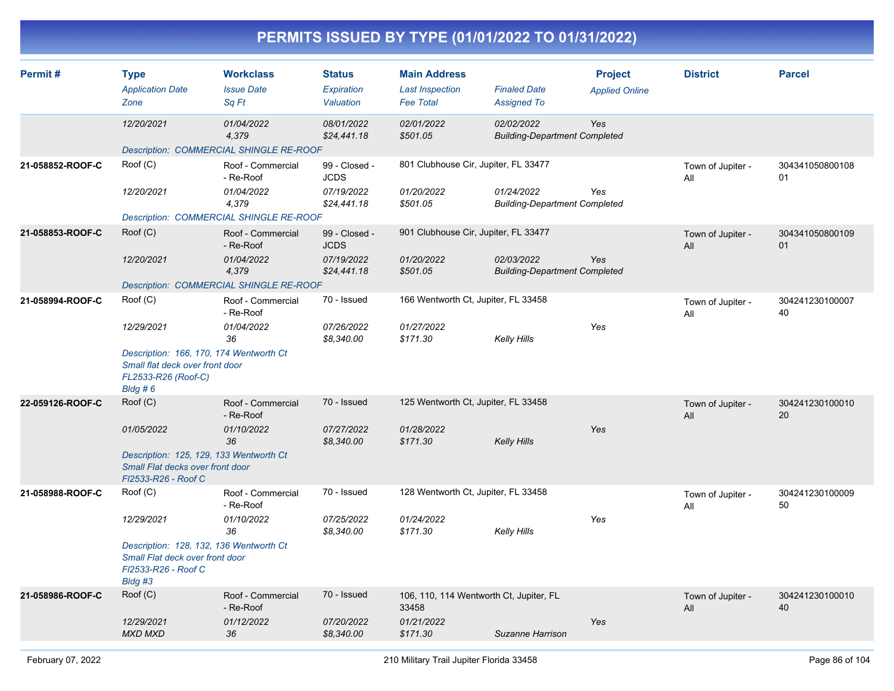| PERMITS ISSUED BY TYPE (01/01/2022 TO 01/31/2022) |                                                                                                                                          |                                                                                                                                             |                                                           |                                                                   |                                                             |                                         |                          |                       |  |  |
|---------------------------------------------------|------------------------------------------------------------------------------------------------------------------------------------------|---------------------------------------------------------------------------------------------------------------------------------------------|-----------------------------------------------------------|-------------------------------------------------------------------|-------------------------------------------------------------|-----------------------------------------|--------------------------|-----------------------|--|--|
| Permit#                                           | <b>Type</b><br><b>Application Date</b><br>Zone                                                                                           | <b>Workclass</b><br><b>Issue Date</b><br>Sq Ft                                                                                              | Status<br>Expiration<br>Valuation                         | <b>Main Address</b><br><b>Last Inspection</b><br><b>Fee Total</b> | <b>Finaled Date</b><br><b>Assigned To</b>                   | <b>Project</b><br><b>Applied Online</b> | <b>District</b>          | <b>Parcel</b>         |  |  |
|                                                   | 12/20/2021                                                                                                                               | <i>01/04/2022</i><br>4,379<br>Description: COMMERCIAL SHINGLE RE-ROOF                                                                       | 08/01/2022<br>\$24,441.18                                 | 02/01/2022<br>\$501.05                                            | 02/02/2022<br><b>Building-Department Completed</b>          | Yes                                     |                          |                       |  |  |
| 21-058852-ROOF-C                                  | Root(C)<br>12/20/2021                                                                                                                    | Roof - Commercial<br>- Re-Roof<br>01/04/2022<br>4,379                                                                                       | 99 - Closed -<br><b>JCDS</b><br>07/19/2022<br>\$24,441.18 | 801 Clubhouse Cir, Jupiter, FL 33477<br>01/20/2022<br>\$501.05    | 01/24/2022<br><b>Building-Department Completed</b>          | Yes                                     | Town of Jupiter -<br>All | 304341050800108<br>01 |  |  |
| 21-058853-ROOF-C                                  | Root(C)<br>12/20/2021                                                                                                                    | Description: COMMERCIAL SHINGLE RE-ROOF<br>Roof - Commercial<br>- Re-Roof<br>01/04/2022<br>4,379<br>Description: COMMERCIAL SHINGLE RE-ROOF | 99 - Closed -<br><b>JCDS</b><br>07/19/2022<br>\$24,441.18 | 901 Clubhouse Cir, Jupiter, FL 33477<br>01/20/2022<br>\$501.05    | 02/03/2022<br><b>Building-Department Completed</b>          | Yes                                     | Town of Jupiter -<br>All | 304341050800109<br>01 |  |  |
| 21-058994-ROOF-C                                  | Root(C)<br>12/29/2021<br>Description: 166, 170, 174 Wentworth Ct<br>Small flat deck over front door<br>FL2533-R26 (Roof-C)<br>$B$ ldg #6 | Roof - Commercial<br>- Re-Roof<br>01/04/2022<br>36                                                                                          | 70 - Issued<br>07/26/2022<br>\$8,340.00                   | 166 Wentworth Ct, Jupiter, FL 33458<br>01/27/2022<br>\$171.30     | <b>Kelly Hills</b>                                          | Yes                                     | Town of Jupiter -<br>All | 304241230100007<br>40 |  |  |
| 22-059126-ROOF-C                                  | Root(C)<br>01/05/2022<br>Description: 125, 129, 133 Wentworth Ct<br>Small Flat decks over front door<br>FI2533-R26 - Roof C              | Roof - Commercial<br>- Re-Roof<br>01/10/2022<br>36                                                                                          | 70 - Issued<br>07/27/2022<br>\$8,340.00                   | 125 Wentworth Ct, Jupiter, FL 33458<br>01/28/2022<br>\$171.30     | Kelly Hills                                                 | Yes                                     | Town of Jupiter -<br>All | 304241230100010<br>20 |  |  |
| 21-058988-ROOF-C                                  | Root(C)<br>12/29/2021<br>Description: 128, 132, 136 Wentworth Ct<br>Small Flat deck over front door<br>FI2533-R26 - Roof C<br>Bldg #3    | Roof - Commercial<br>- Re-Roof<br>01/10/2022<br>36                                                                                          | 70 - Issued<br>07/25/2022<br>\$8,340.00                   | 128 Wentworth Ct, Jupiter, FL 33458<br>01/24/2022<br>\$171.30     | Kelly Hills                                                 | Yes                                     | Town of Jupiter -<br>All | 304241230100009<br>50 |  |  |
| 21-058986-ROOF-C                                  | Root(C)<br>12/29/2021<br><b>MXD MXD</b>                                                                                                  | Roof - Commercial<br>- Re-Roof<br>01/12/2022<br>36                                                                                          | 70 - Issued<br>07/20/2022<br>\$8,340.00                   | 33458<br>01/21/2022<br>\$171.30                                   | 106, 110, 114 Wentworth Ct, Jupiter, FL<br>Suzanne Harrison | Yes                                     | Town of Jupiter -<br>All | 304241230100010<br>40 |  |  |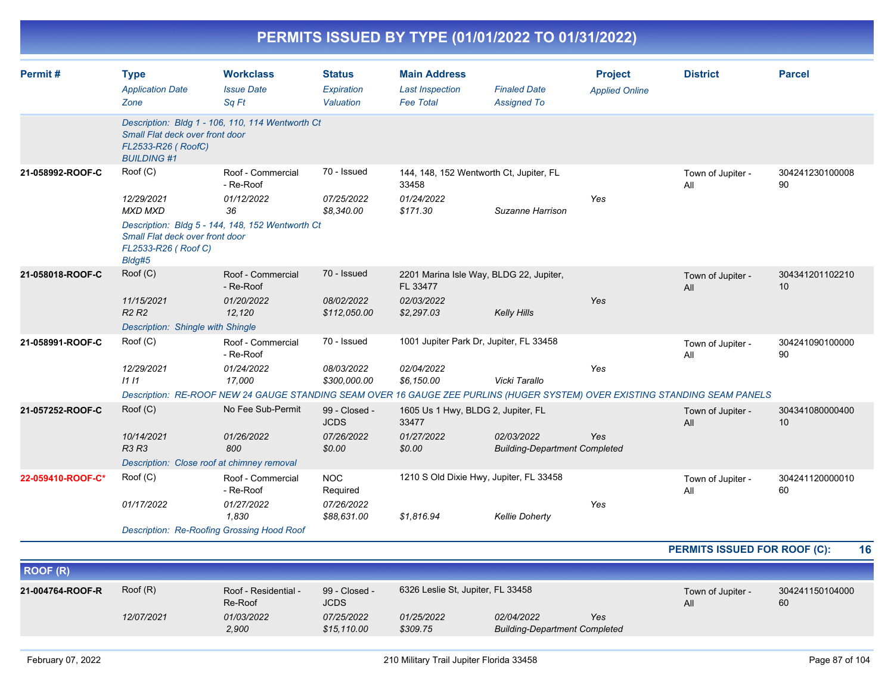|                   |                                                                                                    |                                                                                                                                                                                       |                                                      | PERMITS ISSUED BY TYPE (01/01/2022 TO 01/31/2022)                               |                                                    |                                         |                                     |                       |
|-------------------|----------------------------------------------------------------------------------------------------|---------------------------------------------------------------------------------------------------------------------------------------------------------------------------------------|------------------------------------------------------|---------------------------------------------------------------------------------|----------------------------------------------------|-----------------------------------------|-------------------------------------|-----------------------|
| Permit#           | <b>Type</b><br><b>Application Date</b><br>Zone                                                     | <b>Workclass</b><br><b>Issue Date</b><br>Sq Ft                                                                                                                                        | <b>Status</b><br>Expiration<br>Valuation             | <b>Main Address</b><br><b>Last Inspection</b><br><b>Fee Total</b>               | <b>Finaled Date</b><br><b>Assigned To</b>          | <b>Project</b><br><b>Applied Online</b> | <b>District</b>                     | <b>Parcel</b>         |
|                   | Small Flat deck over front door<br>FL2533-R26 (RoofC)<br><b>BUILDING #1</b>                        | Description: Bldg 1 - 106, 110, 114 Wentworth Ct                                                                                                                                      |                                                      |                                                                                 |                                                    |                                         |                                     |                       |
| 21-058992-ROOF-C  | Roof (C)<br>12/29/2021<br><b>MXD MXD</b><br>Small Flat deck over front door<br>FL2533-R26 (Roof C) | Roof - Commercial<br>- Re-Roof<br>01/12/2022<br>36<br>Description: Bldg 5 - 144, 148, 152 Wentworth Ct                                                                                | 70 - Issued<br>07/25/2022<br>\$8,340.00              | 144, 148, 152 Wentworth Ct, Jupiter, FL<br>33458<br>01/24/2022<br>\$171.30      | Suzanne Harrison                                   | Yes                                     | Town of Jupiter -<br>All            | 304241230100008<br>90 |
| 21-058018-ROOF-C  | Bldg#5<br>Roof (C)<br>11/15/2021<br>R <sub>2</sub> R <sub>2</sub>                                  | Roof - Commercial<br>- Re-Roof<br>01/20/2022<br>12,120                                                                                                                                | 70 - Issued<br>08/02/2022<br>\$112,050.00            | 2201 Marina Isle Way, BLDG 22, Jupiter,<br>FL 33477<br>02/03/2022<br>\$2,297.03 | <b>Kelly Hills</b>                                 | Yes                                     | Town of Jupiter -<br>All            | 304341201102210<br>10 |
| 21-058991-ROOF-C  | Description: Shingle with Shingle<br>Roof (C)<br>12/29/2021<br>1111                                | Roof - Commercial<br>- Re-Roof<br>01/24/2022<br>17,000<br>Description: RE-ROOF NEW 24 GAUGE STANDING SEAM OVER 16 GAUGE ZEE PURLINS (HUGER SYSTEM) OVER EXISTING STANDING SEAM PANELS | 70 - Issued<br>08/03/2022<br>\$300,000.00            | 1001 Jupiter Park Dr, Jupiter, FL 33458<br>02/04/2022<br>\$6,150.00             | Vicki Tarallo                                      | Yes                                     | Town of Jupiter -<br>All            | 304241090100000<br>90 |
| 21-057252-ROOF-C  | Roof (C)<br>10/14/2021<br><b>R3 R3</b><br>Description: Close roof at chimney removal               | No Fee Sub-Permit<br>01/26/2022<br>800                                                                                                                                                | 99 - Closed -<br><b>JCDS</b><br>07/26/2022<br>\$0.00 | 1605 Us 1 Hwy, BLDG 2, Jupiter, FL<br>33477<br>01/27/2022<br>\$0.00             | 02/03/2022<br><b>Building-Department Completed</b> | Yes                                     | Town of Jupiter -<br>All            | 304341080000400<br>10 |
| 22-059410-ROOF-C* | Root(C)<br>01/17/2022<br><b>Description: Re-Roofing Grossing Hood Roof</b>                         | Roof - Commercial<br>- Re-Roof<br>01/27/2022<br>1,830                                                                                                                                 | <b>NOC</b><br>Required<br>07/26/2022<br>\$88,631.00  | 1210 S Old Dixie Hwy, Jupiter, FL 33458<br>\$1,816.94                           | <b>Kellie Doherty</b>                              | Yes                                     | Town of Jupiter -<br>All            | 304241120000010<br>60 |
|                   |                                                                                                    |                                                                                                                                                                                       |                                                      |                                                                                 |                                                    |                                         | <b>PERMITS ISSUED FOR ROOF (C):</b> | 16                    |

| ROOF (R)         |            |                                 |                              |                                   |                                                    |     |                                                   |  |  |
|------------------|------------|---------------------------------|------------------------------|-----------------------------------|----------------------------------------------------|-----|---------------------------------------------------|--|--|
| 21-004764-ROOF-R | Root(R)    | Roof - Residential -<br>Re-Roof | 99 - Closed -<br><b>JCDS</b> | 6326 Leslie St, Jupiter, FL 33458 |                                                    |     | 304241150104000<br>Town of Jupiter -<br>60<br>All |  |  |
|                  | 12/07/2021 | 01/03/2022<br>2,900             | 07/25/2022<br>\$15,110.00    | 01/25/2022<br>\$309.75            | 02/04/2022<br><b>Building-Department Completed</b> | Yes |                                                   |  |  |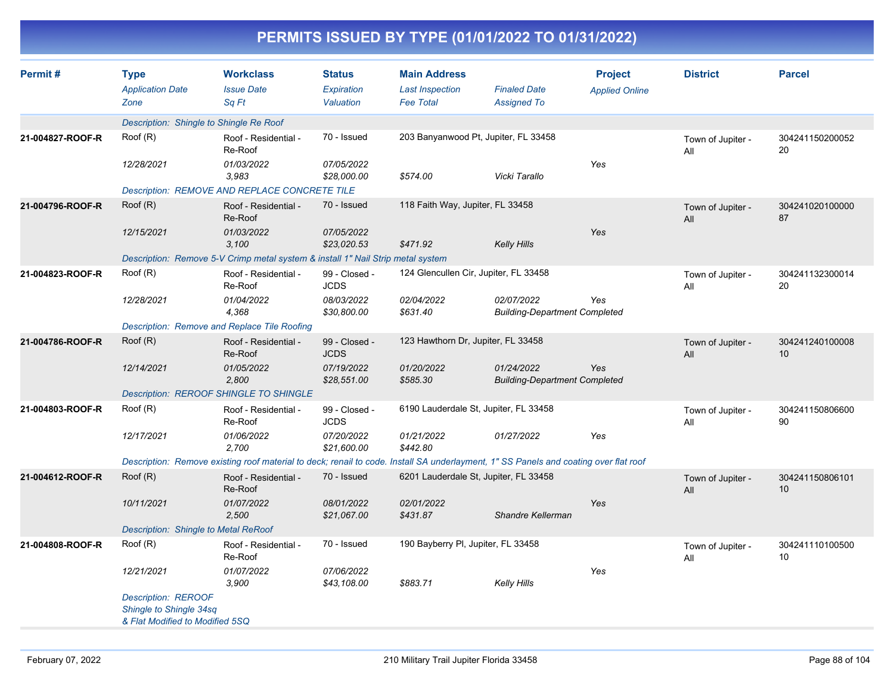|                  |                                                                                          |                                                                                 |                                          |                                                                   | PERMITS ISSUED BY TYPE (01/01/2022 TO 01/31/2022)                                                                                    |                                         |                          |                       |
|------------------|------------------------------------------------------------------------------------------|---------------------------------------------------------------------------------|------------------------------------------|-------------------------------------------------------------------|--------------------------------------------------------------------------------------------------------------------------------------|-----------------------------------------|--------------------------|-----------------------|
| Permit#          | <b>Type</b><br><b>Application Date</b><br>Zone                                           | <b>Workclass</b><br><b>Issue Date</b><br>Sq Ft                                  | <b>Status</b><br>Expiration<br>Valuation | <b>Main Address</b><br><b>Last Inspection</b><br><b>Fee Total</b> | <b>Finaled Date</b><br><b>Assigned To</b>                                                                                            | <b>Project</b><br><b>Applied Online</b> | <b>District</b>          | <b>Parcel</b>         |
|                  | Description: Shingle to Shingle Re Roof                                                  |                                                                                 |                                          |                                                                   |                                                                                                                                      |                                         |                          |                       |
| 21-004827-ROOF-R | Roof (R)                                                                                 | Roof - Residential -<br>Re-Roof                                                 | 70 - Issued                              | 203 Banyanwood Pt, Jupiter, FL 33458                              |                                                                                                                                      |                                         | Town of Jupiter -<br>All | 304241150200052<br>20 |
|                  | 12/28/2021                                                                               | 01/03/2022<br>3,983                                                             | 07/05/2022<br>\$28,000.00                | \$574.00                                                          | Vicki Tarallo                                                                                                                        | Yes                                     |                          |                       |
|                  |                                                                                          | <b>Description: REMOVE AND REPLACE CONCRETE TILE</b>                            |                                          |                                                                   |                                                                                                                                      |                                         |                          |                       |
| 21-004796-ROOF-R | Roof (R)                                                                                 | Roof - Residential -<br>Re-Roof                                                 | 70 - Issued                              | 118 Faith Way, Jupiter, FL 33458                                  |                                                                                                                                      |                                         | Town of Jupiter -<br>All | 304241020100000<br>87 |
|                  | 12/15/2021                                                                               | 01/03/2022<br>3,100                                                             | 07/05/2022<br>\$23,020.53                | \$471.92                                                          | <b>Kelly Hills</b>                                                                                                                   | Yes                                     |                          |                       |
|                  |                                                                                          | Description: Remove 5-V Crimp metal system & install 1" Nail Strip metal system |                                          |                                                                   |                                                                                                                                      |                                         |                          |                       |
| 21-004823-ROOF-R | Root(R)                                                                                  | Roof - Residential -<br>Re-Roof                                                 | 99 - Closed -<br><b>JCDS</b>             | 124 Glencullen Cir, Jupiter, FL 33458                             |                                                                                                                                      |                                         | Town of Jupiter -<br>All | 304241132300014<br>20 |
|                  | 12/28/2021                                                                               | 01/04/2022<br>4,368                                                             | 08/03/2022<br>\$30,800.00                | 02/04/2022<br>\$631.40                                            | 02/07/2022<br><b>Building-Department Completed</b>                                                                                   | Yes                                     |                          |                       |
|                  |                                                                                          | Description: Remove and Replace Tile Roofing                                    |                                          |                                                                   |                                                                                                                                      |                                         |                          |                       |
| 21-004786-ROOF-R | Root(R)                                                                                  | Roof - Residential -<br>Re-Roof                                                 | 99 - Closed -<br><b>JCDS</b>             | 123 Hawthorn Dr, Jupiter, FL 33458                                |                                                                                                                                      |                                         | Town of Jupiter -<br>All | 304241240100008<br>10 |
|                  | 12/14/2021                                                                               | 01/05/2022<br>2,800                                                             | 07/19/2022<br>\$28,551.00                | 01/20/2022<br>\$585.30                                            | 01/24/2022<br><b>Building-Department Completed</b>                                                                                   | Yes                                     |                          |                       |
|                  |                                                                                          | <b>Description: REROOF SHINGLE TO SHINGLE</b>                                   |                                          |                                                                   |                                                                                                                                      |                                         |                          |                       |
| 21-004803-ROOF-R | Root(R)                                                                                  | Roof - Residential -<br>Re-Roof                                                 | 99 - Closed -<br><b>JCDS</b>             | 6190 Lauderdale St, Jupiter, FL 33458                             |                                                                                                                                      |                                         | Town of Jupiter -<br>All | 304241150806600<br>90 |
|                  | 12/17/2021                                                                               | 01/06/2022<br>2,700                                                             | 07/20/2022<br>\$21,600.00                | 01/21/2022<br>\$442.80                                            | 01/27/2022                                                                                                                           | Yes                                     |                          |                       |
|                  |                                                                                          |                                                                                 |                                          |                                                                   | Description: Remove existing roof material to deck; renail to code. Install SA underlayment, 1" SS Panels and coating over flat roof |                                         |                          |                       |
| 21-004612-ROOF-R | Root(R)                                                                                  | Roof - Residential -<br>Re-Roof                                                 | 70 - Issued                              | 6201 Lauderdale St, Jupiter, FL 33458                             |                                                                                                                                      |                                         | Town of Jupiter -<br>All | 304241150806101<br>10 |
|                  | 10/11/2021                                                                               | 01/07/2022<br>2,500                                                             | 08/01/2022<br>\$21,067.00                | 02/01/2022<br>\$431.87                                            | Shandre Kellerman                                                                                                                    | Yes                                     |                          |                       |
|                  | Description: Shingle to Metal ReRoof                                                     |                                                                                 |                                          |                                                                   |                                                                                                                                      |                                         |                          |                       |
| 21-004808-ROOF-R | Root(R)                                                                                  | Roof - Residential -<br>Re-Roof                                                 | 70 - Issued                              | 190 Bayberry PI, Jupiter, FL 33458                                |                                                                                                                                      |                                         | Town of Jupiter -<br>All | 304241110100500<br>10 |
|                  | 12/21/2021                                                                               | 01/07/2022<br>3,900                                                             | 07/06/2022<br>\$43,108.00                | \$883.71                                                          | <b>Kelly Hills</b>                                                                                                                   | Yes                                     |                          |                       |
|                  | <b>Description: REROOF</b><br>Shingle to Shingle 34sq<br>& Flat Modified to Modified 5SQ |                                                                                 |                                          |                                                                   |                                                                                                                                      |                                         |                          |                       |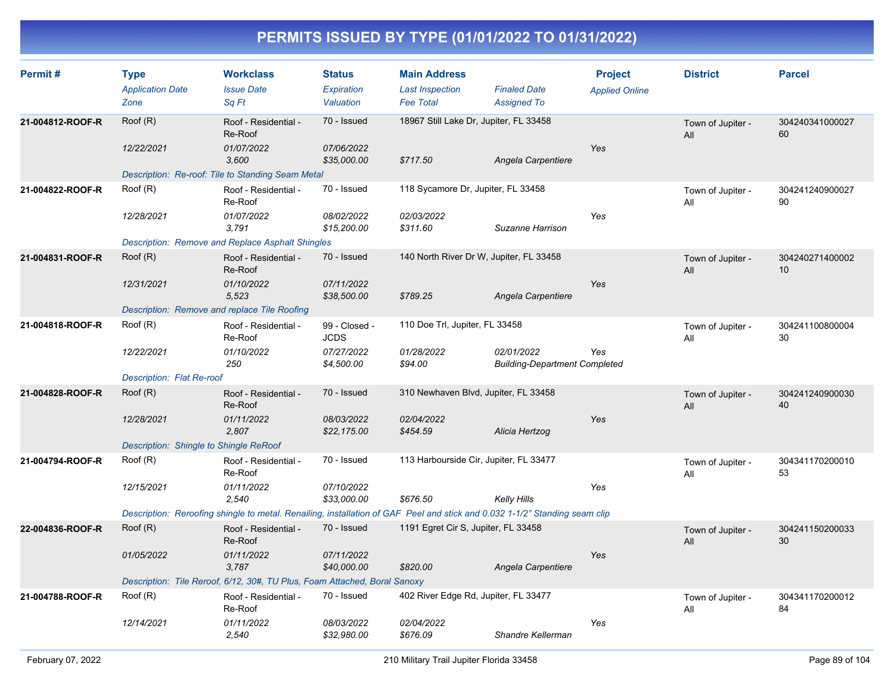| Permit#          | <b>Type</b><br><b>Application Date</b><br>Zone | <b>Workclass</b><br><b>Issue Date</b><br>Sq Ft                                                                             | <b>Status</b><br>Expiration<br>Valuation | <b>Main Address</b><br><b>Last Inspection</b><br><b>Fee Total</b> | <b>Finaled Date</b><br><b>Assigned To</b>          | <b>Project</b><br><b>Applied Online</b> | <b>District</b>          | <b>Parcel</b>         |
|------------------|------------------------------------------------|----------------------------------------------------------------------------------------------------------------------------|------------------------------------------|-------------------------------------------------------------------|----------------------------------------------------|-----------------------------------------|--------------------------|-----------------------|
| 21-004812-ROOF-R | Root(R)                                        | Roof - Residential -<br>Re-Roof                                                                                            | 70 - Issued                              | 18967 Still Lake Dr, Jupiter, FL 33458                            |                                                    |                                         | Town of Jupiter -<br>All | 304240341000027<br>60 |
|                  | 12/22/2021                                     | 01/07/2022<br>3,600                                                                                                        | 07/06/2022<br>\$35,000.00                | \$717.50                                                          | Angela Carpentiere                                 | Yes                                     |                          |                       |
|                  |                                                | Description: Re-roof: Tile to Standing Seam Metal                                                                          |                                          |                                                                   |                                                    |                                         |                          |                       |
| 21-004822-ROOF-R | Root(R)                                        | Roof - Residential -<br>Re-Roof                                                                                            | 70 - Issued                              | 118 Sycamore Dr, Jupiter, FL 33458                                |                                                    |                                         | Town of Jupiter -<br>All | 304241240900027<br>90 |
|                  | 12/28/2021                                     | 01/07/2022<br>3,791                                                                                                        | 08/02/2022<br>\$15,200.00                | 02/03/2022<br>\$311.60                                            | Suzanne Harrison                                   | Yes                                     |                          |                       |
|                  |                                                | <b>Description: Remove and Replace Asphalt Shingles</b>                                                                    |                                          |                                                                   |                                                    |                                         |                          |                       |
| 21-004831-ROOF-R | Root(R)                                        | Roof - Residential -<br>Re-Roof                                                                                            | 70 - Issued                              | 140 North River Dr W, Jupiter, FL 33458                           |                                                    |                                         | Town of Jupiter -<br>All | 304240271400002<br>10 |
|                  | 12/31/2021                                     | 01/10/2022<br>5,523                                                                                                        | 07/11/2022<br>\$38,500.00                | \$789.25                                                          | Angela Carpentiere                                 | Yes                                     |                          |                       |
|                  |                                                | Description: Remove and replace Tile Roofing                                                                               |                                          |                                                                   |                                                    |                                         |                          |                       |
| 21-004818-ROOF-R | Root(R)                                        | Roof - Residential -<br>Re-Roof                                                                                            | 99 - Closed -<br><b>JCDS</b>             | 110 Doe Trl, Jupiter, FL 33458                                    |                                                    |                                         | Town of Jupiter -<br>All | 304241100800004<br>30 |
|                  | 12/22/2021                                     | 01/10/2022<br>250                                                                                                          | 07/27/2022<br>\$4,500.00                 | 01/28/2022<br>\$94.00                                             | 02/01/2022<br><b>Building-Department Completed</b> | Yes                                     |                          |                       |
|                  | <b>Description: Flat Re-roof</b>               |                                                                                                                            |                                          |                                                                   |                                                    |                                         |                          |                       |
| 21-004828-ROOF-R | Root(R)                                        | Roof - Residential -<br>Re-Roof                                                                                            | 70 - Issued                              | 310 Newhaven Blvd, Jupiter, FL 33458                              |                                                    |                                         | Town of Jupiter -<br>All | 304241240900030<br>40 |
|                  | 12/28/2021                                     | 01/11/2022<br>2,807                                                                                                        | 08/03/2022<br>\$22,175.00                | 02/04/2022<br>\$454.59                                            | Alicia Hertzog                                     | Yes                                     |                          |                       |
|                  | Description: Shingle to Shingle ReRoof         |                                                                                                                            |                                          |                                                                   |                                                    |                                         |                          |                       |
| 21-004794-ROOF-R | Root(R)                                        | Roof - Residential -<br>Re-Roof                                                                                            | 70 - Issued                              | 113 Harbourside Cir, Jupiter, FL 33477                            |                                                    |                                         | Town of Jupiter -<br>All | 304341170200010<br>53 |
|                  | 12/15/2021                                     | 01/11/2022<br>2.540                                                                                                        | 07/10/2022<br>\$33,000.00                | \$676.50                                                          | Kelly Hills                                        | Yes                                     |                          |                       |
|                  |                                                | Description: Reroofing shingle to metal. Renailing, installation of GAF Peel and stick and 0.032 1-1/2" Standing seam clip |                                          |                                                                   |                                                    |                                         |                          |                       |
| 22-004836-ROOF-R | Root(R)                                        | Roof - Residential -<br>Re-Roof                                                                                            | 70 - Issued                              | 1191 Egret Cir S, Jupiter, FL 33458                               |                                                    |                                         | Town of Jupiter -<br>All | 304241150200033<br>30 |
|                  | 01/05/2022                                     | 01/11/2022<br>3,787                                                                                                        | 07/11/2022<br>\$40,000.00                | \$820.00                                                          | Angela Carpentiere                                 | Yes                                     |                          |                       |
|                  |                                                | Description: Tile Reroof, 6/12, 30#, TU Plus, Foam Attached, Boral Sanoxy                                                  |                                          |                                                                   |                                                    |                                         |                          |                       |
| 21-004788-ROOF-R | Root(R)                                        | Roof - Residential -<br>Re-Roof                                                                                            | 70 - Issued                              | 402 River Edge Rd, Jupiter, FL 33477                              |                                                    |                                         | Town of Jupiter -<br>All | 304341170200012<br>84 |
|                  | 12/14/2021                                     | 01/11/2022<br>2,540                                                                                                        | 08/03/2022<br>\$32,980.00                | 02/04/2022<br>\$676.09                                            | Shandre Kellerman                                  | Yes                                     |                          |                       |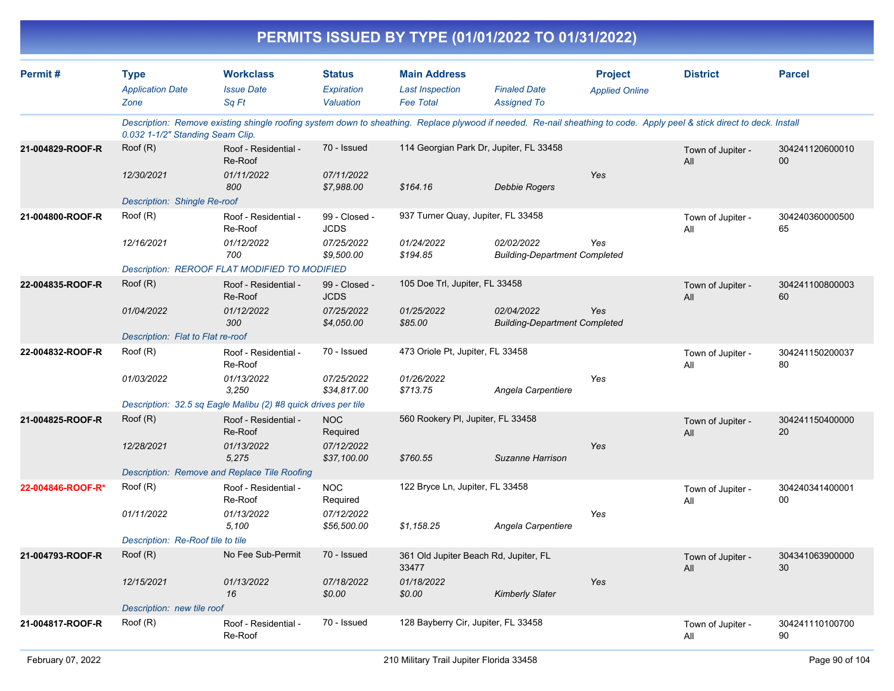|                   |                                                |                                                                                                                                                                         |                                          |                                                                   | PERMITS ISSUED BY TYPE (01/01/2022 TO 01/31/2022)  |                                         |                          |                           |
|-------------------|------------------------------------------------|-------------------------------------------------------------------------------------------------------------------------------------------------------------------------|------------------------------------------|-------------------------------------------------------------------|----------------------------------------------------|-----------------------------------------|--------------------------|---------------------------|
| Permit#           | <b>Type</b><br><b>Application Date</b><br>Zone | <b>Workclass</b><br><b>Issue Date</b><br>Sq Ft                                                                                                                          | <b>Status</b><br>Expiration<br>Valuation | <b>Main Address</b><br><b>Last Inspection</b><br><b>Fee Total</b> | <b>Finaled Date</b><br><b>Assigned To</b>          | <b>Project</b><br><b>Applied Online</b> | <b>District</b>          | <b>Parcel</b>             |
|                   | 0.032 1-1/2" Standing Seam Clip.               | Description: Remove existing shingle roofing system down to sheathing. Replace plywood if needed. Re-nail sheathing to code. Apply peel & stick direct to deck. Install |                                          |                                                                   |                                                    |                                         |                          |                           |
| 21-004829-ROOF-R  | Root(R)                                        | Roof - Residential -<br>Re-Roof                                                                                                                                         | 70 - Issued                              | 114 Georgian Park Dr, Jupiter, FL 33458                           |                                                    |                                         | Town of Jupiter -<br>All | 304241120600010<br>$00\,$ |
|                   | 12/30/2021<br>Description: Shingle Re-roof     | 01/11/2022<br>800                                                                                                                                                       | 07/11/2022<br>\$7,988.00                 | \$164.16                                                          | <b>Debbie Rogers</b>                               | Yes                                     |                          |                           |
| 21-004800-ROOF-R  | Roof (R)                                       | Roof - Residential -<br>Re-Roof                                                                                                                                         | 99 - Closed -<br><b>JCDS</b>             | 937 Turner Quay, Jupiter, FL 33458                                |                                                    |                                         | Town of Jupiter -<br>All | 304240360000500<br>65     |
|                   | 12/16/2021                                     | 01/12/2022<br>700                                                                                                                                                       | 07/25/2022<br>\$9,500.00                 | 01/24/2022<br>\$194.85                                            | 02/02/2022<br><b>Building-Department Completed</b> | Yes                                     |                          |                           |
|                   |                                                | Description: REROOF FLAT MODIFIED TO MODIFIED                                                                                                                           |                                          |                                                                   |                                                    |                                         |                          |                           |
| 22-004835-ROOF-R  | Root(R)                                        | Roof - Residential -<br>Re-Roof                                                                                                                                         | 99 - Closed -<br><b>JCDS</b>             | 105 Doe Trl, Jupiter, FL 33458                                    |                                                    |                                         | Town of Jupiter -<br>All | 304241100800003<br>60     |
|                   | 01/04/2022                                     | 01/12/2022<br>300                                                                                                                                                       | 07/25/2022<br>\$4,050.00                 | 01/25/2022<br>\$85.00                                             | 02/04/2022<br><b>Building-Department Completed</b> | Yes                                     |                          |                           |
|                   | Description: Flat to Flat re-roof              |                                                                                                                                                                         |                                          |                                                                   |                                                    |                                         |                          |                           |
| 22-004832-ROOF-R  | Root(R)                                        | Roof - Residential -<br>Re-Roof                                                                                                                                         | 70 - Issued                              | 473 Oriole Pt, Jupiter, FL 33458                                  |                                                    |                                         | Town of Jupiter -<br>All | 304241150200037<br>80     |
|                   | 01/03/2022                                     | 01/13/2022<br>3,250                                                                                                                                                     | 07/25/2022<br>\$34,817.00                | 01/26/2022<br>\$713.75                                            | Angela Carpentiere                                 | Yes                                     |                          |                           |
|                   |                                                | Description: 32.5 sq Eagle Malibu (2) #8 quick drives per tile                                                                                                          |                                          |                                                                   |                                                    |                                         |                          |                           |
| 21-004825-ROOF-R  | Root(R)                                        | Roof - Residential -<br>Re-Roof                                                                                                                                         | <b>NOC</b><br>Required                   | 560 Rookery PI, Jupiter, FL 33458                                 |                                                    |                                         | Town of Jupiter -<br>All | 304241150400000<br>20     |
|                   | 12/28/2021                                     | 01/13/2022<br>5,275                                                                                                                                                     | 07/12/2022<br>\$37,100.00                | \$760.55                                                          | Suzanne Harrison                                   | Yes                                     |                          |                           |
|                   |                                                | Description: Remove and Replace Tile Roofing                                                                                                                            |                                          |                                                                   |                                                    |                                         |                          |                           |
| 22-004846-ROOF-R* | Root(R)                                        | Roof - Residential -<br>Re-Roof                                                                                                                                         | <b>NOC</b><br>Required                   | 122 Bryce Ln, Jupiter, FL 33458                                   |                                                    |                                         | Town of Jupiter -<br>All | 304240341400001<br>00     |
|                   | 01/11/2022                                     | 01/13/2022<br>5,100                                                                                                                                                     | 07/12/2022<br>\$56,500.00                | \$1,158.25                                                        | Angela Carpentiere                                 | Yes                                     |                          |                           |
|                   | Description: Re-Roof tile to tile              |                                                                                                                                                                         |                                          |                                                                   |                                                    |                                         |                          |                           |
| 21-004793-ROOF-R  | Root(R)                                        | No Fee Sub-Permit                                                                                                                                                       | 70 - Issued                              | 361 Old Jupiter Beach Rd, Jupiter, FL<br>33477                    |                                                    |                                         | Town of Jupiter -<br>All | 304341063900000<br>30     |
|                   | 12/15/2021                                     | 01/13/2022<br>16                                                                                                                                                        | 07/18/2022<br>\$0.00                     | 01/18/2022<br>\$0.00                                              | <b>Kimberly Slater</b>                             | Yes                                     |                          |                           |
|                   | Description: new tile roof                     |                                                                                                                                                                         |                                          |                                                                   |                                                    |                                         |                          |                           |
| 21-004817-ROOF-R  | Root(R)                                        | Roof - Residential -<br>Re-Roof                                                                                                                                         | 70 - Issued                              | 128 Bayberry Cir, Jupiter, FL 33458                               |                                                    |                                         | Town of Jupiter -<br>All | 304241110100700<br>90     |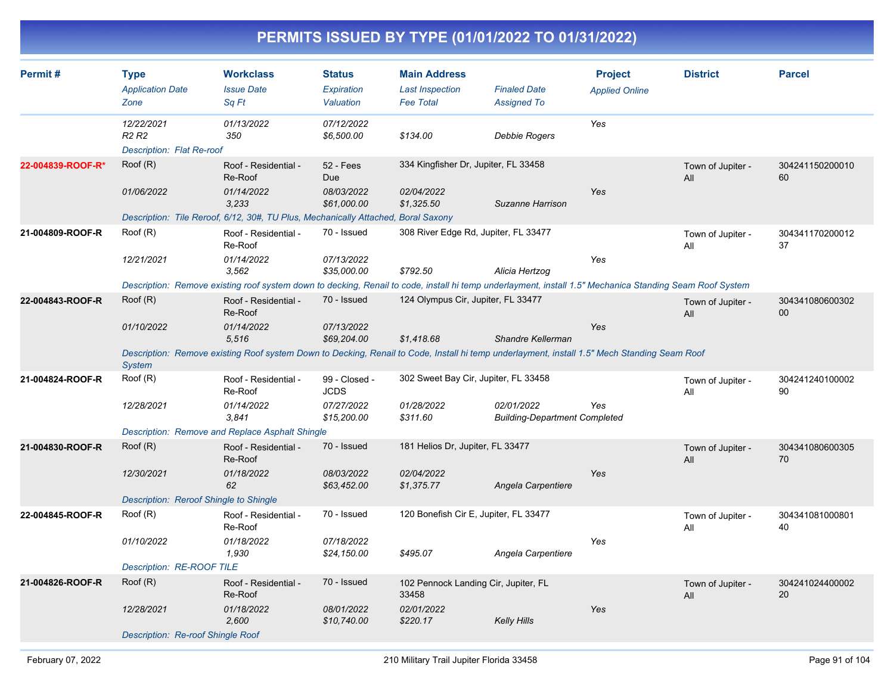| Permit#           | <b>Type</b><br><b>Application Date</b><br>Zone                           | <b>Workclass</b><br><b>Issue Date</b><br>Sq Ft                                                                                                                                                                     | <b>Status</b><br>Expiration<br>Valuation                  | <b>Main Address</b><br><b>Last Inspection</b><br><b>Fee Total</b>       | <b>Finaled Date</b><br><b>Assigned To</b>          | <b>Project</b><br><b>Applied Online</b> | <b>District</b>          | <b>Parcel</b>             |
|-------------------|--------------------------------------------------------------------------|--------------------------------------------------------------------------------------------------------------------------------------------------------------------------------------------------------------------|-----------------------------------------------------------|-------------------------------------------------------------------------|----------------------------------------------------|-----------------------------------------|--------------------------|---------------------------|
|                   | 12/22/2021<br>R <sub>2</sub> R <sub>2</sub><br>Description: Flat Re-roof | 01/13/2022<br>350                                                                                                                                                                                                  | 07/12/2022<br>\$6,500.00                                  | \$134.00                                                                | <b>Debbie Rogers</b>                               | Yes                                     |                          |                           |
| 22-004839-ROOF-R* | Roof (R)<br>01/06/2022                                                   | Roof - Residential -<br>Re-Roof<br>01/14/2022<br>3.233<br>Description: Tile Reroof, 6/12, 30#, TU Plus, Mechanically Attached, Boral Saxony                                                                        | 52 - Fees<br><b>Due</b><br>08/03/2022<br>\$61,000.00      | 334 Kingfisher Dr, Jupiter, FL 33458<br>02/04/2022<br>\$1,325.50        | Suzanne Harrison                                   | Yes                                     | Town of Jupiter -<br>All | 304241150200010<br>60     |
| 21-004809-ROOF-R  | Root(R)<br>12/21/2021                                                    | Roof - Residential -<br>Re-Roof<br>01/14/2022<br>3,562<br>Description: Remove existing roof system down to decking, Renail to code, install hi temp underlayment, install 1.5" Mechanica Standing Seam Roof System | 70 - Issued<br>07/13/2022<br>\$35,000.00                  | 308 River Edge Rd, Jupiter, FL 33477<br>\$792.50                        | Alicia Hertzog                                     | Yes                                     | Town of Jupiter -<br>All | 304341170200012<br>37     |
| 22-004843-ROOF-R  | Root(R)<br>01/10/2022<br><b>System</b>                                   | Roof - Residential -<br>Re-Roof<br>01/14/2022<br>5,516<br>Description: Remove existing Roof system Down to Decking, Renail to Code, Install hi temp underlayment, install 1.5" Mech Standing Seam Roof             | 70 - Issued<br>07/13/2022<br>\$69,204.00                  | 124 Olympus Cir, Jupiter, FL 33477<br>\$1,418.68                        | Shandre Kellerman                                  | Yes                                     | Town of Jupiter -<br>All | 304341080600302<br>$00\,$ |
| 21-004824-ROOF-R  | Root(R)<br>12/28/2021                                                    | Roof - Residential -<br>Re-Roof<br>01/14/2022<br>3.841<br>Description: Remove and Replace Asphalt Shingle                                                                                                          | 99 - Closed -<br><b>JCDS</b><br>07/27/2022<br>\$15,200.00 | 302 Sweet Bay Cir, Jupiter, FL 33458<br>01/28/2022<br>\$311.60          | 02/01/2022<br><b>Building-Department Completed</b> | Yes                                     | Town of Jupiter -<br>All | 304241240100002<br>90     |
| 21-004830-ROOF-R  | Roof (R)<br>12/30/2021<br>Description: Reroof Shingle to Shingle         | Roof - Residential -<br>Re-Roof<br>01/18/2022<br>62                                                                                                                                                                | 70 - Issued<br>08/03/2022<br>\$63,452.00                  | 181 Helios Dr, Jupiter, FL 33477<br>02/04/2022<br>\$1,375.77            | Angela Carpentiere                                 | Yes                                     | Town of Jupiter -<br>All | 304341080600305<br>70     |
| 22-004845-ROOF-R  | Root(R)<br>01/10/2022<br><b>Description: RE-ROOF TILE</b>                | Roof - Residential -<br>Re-Roof<br>01/18/2022<br>1,930                                                                                                                                                             | 70 - Issued<br>07/18/2022<br>\$24,150.00                  | 120 Bonefish Cir E, Jupiter, FL 33477<br>\$495.07                       | Angela Carpentiere                                 | Yes                                     | Town of Jupiter -<br>All | 304341081000801<br>40     |
| 21-004826-ROOF-R  | Root(R)<br>12/28/2021<br>Description: Re-roof Shingle Roof               | Roof - Residential -<br>Re-Roof<br>01/18/2022<br>2,600                                                                                                                                                             | 70 - Issued<br>08/01/2022<br>\$10,740.00                  | 102 Pennock Landing Cir, Jupiter, FL<br>33458<br>02/01/2022<br>\$220.17 | <b>Kelly Hills</b>                                 | Yes                                     | Town of Jupiter -<br>All | 304241024400002<br>20     |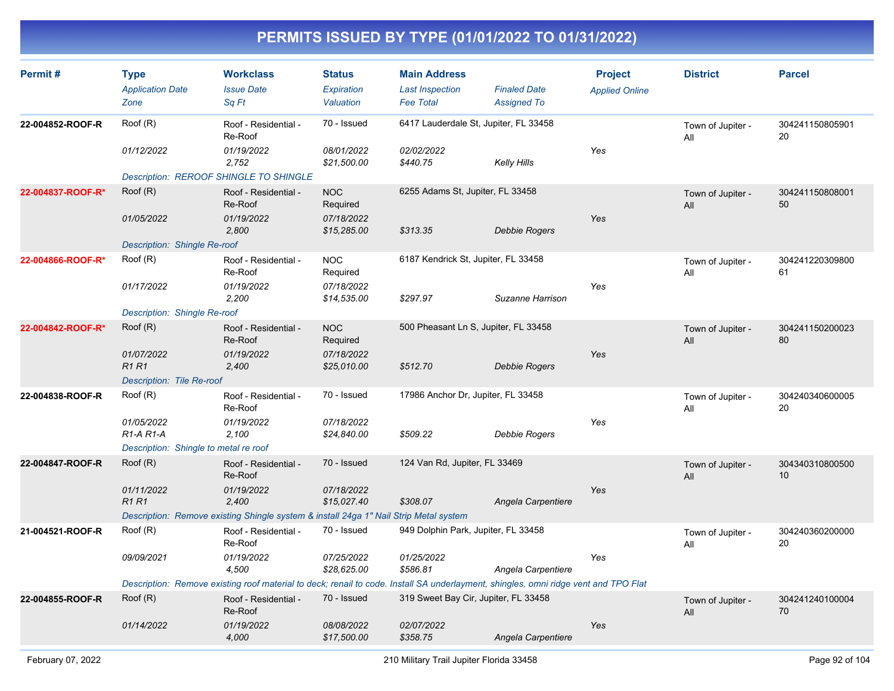| Permit#           | <b>Type</b><br><b>Application Date</b><br>Zone   | <b>Workclass</b><br><b>Issue Date</b><br>Sa Ft                                                                                      | <b>Status</b><br>Expiration<br>Valuation | <b>Main Address</b><br><b>Last Inspection</b><br><b>Fee Total</b> | <b>Finaled Date</b><br><b>Assigned To</b> | <b>Project</b><br><b>Applied Online</b> | <b>District</b>          | <b>Parcel</b>         |
|-------------------|--------------------------------------------------|-------------------------------------------------------------------------------------------------------------------------------------|------------------------------------------|-------------------------------------------------------------------|-------------------------------------------|-----------------------------------------|--------------------------|-----------------------|
| 22-004852-ROOF-R  | Root(R)                                          | Roof - Residential -<br>Re-Roof                                                                                                     | 70 - Issued                              | 6417 Lauderdale St, Jupiter, FL 33458                             |                                           |                                         | Town of Jupiter -<br>All | 304241150805901<br>20 |
|                   | 01/12/2022                                       | 01/19/2022<br>2,752                                                                                                                 | 08/01/2022<br>\$21,500.00                | 02/02/2022<br>\$440.75                                            | <b>Kelly Hills</b>                        | Yes                                     |                          |                       |
|                   | <b>Description: REROOF SHINGLE TO SHINGLE</b>    |                                                                                                                                     |                                          |                                                                   |                                           |                                         |                          |                       |
| 22-004837-ROOF-R* | Root(R)                                          | Roof - Residential -<br>Re-Roof                                                                                                     | <b>NOC</b><br>Required                   | 6255 Adams St, Jupiter, FL 33458                                  |                                           |                                         | Town of Jupiter -<br>All | 304241150808001<br>50 |
|                   | 01/05/2022                                       | 01/19/2022<br>2,800                                                                                                                 | 07/18/2022<br>\$15,285.00                | \$313.35                                                          | Debbie Rogers                             | Yes                                     |                          |                       |
|                   | Description: Shingle Re-roof                     |                                                                                                                                     |                                          |                                                                   |                                           |                                         |                          |                       |
| 22-004866-ROOF-R* | Root(R)                                          | Roof - Residential -<br>Re-Roof                                                                                                     | <b>NOC</b><br>Required                   | 6187 Kendrick St, Jupiter, FL 33458                               |                                           |                                         | Town of Jupiter -<br>All | 304241220309800<br>61 |
|                   | 01/17/2022                                       | 01/19/2022<br>2,200                                                                                                                 | 07/18/2022<br>\$14,535.00                | \$297.97                                                          | Suzanne Harrison                          | Yes                                     |                          |                       |
|                   | Description: Shingle Re-roof                     |                                                                                                                                     |                                          |                                                                   |                                           |                                         |                          |                       |
| 22-004842-ROOF-R* | Root(R)                                          | Roof - Residential -<br>Re-Roof                                                                                                     | <b>NOC</b><br>Required                   | 500 Pheasant Ln S, Jupiter, FL 33458                              |                                           |                                         | Town of Jupiter -<br>All | 304241150200023<br>80 |
|                   | 01/07/2022<br><b>R1R1</b>                        | 01/19/2022<br>2,400                                                                                                                 | 07/18/2022<br>\$25,010.00                | \$512.70                                                          | Debbie Rogers                             | Yes                                     |                          |                       |
|                   | Description: Tile Re-roof                        |                                                                                                                                     |                                          |                                                                   |                                           |                                         |                          |                       |
| 22-004838-ROOF-R  | Root(R)                                          | Roof - Residential -<br>Re-Roof                                                                                                     | 70 - Issued                              | 17986 Anchor Dr, Jupiter, FL 33458                                |                                           |                                         | Town of Jupiter -<br>Αll | 304240340600005<br>20 |
|                   | 01/05/2022<br>R <sub>1</sub> -A <sub>R1</sub> -A | 01/19/2022<br>2,100                                                                                                                 | 07/18/2022<br>\$24,840.00                | \$509.22                                                          | Debbie Rogers                             | Yes                                     |                          |                       |
|                   | Description: Shingle to metal re roof            |                                                                                                                                     |                                          |                                                                   |                                           |                                         |                          |                       |
| 22-004847-ROOF-R  | Root(R)                                          | Roof - Residential -<br>Re-Roof                                                                                                     | 70 - Issued                              | 124 Van Rd, Jupiter, FL 33469                                     |                                           |                                         | Town of Jupiter -<br>All | 304340310800500<br>10 |
|                   | 01/11/2022<br><b>R1R1</b>                        | 01/19/2022<br>2,400                                                                                                                 | 07/18/2022<br>\$15,027.40                | \$308.07                                                          | Angela Carpentiere                        | Yes                                     |                          |                       |
|                   |                                                  | Description: Remove existing Shingle system & install 24ga 1" Nail Strip Metal system                                               |                                          |                                                                   |                                           |                                         |                          |                       |
| 21-004521-ROOF-R  | Roof (R)                                         | Roof - Residential -<br>Re-Roof                                                                                                     | 70 - Issued                              | 949 Dolphin Park, Jupiter, FL 33458                               |                                           |                                         | Town of Jupiter -<br>All | 304240360200000<br>20 |
|                   | 09/09/2021                                       | 01/19/2022<br>4,500                                                                                                                 | 07/25/2022<br>\$28,625.00                | 01/25/2022<br>\$586.81                                            | Angela Carpentiere                        | Yes                                     |                          |                       |
|                   |                                                  | Description: Remove existing roof material to deck; renail to code. Install SA underlayment, shingles, omni ridge vent and TPO Flat |                                          |                                                                   |                                           |                                         |                          |                       |
| 22-004855-ROOF-R  | Root(R)                                          | Roof - Residential -<br>Re-Roof                                                                                                     | 70 - Issued                              | 319 Sweet Bay Cir, Jupiter, FL 33458                              |                                           |                                         | Town of Jupiter -<br>All | 304241240100004<br>70 |
|                   | 01/14/2022                                       | 01/19/2022<br>4,000                                                                                                                 | 08/08/2022<br>\$17,500.00                | 02/07/2022<br>\$358.75                                            | Angela Carpentiere                        | Yes                                     |                          |                       |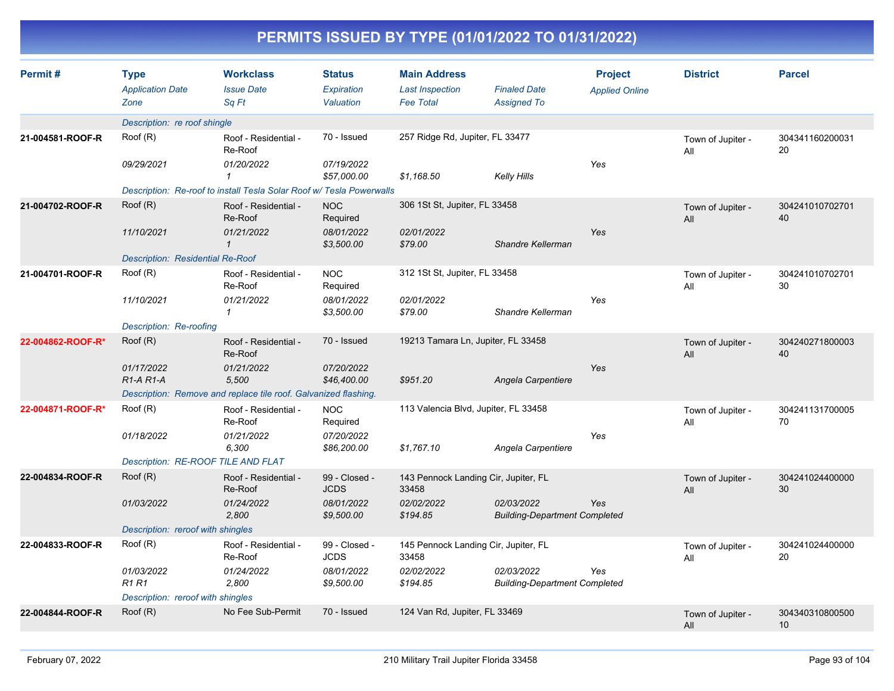| PERMITS 1990ED BT TIPE (01/01/2022 TO 01/91/2022) |                                                |                                                                      |                                          |                                                                   |                                                    |                                         |                          |                       |  |  |
|---------------------------------------------------|------------------------------------------------|----------------------------------------------------------------------|------------------------------------------|-------------------------------------------------------------------|----------------------------------------------------|-----------------------------------------|--------------------------|-----------------------|--|--|
| Permit#                                           | <b>Type</b><br><b>Application Date</b><br>Zone | <b>Workclass</b><br><b>Issue Date</b><br>Sq Ft                       | <b>Status</b><br>Expiration<br>Valuation | <b>Main Address</b><br><b>Last Inspection</b><br><b>Fee Total</b> | <b>Finaled Date</b><br><b>Assigned To</b>          | <b>Project</b><br><b>Applied Online</b> | <b>District</b>          | <b>Parcel</b>         |  |  |
|                                                   | Description: re roof shingle                   |                                                                      |                                          |                                                                   |                                                    |                                         |                          |                       |  |  |
| 21-004581-ROOF-R                                  | Root(R)                                        | Roof - Residential -<br>Re-Roof                                      | 70 - Issued                              | 257 Ridge Rd, Jupiter, FL 33477                                   |                                                    |                                         | Town of Jupiter -<br>All | 304341160200031<br>20 |  |  |
|                                                   | 09/29/2021                                     | 01/20/2022<br>$\mathbf{1}$                                           | 07/19/2022<br>\$57,000.00                | \$1,168.50                                                        | <b>Kelly Hills</b>                                 | Yes                                     |                          |                       |  |  |
|                                                   |                                                | Description: Re-roof to install Tesla Solar Roof w/ Tesla Powerwalls |                                          |                                                                   |                                                    |                                         |                          |                       |  |  |
| 21-004702-ROOF-R                                  | Root(R)                                        | Roof - Residential -<br>Re-Roof                                      | <b>NOC</b><br>Required                   | 306 1St St, Jupiter, FL 33458                                     |                                                    |                                         | Town of Jupiter -<br>All | 304241010702701<br>40 |  |  |
|                                                   | 11/10/2021                                     | 01/21/2022<br>$\mathbf{1}$                                           | 08/01/2022<br>\$3,500.00                 | 02/01/2022<br>\$79.00                                             | Shandre Kellerman                                  | Yes                                     |                          |                       |  |  |
|                                                   | Description: Residential Re-Roof               |                                                                      |                                          |                                                                   |                                                    |                                         |                          |                       |  |  |
| 21-004701-ROOF-R                                  | Root(R)                                        | Roof - Residential -<br>Re-Roof                                      | <b>NOC</b><br>Required                   | 312 1St St, Jupiter, FL 33458                                     |                                                    |                                         | Town of Jupiter -<br>All | 304241010702701<br>30 |  |  |
|                                                   | 11/10/2021                                     | 01/21/2022<br>$\mathcal I$                                           | 08/01/2022<br>\$3,500.00                 | 02/01/2022<br>\$79.00                                             | Shandre Kellerman                                  | Yes                                     |                          |                       |  |  |
|                                                   | Description: Re-roofing                        |                                                                      |                                          |                                                                   |                                                    |                                         |                          |                       |  |  |
| 22-004862-ROOF-R*                                 | Root(R)                                        | Roof - Residential -<br>Re-Roof                                      | 70 - Issued                              | 19213 Tamara Ln, Jupiter, FL 33458                                |                                                    |                                         | Town of Jupiter -<br>All | 304240271800003<br>40 |  |  |
|                                                   | 01/17/2022<br>$R1-A R1-A$                      | 01/21/2022<br>5,500                                                  | 07/20/2022<br>\$46,400.00                | \$951.20                                                          | Angela Carpentiere                                 | Yes                                     |                          |                       |  |  |
|                                                   |                                                | Description: Remove and replace tile roof. Galvanized flashing.      |                                          |                                                                   |                                                    |                                         |                          |                       |  |  |
| 22-004871-ROOF-R*                                 | Root(R)                                        | Roof - Residential -<br>Re-Roof                                      | <b>NOC</b><br>Required                   | 113 Valencia Blvd, Jupiter, FL 33458                              |                                                    |                                         | Town of Jupiter -<br>All | 304241131700005<br>70 |  |  |
|                                                   | 01/18/2022                                     | 01/21/2022<br>6,300                                                  | 07/20/2022<br>\$86,200.00                | \$1,767.10                                                        | Angela Carpentiere                                 | Yes                                     |                          |                       |  |  |
|                                                   | Description: RE-ROOF TILE AND FLAT             |                                                                      |                                          |                                                                   |                                                    |                                         |                          |                       |  |  |
| 22-004834-ROOF-R                                  | Root(R)                                        | Roof - Residential -<br>Re-Roof                                      | 99 - Closed -<br><b>JCDS</b>             | 143 Pennock Landing Cir, Jupiter, FL<br>33458                     |                                                    |                                         | Town of Jupiter -<br>All | 304241024400000<br>30 |  |  |
|                                                   | 01/03/2022                                     | 01/24/2022<br>2,800                                                  | 08/01/2022<br>\$9,500.00                 | 02/02/2022<br>\$194.85                                            | 02/03/2022<br><b>Building-Department Completed</b> | Yes                                     |                          |                       |  |  |
| Description: reroof with shingles                 |                                                |                                                                      |                                          |                                                                   |                                                    |                                         |                          |                       |  |  |
| 22-004833-ROOF-R                                  | Roof (R)                                       | Roof - Residential -<br>Re-Roof                                      | 99 - Closed -<br><b>JCDS</b>             | 145 Pennock Landing Cir, Jupiter, FL<br>33458                     |                                                    |                                         | Town of Jupiter -<br>All | 304241024400000<br>20 |  |  |
|                                                   | 01/03/2022<br><b>R1 R1</b>                     | 01/24/2022<br>2,800                                                  | 08/01/2022<br>\$9,500.00                 | 02/02/2022<br>\$194.85                                            | 02/03/2022<br><b>Building-Department Completed</b> | Yes                                     |                          |                       |  |  |
|                                                   | Description: reroof with shingles              |                                                                      |                                          |                                                                   |                                                    |                                         |                          |                       |  |  |
| 22-004844-ROOF-R                                  | Root(R)                                        | No Fee Sub-Permit                                                    | 70 - Issued                              | 124 Van Rd, Jupiter, FL 33469                                     |                                                    |                                         | Town of Jupiter -<br>All | 304340310800500<br>10 |  |  |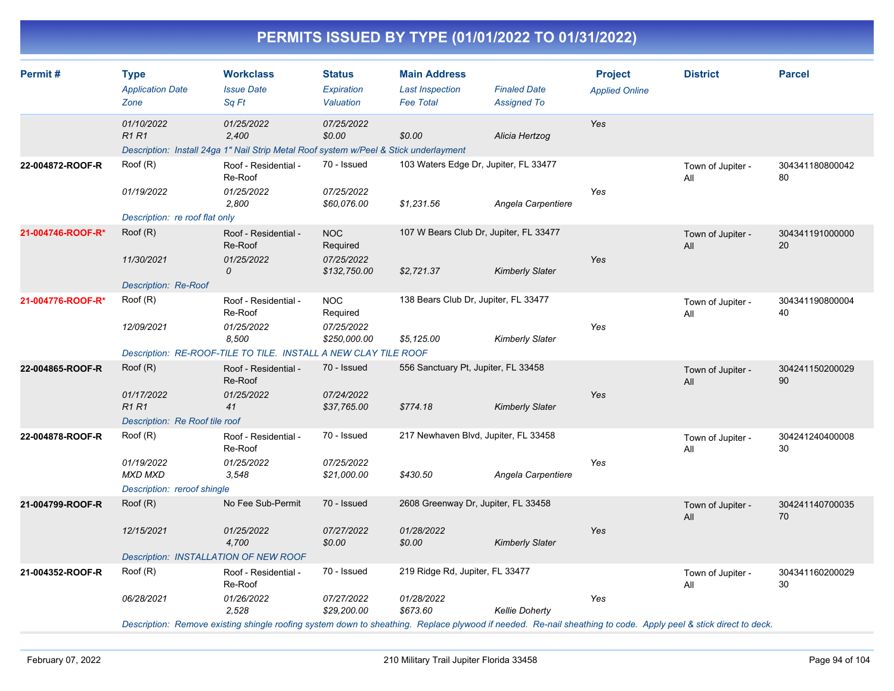| Permit#           | <b>Type</b><br><b>Application Date</b><br>Zone              | <b>Workclass</b><br><b>Issue Date</b><br>Sq Ft                                                                                                                  | <b>Status</b><br>Expiration<br>Valuation | <b>Main Address</b><br><b>Last Inspection</b><br><b>Fee Total</b> | <b>Finaled Date</b><br><b>Assigned To</b> | <b>Project</b><br><b>Applied Online</b> | <b>District</b>          | <b>Parcel</b>         |
|-------------------|-------------------------------------------------------------|-----------------------------------------------------------------------------------------------------------------------------------------------------------------|------------------------------------------|-------------------------------------------------------------------|-------------------------------------------|-----------------------------------------|--------------------------|-----------------------|
|                   | 01/10/2022<br><b>R1R1</b>                                   | 01/25/2022<br>2,400<br>Description: Install 24ga 1" Nail Strip Metal Roof system w/Peel & Stick underlayment                                                    | 07/25/2022<br>\$0.00                     | \$0.00                                                            | Alicia Hertzog                            | Yes                                     |                          |                       |
| 22-004872-ROOF-R  | Roof (R)                                                    | Roof - Residential -<br>Re-Roof                                                                                                                                 | 70 - Issued                              | 103 Waters Edge Dr, Jupiter, FL 33477                             |                                           |                                         | Town of Jupiter -<br>All | 304341180800042<br>80 |
|                   | 01/19/2022<br>Description: re roof flat only                | 01/25/2022<br>2,800                                                                                                                                             | 07/25/2022<br>\$60,076.00                | \$1,231.56                                                        | Angela Carpentiere                        | Yes                                     |                          |                       |
| 21-004746-ROOF-R* | Root(R)                                                     | Roof - Residential -<br>Re-Roof                                                                                                                                 | <b>NOC</b><br>Required                   | 107 W Bears Club Dr, Jupiter, FL 33477                            |                                           |                                         | Town of Jupiter -<br>All | 304341191000000<br>20 |
|                   | 11/30/2021<br><b>Description: Re-Roof</b>                   | 01/25/2022<br>0                                                                                                                                                 | 07/25/2022<br>\$132,750.00               | \$2,721.37                                                        | <b>Kimberly Slater</b>                    | Yes                                     |                          |                       |
| 21-004776-ROOF-R* | Root(R)                                                     | Roof - Residential -<br>Re-Roof                                                                                                                                 | <b>NOC</b><br>Required                   | 138 Bears Club Dr, Jupiter, FL 33477                              |                                           |                                         | Town of Jupiter -<br>All | 304341190800004<br>40 |
|                   | 12/09/2021                                                  | 01/25/2022<br>8,500<br>Description: RE-ROOF-TILE TO TILE. INSTALL A NEW CLAY TILE ROOF                                                                          | 07/25/2022<br>\$250,000.00               | \$5,125.00                                                        | <b>Kimberly Slater</b>                    | Yes                                     |                          |                       |
| 22-004865-ROOF-R  | Root(R)                                                     | 556 Sanctuary Pt, Jupiter, FL 33458<br>70 - Issued<br>Roof - Residential -<br>Re-Roof                                                                           |                                          |                                                                   |                                           |                                         | Town of Jupiter -<br>All | 304241150200029<br>90 |
|                   | 01/17/2022<br><b>R1R1</b><br>Description: Re Roof tile roof | 01/25/2022<br>41                                                                                                                                                | 07/24/2022<br>\$37,765.00                | \$774.18                                                          | <b>Kimberly Slater</b>                    | Yes                                     |                          |                       |
| 22-004878-ROOF-R  | Root(R)                                                     | Roof - Residential -<br>Re-Roof                                                                                                                                 | 70 - Issued                              | 217 Newhaven Blvd, Jupiter, FL 33458                              |                                           |                                         | Town of Jupiter -<br>All | 304241240400008<br>30 |
|                   | 01/19/2022<br>MXD MXD<br>Description: reroof shingle        | 01/25/2022<br>3,548                                                                                                                                             | 07/25/2022<br>\$21,000.00                | \$430.50                                                          | Angela Carpentiere                        | Yes                                     |                          |                       |
| 21-004799-ROOF-R  | Roof (R)                                                    | No Fee Sub-Permit                                                                                                                                               | 70 - Issued                              | 2608 Greenway Dr, Jupiter, FL 33458                               |                                           |                                         | Town of Jupiter -<br>All | 304241140700035<br>70 |
|                   | 12/15/2021                                                  | 01/25/2022<br>4,700                                                                                                                                             | 07/27/2022<br>\$0.00                     | 01/28/2022<br>\$0.00                                              | <b>Kimberly Slater</b>                    | Yes                                     |                          |                       |
|                   | Description: INSTALLATION OF NEW ROOF                       |                                                                                                                                                                 | 70 - Issued                              |                                                                   |                                           |                                         |                          |                       |
| 21-004352-ROOF-R  | Root(R)                                                     | Roof - Residential -<br>Re-Roof                                                                                                                                 |                                          | 219 Ridge Rd, Jupiter, FL 33477                                   |                                           |                                         | Town of Jupiter -<br>All | 304341160200029<br>30 |
|                   | 06/28/2021                                                  | 01/26/2022<br>2,528                                                                                                                                             | 07/27/2022<br>\$29,200.00                | 01/28/2022<br>\$673.60                                            | <b>Kellie Doherty</b>                     | Yes                                     |                          |                       |
|                   |                                                             | Description: Remove existing shingle roofing system down to sheathing. Replace plywood if needed. Re-nail sheathing to code. Apply peel & stick direct to deck. |                                          |                                                                   |                                           |                                         |                          |                       |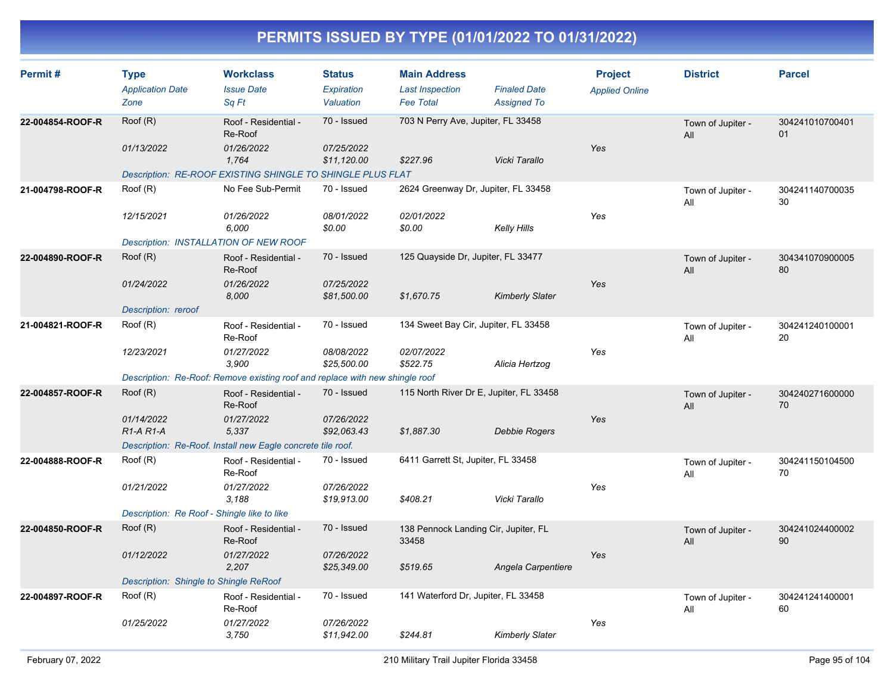| Permit#          | <b>Type</b><br><b>Application Date</b><br>Zone                       | <b>Workclass</b><br><b>Issue Date</b><br>Sq Ft                                                                                         | <b>Status</b><br>Expiration<br>Valuation | <b>Main Address</b><br><b>Last Inspection</b><br><b>Fee Total</b> | <b>Finaled Date</b><br><b>Assigned To</b> | <b>Project</b><br><b>Applied Online</b> | <b>District</b>          | <b>Parcel</b>         |
|------------------|----------------------------------------------------------------------|----------------------------------------------------------------------------------------------------------------------------------------|------------------------------------------|-------------------------------------------------------------------|-------------------------------------------|-----------------------------------------|--------------------------|-----------------------|
| 22-004854-ROOF-R | Roof (R)<br>01/13/2022                                               | Roof - Residential -<br>Re-Roof<br>01/26/2022<br>1,764                                                                                 | 70 - Issued<br>07/25/2022<br>\$11,120.00 | 703 N Perry Ave, Jupiter, FL 33458<br>\$227.96                    | Vicki Tarallo                             | Yes                                     | Town of Jupiter -<br>All | 304241010700401<br>01 |
| 21-004798-ROOF-R | Root(R)<br>12/15/2021<br>Description: INSTALLATION OF NEW ROOF       | Description: RE-ROOF EXISTING SHINGLE TO SHINGLE PLUS FLAT<br>No Fee Sub-Permit<br>01/26/2022<br>6,000                                 | 70 - Issued<br>08/01/2022<br>\$0.00      | 2624 Greenway Dr, Jupiter, FL 33458<br>02/01/2022<br>\$0.00       | Kelly Hills                               | Yes                                     | Town of Jupiter -<br>All | 304241140700035<br>30 |
| 22-004890-ROOF-R | Root(R)<br>01/24/2022<br>Description: reroof                         | Roof - Residential -<br>Re-Roof<br>01/26/2022<br>8,000                                                                                 | 70 - Issued<br>07/25/2022<br>\$81,500.00 | 125 Quayside Dr, Jupiter, FL 33477<br>\$1,670.75                  | <b>Kimberly Slater</b>                    | Yes                                     | Town of Jupiter -<br>All | 304341070900005<br>80 |
| 21-004821-ROOF-R | Root(R)<br>12/23/2021                                                | Roof - Residential -<br>Re-Roof<br>01/27/2022<br>3,900<br>Description: Re-Roof: Remove existing roof and replace with new shingle roof | 70 - Issued<br>08/08/2022<br>\$25,500.00 | 134 Sweet Bay Cir, Jupiter, FL 33458<br>02/07/2022<br>\$522.75    | Alicia Hertzog                            | Yes                                     | Town of Jupiter -<br>All | 304241240100001<br>20 |
| 22-004857-ROOF-R | Roof (R)<br>01/14/2022<br>R <sub>1</sub> -A <sub>R1</sub> -A         | Roof - Residential -<br>Re-Roof<br>01/27/2022<br>5,337<br>Description: Re-Roof. Install new Eagle concrete tile roof.                  | 70 - Issued<br>07/26/2022<br>\$92,063.43 | 115 North River Dr E, Jupiter, FL 33458<br>\$1,887.30             | Debbie Rogers                             | Yes                                     | Town of Jupiter -<br>All | 304240271600000<br>70 |
| 22-004888-ROOF-R | Root(R)<br>01/21/2022<br>Description: Re Roof - Shingle like to like | Roof - Residential -<br>Re-Roof<br>01/27/2022<br>3,188                                                                                 | 70 - Issued<br>07/26/2022<br>\$19,913.00 | 6411 Garrett St, Jupiter, FL 33458<br>\$408.21                    | Vicki Tarallo                             | Yes                                     | Town of Jupiter -<br>All | 304241150104500<br>70 |
| 22-004850-ROOF-R | Root(R)<br>01/12/2022<br>Description: Shingle to Shingle ReRoof      | Roof - Residential -<br>Re-Roof<br>01/27/2022<br>2,207                                                                                 | 70 - Issued<br>07/26/2022<br>\$25,349.00 | 138 Pennock Landing Cir, Jupiter, FL<br>33458<br>\$519.65         | Angela Carpentiere                        | Yes                                     | Town of Jupiter -<br>All | 304241024400002<br>90 |
| 22-004897-ROOF-R | Root(R)<br>01/25/2022                                                | Roof - Residential -<br>Re-Roof<br>01/27/2022<br>3,750                                                                                 | 70 - Issued<br>07/26/2022<br>\$11,942.00 | 141 Waterford Dr, Jupiter, FL 33458<br>\$244.81                   | Kimberly Slater                           | Yes                                     | Town of Jupiter -<br>ail | 304241241400001<br>60 |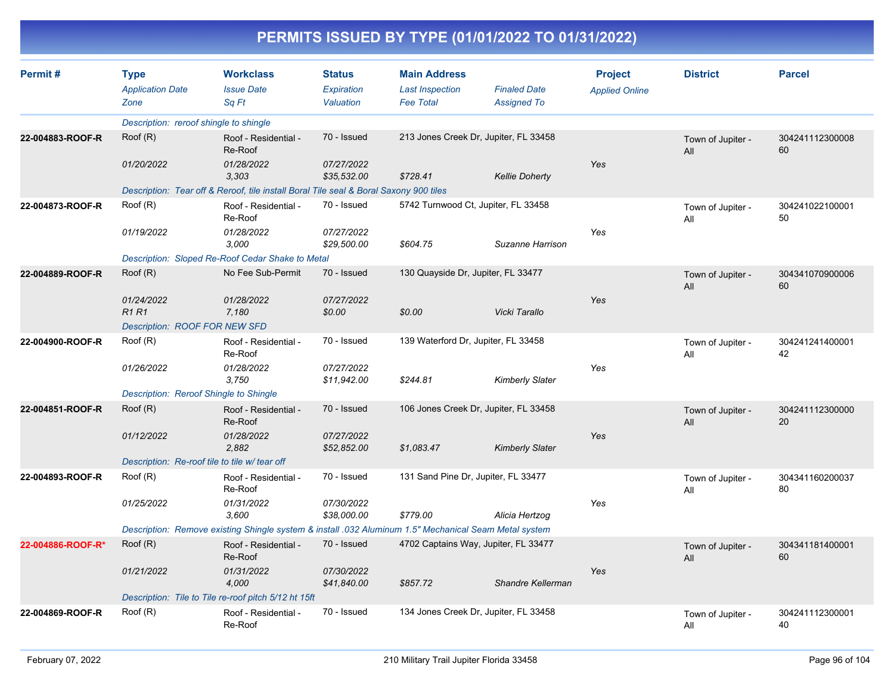| Permit#           | <b>Type</b><br><b>Application Date</b><br>Zone | <b>Workclass</b><br><b>Issue Date</b><br>Sa Ft                                                        | <b>Status</b><br>Expiration<br>Valuation | <b>Main Address</b><br><b>Last Inspection</b><br><b>Fee Total</b> | <b>Finaled Date</b><br><b>Assigned To</b> | <b>Project</b><br><b>Applied Online</b> | <b>District</b>          | <b>Parcel</b>         |
|-------------------|------------------------------------------------|-------------------------------------------------------------------------------------------------------|------------------------------------------|-------------------------------------------------------------------|-------------------------------------------|-----------------------------------------|--------------------------|-----------------------|
|                   | Description: reroof shingle to shingle         |                                                                                                       |                                          |                                                                   |                                           |                                         |                          |                       |
| 22-004883-ROOF-R  | Root(R)                                        | Roof - Residential -<br>Re-Roof                                                                       | 70 - Issued                              |                                                                   | 213 Jones Creek Dr, Jupiter, FL 33458     |                                         | Town of Jupiter -<br>All | 304241112300008<br>60 |
|                   | 01/20/2022                                     | 01/28/2022<br>3,303                                                                                   | 07/27/2022<br>\$35,532.00                | \$728.41                                                          | <b>Kellie Doherty</b>                     | Yes                                     |                          |                       |
|                   |                                                | Description: Tear off & Reroof, tile install Boral Tile seal & Boral Saxony 900 tiles                 |                                          |                                                                   |                                           |                                         |                          |                       |
| 22-004873-ROOF-R  | Root(R)                                        | Roof - Residential -<br>Re-Roof                                                                       | 70 - Issued                              | 5742 Turnwood Ct, Jupiter, FL 33458                               |                                           |                                         | Town of Jupiter -<br>All | 304241022100001<br>50 |
|                   | 01/19/2022                                     | 01/28/2022<br>3,000                                                                                   | 07/27/2022<br>\$29,500.00                | \$604.75                                                          | Suzanne Harrison                          | Yes                                     |                          |                       |
|                   |                                                | Description: Sloped Re-Roof Cedar Shake to Metal                                                      |                                          |                                                                   |                                           |                                         |                          |                       |
| 22-004889-ROOF-R  | Root(R)                                        | No Fee Sub-Permit                                                                                     | 70 - Issued                              | 130 Quayside Dr, Jupiter, FL 33477                                |                                           |                                         | Town of Jupiter -<br>All | 304341070900006<br>60 |
|                   | 01/24/2022<br>R1R1                             | 01/28/2022<br>7,180                                                                                   | 07/27/2022<br>\$0.00                     | \$0.00                                                            | Vicki Tarallo                             | Yes                                     |                          |                       |
|                   | <b>Description: ROOF FOR NEW SFD</b>           |                                                                                                       |                                          |                                                                   |                                           |                                         |                          |                       |
| 22-004900-ROOF-R  | Roof (R)                                       | Roof - Residential -<br>Re-Roof                                                                       | 70 - Issued                              | 139 Waterford Dr, Jupiter, FL 33458                               |                                           |                                         | Town of Jupiter -<br>All | 304241241400001<br>42 |
|                   | 01/26/2022                                     | 01/28/2022<br>3,750                                                                                   | 07/27/2022<br>\$11,942.00                | \$244.81                                                          | <b>Kimberly Slater</b>                    | Yes                                     |                          |                       |
|                   | Description: Reroof Shingle to Shingle         |                                                                                                       |                                          |                                                                   |                                           |                                         |                          |                       |
| 22-004851-ROOF-R  | Root(R)                                        | Roof - Residential -<br>Re-Roof                                                                       | 70 - Issued                              |                                                                   | 106 Jones Creek Dr, Jupiter, FL 33458     |                                         | Town of Jupiter -<br>All | 304241112300000<br>20 |
|                   | 01/12/2022                                     | 01/28/2022<br>2,882                                                                                   | 07/27/2022<br>\$52,852.00                | \$1,083.47                                                        | <b>Kimberly Slater</b>                    | Yes                                     |                          |                       |
|                   | Description: Re-roof tile to tile w/ tear off  |                                                                                                       |                                          |                                                                   |                                           |                                         |                          |                       |
| 22-004893-ROOF-R  | Root(R)                                        | Roof - Residential -<br>Re-Roof                                                                       | 70 - Issued                              | 131 Sand Pine Dr, Jupiter, FL 33477                               |                                           |                                         | Town of Jupiter -<br>All | 304341160200037<br>80 |
|                   | 01/25/2022                                     | 01/31/2022<br>3,600                                                                                   | 07/30/2022<br>\$38,000.00                | \$779.00                                                          | Alicia Hertzog                            | Yes                                     |                          |                       |
|                   |                                                | Description: Remove existing Shingle system & install .032 Aluminum 1.5" Mechanical Seam Metal system |                                          |                                                                   |                                           |                                         |                          |                       |
| 22-004886-ROOF-R* | Root(R)                                        | Roof - Residential -<br>Re-Roof                                                                       | 70 - Issued                              | 4702 Captains Way, Jupiter, FL 33477                              |                                           |                                         | Town of Jupiter -<br>All | 304341181400001<br>60 |
|                   | 01/21/2022                                     | 01/31/2022<br>4,000                                                                                   | 07/30/2022<br>\$41,840.00                | \$857.72                                                          | Shandre Kellerman                         | Yes                                     |                          |                       |
|                   |                                                | Description: Tile to Tile re-roof pitch 5/12 ht 15ft                                                  |                                          |                                                                   |                                           |                                         |                          |                       |
| 22-004869-ROOF-R  | Root(R)                                        | Roof - Residential -<br>Re-Roof                                                                       | 70 - Issued                              |                                                                   | 134 Jones Creek Dr, Jupiter, FL 33458     |                                         | Town of Jupiter -<br>All | 304241112300001<br>40 |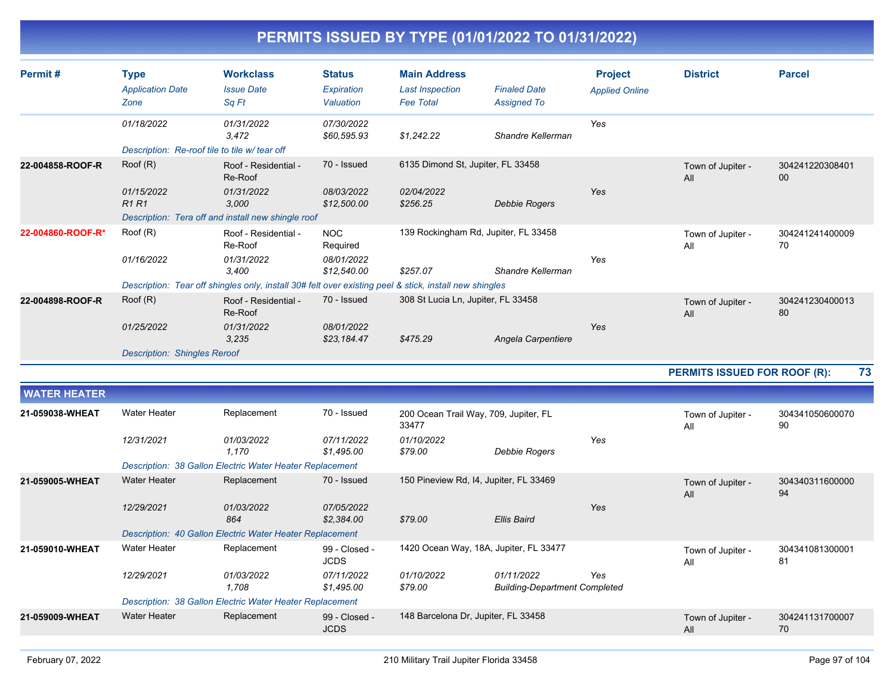| Permit#             | <b>Type</b><br><b>Application Date</b><br>Zone | <b>Workclass</b><br><b>Issue Date</b><br>Sq Ft                                                         | <b>Status</b><br><b>Expiration</b><br>Valuation | <b>Main Address</b><br><b>Last Inspection</b><br><b>Fee Total</b> | <b>Finaled Date</b><br><b>Assigned To</b>          | <b>Project</b><br><b>Applied Online</b> | <b>District</b>          | <b>Parcel</b>                                                                                                                                                                         |  |  |  |  |
|---------------------|------------------------------------------------|--------------------------------------------------------------------------------------------------------|-------------------------------------------------|-------------------------------------------------------------------|----------------------------------------------------|-----------------------------------------|--------------------------|---------------------------------------------------------------------------------------------------------------------------------------------------------------------------------------|--|--|--|--|
|                     | 01/18/2022                                     | 01/31/2022<br>3,472                                                                                    | 07/30/2022<br>\$60,595.93                       | \$1,242.22                                                        | Shandre Kellerman                                  | Yes                                     |                          |                                                                                                                                                                                       |  |  |  |  |
|                     | Description: Re-roof tile to tile w/ tear off  |                                                                                                        |                                                 |                                                                   |                                                    |                                         |                          |                                                                                                                                                                                       |  |  |  |  |
| 22-004858-ROOF-R    | Root(R)                                        | Roof - Residential -<br>Re-Roof                                                                        | 70 - Issued                                     | 6135 Dimond St, Jupiter, FL 33458                                 |                                                    |                                         | Town of Jupiter -<br>All | 304241220308401<br>00                                                                                                                                                                 |  |  |  |  |
|                     | 01/15/2022<br><b>R1R1</b>                      | 01/31/2022<br>3,000                                                                                    | 08/03/2022<br>\$12,500.00                       | 02/04/2022<br>\$256.25                                            | Debbie Rogers                                      | Yes                                     |                          |                                                                                                                                                                                       |  |  |  |  |
|                     |                                                | Description: Tera off and install new shingle roof                                                     |                                                 |                                                                   |                                                    |                                         |                          |                                                                                                                                                                                       |  |  |  |  |
| 22-004860-ROOF-R*   | Roof (R)                                       | Roof - Residential -<br>Re-Roof                                                                        | <b>NOC</b><br>Required                          |                                                                   | 139 Rockingham Rd, Jupiter, FL 33458               |                                         | Town of Jupiter -<br>All | 304241241400009<br>70                                                                                                                                                                 |  |  |  |  |
|                     | 01/16/2022                                     | 01/31/2022<br>3,400                                                                                    | 08/01/2022<br>\$12,540.00                       | \$257.07                                                          | Shandre Kellerman                                  | Yes                                     |                          |                                                                                                                                                                                       |  |  |  |  |
|                     |                                                | Description: Tear off shingles only, install 30# felt over existing peel & stick, install new shingles |                                                 |                                                                   |                                                    |                                         |                          |                                                                                                                                                                                       |  |  |  |  |
| 22-004898-ROOF-R    | Root(R)                                        | Roof - Residential -<br>Re-Roof                                                                        | 70 - Issued                                     | 308 St Lucia Ln, Jupiter, FL 33458                                |                                                    |                                         | Town of Jupiter -<br>All | 304241230400013<br>80                                                                                                                                                                 |  |  |  |  |
|                     | 01/25/2022                                     | 01/31/2022<br>3,235                                                                                    | 08/01/2022<br>\$23,184.47                       | \$475.29                                                          | Angela Carpentiere                                 | Yes                                     |                          |                                                                                                                                                                                       |  |  |  |  |
|                     | <b>Description: Shingles Reroof</b>            |                                                                                                        |                                                 |                                                                   |                                                    |                                         |                          |                                                                                                                                                                                       |  |  |  |  |
|                     |                                                |                                                                                                        |                                                 |                                                                   |                                                    |                                         |                          | 73                                                                                                                                                                                    |  |  |  |  |
| <b>WATER HEATER</b> |                                                |                                                                                                        |                                                 |                                                                   |                                                    |                                         |                          |                                                                                                                                                                                       |  |  |  |  |
| 21-059038-WHEAT     | <b>Water Heater</b>                            | Replacement                                                                                            | 70 - Issued                                     | 200 Ocean Trail Way, 709, Jupiter, FL<br>33477                    |                                                    |                                         | Town of Jupiter -<br>All | 304341050600070<br>90                                                                                                                                                                 |  |  |  |  |
|                     | 12/31/2021                                     | 01/03/2022<br>1,170                                                                                    | 07/11/2022<br>\$1,495.00                        | 01/10/2022<br>\$79.00                                             | Debbie Rogers                                      | Yes                                     |                          |                                                                                                                                                                                       |  |  |  |  |
|                     |                                                | Description: 38 Gallon Electric Water Heater Replacement                                               |                                                 |                                                                   |                                                    |                                         |                          | <b>PERMITS ISSUED FOR ROOF (R):</b><br>304340311600000<br>Town of Jupiter -<br>94<br>All<br>304341081300001<br>Town of Jupiter -<br>81<br>All<br>304241131700007<br>Town of Jupiter - |  |  |  |  |
| 21-059005-WHEAT     | <b>Water Heater</b>                            | Replacement                                                                                            | 70 - Issued                                     |                                                                   | 150 Pineview Rd, I4, Jupiter, FL 33469             |                                         |                          |                                                                                                                                                                                       |  |  |  |  |
|                     | 12/29/2021                                     | 01/03/2022<br>864                                                                                      | 07/05/2022<br>\$2,384.00                        | \$79.00                                                           | <b>Ellis Baird</b>                                 | Yes                                     |                          |                                                                                                                                                                                       |  |  |  |  |
|                     |                                                | Description: 40 Gallon Electric Water Heater Replacement                                               |                                                 |                                                                   |                                                    |                                         |                          |                                                                                                                                                                                       |  |  |  |  |
| 21-059010-WHEAT     | Water Heater                                   | Replacement                                                                                            | 99 - Closed -<br>JCDS                           |                                                                   | 1420 Ocean Way, 18A, Jupiter, FL 33477             |                                         |                          |                                                                                                                                                                                       |  |  |  |  |
|                     | 12/29/2021                                     | 01/03/2022<br>1,708                                                                                    | 07/11/2022<br>\$1,495.00                        | 01/10/2022<br>\$79.00                                             | 01/11/2022<br><b>Building-Department Completed</b> | Yes                                     |                          |                                                                                                                                                                                       |  |  |  |  |
|                     |                                                | Description: 38 Gallon Electric Water Heater Replacement                                               |                                                 |                                                                   |                                                    |                                         |                          |                                                                                                                                                                                       |  |  |  |  |
| 21-059009-WHEAT     | <b>Water Heater</b>                            | Replacement                                                                                            | 99 - Closed -<br><b>JCDS</b>                    | 148 Barcelona Dr, Jupiter, FL 33458                               |                                                    |                                         | All                      | 70                                                                                                                                                                                    |  |  |  |  |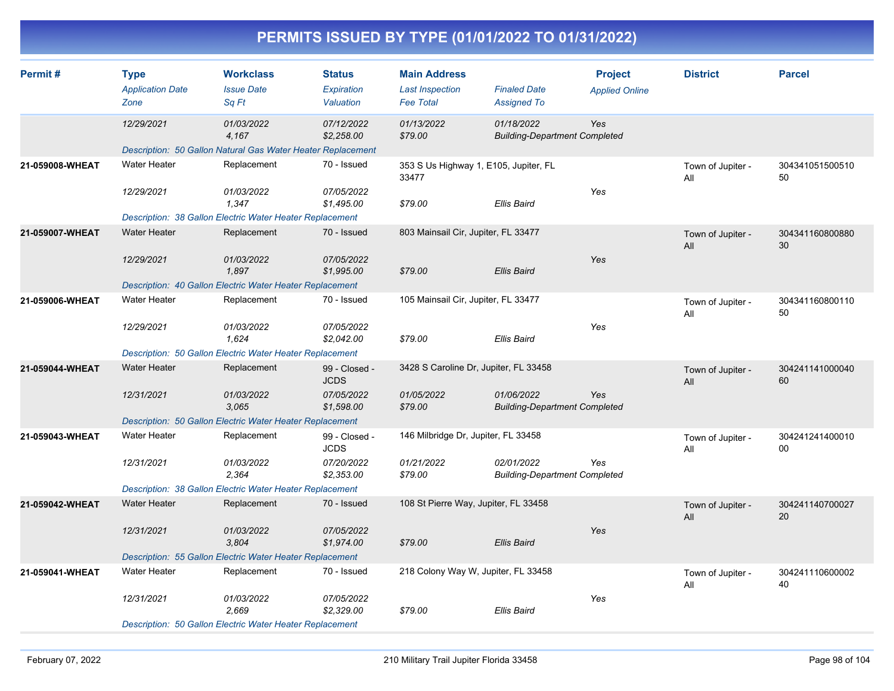| Permit#         | <b>Type</b>                                                                                                                                                                                                  | <b>Workclass</b>                                            | <b>Status</b>                  | <b>Main Address</b>                            |                                                    | <b>Project</b>        | <b>District</b>          | <b>Parcel</b>         |
|-----------------|--------------------------------------------------------------------------------------------------------------------------------------------------------------------------------------------------------------|-------------------------------------------------------------|--------------------------------|------------------------------------------------|----------------------------------------------------|-----------------------|--------------------------|-----------------------|
|                 | <b>Application Date</b><br>Zone                                                                                                                                                                              | <b>Issue Date</b><br>Sq Ft                                  | <b>Expiration</b><br>Valuation | <b>Last Inspection</b><br><b>Fee Total</b>     | <b>Finaled Date</b><br><b>Assigned To</b>          | <b>Applied Online</b> |                          |                       |
|                 | 12/29/2021                                                                                                                                                                                                   | 01/03/2022<br>4,167                                         | 07/12/2022<br>\$2,258.00       | 01/13/2022<br>\$79.00                          | 01/18/2022<br><b>Building-Department Completed</b> | Yes                   |                          |                       |
|                 |                                                                                                                                                                                                              | Description: 50 Gallon Natural Gas Water Heater Replacement |                                |                                                |                                                    |                       |                          |                       |
| 21-059008-WHEAT | <b>Water Heater</b>                                                                                                                                                                                          | Replacement                                                 | 70 - Issued                    | 353 S Us Highway 1, E105, Jupiter, FL<br>33477 |                                                    |                       | Town of Jupiter -<br>All | 304341051500510<br>50 |
|                 | 12/29/2021                                                                                                                                                                                                   | 01/03/2022<br>1,347                                         | 07/05/2022<br>\$1,495.00       | \$79.00                                        | <b>Ellis Baird</b>                                 | Yes                   |                          |                       |
|                 |                                                                                                                                                                                                              | Description: 38 Gallon Electric Water Heater Replacement    |                                |                                                |                                                    |                       |                          |                       |
| 21-059007-WHEAT | <b>Water Heater</b>                                                                                                                                                                                          | Replacement                                                 | 70 - Issued                    | 803 Mainsail Cir, Jupiter, FL 33477            |                                                    |                       | Town of Jupiter -<br>All | 304341160800880<br>30 |
|                 | 12/29/2021                                                                                                                                                                                                   | 01/03/2022<br>1.897                                         | 07/05/2022<br>\$1,995.00       | \$79.00                                        | <b>Ellis Baird</b>                                 | Yes                   |                          |                       |
|                 |                                                                                                                                                                                                              | Description: 40 Gallon Electric Water Heater Replacement    |                                |                                                |                                                    |                       |                          |                       |
| 21-059006-WHEAT | <b>Water Heater</b>                                                                                                                                                                                          | Replacement                                                 | 70 - Issued                    | 105 Mainsail Cir, Jupiter, FL 33477            |                                                    |                       | Town of Jupiter -<br>All | 304341160800110<br>50 |
|                 | 12/29/2021                                                                                                                                                                                                   | 01/03/2022<br>1,624                                         | 07/05/2022<br>\$2,042.00       | \$79.00                                        | <b>Ellis Baird</b>                                 | Yes                   |                          |                       |
|                 |                                                                                                                                                                                                              |                                                             |                                |                                                |                                                    |                       |                          |                       |
| 21-059044-WHEAT | <b>Water Heater</b>                                                                                                                                                                                          | Replacement                                                 | 99 - Closed -<br><b>JCDS</b>   |                                                |                                                    |                       | Town of Jupiter -<br>All | 304241141000040<br>60 |
|                 | 12/31/2021                                                                                                                                                                                                   | 01/03/2022<br>3,065                                         | 07/05/2022<br>\$1,598.00       | 01/05/2022<br>\$79.00                          | 01/06/2022                                         | Yes                   |                          |                       |
|                 | Description: 50 Gallon Electric Water Heater Replacement<br>3428 S Caroline Dr, Jupiter, FL 33458<br><b>Building-Department Completed</b><br><b>Description: 50 Gallon Electric Water Heater Replacement</b> |                                                             |                                |                                                |                                                    |                       |                          |                       |
| 21-059043-WHEAT | <b>Water Heater</b>                                                                                                                                                                                          | Replacement                                                 | 99 - Closed -<br><b>JCDS</b>   | 146 Milbridge Dr, Jupiter, FL 33458            |                                                    |                       | Town of Jupiter -<br>All | 304241241400010<br>00 |
|                 | 12/31/2021                                                                                                                                                                                                   | 01/03/2022<br>2,364                                         | 07/20/2022<br>\$2,353.00       | 01/21/2022<br>\$79.00                          | 02/01/2022<br><b>Building-Department Completed</b> | Yes                   |                          |                       |
|                 |                                                                                                                                                                                                              | Description: 38 Gallon Electric Water Heater Replacement    |                                |                                                |                                                    |                       |                          |                       |
| 21-059042-WHEAT | <b>Water Heater</b>                                                                                                                                                                                          | Replacement                                                 | 70 - Issued                    | 108 St Pierre Way, Jupiter, FL 33458           |                                                    |                       | Town of Jupiter -<br>All | 304241140700027<br>20 |
|                 | 12/31/2021                                                                                                                                                                                                   | 01/03/2022<br>3,804                                         | 07/05/2022<br>\$1,974.00       | \$79.00                                        | <b>Ellis Baird</b>                                 | Yes                   |                          |                       |
|                 |                                                                                                                                                                                                              | Description: 55 Gallon Electric Water Heater Replacement    |                                |                                                |                                                    |                       |                          |                       |
| 21-059041-WHEAT | <b>Water Heater</b>                                                                                                                                                                                          | Replacement                                                 | 70 - Issued                    | 218 Colony Way W, Jupiter, FL 33458            |                                                    |                       | Town of Jupiter -<br>All | 304241110600002<br>40 |
|                 | 12/31/2021                                                                                                                                                                                                   | 01/03/2022<br>2,669                                         | 07/05/2022<br>\$2,329.00       | \$79.00                                        | <b>Ellis Baird</b>                                 | Yes                   |                          |                       |
|                 |                                                                                                                                                                                                              | Description: 50 Gallon Electric Water Heater Replacement    |                                |                                                |                                                    |                       |                          |                       |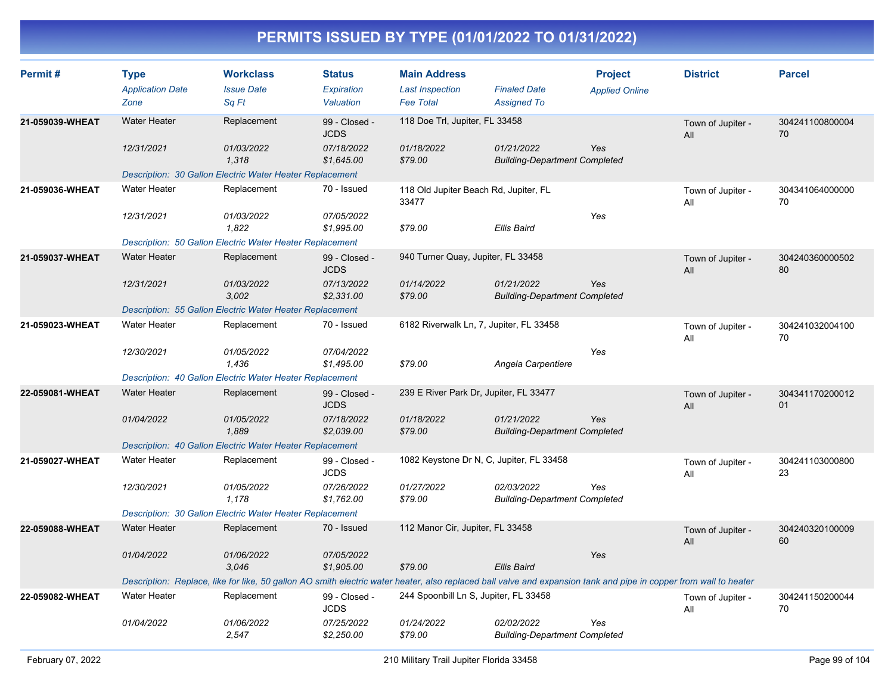| Permit#         | <b>Type</b><br><b>Application Date</b> | <b>Workclass</b><br><b>Issue Date</b>                                                                                                                             | <b>Status</b><br><b>Expiration</b> | <b>Main Address</b><br><b>Last Inspection</b>  | <b>Finaled Date</b>                                | <b>Project</b><br><b>Applied Online</b> | <b>District</b>          | <b>Parcel</b>         |
|-----------------|----------------------------------------|-------------------------------------------------------------------------------------------------------------------------------------------------------------------|------------------------------------|------------------------------------------------|----------------------------------------------------|-----------------------------------------|--------------------------|-----------------------|
|                 | Zone                                   | Sq Ft                                                                                                                                                             | Valuation                          | <b>Fee Total</b>                               | <b>Assigned To</b>                                 |                                         |                          |                       |
| 21-059039-WHEAT | <b>Water Heater</b>                    | Replacement                                                                                                                                                       | 99 - Closed -<br><b>JCDS</b>       | 118 Doe Trl, Jupiter, FL 33458                 |                                                    |                                         | Town of Jupiter -<br>All | 304241100800004<br>70 |
|                 | 12/31/2021                             | 01/03/2022<br>1,318                                                                                                                                               | 07/18/2022<br>\$1,645.00           | 01/18/2022<br>\$79.00                          | 01/21/2022<br><b>Building-Department Completed</b> | Yes                                     |                          |                       |
|                 |                                        | Description: 30 Gallon Electric Water Heater Replacement                                                                                                          |                                    |                                                |                                                    |                                         |                          |                       |
| 21-059036-WHEAT | <b>Water Heater</b>                    | Replacement                                                                                                                                                       | 70 - Issued                        | 118 Old Jupiter Beach Rd, Jupiter, FL<br>33477 |                                                    |                                         | Town of Jupiter -<br>All | 304341064000000<br>70 |
|                 | 12/31/2021                             | 01/03/2022<br>1.822                                                                                                                                               | 07/05/2022<br>\$1,995.00           | \$79.00                                        | <b>Ellis Baird</b>                                 | Yes                                     |                          |                       |
|                 |                                        | Description: 50 Gallon Electric Water Heater Replacement                                                                                                          |                                    |                                                |                                                    |                                         |                          |                       |
| 21-059037-WHEAT | <b>Water Heater</b>                    | Replacement                                                                                                                                                       | 99 - Closed -<br><b>JCDS</b>       | 940 Turner Quay, Jupiter, FL 33458             |                                                    |                                         | Town of Jupiter -<br>All | 304240360000502<br>80 |
|                 | 12/31/2021                             | 01/03/2022<br>3,002                                                                                                                                               | 07/13/2022<br>\$2,331.00           | 01/14/2022<br>\$79.00                          | 01/21/2022<br><b>Building-Department Completed</b> | Yes                                     |                          |                       |
|                 |                                        | Description: 55 Gallon Electric Water Heater Replacement                                                                                                          |                                    |                                                |                                                    |                                         |                          |                       |
| 21-059023-WHEAT | <b>Water Heater</b>                    | Replacement                                                                                                                                                       | 70 - Issued                        | 6182 Riverwalk Ln, 7, Jupiter, FL 33458        |                                                    |                                         | Town of Jupiter -<br>All | 304241032004100<br>70 |
|                 | 12/30/2021                             | 01/05/2022<br>1,436                                                                                                                                               | 07/04/2022<br>\$1,495.00           | \$79.00                                        | Angela Carpentiere                                 | Yes                                     |                          |                       |
|                 |                                        | <b>Description: 40 Gallon Electric Water Heater Replacement</b>                                                                                                   |                                    |                                                |                                                    |                                         |                          |                       |
| 22-059081-WHEAT | <b>Water Heater</b>                    | Replacement                                                                                                                                                       | 99 - Closed -<br><b>JCDS</b>       | 239 E River Park Dr, Jupiter, FL 33477         |                                                    |                                         | Town of Jupiter -<br>All | 304341170200012<br>01 |
|                 | 01/04/2022                             | <i>01/05/2022</i><br>1,889                                                                                                                                        | 07/18/2022<br>\$2,039.00           | 01/18/2022<br>\$79.00                          | 01/21/2022<br><b>Building-Department Completed</b> | Yes                                     |                          |                       |
|                 |                                        | Description: 40 Gallon Electric Water Heater Replacement                                                                                                          |                                    |                                                |                                                    |                                         |                          |                       |
| 21-059027-WHEAT | <b>Water Heater</b>                    | Replacement                                                                                                                                                       | 99 - Closed -<br><b>JCDS</b>       | 1082 Keystone Dr N, C, Jupiter, FL 33458       |                                                    |                                         | Town of Jupiter -<br>All | 304241103000800<br>23 |
|                 | 12/30/2021                             | 01/05/2022<br>1,178                                                                                                                                               | 07/26/2022<br>\$1,762.00           | 01/27/2022<br>\$79.00                          | 02/03/2022<br><b>Building-Department Completed</b> | Yes                                     |                          |                       |
|                 |                                        | Description: 30 Gallon Electric Water Heater Replacement                                                                                                          |                                    |                                                |                                                    |                                         |                          |                       |
| 22-059088-WHEAT | <b>Water Heater</b>                    | Replacement                                                                                                                                                       | 70 - Issued                        | 112 Manor Cir, Jupiter, FL 33458               |                                                    |                                         | Town of Jupiter -<br>All | 304240320100009<br>60 |
|                 | 01/04/2022                             | 01/06/2022<br>3.046                                                                                                                                               | 07/05/2022<br>\$1,905.00           | \$79.00                                        | <b>Ellis Baird</b>                                 | Yes                                     |                          |                       |
|                 |                                        | Description: Replace, like for like, 50 gallon AO smith electric water heater, also replaced ball valve and expansion tank and pipe in copper from wall to heater |                                    |                                                |                                                    |                                         |                          |                       |
| 22-059082-WHEAT | <b>Water Heater</b>                    | Replacement                                                                                                                                                       | 99 - Closed -<br><b>JCDS</b>       | 244 Spoonbill Ln S, Jupiter, FL 33458          |                                                    |                                         | Town of Jupiter -<br>All | 304241150200044<br>70 |
|                 | 01/04/2022                             | 01/06/2022<br>2,547                                                                                                                                               | 07/25/2022<br>\$2,250.00           | 01/24/2022<br>\$79.00                          | 02/02/2022<br><b>Building-Department Completed</b> | Yes                                     |                          |                       |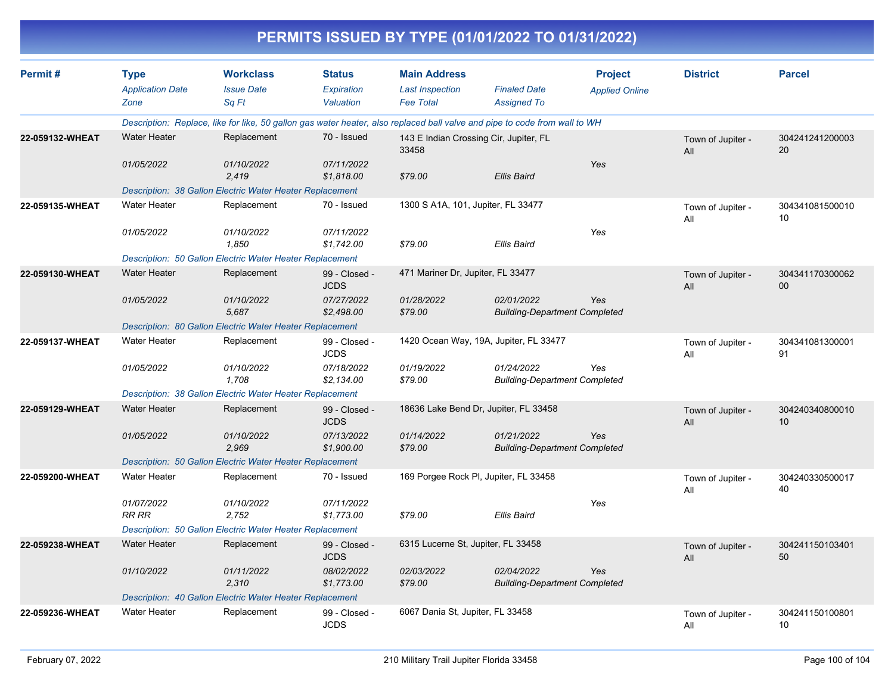|                 |                                                |                                                          |                                          |                                                                   | PERMITS ISSUED BY TYPE (01/01/2022 TO 01/31/2022)                                                                          |                                         |                          |                       |
|-----------------|------------------------------------------------|----------------------------------------------------------|------------------------------------------|-------------------------------------------------------------------|----------------------------------------------------------------------------------------------------------------------------|-----------------------------------------|--------------------------|-----------------------|
| Permit#         | <b>Type</b><br><b>Application Date</b><br>Zone | <b>Workclass</b><br><b>Issue Date</b><br>Sq Ft           | <b>Status</b><br>Expiration<br>Valuation | <b>Main Address</b><br><b>Last Inspection</b><br><b>Fee Total</b> | <b>Finaled Date</b><br><b>Assigned To</b>                                                                                  | <b>Project</b><br><b>Applied Online</b> | <b>District</b>          | <b>Parcel</b>         |
|                 |                                                |                                                          |                                          |                                                                   | Description: Replace, like for like, 50 gallon gas water heater, also replaced ball valve and pipe to code from wall to WH |                                         |                          |                       |
| 22-059132-WHEAT | <b>Water Heater</b>                            | Replacement                                              | 70 - Issued                              | 33458                                                             | 143 E Indian Crossing Cir, Jupiter, FL                                                                                     |                                         | Town of Jupiter -<br>All | 304241241200003<br>20 |
|                 | 01/05/2022                                     | 01/10/2022<br>2,419                                      | 07/11/2022<br>\$1,818.00                 | \$79.00                                                           | <b>Ellis Baird</b>                                                                                                         | Yes                                     |                          |                       |
|                 |                                                | Description: 38 Gallon Electric Water Heater Replacement |                                          |                                                                   |                                                                                                                            |                                         |                          |                       |
| 22-059135-WHEAT | <b>Water Heater</b>                            | Replacement                                              | 70 - Issued                              | 1300 S A1A, 101, Jupiter, FL 33477                                |                                                                                                                            |                                         | Town of Jupiter -<br>All | 304341081500010<br>10 |
|                 | 01/05/2022                                     | 01/10/2022<br>1.850                                      | 07/11/2022<br>\$1,742.00                 | \$79.00                                                           | Ellis Baird                                                                                                                | Yes                                     |                          |                       |
|                 |                                                | Description: 50 Gallon Electric Water Heater Replacement |                                          |                                                                   |                                                                                                                            |                                         |                          |                       |
| 22-059130-WHEAT | <b>Water Heater</b>                            | Replacement                                              | 99 - Closed -<br><b>JCDS</b>             | 471 Mariner Dr, Jupiter, FL 33477                                 |                                                                                                                            |                                         | Town of Jupiter -<br>All | 304341170300062<br>00 |
|                 | 01/05/2022                                     | 01/10/2022<br>5,687                                      | 07/27/2022<br>\$2,498.00                 | 01/28/2022<br>\$79.00                                             | 02/01/2022<br><b>Building-Department Completed</b>                                                                         | Yes                                     |                          |                       |
|                 |                                                | Description: 80 Gallon Electric Water Heater Replacement |                                          |                                                                   |                                                                                                                            |                                         |                          |                       |
| 22-059137-WHEAT | <b>Water Heater</b>                            | Replacement                                              | 99 - Closed -<br><b>JCDS</b>             |                                                                   | 1420 Ocean Way, 19A, Jupiter, FL 33477                                                                                     |                                         | Town of Jupiter -<br>All | 304341081300001<br>91 |
|                 | 01/05/2022                                     | 01/10/2022<br>1,708                                      | 07/18/2022<br>\$2,134.00                 | 01/19/2022<br>\$79.00                                             | 01/24/2022<br><b>Building-Department Completed</b>                                                                         | Yes                                     |                          |                       |
|                 |                                                | Description: 38 Gallon Electric Water Heater Replacement |                                          |                                                                   |                                                                                                                            |                                         |                          |                       |
| 22-059129-WHEAT | <b>Water Heater</b>                            | Replacement                                              | 99 - Closed -<br><b>JCDS</b>             |                                                                   | 18636 Lake Bend Dr, Jupiter, FL 33458                                                                                      |                                         | Town of Jupiter -<br>All | 304240340800010<br>10 |
|                 | 01/05/2022                                     | 01/10/2022<br>2,969                                      | 07/13/2022<br>\$1,900.00                 | 01/14/2022<br>\$79.00                                             | 01/21/2022<br><b>Building-Department Completed</b>                                                                         | Yes                                     |                          |                       |
|                 |                                                | Description: 50 Gallon Electric Water Heater Replacement |                                          |                                                                   |                                                                                                                            |                                         |                          |                       |
| 22-059200-WHEAT | <b>Water Heater</b>                            | Replacement                                              | 70 - Issued                              |                                                                   | 169 Porgee Rock Pl, Jupiter, FL 33458                                                                                      |                                         | Town of Jupiter -<br>All | 304240330500017<br>40 |
|                 | 01/07/2022<br><b>RR RR</b>                     | 01/10/2022<br>2,752                                      | 07/11/2022<br>\$1,773.00                 | \$79.00                                                           | Ellis Baird                                                                                                                | Yes                                     |                          |                       |
|                 |                                                | Description: 50 Gallon Electric Water Heater Replacement |                                          |                                                                   |                                                                                                                            |                                         |                          |                       |
| 22-059238-WHEAT | <b>Water Heater</b>                            | Replacement                                              | 99 - Closed -<br><b>JCDS</b>             | 6315 Lucerne St, Jupiter, FL 33458                                |                                                                                                                            |                                         | Town of Jupiter -<br>All | 304241150103401<br>50 |
|                 | 01/10/2022                                     | 01/11/2022<br>2,310                                      | 08/02/2022<br>\$1,773.00                 | 02/03/2022<br>\$79.00                                             | 02/04/2022<br><b>Building-Department Completed</b>                                                                         | Yes                                     |                          |                       |
|                 |                                                | Description: 40 Gallon Electric Water Heater Replacement |                                          |                                                                   |                                                                                                                            |                                         |                          |                       |
| 22-059236-WHEAT | Water Heater                                   | Replacement                                              | 99 - Closed -<br><b>JCDS</b>             | 6067 Dania St, Jupiter, FL 33458                                  |                                                                                                                            |                                         | Town of Jupiter -<br>All | 304241150100801<br>10 |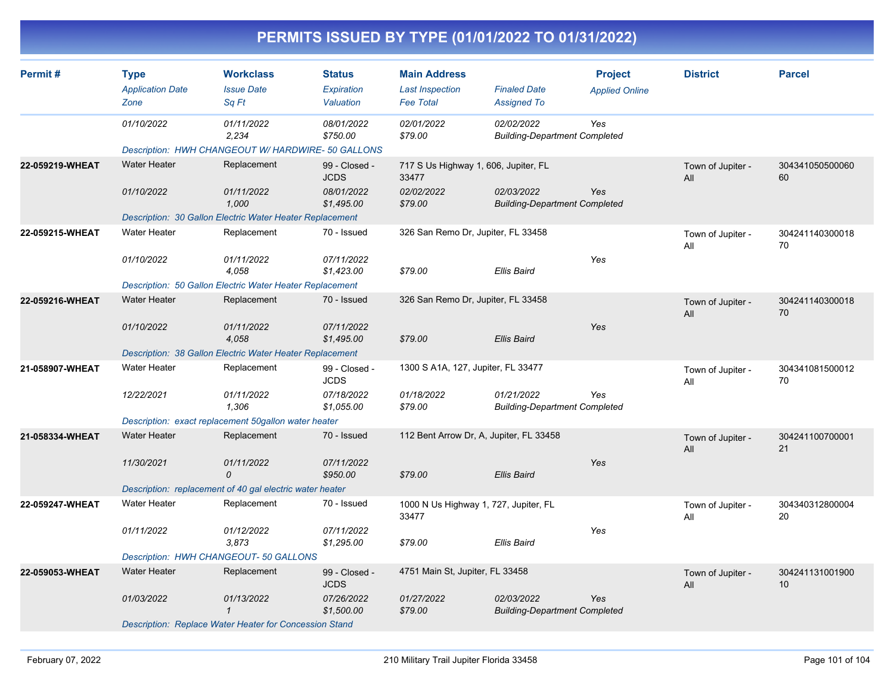| PERMITS ISSUED BY TYPE (01/01/2022 TO 01/31/2022) |  |
|---------------------------------------------------|--|
|---------------------------------------------------|--|

| Permit#         | <b>Type</b><br><b>Application Date</b> | <b>Workclass</b><br><b>Issue Date</b>                    | <b>Status</b><br>Expiration  | <b>Main Address</b><br><b>Last Inspection</b>  | <b>Finaled Date</b>                                | <b>Project</b><br><b>Applied Online</b> | <b>District</b>          | <b>Parcel</b>                      |
|-----------------|----------------------------------------|----------------------------------------------------------|------------------------------|------------------------------------------------|----------------------------------------------------|-----------------------------------------|--------------------------|------------------------------------|
|                 | Zone                                   | Sq Ft                                                    | Valuation                    | <b>Fee Total</b>                               | <b>Assigned To</b>                                 |                                         |                          |                                    |
|                 | 01/10/2022                             | 01/11/2022<br>2,234                                      | 08/01/2022<br>\$750.00       | 02/01/2022<br>\$79.00                          | 02/02/2022<br><b>Building-Department Completed</b> | Yes                                     |                          |                                    |
|                 |                                        | Description: HWH CHANGEOUT W/ HARDWIRE- 50 GALLONS       |                              |                                                |                                                    |                                         |                          |                                    |
| 22-059219-WHEAT | <b>Water Heater</b>                    | Replacement                                              | 99 - Closed -<br><b>JCDS</b> | 717 S Us Highway 1, 606, Jupiter, FL<br>33477  |                                                    |                                         | Town of Jupiter -<br>All | 304341050500060<br>60              |
|                 | 01/10/2022                             | 01/11/2022<br>1,000                                      | 08/01/2022<br>\$1,495.00     | 02/02/2022<br>\$79.00                          | 02/03/2022<br><b>Building-Department Completed</b> | Yes                                     |                          |                                    |
|                 |                                        | Description: 30 Gallon Electric Water Heater Replacement |                              |                                                |                                                    |                                         |                          |                                    |
| 22-059215-WHEAT | <b>Water Heater</b>                    | Replacement                                              | 70 - Issued                  | 326 San Remo Dr, Jupiter, FL 33458             |                                                    |                                         | Town of Jupiter -<br>All | 304241140300018<br>70              |
|                 | 01/10/2022                             | 01/11/2022<br>4.058                                      | 07/11/2022<br>\$1,423.00     | \$79.00                                        | <b>Ellis Baird</b>                                 | Yes                                     |                          |                                    |
|                 |                                        | Description: 50 Gallon Electric Water Heater Replacement |                              |                                                |                                                    |                                         |                          |                                    |
| 22-059216-WHEAT | <b>Water Heater</b>                    | Replacement                                              | 70 - Issued                  | 326 San Remo Dr, Jupiter, FL 33458             |                                                    |                                         | Town of Jupiter -<br>All | 304241140300018<br>70              |
|                 | 01/10/2022                             | 01/11/2022<br>4,058                                      | 07/11/2022<br>\$1,495.00     | \$79.00                                        | <b>Ellis Baird</b>                                 | Yes                                     |                          |                                    |
|                 |                                        | Description: 38 Gallon Electric Water Heater Replacement |                              |                                                |                                                    |                                         |                          |                                    |
| 21-058907-WHEAT | <b>Water Heater</b>                    | Replacement                                              | 99 - Closed -<br><b>JCDS</b> | 1300 S A1A, 127, Jupiter, FL 33477             |                                                    |                                         | Town of Jupiter -<br>All | 304341081500012<br>70              |
|                 | 12/22/2021                             | 01/11/2022<br>1.306                                      | 07/18/2022<br>\$1,055.00     | 01/18/2022<br>\$79.00                          | 01/21/2022<br><b>Building-Department Completed</b> | Yes                                     |                          |                                    |
|                 |                                        | Description: exact replacement 50gallon water heater     |                              |                                                |                                                    |                                         |                          |                                    |
| 21-058334-WHEAT | <b>Water Heater</b>                    | Replacement                                              | 70 - Issued                  | 112 Bent Arrow Dr, A, Jupiter, FL 33458        |                                                    |                                         | Town of Jupiter -<br>All | 304241100700001<br>21              |
|                 | 11/30/2021                             | 01/11/2022<br>0                                          | 07/11/2022<br>\$950.00       | \$79.00                                        | <b>Ellis Baird</b>                                 | Yes                                     |                          |                                    |
|                 |                                        | Description: replacement of 40 gal electric water heater |                              |                                                |                                                    |                                         |                          |                                    |
| 22-059247-WHEAT | <b>Water Heater</b>                    | Replacement                                              | 70 - Issued                  | 1000 N Us Highway 1, 727, Jupiter, FL<br>33477 |                                                    |                                         | Town of Jupiter -<br>All | 304340312800004<br>20              |
|                 | 01/11/2022                             | 01/12/2022<br>3,873                                      | 07/11/2022<br>\$1,295.00     | \$79.00                                        | Ellis Baird                                        | Yes                                     |                          |                                    |
|                 |                                        | Description: HWH CHANGEOUT- 50 GALLONS                   |                              |                                                |                                                    |                                         |                          |                                    |
| 22-059053-WHEAT | <b>Water Heater</b>                    | Replacement                                              | 99 - Closed -<br><b>JCDS</b> | 4751 Main St, Jupiter, FL 33458                |                                                    |                                         | Town of Jupiter -<br>All | 304241131001900<br>10 <sup>1</sup> |
|                 | 01/03/2022                             | 01/13/2022<br>$\mathbf{1}$                               | 07/26/2022<br>\$1,500.00     | 01/27/2022<br>\$79.00                          | 02/03/2022<br><b>Building-Department Completed</b> | Yes                                     |                          |                                    |
|                 |                                        | Description: Replace Water Heater for Concession Stand   |                              |                                                |                                                    |                                         |                          |                                    |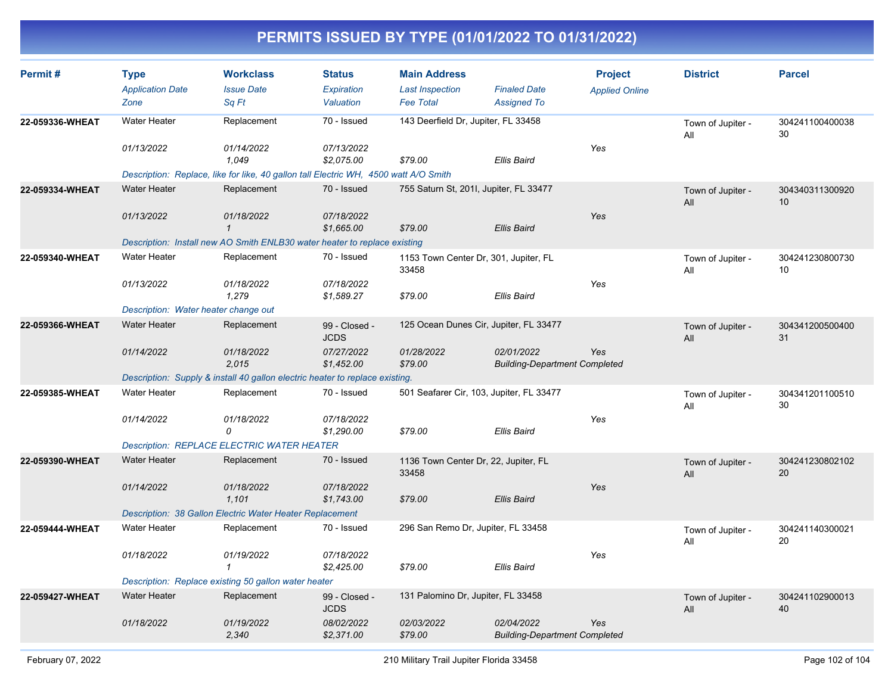| Permit#         | <b>Type</b><br><b>Application Date</b><br>Zone                            | <b>Workclass</b><br><b>Issue Date</b><br>Sq Ft                                                                             | <b>Status</b><br><b>Expiration</b><br>Valuation          | <b>Main Address</b><br><b>Last Inspection</b><br><b>Fee Total</b> | <b>Finaled Date</b><br><b>Assigned To</b>          | <b>Project</b><br><b>Applied Online</b> | <b>District</b>          | <b>Parcel</b>                      |
|-----------------|---------------------------------------------------------------------------|----------------------------------------------------------------------------------------------------------------------------|----------------------------------------------------------|-------------------------------------------------------------------|----------------------------------------------------|-----------------------------------------|--------------------------|------------------------------------|
| 22-059336-WHEAT | <b>Water Heater</b><br>01/13/2022                                         | Replacement<br>01/14/2022<br>1.049<br>Description: Replace, like for like, 40 gallon tall Electric WH, 4500 watt A/O Smith | 70 - Issued<br>07/13/2022<br>\$2,075.00                  | 143 Deerfield Dr, Jupiter, FL 33458<br>\$79.00                    | <b>Ellis Baird</b>                                 | Yes                                     | Town of Jupiter -<br>All | 304241100400038<br>30              |
| 22-059334-WHEAT | <b>Water Heater</b><br>01/13/2022                                         | Replacement<br>01/18/2022<br>$\mathbf{1}$<br>Description: Install new AO Smith ENLB30 water heater to replace existing     | 70 - Issued<br>07/18/2022<br>\$1,665.00                  | 755 Saturn St, 2011, Jupiter, FL 33477<br>\$79.00                 | <b>Ellis Baird</b>                                 | Yes                                     | Town of Jupiter -<br>All | 304340311300920<br>10              |
| 22-059340-WHEAT | <b>Water Heater</b><br>01/13/2022<br>Description: Water heater change out | Replacement<br>01/18/2022<br>1,279                                                                                         | 70 - Issued<br>07/18/2022<br>\$1,589.27                  | 1153 Town Center Dr, 301, Jupiter, FL<br>33458<br>\$79.00         | <b>Ellis Baird</b>                                 | Yes                                     | Town of Jupiter -<br>All | 304241230800730<br>10 <sup>1</sup> |
| 22-059366-WHEAT | <b>Water Heater</b><br>01/14/2022                                         | Replacement<br>01/18/2022<br>2,015<br>Description: Supply & install 40 gallon electric heater to replace existing.         | 99 - Closed -<br><b>JCDS</b><br>07/27/2022<br>\$1,452.00 | 125 Ocean Dunes Cir, Jupiter, FL 33477<br>01/28/2022<br>\$79.00   | 02/01/2022<br><b>Building-Department Completed</b> | Yes                                     | Town of Jupiter -<br>All | 304341200500400<br>31              |
| 22-059385-WHEAT | <b>Water Heater</b><br>01/14/2022                                         | Replacement<br>01/18/2022<br>0<br><b>Description: REPLACE ELECTRIC WATER HEATER</b>                                        | 70 - Issued<br>07/18/2022<br>\$1,290.00                  | 501 Seafarer Cir, 103, Jupiter, FL 33477<br>\$79.00               | <b>Ellis Baird</b>                                 | Yes                                     | Town of Jupiter -<br>All | 304341201100510<br>30              |
| 22-059390-WHEAT | <b>Water Heater</b><br>01/14/2022                                         | Replacement<br>01/18/2022<br>1,101<br>Description: 38 Gallon Electric Water Heater Replacement                             | 70 - Issued<br>07/18/2022<br>\$1,743.00                  | 1136 Town Center Dr, 22, Jupiter, FL<br>33458<br>\$79.00          | <b>Ellis Baird</b>                                 | Yes                                     | Town of Jupiter -<br>All | 304241230802102<br>20              |
| 22-059444-WHEAT | <b>Water Heater</b><br>01/18/2022                                         | Replacement<br>01/19/2022<br>$\mathbf 1$<br>Description: Replace existing 50 gallon water heater                           | 70 - Issued<br>07/18/2022<br>\$2,425.00                  | 296 San Remo Dr, Jupiter, FL 33458<br>\$79.00                     | <b>Ellis Baird</b>                                 | Yes                                     | Town of Jupiter -<br>All | 304241140300021<br>20              |
| 22-059427-WHEAT | <b>Water Heater</b><br>01/18/2022                                         | Replacement<br>01/19/2022<br>2,340                                                                                         | 99 - Closed -<br><b>JCDS</b><br>08/02/2022<br>\$2,371.00 | 131 Palomino Dr, Jupiter, FL 33458<br>02/03/2022<br>\$79.00       | 02/04/2022<br><b>Building-Department Completed</b> | Yes                                     | Town of Jupiter -<br>All | 304241102900013<br>40              |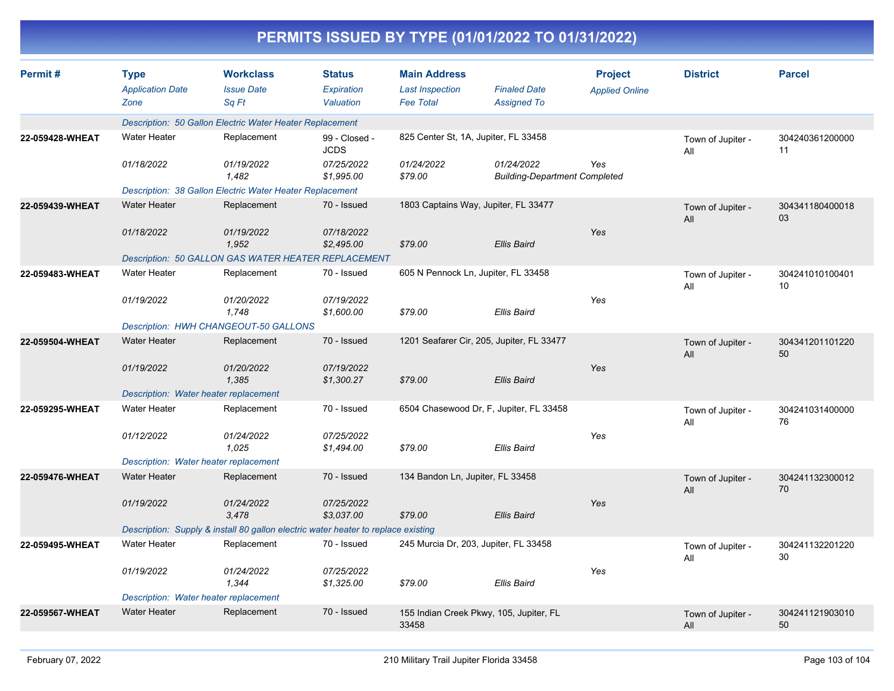| PERMITS ISSUED BY TYPE (01/01/2022 TO 01/31/2022) |                                                |                                                                                   |                                          |                                                                   |                                                    |                                         |                          |                       |  |  |  |
|---------------------------------------------------|------------------------------------------------|-----------------------------------------------------------------------------------|------------------------------------------|-------------------------------------------------------------------|----------------------------------------------------|-----------------------------------------|--------------------------|-----------------------|--|--|--|
| Permit#                                           | <b>Type</b><br><b>Application Date</b><br>Zone | <b>Workclass</b><br><b>Issue Date</b><br>Sq Ft                                    | <b>Status</b><br>Expiration<br>Valuation | <b>Main Address</b><br><b>Last Inspection</b><br><b>Fee Total</b> | <b>Finaled Date</b><br><b>Assigned To</b>          | <b>Project</b><br><b>Applied Online</b> | <b>District</b>          | <b>Parcel</b>         |  |  |  |
|                                                   |                                                | Description: 50 Gallon Electric Water Heater Replacement                          |                                          |                                                                   |                                                    |                                         |                          |                       |  |  |  |
| 22-059428-WHEAT                                   | Water Heater                                   | Replacement                                                                       | 99 - Closed -<br><b>JCDS</b>             | 825 Center St, 1A, Jupiter, FL 33458                              |                                                    |                                         | Town of Jupiter -<br>All | 304240361200000<br>11 |  |  |  |
|                                                   | 01/18/2022                                     | 01/19/2022<br>1,482                                                               | 07/25/2022<br>\$1,995.00                 | 01/24/2022<br>\$79.00                                             | 01/24/2022<br><b>Building-Department Completed</b> | Yes                                     |                          |                       |  |  |  |
|                                                   |                                                | Description: 38 Gallon Electric Water Heater Replacement                          |                                          |                                                                   |                                                    |                                         |                          |                       |  |  |  |
| 22-059439-WHEAT                                   | <b>Water Heater</b>                            | Replacement                                                                       | 70 - Issued                              |                                                                   | 1803 Captains Way, Jupiter, FL 33477               |                                         | Town of Jupiter -<br>All | 304341180400018<br>03 |  |  |  |
|                                                   | 01/18/2022                                     | 01/19/2022<br>1,952                                                               | 07/18/2022<br>\$2,495.00                 | \$79.00                                                           | <b>Ellis Baird</b>                                 | <b>Yes</b>                              |                          |                       |  |  |  |
|                                                   |                                                | Description: 50 GALLON GAS WATER HEATER REPLACEMENT                               |                                          |                                                                   |                                                    |                                         |                          |                       |  |  |  |
| 22-059483-WHEAT                                   | <b>Water Heater</b>                            | Replacement                                                                       | 70 - Issued                              | 605 N Pennock Ln, Jupiter, FL 33458                               |                                                    |                                         | Town of Jupiter -<br>All | 304241010100401<br>10 |  |  |  |
|                                                   | 01/19/2022                                     | 01/20/2022<br>1,748                                                               | 07/19/2022<br>\$1,600.00                 | \$79.00                                                           | <b>Ellis Baird</b>                                 | Yes                                     |                          |                       |  |  |  |
|                                                   |                                                | Description: HWH CHANGEOUT-50 GALLONS                                             |                                          |                                                                   |                                                    |                                         |                          |                       |  |  |  |
| 22-059504-WHEAT                                   | <b>Water Heater</b>                            | Replacement                                                                       | 70 - Issued                              |                                                                   | 1201 Seafarer Cir, 205, Jupiter, FL 33477          |                                         | Town of Jupiter -<br>All | 304341201101220<br>50 |  |  |  |
|                                                   | 01/19/2022                                     | 01/20/2022<br>1,385                                                               | 07/19/2022<br>\$1,300.27                 | \$79.00                                                           | <b>Ellis Baird</b>                                 | Yes                                     |                          |                       |  |  |  |
|                                                   | Description: Water heater replacement          |                                                                                   |                                          |                                                                   |                                                    |                                         |                          |                       |  |  |  |
| 22-059295-WHEAT                                   | <b>Water Heater</b>                            | Replacement                                                                       | 70 - Issued                              |                                                                   | 6504 Chasewood Dr, F, Jupiter, FL 33458            |                                         | Town of Jupiter -<br>All | 304241031400000<br>76 |  |  |  |
|                                                   | 01/12/2022                                     | 01/24/2022<br>1,025                                                               | 07/25/2022<br>\$1,494.00                 | \$79.00                                                           | <b>Ellis Baird</b>                                 | Yes                                     |                          |                       |  |  |  |
|                                                   | Description: Water heater replacement          |                                                                                   |                                          |                                                                   |                                                    |                                         |                          |                       |  |  |  |
| 22-059476-WHEAT                                   | <b>Water Heater</b>                            | Replacement                                                                       | 70 - Issued                              | 134 Bandon Ln, Jupiter, FL 33458                                  |                                                    |                                         | Town of Jupiter -<br>All | 304241132300012<br>70 |  |  |  |
|                                                   | 01/19/2022                                     | 01/24/2022<br>3,478                                                               | 07/25/2022<br>\$3,037.00                 | \$79.00                                                           | Ellis Baird                                        | Yes                                     |                          |                       |  |  |  |
|                                                   |                                                | Description: Supply & install 80 gallon electric water heater to replace existing |                                          |                                                                   |                                                    |                                         |                          |                       |  |  |  |
| 22-059495-WHEAT                                   | Water Heater                                   | Replacement                                                                       | 70 - Issued                              |                                                                   | 245 Murcia Dr, 203, Jupiter, FL 33458              |                                         | Town of Jupiter -<br>All | 304241132201220<br>30 |  |  |  |
|                                                   | 01/19/2022                                     | 01/24/2022<br>1,344                                                               | 07/25/2022<br>\$1,325.00                 | \$79.00                                                           | Ellis Baird                                        | Yes                                     |                          |                       |  |  |  |
|                                                   | Description: Water heater replacement          |                                                                                   |                                          |                                                                   |                                                    |                                         |                          |                       |  |  |  |
| 22-059567-WHEAT                                   | <b>Water Heater</b>                            | Replacement                                                                       | 70 - Issued                              | 33458                                                             | 155 Indian Creek Pkwy, 105, Jupiter, FL            |                                         | Town of Jupiter -<br>All | 304241121903010<br>50 |  |  |  |